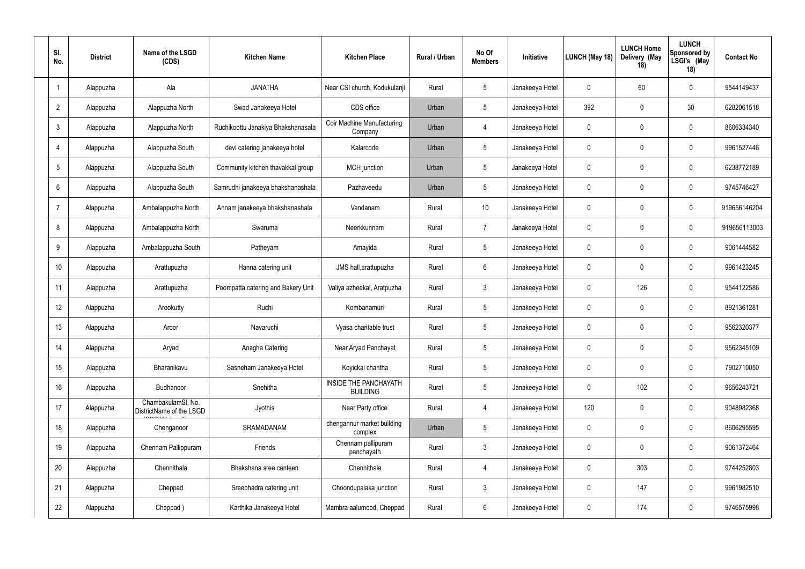| SI.<br>No.      | <b>District</b> | Name of the LSGD<br>(CDS)                      | <b>Kitchen Name</b>                | <b>Kitchen Place</b>                         | Rural / Urban | No Of<br><b>Members</b> | Initiative      | LUNCH (May 18) | <b>LUNCH Home</b><br>Delivery (May<br>18) | <b>LUNCH</b><br><b>Sponsored by</b><br>LSGI's (May<br>18) | <b>Contact No</b> |
|-----------------|-----------------|------------------------------------------------|------------------------------------|----------------------------------------------|---------------|-------------------------|-----------------|----------------|-------------------------------------------|-----------------------------------------------------------|-------------------|
| $\overline{1}$  | Alappuzha       | Ala                                            | <b>JANATHA</b>                     | Near CSI church, Kodukulanji                 | Rural         | 5                       | Janakeeya Hotel | 0              | 60                                        | $\overline{0}$                                            | 9544149437        |
| $\overline{2}$  | Alappuzha       | Alappuzha North                                | Swad Janakeeya Hotel               | CDS office                                   | Urban         | $5\phantom{.0}$         | Janakeeya Hotel | 392            | $\overline{0}$                            | 30 <sub>2</sub>                                           | 6282061518        |
| 3               | Alappuzha       | Alappuzha North                                | Ruchikoottu Janakiya Bhakshanasala | <b>Coir Machine Manufacturing</b><br>Company | Urban         | $\overline{4}$          | Janakeeya Hotel | $\mathbf 0$    | $\overline{0}$                            | $\overline{0}$                                            | 8606334340        |
| 4               | Alappuzha       | Alappuzha South                                | devi catering janakeeya hotel      | Kalarcode                                    | Urban         | $5\overline{)}$         | Janakeeya Hotel | $\mathbf 0$    | $\overline{0}$                            | $\overline{0}$                                            | 9961527446        |
| 5               | Alappuzha       | Alappuzha South                                | Community kitchen thavakkal group  | MCH junction                                 | Urban         | $5\phantom{.0}$         | Janakeeya Hotel | 0              | $\overline{0}$                            | $\mathbf 0$                                               | 6238772189        |
| 6               | Alappuzha       | Alappuzha South                                | Samrudhi janakeeya bhakshanashala  | Pazhaveedu                                   | Urban         | $5\phantom{.0}$         | Janakeeya Hotel | 0              | $\overline{0}$                            | $\overline{0}$                                            | 9745746427        |
| 7               | Alappuzha       | Ambalappuzha North                             | Annam janakeeya bhakshanashala     | Vandanam                                     | Rural         | 10                      | Janakeeya Hotel | 0              | $\overline{0}$                            | $\mathbf 0$                                               | 919656146204      |
| 8               | Alappuzha       | Ambalappuzha North                             | Swaruma                            | Neerkkunnam                                  | Rural         | $\overline{7}$          | Janakeeya Hotel | 0              | $\overline{0}$                            | $\mathbf 0$                                               | 919656113003      |
| 9               | Alappuzha       | Ambalappuzha South                             | Patheyam                           | Amayida                                      | Rural         | $5\overline{)}$         | Janakeeya Hotel | 0              | $\overline{0}$                            | $\overline{0}$                                            | 9061444582        |
| 10 <sup>°</sup> | Alappuzha       | Arattupuzha                                    | Hanna catering unit                | JMS hall, arattupuzha                        | Rural         | 6                       | Janakeeya Hotel | 0              | $\overline{0}$                            | $\mathbf 0$                                               | 9961423245        |
| 11              | Alappuzha       | Arattupuzha                                    | Poompatta catering and Bakery Unit | Valiya azheekal, Aratpuzha                   | Rural         | $\mathbf{3}$            | Janakeeya Hotel | 0              | 126                                       | $\mathbf 0$                                               | 9544122586        |
| 12              | Alappuzha       | Arookutty                                      | Ruchi                              | Kombanamuri                                  | Rural         | $5\overline{)}$         | Janakeeya Hotel | 0              | $\overline{0}$                            | $\overline{0}$                                            | 8921361281        |
| 13              | Alappuzha       | Aroor                                          | Navaruchi                          | Vyasa charitable trust                       | Rural         | $5\phantom{.0}$         | Janakeeya Hotel | 0              | $\mathbf 0$                               | $\overline{0}$                                            | 9562320377        |
| 14              | Alappuzha       | Aryad                                          | Anagha Catering                    | Near Aryad Panchayat                         | Rural         | $5\overline{)}$         | Janakeeya Hotel | 0              | $\mathbf 0$                               | $\mathbf 0$                                               | 9562345109        |
| 15              | Alappuzha       | Bharanikavu                                    | Sasneham Janakeeya Hotel           | Koyickal chantha                             | Rural         | $5\phantom{.0}$         | Janakeeya Hotel | $\pmb{0}$      | $\mathbf 0$                               | $\pmb{0}$                                                 | 7902710050        |
| 16 <sup>°</sup> | Alappuzha       | Budhanoor                                      | Snehitha                           | INSIDE THE PANCHAYATH<br><b>BUILDING</b>     | Rural         | $5\phantom{.0}$         | Janakeeya Hotel | 0              | 102                                       | $\pmb{0}$                                                 | 9656243721        |
| 17              | Alappuzha       | ChambakulamSl. No.<br>DistrictName of the LSGD | Jyothis                            | Near Party office                            | Rural         | $\overline{4}$          | Janakeeya Hotel | 120            | $\mathbf 0$                               | $\mathbf 0$                                               | 9048982368        |
| 18              | Alappuzha       | Chenganoor                                     | SRAMADANAM                         | chengannur market building<br>complex        | Urban         | 5                       | Janakeeya Hotel | $\mathbf 0$    | $\mathbf 0$                               | $\pmb{0}$                                                 | 8606295595        |
| 19              | Alappuzha       | Chennam Pallippuram                            | Friends                            | Chennam pallipuram<br>panchayath             | Rural         | 3 <sup>3</sup>          | Janakeeya Hotel | $\mathbf 0$    | $\mathbf 0$                               | $\pmb{0}$                                                 | 9061372464        |
| 20              | Alappuzha       | Chennithala                                    | Bhakshana sree canteen             | Chennithala                                  | Rural         | $\overline{4}$          | Janakeeya Hotel | 0              | 303                                       | $\pmb{0}$                                                 | 9744252803        |
| 21              | Alappuzha       | Cheppad                                        | Sreebhadra catering unit           | Choondupalaka junction                       | Rural         | $\mathbf{3}$            | Janakeeya Hotel | $\mathbf 0$    | 147                                       | $\mathbf 0$                                               | 9961982510        |
| 22              | Alappuzha       | Cheppad)                                       | Karthika Janakeeya Hotel           | Mambra aalumood, Cheppad                     | Rural         | 6                       | Janakeeya Hotel | 0              | 174                                       | $\boldsymbol{0}$                                          | 9746575998        |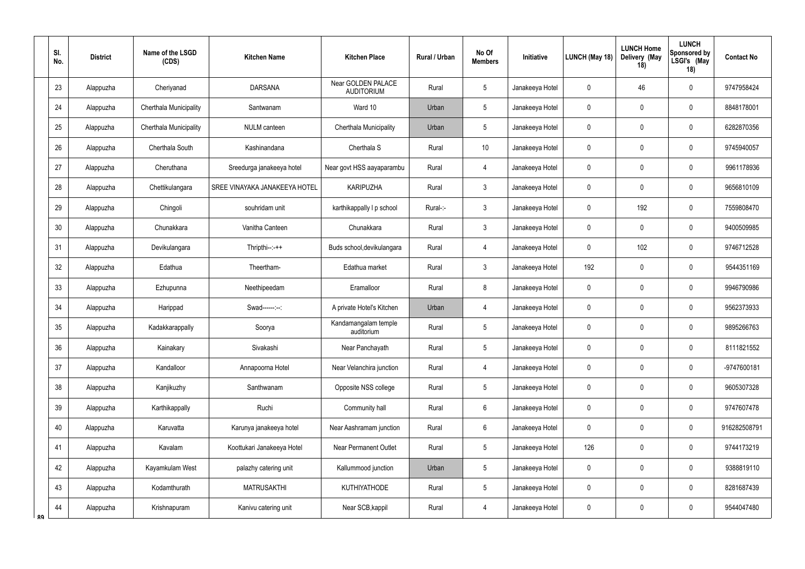|    | SI.<br>No. | <b>District</b> | Name of the LSGD<br>(CDS) | <b>Kitchen Name</b>           | <b>Kitchen Place</b>                    | Rural / Urban | No Of<br><b>Members</b> | Initiative      | LUNCH (May 18) | <b>LUNCH Home</b><br>Delivery (May<br>18) | <b>LUNCH</b><br><b>Sponsored by</b><br>LSGI's (May<br>18) | <b>Contact No</b> |
|----|------------|-----------------|---------------------------|-------------------------------|-----------------------------------------|---------------|-------------------------|-----------------|----------------|-------------------------------------------|-----------------------------------------------------------|-------------------|
|    | 23         | Alappuzha       | Cheriyanad                | <b>DARSANA</b>                | Near GOLDEN PALACE<br><b>AUDITORIUM</b> | Rural         | $5\phantom{.0}$         | Janakeeya Hotel | $\mathbf 0$    | 46                                        | $\mathbf 0$                                               | 9747958424        |
|    | 24         | Alappuzha       | Cherthala Municipality    | Santwanam                     | Ward 10                                 | Urban         | $5\phantom{.0}$         | Janakeeya Hotel | $\pmb{0}$      | $\mathbf 0$                               | $\mathbf 0$                                               | 8848178001        |
|    | 25         | Alappuzha       | Cherthala Municipality    | <b>NULM</b> canteen           | Cherthala Municipality                  | Urban         | $5\phantom{.0}$         | Janakeeya Hotel | 0              | -0                                        | $\mathbf 0$                                               | 6282870356        |
|    | 26         | Alappuzha       | Cherthala South           | Kashinandana                  | Cherthala S                             | Rural         | 10                      | Janakeeya Hotel | 0              | $\mathbf 0$                               | $\mathbf 0$                                               | 9745940057        |
|    | 27         | Alappuzha       | Cheruthana                | Sreedurga janakeeya hotel     | Near govt HSS aayaparambu               | Rural         | $\overline{4}$          | Janakeeya Hotel | 0              | -0                                        | $\mathbf 0$                                               | 9961178936        |
|    | 28         | Alappuzha       | Chettikulangara           | SREE VINAYAKA JANAKEEYA HOTEL | <b>KARIPUZHA</b>                        | Rural         | $\mathbf{3}$            | Janakeeya Hotel | 0              | $\mathbf 0$                               | $\mathbf 0$                                               | 9656810109        |
|    | 29         | Alappuzha       | Chingoli                  | souhridam unit                | karthikappally I p school               | Rural-:-      | $\mathbf{3}$            | Janakeeya Hotel | 0              | 192                                       | $\mathbf 0$                                               | 7559808470        |
|    | 30         | Alappuzha       | Chunakkara                | Vanitha Canteen               | Chunakkara                              | Rural         | $\mathbf{3}$            | Janakeeya Hotel | 0              | $\mathbf 0$                               | $\mathbf 0$                                               | 9400509985        |
|    | 31         | Alappuzha       | Devikulangara             | $Thripthi-:-++$               | Buds school, devikulangara              | Rural         | $\overline{4}$          | Janakeeya Hotel | $\mathbf 0$    | 102                                       | $\mathbf 0$                                               | 9746712528        |
|    | 32         | Alappuzha       | Edathua                   | Theertham-                    | Edathua market                          | Rural         | $\mathbf{3}$            | Janakeeya Hotel | 192            | $\mathbf 0$                               | $\mathbf 0$                                               | 9544351169        |
|    | 33         | Alappuzha       | Ezhupunna                 | Neethipeedam                  | Eramalloor                              | Rural         | 8                       | Janakeeya Hotel | 0              | $\mathbf 0$                               | $\mathbf 0$                                               | 9946790986        |
|    | 34         | Alappuzha       | Harippad                  | Swad------:--:                | A private Hotel's Kitchen               | Urban         | $\overline{4}$          | Janakeeya Hotel | 0              | $\mathbf 0$                               | $\mathbf 0$                                               | 9562373933        |
|    | 35         | Alappuzha       | Kadakkarappally           | Soorya                        | Kandamangalam temple<br>auditorium      | Rural         | $5\phantom{.0}$         | Janakeeya Hotel | $\mathbf 0$    | $\mathbf 0$                               | $\mathbf 0$                                               | 9895266763        |
|    | 36         | Alappuzha       | Kainakary                 | Sivakashi                     | Near Panchayath                         | Rural         | $5\phantom{.0}$         | Janakeeya Hotel | 0              | $\mathbf 0$                               | $\mathbf 0$                                               | 8111821552        |
|    | 37         | Alappuzha       | Kandalloor                | Annapoorna Hotel              | Near Velanchira junction                | Rural         | $\overline{4}$          | Janakeeya Hotel | 0              | $\mathbf 0$                               | $\mathbf 0$                                               | -9747600181       |
|    | 38         | Alappuzha       | Kanjikuzhy                | Santhwanam                    | Opposite NSS college                    | Rural         | $5\phantom{.0}$         | Janakeeya Hotel | $\pmb{0}$      | $\mathbf 0$                               | $\mathbf 0$                                               | 9605307328        |
|    | 39         | Alappuzha       | Karthikappally            | Ruchi                         | Community hall                          | Rural         | $6\phantom{.}6$         | Janakeeya Hotel | $\pmb{0}$      | $\mathbf 0$                               | $\mathbf 0$                                               | 9747607478        |
|    | 40         | Alappuzha       | Karuvatta                 | Karunya janakeeya hotel       | Near Aashramam junction                 | Rural         | $6\phantom{.}6$         | Janakeeya Hotel | 0              | $\mathbf 0$                               | $\pmb{0}$                                                 | 916282508791      |
|    | 41         | Alappuzha       | Kavalam                   | Koottukari Janakeeya Hotel    | Near Permanent Outlet                   | Rural         | $5\phantom{.0}$         | Janakeeya Hotel | 126            | $\mathbf 0$                               | $\pmb{0}$                                                 | 9744173219        |
|    | 42         | Alappuzha       | Kayamkulam West           | palazhy catering unit         | Kallummood junction                     | Urban         | $5\phantom{.0}$         | Janakeeya Hotel | $\mathbf 0$    | $\pmb{0}$                                 | $\mathbf 0$                                               | 9388819110        |
|    | 43         | Alappuzha       | Kodamthurath              | <b>MATRUSAKTHI</b>            | <b>KUTHIYATHODE</b>                     | Rural         | $5\overline{)}$         | Janakeeya Hotel | 0              | $\mathbf 0$                               | $\mathbf 0$                                               | 8281687439        |
| ΩQ | 44         | Alappuzha       | Krishnapuram              | Kanivu catering unit          | Near SCB, kappil                        | Rural         | $\overline{4}$          | Janakeeya Hotel | 0              | $\mathbf 0$                               | $\mathbf 0$                                               | 9544047480        |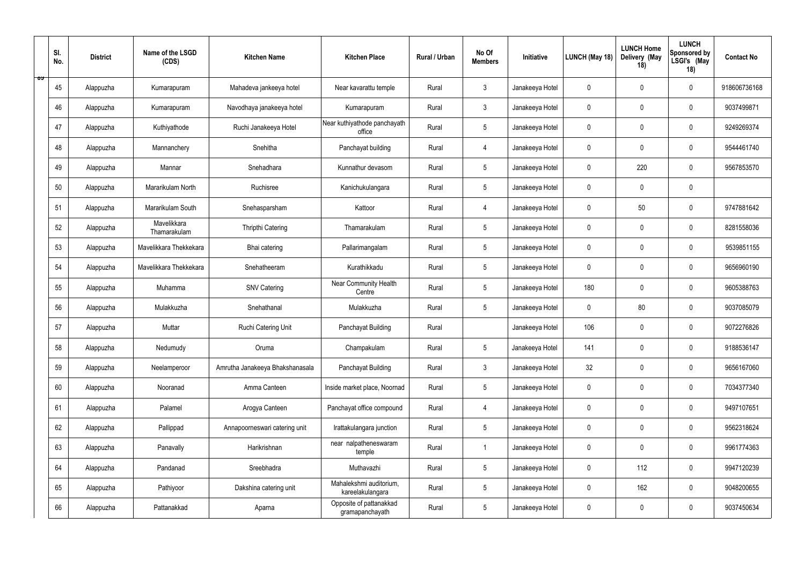|           | SI.<br>No. | <b>District</b> | Name of the LSGD<br>(CDS)   | <b>Kitchen Name</b>             | <b>Kitchen Place</b>                        | Rural / Urban | No Of<br><b>Members</b> | Initiative      | LUNCH (May 18) | <b>LUNCH Home</b><br>Delivery (May<br>18) | <b>LUNCH</b><br>Sponsored by<br>LSGI's (May<br>18) | <b>Contact No</b> |
|-----------|------------|-----------------|-----------------------------|---------------------------------|---------------------------------------------|---------------|-------------------------|-----------------|----------------|-------------------------------------------|----------------------------------------------------|-------------------|
| <b>02</b> | 45         | Alappuzha       | Kumarapuram                 | Mahadeva jankeeya hotel         | Near kavarattu temple                       | Rural         | $\mathbf{3}$            | Janakeeya Hotel | $\pmb{0}$      | $\overline{0}$                            | $\overline{0}$                                     | 918606736168      |
|           | 46         | Alappuzha       | Kumarapuram                 | Navodhaya janakeeya hotel       | Kumarapuram                                 | Rural         | $3\phantom{.0}$         | Janakeeya Hotel | $\mathbf 0$    | $\overline{0}$                            | $\overline{0}$                                     | 9037499871        |
|           | 47         | Alappuzha       | Kuthiyathode                | Ruchi Janakeeya Hotel           | Near kuthiyathode panchayath<br>office      | Rural         | $5\phantom{.0}$         | Janakeeya Hotel | $\mathbf 0$    | $\overline{0}$                            | $\overline{0}$                                     | 9249269374        |
|           | 48         | Alappuzha       | Mannanchery                 | Snehitha                        | Panchayat building                          | Rural         | $\overline{4}$          | Janakeeya Hotel | $\pmb{0}$      | $\overline{0}$                            | $\overline{0}$                                     | 9544461740        |
|           | 49         | Alappuzha       | Mannar                      | Snehadhara                      | Kunnathur devasom                           | Rural         | $5\phantom{.0}$         | Janakeeya Hotel | 0              | 220                                       | $\mathbf 0$                                        | 9567853570        |
|           | 50         | Alappuzha       | Mararikulam North           | Ruchisree                       | Kanichukulangara                            | Rural         | $5\overline{)}$         | Janakeeya Hotel | 0              | $\overline{0}$                            | $\overline{0}$                                     |                   |
|           | 51         | Alappuzha       | Mararikulam South           | Snehasparsham                   | Kattoor                                     | Rural         | $\overline{4}$          | Janakeeya Hotel | 0              | 50                                        | $\mathbf 0$                                        | 9747881642        |
|           | 52         | Alappuzha       | Mavelikkara<br>Thamarakulam | <b>Thripthi Catering</b>        | Thamarakulam                                | Rural         | 5                       | Janakeeya Hotel | 0              | $\overline{0}$                            | $\mathbf 0$                                        | 8281558036        |
|           | 53         | Alappuzha       | Mavelikkara Thekkekara      | Bhai catering                   | Pallarimangalam                             | Rural         | $5\phantom{.0}$         | Janakeeya Hotel | 0              | $\overline{0}$                            | $\overline{0}$                                     | 9539851155        |
|           | 54         | Alappuzha       | Mavelikkara Thekkekara      | Snehatheeram                    | Kurathikkadu                                | Rural         | $5\phantom{.0}$         | Janakeeya Hotel | $\pmb{0}$      | $\overline{0}$                            | $\mathbf 0$                                        | 9656960190        |
|           | 55         | Alappuzha       | Muhamma                     | <b>SNV Catering</b>             | Near Community Health<br>Centre             | Rural         | $5\phantom{.0}$         | Janakeeya Hotel | 180            | $\overline{0}$                            | $\overline{0}$                                     | 9605388763        |
|           | 56         | Alappuzha       | Mulakkuzha                  | Snehathanal                     | Mulakkuzha                                  | Rural         | $5\phantom{.0}$         | Janakeeya Hotel | $\mathbf 0$    | 80                                        | $\overline{0}$                                     | 9037085079        |
|           | 57         | Alappuzha       | Muttar                      | Ruchi Catering Unit             | Panchayat Building                          | Rural         |                         | Janakeeya Hotel | 106            | $\overline{0}$                            | $\overline{0}$                                     | 9072276826        |
|           | 58         | Alappuzha       | Nedumudy                    | Oruma                           | Champakulam                                 | Rural         | $5\overline{)}$         | Janakeeya Hotel | 141            | $\pmb{0}$                                 | $\mathbf 0$                                        | 9188536147        |
|           | 59         | Alappuzha       | Neelamperoor                | Amrutha Janakeeya Bhakshanasala | Panchayat Building                          | Rural         | 3 <sup>1</sup>          | Janakeeya Hotel | 32             | $\overline{0}$                            | $\pmb{0}$                                          | 9656167060        |
|           | 60         | Alappuzha       | Nooranad                    | Amma Canteen                    | Inside market place, Noornad                | Rural         | $5\phantom{.0}$         | Janakeeya Hotel | 0              | $\overline{0}$                            | $\pmb{0}$                                          | 7034377340        |
|           | 61         | Alappuzha       | Palamel                     | Arogya Canteen                  | Panchayat office compound                   | Rural         | $\overline{4}$          | Janakeeya Hotel | $\pmb{0}$      | $\overline{0}$                            | $\mathbf 0$                                        | 9497107651        |
|           | 62         | Alappuzha       | Pallippad                   | Annapoorneswari catering unit   | Irattakulangara junction                    | Rural         | $5\phantom{.0}$         | Janakeeya Hotel | $\pmb{0}$      | $\mathbf 0$                               | $\pmb{0}$                                          | 9562318624        |
|           | 63         | Alappuzha       | Panavally                   | Harikrishnan                    | near nalpatheneswaram<br>temple             | Rural         | $\mathbf{1}$            | Janakeeya Hotel | $\mathbf 0$    | $\mathbf 0$                               | $\pmb{0}$                                          | 9961774363        |
|           | 64         | Alappuzha       | Pandanad                    | Sreebhadra                      | Muthavazhi                                  | Rural         | $5\overline{)}$         | Janakeeya Hotel | 0              | 112                                       | $\pmb{0}$                                          | 9947120239        |
|           | 65         | Alappuzha       | Pathiyoor                   | Dakshina catering unit          | Mahalekshmi auditorium,<br>kareelakulangara | Rural         | 5 <sup>5</sup>          | Janakeeya Hotel | $\mathbf 0$    | 162                                       | $\pmb{0}$                                          | 9048200655        |
|           | 66         | Alappuzha       | Pattanakkad                 | Aparna                          | Opposite of pattanakkad<br>gramapanchayath  | Rural         | $5\phantom{.0}$         | Janakeeya Hotel | 0              | $\boldsymbol{0}$                          | $\boldsymbol{0}$                                   | 9037450634        |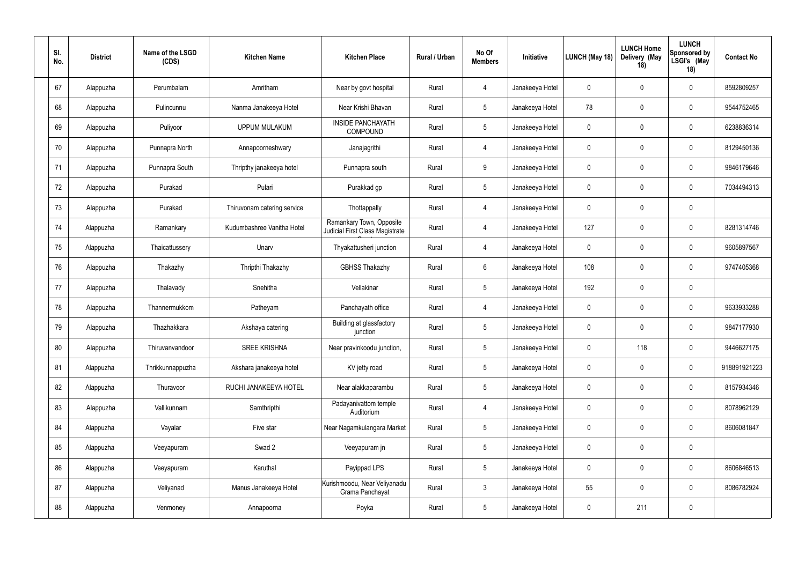| SI.<br>No. | <b>District</b> | Name of the LSGD<br>(CDS) | <b>Kitchen Name</b>         | <b>Kitchen Place</b>                                        | Rural / Urban | No Of<br><b>Members</b> | Initiative      | LUNCH (May 18) | <b>LUNCH Home</b><br>Delivery (May<br>18) | <b>LUNCH</b><br>Sponsored by<br>LSGI's (May<br>18) | <b>Contact No</b> |
|------------|-----------------|---------------------------|-----------------------------|-------------------------------------------------------------|---------------|-------------------------|-----------------|----------------|-------------------------------------------|----------------------------------------------------|-------------------|
| 67         | Alappuzha       | Perumbalam                | Amritham                    | Near by govt hospital                                       | Rural         | $\overline{4}$          | Janakeeya Hotel | $\mathbf 0$    | $\overline{0}$                            | $\overline{0}$                                     | 8592809257        |
| 68         | Alappuzha       | Pulincunnu                | Nanma Janakeeya Hotel       | Near Krishi Bhavan                                          | Rural         | $5\phantom{.0}$         | Janakeeya Hotel | 78             | $\mathbf 0$                               | $\mathbf 0$                                        | 9544752465        |
| 69         | Alappuzha       | Puliyoor                  | <b>UPPUM MULAKUM</b>        | <b>INSIDE PANCHAYATH</b><br>COMPOUND                        | Rural         | $5\phantom{.0}$         | Janakeeya Hotel | $\mathbf 0$    | $\overline{0}$                            | $\overline{0}$                                     | 6238836314        |
| 70         | Alappuzha       | Punnapra North            | Annapoorneshwary            | Janajagrithi                                                | Rural         | $\overline{4}$          | Janakeeya Hotel | $\mathbf 0$    | $\overline{0}$                            | $\overline{0}$                                     | 8129450136        |
| 71         | Alappuzha       | Punnapra South            | Thripthy janakeeya hotel    | Punnapra south                                              | Rural         | 9                       | Janakeeya Hotel | $\mathbf 0$    | $\overline{0}$                            | $\overline{0}$                                     | 9846179646        |
| 72         | Alappuzha       | Purakad                   | Pulari                      | Purakkad gp                                                 | Rural         | $5\phantom{.0}$         | Janakeeya Hotel | $\mathbf 0$    | $\overline{0}$                            | $\mathbf 0$                                        | 7034494313        |
| 73         | Alappuzha       | Purakad                   | Thiruvonam catering service | Thottappally                                                | Rural         | $\overline{4}$          | Janakeeya Hotel | $\mathbf 0$    | $\overline{0}$                            | $\mathbf 0$                                        |                   |
| 74         | Alappuzha       | Ramankary                 | Kudumbashree Vanitha Hotel  | Ramankary Town, Opposite<br>Judicial First Class Magistrate | Rural         | $\overline{4}$          | Janakeeya Hotel | 127            | $\mathbf 0$                               | $\mathbf 0$                                        | 8281314746        |
| 75         | Alappuzha       | Thaicattussery            | Unarv                       | Thyakattusheri junction                                     | Rural         | $\overline{4}$          | Janakeeya Hotel | $\mathbf 0$    | $\overline{0}$                            | $\mathbf 0$                                        | 9605897567        |
| 76         | Alappuzha       | Thakazhy                  | Thripthi Thakazhy           | <b>GBHSS Thakazhy</b>                                       | Rural         | 6                       | Janakeeya Hotel | 108            | $\overline{0}$                            | $\mathbf 0$                                        | 9747405368        |
| 77         | Alappuzha       | Thalavady                 | Snehitha                    | Vellakinar                                                  | Rural         | $5\phantom{.0}$         | Janakeeya Hotel | 192            | $\overline{0}$                            | $\mathbf 0$                                        |                   |
| 78         | Alappuzha       | Thannermukkom             | Patheyam                    | Panchayath office                                           | Rural         | $\overline{4}$          | Janakeeya Hotel | $\mathbf 0$    | $\overline{0}$                            | $\overline{0}$                                     | 9633933288        |
| 79         | Alappuzha       | Thazhakkara               | Akshaya catering            | Building at glassfactory<br>junction                        | Rural         | $5\overline{)}$         | Janakeeya Hotel | $\mathbf 0$    | $\overline{0}$                            | $\overline{0}$                                     | 9847177930        |
| 80         | Alappuzha       | Thiruvanvandoor           | <b>SREE KRISHNA</b>         | Near pravinkoodu junction,                                  | Rural         | $5\phantom{.0}$         | Janakeeya Hotel | $\mathbf 0$    | 118                                       | $\mathbf 0$                                        | 9446627175        |
| 81         | Alappuzha       | Thrikkunnappuzha          | Akshara janakeeya hotel     | KV jetty road                                               | Rural         | $5\overline{)}$         | Janakeeya Hotel | $\mathbf 0$    | $\overline{0}$                            | $\mathbf 0$                                        | 918891921223      |
| 82         | Alappuzha       | Thuravoor                 | RUCHI JANAKEEYA HOTEL       | Near alakkaparambu                                          | Rural         | $5\phantom{.0}$         | Janakeeya Hotel | 0              | $\overline{0}$                            | $\pmb{0}$                                          | 8157934346        |
| 83         | Alappuzha       | Vallikunnam               | Samthripthi                 | Padayanivattom temple<br>Auditorium                         | Rural         | $\overline{4}$          | Janakeeya Hotel | $\pmb{0}$      | $\overline{0}$                            | $\mathbf 0$                                        | 8078962129        |
| 84         | Alappuzha       | Vayalar                   | Five star                   | Near Nagamkulangara Market                                  | Rural         | $5\phantom{.0}$         | Janakeeya Hotel | $\mathbf 0$    | $\mathbf 0$                               | $\pmb{0}$                                          | 8606081847        |
| 85         | Alappuzha       | Veeyapuram                | Swad 2                      | Veeyapuram jn                                               | Rural         | $5\phantom{.0}$         | Janakeeya Hotel | $\pmb{0}$      | $\overline{0}$                            | $\pmb{0}$                                          |                   |
| 86         | Alappuzha       | Veeyapuram                | Karuthal                    | Payippad LPS                                                | Rural         | $5\phantom{.0}$         | Janakeeya Hotel | $\mathbf 0$    | $\mathbf 0$                               | $\pmb{0}$                                          | 8606846513        |
| 87         | Alappuzha       | Veliyanad                 | Manus Janakeeya Hotel       | Kurishmoodu, Near Veliyanadu<br>Grama Panchayat             | Rural         | $\mathbf{3}$            | Janakeeya Hotel | 55             | $\mathbf 0$                               | $\mathbf 0$                                        | 8086782924        |
| 88         | Alappuzha       | Venmoney                  | Annapoorna                  | Poyka                                                       | Rural         | $5\phantom{.0}$         | Janakeeya Hotel | $\mathbf 0$    | 211                                       | $\pmb{0}$                                          |                   |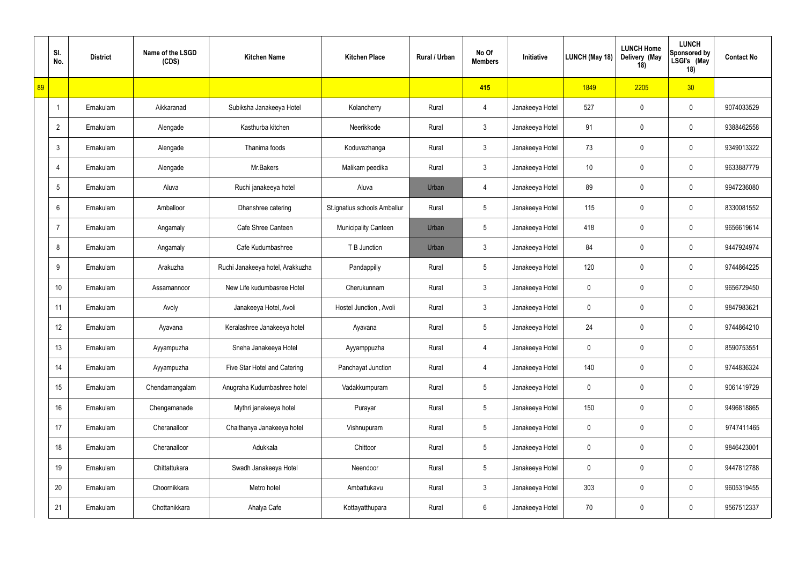|    | SI.<br>No.      | <b>District</b> | Name of the LSGD<br>(CDS) | <b>Kitchen Name</b>              | <b>Kitchen Place</b>         | Rural / Urban | No Of<br><b>Members</b> | Initiative      | LUNCH (May 18) | <b>LUNCH Home</b><br>Delivery (May<br>18) | <b>LUNCH</b><br><b>Sponsored by</b><br>LSGI's (May<br>18) | <b>Contact No</b> |
|----|-----------------|-----------------|---------------------------|----------------------------------|------------------------------|---------------|-------------------------|-----------------|----------------|-------------------------------------------|-----------------------------------------------------------|-------------------|
| 89 |                 |                 |                           |                                  |                              |               | 415                     |                 | 1849           | 2205                                      | 30                                                        |                   |
|    | $\overline{1}$  | Ernakulam       | Aikkaranad                | Subiksha Janakeeya Hotel         | Kolancherry                  | Rural         | $\overline{4}$          | Janakeeya Hotel | 527            | $\mathbf 0$                               | $\mathbf 0$                                               | 9074033529        |
|    | $\overline{2}$  | Ernakulam       | Alengade                  | Kasthurba kitchen                | Neerikkode                   | Rural         | $\mathbf{3}$            | Janakeeya Hotel | 91             | $\mathbf 0$                               | $\mathbf 0$                                               | 9388462558        |
|    | 3               | Ernakulam       | Alengade                  | Thanima foods                    | Koduvazhanga                 | Rural         | $\mathbf{3}$            | Janakeeya Hotel | 73             | $\mathbf 0$                               | $\mathbf 0$                                               | 9349013322        |
|    | 4               | Ernakulam       | Alengade                  | Mr.Bakers                        | Malikam peedika              | Rural         | 3                       | Janakeeya Hotel | 10             | $\mathbf 0$                               | $\mathbf 0$                                               | 9633887779        |
|    | 5               | Ernakulam       | Aluva                     | Ruchi janakeeya hotel            | Aluva                        | Urban         | $\overline{4}$          | Janakeeya Hotel | 89             | $\mathbf 0$                               | $\mathbf 0$                                               | 9947236080        |
|    | 6               | Ernakulam       | Amballoor                 | Dhanshree catering               | St.ignatius schools Amballur | Rural         | $5\overline{)}$         | Janakeeya Hotel | 115            | $\mathbf 0$                               | $\mathbf 0$                                               | 8330081552        |
|    | $\overline{7}$  | Ernakulam       | Angamaly                  | Cafe Shree Canteen               | <b>Municipality Canteen</b>  | Urban         | $5\overline{)}$         | Janakeeya Hotel | 418            | $\mathbf 0$                               | $\mathbf 0$                                               | 9656619614        |
|    | 8               | Ernakulam       | Angamaly                  | Cafe Kudumbashree                | T B Junction                 | Urban         | $\mathbf{3}$            | Janakeeya Hotel | 84             | $\mathbf 0$                               | $\mathbf 0$                                               | 9447924974        |
|    | 9               | Ernakulam       | Arakuzha                  | Ruchi Janakeeya hotel, Arakkuzha | Pandappilly                  | Rural         | $5\phantom{.0}$         | Janakeeya Hotel | 120            | $\mathbf 0$                               | $\mathbf 0$                                               | 9744864225        |
|    | 10 <sup>°</sup> | Ernakulam       | Assamannoor               | New Life kudumbasree Hotel       | Cherukunnam                  | Rural         | $\mathbf{3}$            | Janakeeya Hotel | 0              | $\mathbf 0$                               | $\mathbf 0$                                               | 9656729450        |
|    | 11              | Ernakulam       | Avoly                     | Janakeeya Hotel, Avoli           | Hostel Junction, Avoli       | Rural         | $\mathbf{3}$            | Janakeeya Hotel | 0              | $\mathbf 0$                               | $\mathbf 0$                                               | 9847983621        |
|    | 12              | Ernakulam       | Ayavana                   | Keralashree Janakeeya hotel      | Ayavana                      | Rural         | $5\overline{)}$         | Janakeeya Hotel | 24             | $\mathbf 0$                               | $\mathbf 0$                                               | 9744864210        |
|    | 13              | Ernakulam       | Ayyampuzha                | Sneha Janakeeya Hotel            | Ayyamppuzha                  | Rural         | $\overline{4}$          | Janakeeya Hotel | $\mathbf 0$    | $\pmb{0}$                                 | $\mathbf 0$                                               | 8590753551        |
|    | 14              | Ernakulam       | Ayyampuzha                | Five Star Hotel and Catering     | Panchayat Junction           | Rural         | $\overline{4}$          | Janakeeya Hotel | 140            | $\mathbf 0$                               | $\mathbf 0$                                               | 9744836324        |
|    | 15              | Ernakulam       | Chendamangalam            | Anugraha Kudumbashree hotel      | Vadakkumpuram                | Rural         | $5\overline{)}$         | Janakeeya Hotel | $\mathbf 0$    | $\pmb{0}$                                 | $\mathbf 0$                                               | 9061419729        |
|    | 16              | Ernakulam       | Chengamanade              | Mythri janakeeya hotel           | Purayar                      | Rural         | $5\phantom{.0}$         | Janakeeya Hotel | 150            | $\mathbf 0$                               | $\mathbf 0$                                               | 9496818865        |
|    | 17              | Ernakulam       | Cheranalloor              | Chaithanya Janakeeya hotel       | Vishnupuram                  | Rural         | $5\overline{)}$         | Janakeeya Hotel | $\mathbf 0$    | $\pmb{0}$                                 | $\pmb{0}$                                                 | 9747411465        |
|    | 18              | Ernakulam       | Cheranalloor              | Adukkala                         | Chittoor                     | Rural         | $5\phantom{.0}$         | Janakeeya Hotel | $\mathbf 0$    | $\pmb{0}$                                 | $\pmb{0}$                                                 | 9846423001        |
|    | 19              | Ernakulam       | Chittattukara             | Swadh Janakeeya Hotel            | Neendoor                     | Rural         | $5\phantom{.0}$         | Janakeeya Hotel | $\mathbf 0$    | $\pmb{0}$                                 | $\mathbf 0$                                               | 9447812788        |
|    | 20              | Ernakulam       | Choornikkara              | Metro hotel                      | Ambattukavu                  | Rural         | $\mathbf{3}$            | Janakeeya Hotel | 303            | $\pmb{0}$                                 | $\overline{0}$                                            | 9605319455        |
|    | 21              | Ernakulam       | Chottanikkara             | Ahalya Cafe                      | Kottayatthupara              | Rural         | $6\overline{6}$         | Janakeeya Hotel | 70             | $\pmb{0}$                                 | $\overline{0}$                                            | 9567512337        |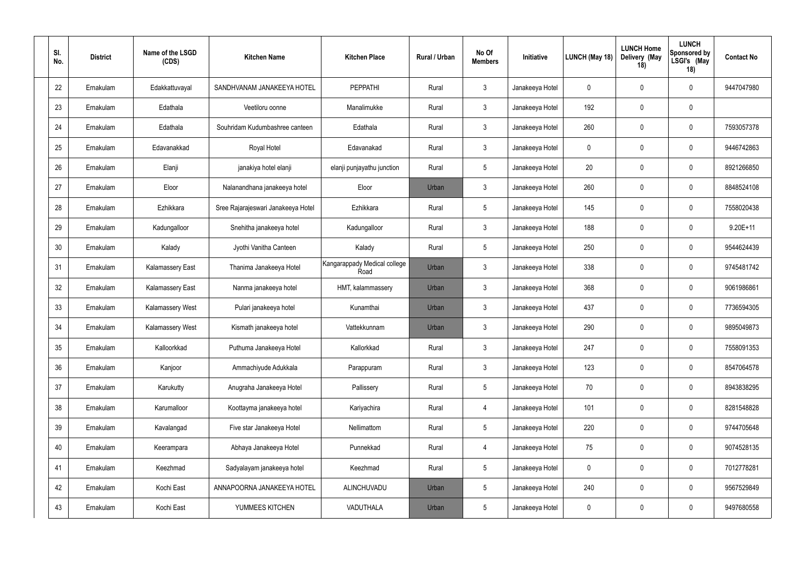| SI.<br>No. | <b>District</b> | Name of the LSGD<br>(CDS) | <b>Kitchen Name</b>                | <b>Kitchen Place</b>                 | Rural / Urban | No Of<br><b>Members</b> | Initiative      | LUNCH (May 18) | <b>LUNCH Home</b><br>Delivery (May<br>18) | <b>LUNCH</b><br><b>Sponsored by</b><br>LSGI's (May<br>18) | <b>Contact No</b> |
|------------|-----------------|---------------------------|------------------------------------|--------------------------------------|---------------|-------------------------|-----------------|----------------|-------------------------------------------|-----------------------------------------------------------|-------------------|
| 22         | Ernakulam       | Edakkattuvayal            | SANDHVANAM JANAKEEYA HOTEL         | PEPPATHI                             | Rural         | $\mathbf{3}$            | Janakeeya Hotel | 0              | $\mathbf 0$                               | $\mathbf 0$                                               | 9447047980        |
| 23         | Ernakulam       | Edathala                  | Veetiloru oonne                    | Manalimukke                          | Rural         | $\mathbf{3}$            | Janakeeya Hotel | 192            | $\mathbf{0}$                              | $\pmb{0}$                                                 |                   |
| 24         | Ernakulam       | Edathala                  | Souhridam Kudumbashree canteen     | Edathala                             | Rural         | $\mathbf{3}$            | Janakeeya Hotel | 260            | 0                                         | $\mathbf 0$                                               | 7593057378        |
| 25         | Ernakulam       | Edavanakkad               | Royal Hotel                        | Edavanakad                           | Rural         | $\mathbf{3}$            | Janakeeya Hotel | 0              | $\mathbf 0$                               | $\mathbf 0$                                               | 9446742863        |
| 26         | Ernakulam       | Elanji                    | janakiya hotel elanji              | elanji punjayathu junction           | Rural         | $5\phantom{.0}$         | Janakeeya Hotel | 20             | 0                                         | $\mathbf 0$                                               | 8921266850        |
| 27         | Ernakulam       | Eloor                     | Nalanandhana janakeeya hotel       | Eloor                                | Urban         | $\mathbf{3}$            | Janakeeya Hotel | 260            | $\mathbf 0$                               | $\mathbf 0$                                               | 8848524108        |
| 28         | Ernakulam       | Ezhikkara                 | Sree Rajarajeswari Janakeeya Hotel | Ezhikkara                            | Rural         | $\overline{5}$          | Janakeeya Hotel | 145            | $\mathbf 0$                               | $\mathbf 0$                                               | 7558020438        |
| 29         | Ernakulam       | Kadungalloor              | Snehitha janakeeya hotel           | Kadungalloor                         | Rural         | $\mathbf{3}$            | Janakeeya Hotel | 188            | $\mathbf 0$                               | $\mathbf 0$                                               | $9.20E + 11$      |
| 30         | Ernakulam       | Kalady                    | Jyothi Vanitha Canteen             | Kalady                               | Rural         | $5\phantom{.0}$         | Janakeeya Hotel | 250            | $\Omega$                                  | $\mathbf 0$                                               | 9544624439        |
| 31         | Ernakulam       | Kalamassery East          | Thanima Janakeeya Hotel            | Kangarappady Medical college<br>Road | Urban         | $\mathbf{3}$            | Janakeeya Hotel | 338            | $\mathbf 0$                               | $\mathbf 0$                                               | 9745481742        |
| 32         | Ernakulam       | Kalamassery East          | Nanma janakeeya hotel              | HMT, kalammassery                    | Urban         | $\mathbf{3}$            | Janakeeya Hotel | 368            | $\mathbf 0$                               | $\mathbf 0$                                               | 9061986861        |
| 33         | Ernakulam       | Kalamassery West          | Pulari janakeeya hotel             | Kunamthai                            | Urban         | $\mathbf{3}$            | Janakeeya Hotel | 437            | $\mathbf 0$                               | $\mathbf 0$                                               | 7736594305        |
| 34         | Ernakulam       | Kalamassery West          | Kismath janakeeya hotel            | Vattekkunnam                         | Urban         | $\mathbf{3}$            | Janakeeya Hotel | 290            | 0                                         | $\mathbf 0$                                               | 9895049873        |
| 35         | Ernakulam       | Kalloorkkad               | Puthuma Janakeeya Hotel            | Kallorkkad                           | Rural         | $\mathbf{3}$            | Janakeeya Hotel | 247            | $\pmb{0}$                                 | $\mathbf 0$                                               | 7558091353        |
| 36         | Ernakulam       | Kanjoor                   | Ammachiyude Adukkala               | Parappuram                           | Rural         | $\mathbf{3}$            | Janakeeya Hotel | 123            | $\mathbf 0$                               | $\pmb{0}$                                                 | 8547064578        |
| 37         | Ernakulam       | Karukutty                 | Anugraha Janakeeya Hotel           | Pallissery                           | Rural         | $5\phantom{.0}$         | Janakeeya Hotel | 70             | $\mathbf 0$                               | $\pmb{0}$                                                 | 8943838295        |
| 38         | Ernakulam       | Karumalloor               | Koottayma janakeeya hotel          | Kariyachira                          | Rural         | $\overline{4}$          | Janakeeya Hotel | 101            | $\mathbf 0$                               | $\pmb{0}$                                                 | 8281548828        |
| 39         | Ernakulam       | Kavalangad                | Five star Janakeeya Hotel          | Nellimattom                          | Rural         | $\overline{5}$          | Janakeeya Hotel | 220            | $\mathbf 0$                               | $\pmb{0}$                                                 | 9744705648        |
| 40         | Ernakulam       | Keerampara                | Abhaya Janakeeya Hotel             | Punnekkad                            | Rural         | $\overline{4}$          | Janakeeya Hotel | 75             | $\boldsymbol{0}$                          | $\pmb{0}$                                                 | 9074528135        |
| 41         | Ernakulam       | Keezhmad                  | Sadyalayam janakeeya hotel         | Keezhmad                             | Rural         | $5\,$                   | Janakeeya Hotel | $\mathbf 0$    | $\boldsymbol{0}$                          | $\pmb{0}$                                                 | 7012778281        |
| 42         | Ernakulam       | Kochi East                | ANNAPOORNA JANAKEEYA HOTEL         | ALINCHUVADU                          | Urban         | $5\phantom{.0}$         | Janakeeya Hotel | 240            | $\boldsymbol{0}$                          | $\mathbf 0$                                               | 9567529849        |
| 43         | Ernakulam       | Kochi East                | YUMMEES KITCHEN                    | VADUTHALA                            | Urban         | $\sqrt{5}$              | Janakeeya Hotel | 0              | $\mathbf 0$                               | $\pmb{0}$                                                 | 9497680558        |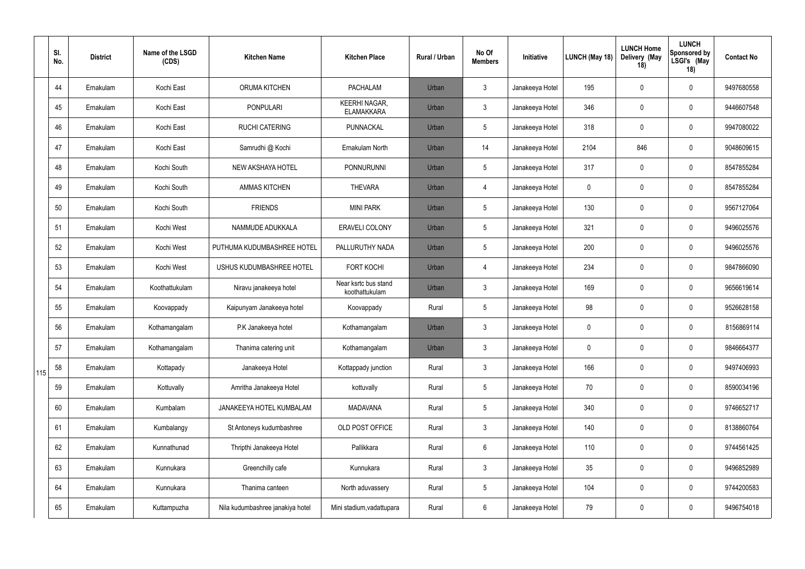|     | SI.<br>No. | <b>District</b> | Name of the LSGD<br>(CDS) | <b>Kitchen Name</b>              | <b>Kitchen Place</b>                      | Rural / Urban | No Of<br><b>Members</b> | Initiative      | LUNCH (May 18) | <b>LUNCH Home</b><br>Delivery (May<br>18) | <b>LUNCH</b><br><b>Sponsored by</b><br>LSGI's (May<br>18) | <b>Contact No</b> |
|-----|------------|-----------------|---------------------------|----------------------------------|-------------------------------------------|---------------|-------------------------|-----------------|----------------|-------------------------------------------|-----------------------------------------------------------|-------------------|
|     | 44         | Ernakulam       | Kochi East                | ORUMA KITCHEN                    | <b>PACHALAM</b>                           | Urban         | $\mathbf{3}$            | Janakeeya Hotel | 195            | $\overline{0}$                            | $\mathbf 0$                                               | 9497680558        |
|     | 45         | Ernakulam       | Kochi East                | <b>PONPULARI</b>                 | <b>KEERHI NAGAR,</b><br><b>ELAMAKKARA</b> | Urban         | $\mathbf{3}$            | Janakeeya Hotel | 346            | $\overline{0}$                            | $\overline{0}$                                            | 9446607548        |
|     | 46         | Ernakulam       | Kochi East                | <b>RUCHI CATERING</b>            | PUNNACKAL                                 | Urban         | 5                       | Janakeeya Hotel | 318            | $\mathbf 0$                               | $\mathbf 0$                                               | 9947080022        |
|     | 47         | Ernakulam       | Kochi East                | Samrudhi @ Kochi                 | Ernakulam North                           | Urban         | 14                      | Janakeeya Hotel | 2104           | 846                                       | $\mathbf 0$                                               | 9048609615        |
|     | 48         | Ernakulam       | Kochi South               | <b>NEW AKSHAYA HOTEL</b>         | <b>PONNURUNNI</b>                         | Urban         | $5\phantom{.0}$         | Janakeeya Hotel | 317            | $\overline{0}$                            | $\overline{0}$                                            | 8547855284        |
|     | 49         | Ernakulam       | Kochi South               | <b>AMMAS KITCHEN</b>             | <b>THEVARA</b>                            | Urban         | $\overline{4}$          | Janakeeya Hotel | $\mathbf 0$    | $\overline{0}$                            | $\overline{0}$                                            | 8547855284        |
|     | 50         | Ernakulam       | Kochi South               | <b>FRIENDS</b>                   | <b>MINI PARK</b>                          | Urban         | $5\overline{)}$         | Janakeeya Hotel | 130            | $\overline{0}$                            | $\mathbf 0$                                               | 9567127064        |
|     | 51         | Ernakulam       | Kochi West                | NAMMUDE ADUKKALA                 | ERAVELI COLONY                            | Urban         | $5\phantom{.0}$         | Janakeeya Hotel | 321            | $\mathbf 0$                               | $\overline{0}$                                            | 9496025576        |
|     | 52         | Ernakulam       | Kochi West                | PUTHUMA KUDUMBASHREE HOTEL       | PALLURUTHY NADA                           | Urban         | $5\overline{)}$         | Janakeeya Hotel | 200            | $\overline{0}$                            | $\mathbf 0$                                               | 9496025576        |
|     | 53         | Ernakulam       | Kochi West                | USHUS KUDUMBASHREE HOTEL         | <b>FORT KOCHI</b>                         | Urban         | $\overline{4}$          | Janakeeya Hotel | 234            | $\overline{0}$                            | $\mathbf 0$                                               | 9847866090        |
|     | 54         | Ernakulam       | Koothattukulam            | Niravu janakeeya hotel           | Near ksrtc bus stand<br>koothattukulam    | Urban         | $\mathbf{3}$            | Janakeeya Hotel | 169            | $\overline{0}$                            | $\overline{0}$                                            | 9656619614        |
|     | 55         | Ernakulam       | Koovappady                | Kaipunyam Janakeeya hotel        | Koovappady                                | Rural         | 5                       | Janakeeya Hotel | 98             | $\overline{0}$                            | $\overline{0}$                                            | 9526628158        |
|     | 56         | Ernakulam       | Kothamangalam             | P.K Janakeeya hotel              | Kothamangalam                             | Urban         | $\mathbf{3}$            | Janakeeya Hotel | $\mathbf 0$    | $\overline{0}$                            | $\overline{0}$                                            | 8156869114        |
|     | 57         | Ernakulam       | Kothamangalam             | Thanima catering unit            | Kothamangalam                             | Urban         | 3                       | Janakeeya Hotel | $\pmb{0}$      | $\mathbf 0$                               | $\mathbf 0$                                               | 9846664377        |
| 115 | 58         | Ernakulam       | Kottapady                 | Janakeeya Hotel                  | Kottappady junction                       | Rural         | $\mathbf{3}$            | Janakeeya Hotel | 166            | $\overline{0}$                            | $\mathbf 0$                                               | 9497406993        |
|     | 59         | Ernakulam       | Kottuvally                | Amritha Janakeeya Hotel          | kottuvally                                | Rural         | 5                       | Janakeeya Hotel | 70             | $\overline{0}$                            | $\pmb{0}$                                                 | 8590034196        |
|     | 60         | Ernakulam       | Kumbalam                  | JANAKEEYA HOTEL KUMBALAM         | <b>MADAVANA</b>                           | Rural         | $5\overline{)}$         | Janakeeya Hotel | 340            | $\overline{0}$                            | $\mathbf 0$                                               | 9746652717        |
|     | 61         | Ernakulam       | Kumbalangy                | St Antoneys kudumbashree         | OLD POST OFFICE                           | Rural         | $\mathbf{3}$            | Janakeeya Hotel | 140            | $\overline{0}$                            | $\pmb{0}$                                                 | 8138860764        |
|     | 62         | Ernakulam       | Kunnathunad               | Thripthi Janakeeya Hotel         | Pallikkara                                | Rural         | 6                       | Janakeeya Hotel | 110            | $\overline{0}$                            | $\mathbf 0$                                               | 9744561425        |
|     | 63         | Ernakulam       | Kunnukara                 | Greenchilly cafe                 | Kunnukara                                 | Rural         | $\mathbf{3}$            | Janakeeya Hotel | 35             | $\overline{0}$                            | $\pmb{0}$                                                 | 9496852989        |
|     | 64         | Ernakulam       | Kunnukara                 | Thanima canteen                  | North aduvassery                          | Rural         | 5                       | Janakeeya Hotel | 104            | $\mathbf 0$                               | $\pmb{0}$                                                 | 9744200583        |
|     | 65         | Ernakulam       | Kuttampuzha               | Nila kudumbashree janakiya hotel | Mini stadium, vadattupara                 | Rural         | 6                       | Janakeeya Hotel | 79             | $\boldsymbol{0}$                          | $\boldsymbol{0}$                                          | 9496754018        |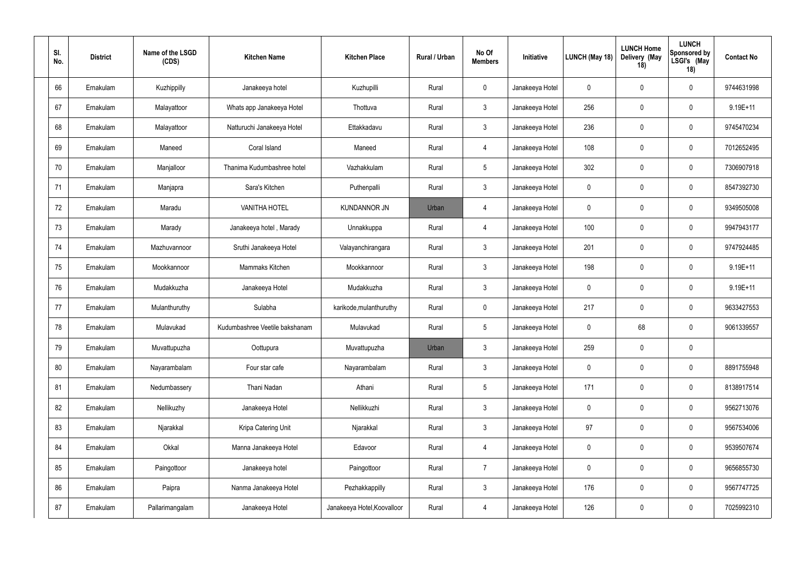| SI.<br>No. | <b>District</b> | Name of the LSGD<br>(CDS) | <b>Kitchen Name</b>            | <b>Kitchen Place</b>        | <b>Rural / Urban</b> | No Of<br><b>Members</b> | Initiative      | LUNCH (May 18) | <b>LUNCH Home</b><br>Delivery (May<br>18) | <b>LUNCH</b><br><b>Sponsored by</b><br>LSGI's (May<br>18) | <b>Contact No</b> |
|------------|-----------------|---------------------------|--------------------------------|-----------------------------|----------------------|-------------------------|-----------------|----------------|-------------------------------------------|-----------------------------------------------------------|-------------------|
| 66         | Ernakulam       | Kuzhippilly               | Janakeeya hotel                | Kuzhupilli                  | Rural                | $\pmb{0}$               | Janakeeya Hotel | 0              | $\mathbf 0$                               | $\mathbf 0$                                               | 9744631998        |
| 67         | Ernakulam       | Malayattoor               | Whats app Janakeeya Hotel      | Thottuva                    | Rural                | $\mathbf{3}$            | Janakeeya Hotel | 256            | $\mathbf 0$                               | $\mathbf 0$                                               | $9.19E + 11$      |
| 68         | Ernakulam       | Malayattoor               | Natturuchi Janakeeya Hotel     | Ettakkadavu                 | Rural                | $\mathbf{3}$            | Janakeeya Hotel | 236            | 0                                         | $\mathbf 0$                                               | 9745470234        |
| 69         | Ernakulam       | Maneed                    | Coral Island                   | Maneed                      | Rural                | $\overline{4}$          | Janakeeya Hotel | 108            | $\mathbf 0$                               | $\mathbf 0$                                               | 7012652495        |
| 70         | Ernakulam       | Manjalloor                | Thanima Kudumbashree hotel     | Vazhakkulam                 | Rural                | $5\phantom{.0}$         | Janakeeya Hotel | 302            | -0                                        | $\mathbf 0$                                               | 7306907918        |
| 71         | Ernakulam       | Manjapra                  | Sara's Kitchen                 | Puthenpalli                 | Rural                | $\mathbf{3}$            | Janakeeya Hotel | 0              | $\mathbf 0$                               | $\mathbf 0$                                               | 8547392730        |
| 72         | Ernakulam       | Maradu                    | <b>VANITHA HOTEL</b>           | <b>KUNDANNOR JN</b>         | Urban                | $\overline{4}$          | Janakeeya Hotel | 0              | 0                                         | $\mathbf 0$                                               | 9349505008        |
| 73         | Ernakulam       | Marady                    | Janakeeya hotel, Marady        | Unnakkuppa                  | Rural                | $\overline{4}$          | Janakeeya Hotel | 100            | $\mathbf 0$                               | $\mathbf 0$                                               | 9947943177        |
| 74         | Ernakulam       | Mazhuvannoor              | Sruthi Janakeeya Hotel         | Valayanchirangara           | Rural                | $\mathbf{3}$            | Janakeeya Hotel | 201            | $\mathbf 0$                               | $\mathbf 0$                                               | 9747924485        |
| 75         | Ernakulam       | Mookkannoor               | Mammaks Kitchen                | Mookkannoor                 | Rural                | $\mathbf{3}$            | Janakeeya Hotel | 198            | $\mathbf 0$                               | $\mathbf 0$                                               | $9.19E + 11$      |
| 76         | Ernakulam       | Mudakkuzha                | Janakeeya Hotel                | Mudakkuzha                  | Rural                | $\mathbf{3}$            | Janakeeya Hotel | 0              | $\mathbf 0$                               | $\mathbf 0$                                               | $9.19E + 11$      |
| 77         | Ernakulam       | Mulanthuruthy             | Sulabha                        | karikode, mulanthuruthy     | Rural                | $\pmb{0}$               | Janakeeya Hotel | 217            | $\mathbf 0$                               | $\mathbf 0$                                               | 9633427553        |
| 78         | Ernakulam       | Mulavukad                 | Kudumbashree Veetile bakshanam | Mulavukad                   | Rural                | $5\phantom{.0}$         | Janakeeya Hotel | $\mathbf 0$    | 68                                        | $\mathbf 0$                                               | 9061339557        |
| 79         | Ernakulam       | Muvattupuzha              | Oottupura                      | Muvattupuzha                | Urban                | $\mathbf{3}$            | Janakeeya Hotel | 259            | $\pmb{0}$                                 | $\pmb{0}$                                                 |                   |
| 80         | Ernakulam       | Nayarambalam              | Four star cafe                 | Nayarambalam                | Rural                | $\mathbf{3}$            | Janakeeya Hotel | $\mathbf 0$    | $\mathbf 0$                               | $\pmb{0}$                                                 | 8891755948        |
| 81         | Ernakulam       | Nedumbassery              | Thani Nadan                    | Athani                      | Rural                | $5\phantom{.0}$         | Janakeeya Hotel | 171            | $\pmb{0}$                                 | $\pmb{0}$                                                 | 8138917514        |
| 82         | Ernakulam       | Nellikuzhy                | Janakeeya Hotel                | Nellikkuzhi                 | Rural                | $\mathfrak{Z}$          | Janakeeya Hotel | 0              | $\mathbf 0$                               | $\pmb{0}$                                                 | 9562713076        |
| 83         | Ernakulam       | Njarakkal                 | Kripa Catering Unit            | Njarakkal                   | Rural                | $\mathfrak{Z}$          | Janakeeya Hotel | 97             | $\pmb{0}$                                 | $\pmb{0}$                                                 | 9567534006        |
| 84         | Ernakulam       | Okkal                     | Manna Janakeeya Hotel          | Edavoor                     | Rural                | $\overline{4}$          | Janakeeya Hotel | $\mathbf 0$    | $\pmb{0}$                                 | $\pmb{0}$                                                 | 9539507674        |
| 85         | Ernakulam       | Paingottoor               | Janakeeya hotel                | Paingottoor                 | Rural                | $\overline{7}$          | Janakeeya Hotel | $\mathbf 0$    | $\pmb{0}$                                 | $\pmb{0}$                                                 | 9656855730        |
| 86         | Ernakulam       | Paipra                    | Nanma Janakeeya Hotel          | Pezhakkappilly              | Rural                | $\mathfrak{Z}$          | Janakeeya Hotel | 176            | $\pmb{0}$                                 | $\pmb{0}$                                                 | 9567747725        |
| 87         | Ernakulam       | Pallarimangalam           | Janakeeya Hotel                | Janakeeya Hotel, Koovalloor | Rural                | $\overline{4}$          | Janakeeya Hotel | 126            | $\pmb{0}$                                 | $\pmb{0}$                                                 | 7025992310        |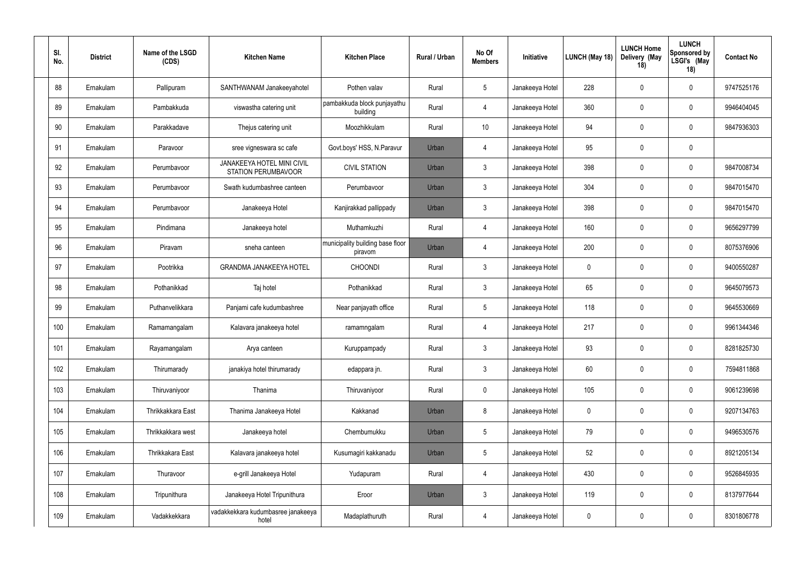| SI.<br>No. | <b>District</b> | Name of the LSGD<br>(CDS) | <b>Kitchen Name</b>                               | <b>Kitchen Place</b>                        | Rural / Urban | No Of<br><b>Members</b> | Initiative      | LUNCH (May 18) | <b>LUNCH Home</b><br>Delivery (May<br>18) | <b>LUNCH</b><br><b>Sponsored by</b><br>LSGI's (May<br>18) | <b>Contact No</b> |
|------------|-----------------|---------------------------|---------------------------------------------------|---------------------------------------------|---------------|-------------------------|-----------------|----------------|-------------------------------------------|-----------------------------------------------------------|-------------------|
| 88         | Ernakulam       | Pallipuram                | SANTHWANAM Janakeeyahotel                         | Pothen valav                                | Rural         | $5\phantom{.0}$         | Janakeeya Hotel | 228            | $\mathbf 0$                               | $\mathbf 0$                                               | 9747525176        |
| 89         | Ernakulam       | Pambakkuda                | viswastha catering unit                           | pambakkuda block punjayathu<br>building     | Rural         | $\overline{4}$          | Janakeeya Hotel | 360            | $\mathbf 0$                               | $\mathbf 0$                                               | 9946404045        |
| 90         | Ernakulam       | Parakkadave               | Thejus catering unit                              | Moozhikkulam                                | Rural         | 10                      | Janakeeya Hotel | 94             | 0                                         | $\mathbf 0$                                               | 9847936303        |
| 91         | Ernakulam       | Paravoor                  | sree vigneswara sc cafe                           | Govt.boys' HSS, N.Paravur                   | Urban         | $\overline{4}$          | Janakeeya Hotel | 95             | $\mathbf 0$                               | $\mathbf 0$                                               |                   |
| 92         | Ernakulam       | Perumbavoor               | JANAKEEYA HOTEL MINI CIVIL<br>STATION PERUMBAVOOR | <b>CIVIL STATION</b>                        | Urban         | $\mathbf{3}$            | Janakeeya Hotel | 398            | $\Omega$                                  | $\mathbf 0$                                               | 9847008734        |
| 93         | Ernakulam       | Perumbavoor               | Swath kudumbashree canteen                        | Perumbavoor                                 | Urban         | $\mathbf{3}$            | Janakeeya Hotel | 304            | $\mathbf 0$                               | $\mathbf 0$                                               | 9847015470        |
| 94         | Ernakulam       | Perumbavoor               | Janakeeya Hotel                                   | Kanjirakkad pallippady                      | Urban         | $\mathbf{3}$            | Janakeeya Hotel | 398            | 0                                         | $\mathbf 0$                                               | 9847015470        |
| 95         | Ernakulam       | Pindimana                 | Janakeeya hotel                                   | Muthamkuzhi                                 | Rural         | $\overline{4}$          | Janakeeya Hotel | 160            | $\mathbf 0$                               | $\mathbf 0$                                               | 9656297799        |
| 96         | Ernakulam       | Piravam                   | sneha canteen                                     | municipality building base floor<br>piravom | Urban         | $\overline{4}$          | Janakeeya Hotel | 200            | $\Omega$                                  | $\mathbf 0$                                               | 8075376906        |
| 97         | Ernakulam       | Pootrikka                 | <b>GRANDMA JANAKEEYA HOTEL</b>                    | <b>CHOONDI</b>                              | Rural         | $\mathbf{3}$            | Janakeeya Hotel | 0              | $\mathbf 0$                               | $\mathbf 0$                                               | 9400550287        |
| 98         | Ernakulam       | Pothanikkad               | Taj hotel                                         | Pothanikkad                                 | Rural         | $\mathbf{3}$            | Janakeeya Hotel | 65             | $\mathbf{0}$                              | $\mathbf 0$                                               | 9645079573        |
| 99         | Ernakulam       | Puthanvelikkara           | Panjami cafe kudumbashree                         | Near panjayath office                       | Rural         | $\overline{5}$          | Janakeeya Hotel | 118            | $\mathbf 0$                               | $\mathbf 0$                                               | 9645530669        |
| 100        | Ernakulam       | Ramamangalam              | Kalavara janakeeya hotel                          | ramamngalam                                 | Rural         | 4                       | Janakeeya Hotel | 217            | 0                                         | $\mathbf 0$                                               | 9961344346        |
| 101        | Ernakulam       | Rayamangalam              | Arya canteen                                      | Kuruppampady                                | Rural         | $\mathbf{3}$            | Janakeeya Hotel | 93             | $\pmb{0}$                                 | $\pmb{0}$                                                 | 8281825730        |
| 102        | Ernakulam       | Thirumarady               | janakiya hotel thirumarady                        | edappara jn.                                | Rural         | $\mathbf{3}$            | Janakeeya Hotel | 60             | $\mathbf 0$                               | $\pmb{0}$                                                 | 7594811868        |
| 103        | Ernakulam       | Thiruvaniyoor             | Thanima                                           | Thiruvaniyoor                               | Rural         | $\mathbf 0$             | Janakeeya Hotel | 105            | $\mathbf 0$                               | $\pmb{0}$                                                 | 9061239698        |
| 104        | Ernakulam       | Thrikkakkara East         | Thanima Janakeeya Hotel                           | Kakkanad                                    | Urban         | $\,8\,$                 | Janakeeya Hotel | $\mathbf 0$    | $\boldsymbol{0}$                          | $\pmb{0}$                                                 | 9207134763        |
| 105        | Ernakulam       | Thrikkakkara west         | Janakeeya hotel                                   | Chembumukku                                 | Urban         | $5\phantom{.0}$         | Janakeeya Hotel | 79             | $\mathbf 0$                               | $\pmb{0}$                                                 | 9496530576        |
| 106        | Ernakulam       | Thrikkakara East          | Kalavara janakeeya hotel                          | Kusumagiri kakkanadu                        | Urban         | $\overline{5}$          | Janakeeya Hotel | 52             | $\mathbf 0$                               | $\pmb{0}$                                                 | 8921205134        |
| 107        | Ernakulam       | Thuravoor                 | e-grill Janakeeya Hotel                           | Yudapuram                                   | Rural         | $\overline{4}$          | Janakeeya Hotel | 430            | $\boldsymbol{0}$                          | $\pmb{0}$                                                 | 9526845935        |
| 108        | Ernakulam       | Tripunithura              | Janakeeya Hotel Tripunithura                      | Eroor                                       | Urban         | $\mathbf{3}$            | Janakeeya Hotel | 119            | $\boldsymbol{0}$                          | $\pmb{0}$                                                 | 8137977644        |
| 109        | Ernakulam       | Vadakkekkara              | vadakkekkara kudumbasree janakeeya<br>hotel       | Madaplathuruth                              | Rural         | $\overline{4}$          | Janakeeya Hotel | 0              | $\boldsymbol{0}$                          | $\pmb{0}$                                                 | 8301806778        |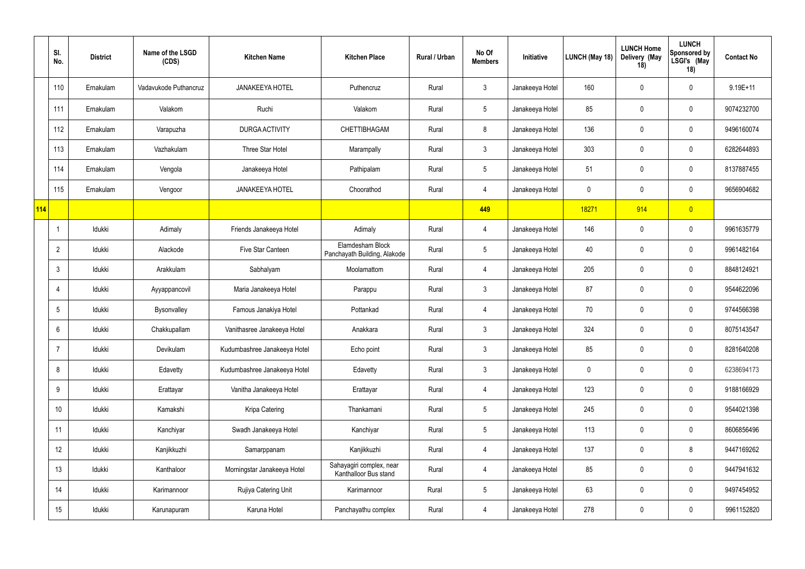|     | SI.<br>No.      | <b>District</b> | Name of the LSGD<br>(CDS) | <b>Kitchen Name</b>          | <b>Kitchen Place</b>                              | Rural / Urban | No Of<br><b>Members</b> | Initiative      | LUNCH (May 18) | <b>LUNCH Home</b><br>Delivery (May<br>18) | <b>LUNCH</b><br><b>Sponsored by</b><br>LSGI's (May<br>18) | <b>Contact No</b> |
|-----|-----------------|-----------------|---------------------------|------------------------------|---------------------------------------------------|---------------|-------------------------|-----------------|----------------|-------------------------------------------|-----------------------------------------------------------|-------------------|
|     | 110             | Ernakulam       | Vadavukode Puthancruz     | <b>JANAKEEYA HOTEL</b>       | Puthencruz                                        | Rural         | $\mathfrak{Z}$          | Janakeeya Hotel | 160            | $\overline{0}$                            | $\mathbf 0$                                               | $9.19E + 11$      |
|     | 111             | Ernakulam       | Valakom                   | Ruchi                        | Valakom                                           | Rural         | $5\overline{)}$         | Janakeeya Hotel | 85             | $\mathbf 0$                               | $\mathbf 0$                                               | 9074232700        |
|     | 112             | Ernakulam       | Varapuzha                 | DURGA ACTIVITY               | CHETTIBHAGAM                                      | Rural         | 8                       | Janakeeya Hotel | 136            | $\overline{0}$                            | $\mathbf 0$                                               | 9496160074        |
|     | 113             | Ernakulam       | Vazhakulam                | Three Star Hotel             | Marampally                                        | Rural         | $\mathbf{3}$            | Janakeeya Hotel | 303            | $\mathbf 0$                               | $\mathbf 0$                                               | 6282644893        |
|     | 114             | Ernakulam       | Vengola                   | Janakeeya Hotel              | Pathipalam                                        | Rural         | $5\overline{)}$         | Janakeeya Hotel | 51             | $\overline{0}$                            | $\mathbf 0$                                               | 8137887455        |
|     | 115             | Ernakulam       | Vengoor                   | <b>JANAKEEYA HOTEL</b>       | Choorathod                                        | Rural         | $\overline{4}$          | Janakeeya Hotel | $\mathbf 0$    | $\overline{0}$                            | $\mathbf 0$                                               | 9656904682        |
| 114 |                 |                 |                           |                              |                                                   |               | 449                     |                 | 18271          | 914                                       | $\overline{0}$                                            |                   |
|     |                 | Idukki          | Adimaly                   | Friends Janakeeya Hotel      | Adimaly                                           | Rural         | $\overline{4}$          | Janakeeya Hotel | 146            | $\overline{0}$                            | $\mathbf 0$                                               | 9961635779        |
|     | $\overline{2}$  | Idukki          | Alackode                  | Five Star Canteen            | Elamdesham Block<br>Panchayath Building, Alakode  | Rural         | $5\overline{)}$         | Janakeeya Hotel | 40             | $\overline{0}$                            | $\mathbf 0$                                               | 9961482164        |
|     | $\mathbf{3}$    | Idukki          | Arakkulam                 | Sabhalyam                    | Moolamattom                                       | Rural         | $\overline{4}$          | Janakeeya Hotel | 205            | $\overline{0}$                            | $\mathbf 0$                                               | 8848124921        |
|     | 4               | Idukki          | Ayyappancovil             | Maria Janakeeya Hotel        | Parappu                                           | Rural         | $\mathbf{3}$            | Janakeeya Hotel | 87             | $\overline{0}$                            | $\mathbf 0$                                               | 9544622096        |
|     | $5\phantom{.0}$ | Idukki          | Bysonvalley               | Famous Janakiya Hotel        | Pottankad                                         | Rural         | $\overline{4}$          | Janakeeya Hotel | 70             | $\overline{0}$                            | $\mathbf 0$                                               | 9744566398        |
|     | 6               | Idukki          | Chakkupallam              | Vanithasree Janakeeya Hotel  | Anakkara                                          | Rural         | $\mathbf{3}$            | Janakeeya Hotel | 324            | $\overline{0}$                            | $\mathbf 0$                                               | 8075143547        |
|     | -7              | Idukki          | Devikulam                 | Kudumbashree Janakeeya Hotel | Echo point                                        | Rural         | $\mathbf{3}$            | Janakeeya Hotel | 85             | $\overline{0}$                            | $\mathbf 0$                                               | 8281640208        |
|     | 8               | Idukki          | Edavetty                  | Kudumbashree Janakeeya Hotel | Edavetty                                          | Rural         | $\mathbf{3}$            | Janakeeya Hotel | 0              | $\mathbf 0$                               | $\pmb{0}$                                                 | 6238694173        |
|     | 9               | Idukki          | Erattayar                 | Vanitha Janakeeya Hotel      | Erattayar                                         | Rural         | $\overline{4}$          | Janakeeya Hotel | 123            | $\overline{0}$                            | $\mathbf 0$                                               | 9188166929        |
|     | 10 <sup>°</sup> | Idukki          | Kamakshi                  | Kripa Catering               | Thankamani                                        | Rural         | $5\overline{)}$         | Janakeeya Hotel | 245            | $\mathbf 0$                               | $\mathbf 0$                                               | 9544021398        |
|     | 11              | Idukki          | Kanchiyar                 | Swadh Janakeeya Hotel        | Kanchiyar                                         | Rural         | $5\phantom{.0}$         | Janakeeya Hotel | 113            | $\overline{0}$                            | $\mathbf 0$                                               | 8606856496        |
|     | 12              | Idukki          | Kanjikkuzhi               | Samarppanam                  | Kanjikkuzhi                                       | Rural         | $\overline{4}$          | Janakeeya Hotel | 137            | $\overline{0}$                            | $\boldsymbol{8}$                                          | 9447169262        |
|     | 13              | Idukki          | Kanthaloor                | Morningstar Janakeeya Hotel  | Sahayagiri complex, near<br>Kanthalloor Bus stand | Rural         | $\overline{4}$          | Janakeeya Hotel | 85             | $\pmb{0}$                                 | $\mathbf 0$                                               | 9447941632        |
|     | 14              | Idukki          | Karimannoor               | Rujiya Catering Unit         | Karimannoor                                       | Rural         | $5\overline{)}$         | Janakeeya Hotel | 63             | $\overline{0}$                            | $\mathbf 0$                                               | 9497454952        |
|     | 15              | Idukki          | Karunapuram               | Karuna Hotel                 | Panchayathu complex                               | Rural         | $\overline{4}$          | Janakeeya Hotel | 278            | $\mathbf 0$                               | $\pmb{0}$                                                 | 9961152820        |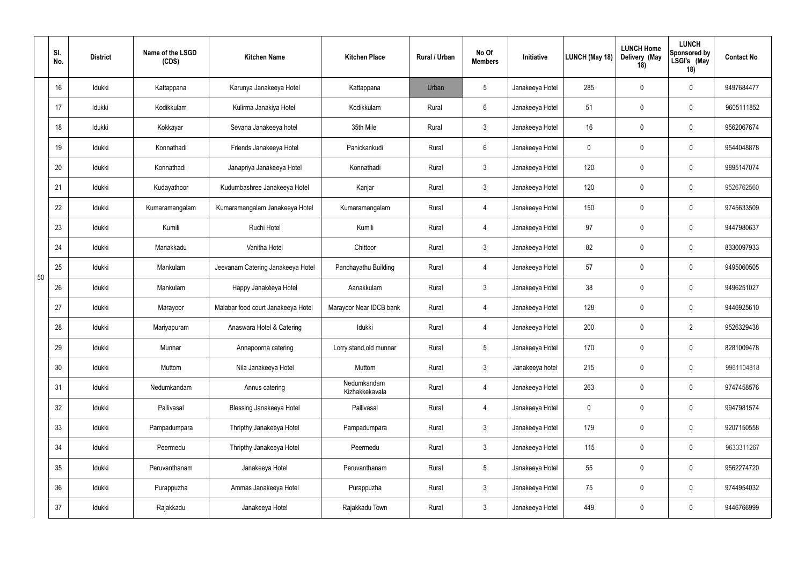|    | SI.<br>No. | <b>District</b> | Name of the LSGD<br>(CDS) | <b>Kitchen Name</b>                | <b>Kitchen Place</b>          | Rural / Urban | No Of<br><b>Members</b> | Initiative      | LUNCH (May 18) | <b>LUNCH Home</b><br>Delivery (May<br>18) | <b>LUNCH</b><br>Sponsored by<br>LSGI's (May<br>18) | <b>Contact No</b> |
|----|------------|-----------------|---------------------------|------------------------------------|-------------------------------|---------------|-------------------------|-----------------|----------------|-------------------------------------------|----------------------------------------------------|-------------------|
|    | 16         | Idukki          | Kattappana                | Karunya Janakeeya Hotel            | Kattappana                    | Urban         | 5                       | Janakeeya Hotel | 285            | $\mathbf 0$                               | $\mathbf 0$                                        | 9497684477        |
|    | 17         | Idukki          | Kodikkulam                | Kulirma Janakiya Hotel             | Kodikkulam                    | Rural         | $6\overline{6}$         | Janakeeya Hotel | 51             | $\mathbf 0$                               | $\overline{0}$                                     | 9605111852        |
|    | 18         | Idukki          | Kokkayar                  | Sevana Janakeeya hotel             | 35th Mile                     | Rural         | $\mathbf{3}$            | Janakeeya Hotel | 16             | $\overline{0}$                            | $\mathbf 0$                                        | 9562067674        |
|    | 19         | Idukki          | Konnathadi                | Friends Janakeeya Hotel            | Panickankudi                  | Rural         | 6                       | Janakeeya Hotel | $\mathbf 0$    | $\mathbf 0$                               | $\overline{0}$                                     | 9544048878        |
|    | 20         | Idukki          | Konnathadi                | Janapriya Janakeeya Hotel          | Konnathadi                    | Rural         | $\mathbf{3}$            | Janakeeya Hotel | 120            | $\mathbf 0$                               | $\mathbf 0$                                        | 9895147074        |
|    | 21         | Idukki          | Kudayathoor               | Kudumbashree Janakeeya Hotel       | Kanjar                        | Rural         | $\mathbf{3}$            | Janakeeya Hotel | 120            | $\overline{0}$                            | $\overline{0}$                                     | 9526762560        |
|    | 22         | Idukki          | Kumaramangalam            | Kumaramangalam Janakeeya Hotel     | Kumaramangalam                | Rural         | $\overline{4}$          | Janakeeya Hotel | 150            | $\overline{0}$                            | $\mathbf 0$                                        | 9745633509        |
|    | 23         | Idukki          | Kumili                    | Ruchi Hotel                        | Kumili                        | Rural         | $\overline{4}$          | Janakeeya Hotel | 97             | $\mathbf 0$                               | $\mathbf 0$                                        | 9447980637        |
|    | 24         | Idukki          | Manakkadu                 | Vanitha Hotel                      | Chittoor                      | Rural         | $\mathbf{3}$            | Janakeeya Hotel | 82             | $\overline{0}$                            | $\overline{0}$                                     | 8330097933        |
| 50 | 25         | Idukki          | Mankulam                  | Jeevanam Catering Janakeeya Hotel  | Panchayathu Building          | Rural         | $\overline{4}$          | Janakeeya Hotel | 57             | $\mathbf 0$                               | $\overline{0}$                                     | 9495060505        |
|    | 26         | Idukki          | Mankulam                  | Happy Janakéeya Hotel              | Aanakkulam                    | Rural         | $\mathbf{3}$            | Janakeeya Hotel | 38             | $\overline{0}$                            | $\overline{0}$                                     | 9496251027        |
|    | 27         | Idukki          | Marayoor                  | Malabar food court Janakeeya Hotel | Marayoor Near IDCB bank       | Rural         | $\overline{4}$          | Janakeeya Hotel | 128            | $\overline{0}$                            | $\overline{0}$                                     | 9446925610        |
|    | 28         | Idukki          | Mariyapuram               | Anaswara Hotel & Catering          | Idukki                        | Rural         | $\overline{4}$          | Janakeeya Hotel | 200            | $\mathbf 0$                               | $\overline{2}$                                     | 9526329438        |
|    | 29         | Idukki          | Munnar                    | Annapoorna catering                | Lorry stand, old munnar       | Rural         | $5\phantom{.0}$         | Janakeeya Hotel | 170            | $\pmb{0}$                                 | $\mathbf 0$                                        | 8281009478        |
|    | $30\,$     | Idukki          | Muttom                    | Nila Janakeeya Hotel               | Muttom                        | Rural         | $\mathbf{3}$            | Janakeeya hotel | 215            | $\mathbf 0$                               | $\pmb{0}$                                          | 9961104818        |
|    | 31         | Idukki          | Nedumkandam               | Annus catering                     | Nedumkandam<br>Kizhakkekavala | Rural         | $\overline{4}$          | Janakeeya Hotel | 263            | $\pmb{0}$                                 | $\pmb{0}$                                          | 9747458576        |
|    | 32         | Idukki          | Pallivasal                | Blessing Janakeeya Hotel           | Pallivasal                    | Rural         | $\overline{4}$          | Janakeeya Hotel | $\mathbf 0$    | $\mathbf 0$                               | $\pmb{0}$                                          | 9947981574        |
|    | 33         | Idukki          | Pampadumpara              | Thripthy Janakeeya Hotel           | Pampadumpara                  | Rural         | $\mathbf{3}$            | Janakeeya Hotel | 179            | $\mathbf 0$                               | $\pmb{0}$                                          | 9207150558        |
|    | 34         | Idukki          | Peermedu                  | Thripthy Janakeeya Hotel           | Peermedu                      | Rural         | 3                       | Janakeeya Hotel | 115            | $\mathbf 0$                               | $\pmb{0}$                                          | 9633311267        |
|    | 35         | Idukki          | Peruvanthanam             | Janakeeya Hotel                    | Peruvanthanam                 | Rural         | 5 <sup>5</sup>          | Janakeeya Hotel | 55             | $\mathbf 0$                               | $\pmb{0}$                                          | 9562274720        |
|    | 36         | Idukki          | Purappuzha                | Ammas Janakeeya Hotel              | Purappuzha                    | Rural         | 3                       | Janakeeya Hotel | 75             | $\mathbf 0$                               | $\pmb{0}$                                          | 9744954032        |
|    | 37         | Idukki          | Rajakkadu                 | Janakeeya Hotel                    | Rajakkadu Town                | Rural         | $\mathbf{3}$            | Janakeeya Hotel | 449            | $\boldsymbol{0}$                          | $\boldsymbol{0}$                                   | 9446766999        |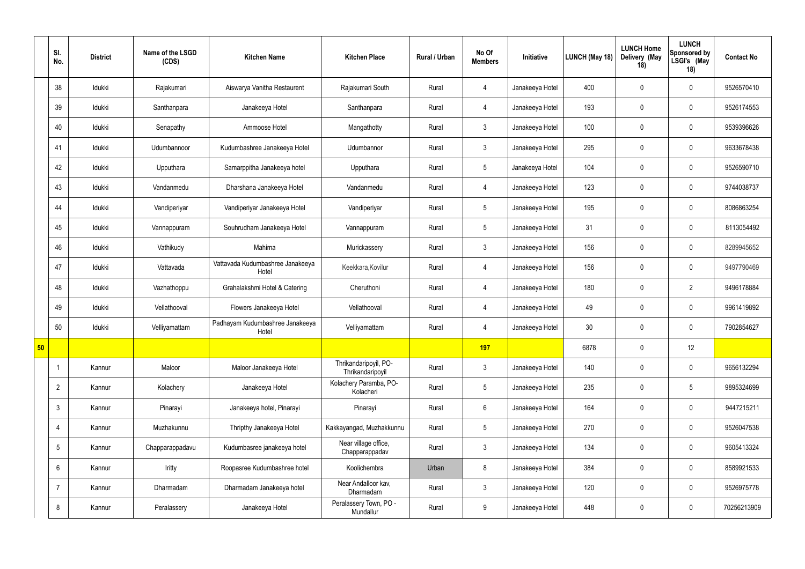|    | SI.<br>No.      | <b>District</b> | Name of the LSGD<br>(CDS) | <b>Kitchen Name</b>                       | <b>Kitchen Place</b>                      | Rural / Urban | No Of<br><b>Members</b> | Initiative      | LUNCH (May 18)  | <b>LUNCH Home</b><br>Delivery (May<br>18) | <b>LUNCH</b><br>Sponsored by<br>LSGI's (May<br>18) | <b>Contact No</b> |
|----|-----------------|-----------------|---------------------------|-------------------------------------------|-------------------------------------------|---------------|-------------------------|-----------------|-----------------|-------------------------------------------|----------------------------------------------------|-------------------|
|    | 38              | Idukki          | Rajakumari                | Aiswarya Vanitha Restaurent               | Rajakumari South                          | Rural         | $\overline{4}$          | Janakeeya Hotel | 400             | $\mathbf 0$                               | $\overline{0}$                                     | 9526570410        |
|    | 39              | Idukki          | Santhanpara               | Janakeeya Hotel                           | Santhanpara                               | Rural         | $\overline{4}$          | Janakeeya Hotel | 193             | $\mathbf 0$                               | $\overline{0}$                                     | 9526174553        |
|    | 40              | Idukki          | Senapathy                 | Ammoose Hotel                             | Mangathotty                               | Rural         | $3\phantom{.0}$         | Janakeeya Hotel | 100             | $\mathbf 0$                               | $\overline{0}$                                     | 9539396626        |
|    | 41              | Idukki          | Udumbannoor               | Kudumbashree Janakeeya Hotel              | Udumbannor                                | Rural         | $\mathbf{3}$            | Janakeeya Hotel | 295             | $\mathbf 0$                               | $\overline{0}$                                     | 9633678438        |
|    | 42              | Idukki          | Upputhara                 | Samarppitha Janakeeya hotel               | Upputhara                                 | Rural         | $5\overline{)}$         | Janakeeya Hotel | 104             | $\mathbf 0$                               | $\overline{0}$                                     | 9526590710        |
|    | 43              | Idukki          | Vandanmedu                | Dharshana Janakeeya Hotel                 | Vandanmedu                                | Rural         | $\overline{4}$          | Janakeeya Hotel | 123             | $\mathbf 0$                               | $\overline{0}$                                     | 9744038737        |
|    | 44              | Idukki          | Vandiperiyar              | Vandiperiyar Janakeeya Hotel              | Vandiperiyar                              | Rural         | $5\phantom{.0}$         | Janakeeya Hotel | 195             | $\overline{0}$                            | $\overline{0}$                                     | 8086863254        |
|    | 45              | Idukki          | Vannappuram               | Souhrudham Janakeeya Hotel                | Vannappuram                               | Rural         | $5\phantom{.0}$         | Janakeeya Hotel | 31              | $\mathbf 0$                               | $\mathbf 0$                                        | 8113054492        |
|    | 46              | Idukki          | Vathikudy                 | Mahima                                    | Murickassery                              | Rural         | $\mathbf{3}$            | Janakeeya Hotel | 156             | $\mathbf 0$                               | $\overline{0}$                                     | 8289945652        |
|    | 47              | Idukki          | Vattavada                 | Vattavada Kudumbashree Janakeeya<br>Hotel | Keekkara, Kovilur                         | Rural         | $\overline{4}$          | Janakeeya Hotel | 156             | $\mathbf 0$                               | $\overline{0}$                                     | 9497790469        |
|    | 48              | Idukki          | Vazhathoppu               | Grahalakshmi Hotel & Catering             | Cheruthoni                                | Rural         | $\overline{4}$          | Janakeeya Hotel | 180             | $\mathbf 0$                               | $\overline{2}$                                     | 9496178884        |
|    | 49              | Idukki          | Vellathooval              | Flowers Janakeeya Hotel                   | Vellathooval                              | Rural         | 4                       | Janakeeya Hotel | 49              | $\mathbf 0$                               | $\mathbf 0$                                        | 9961419892        |
|    | 50              | Idukki          | Velliyamattam             | Padhayam Kudumbashree Janakeeya<br>Hotel  | Velliyamattam                             | Rural         | $\overline{4}$          | Janakeeya Hotel | 30 <sup>°</sup> | $\overline{0}$                            | $\mathbf 0$                                        | 7902854627        |
| 50 |                 |                 |                           |                                           |                                           |               | 197                     |                 | 6878            | $\mathbf 0$                               | 12                                                 |                   |
|    | $\overline{1}$  | Kannur          | Maloor                    | Maloor Janakeeya Hotel                    | Thrikandaripoyil, PO-<br>Thrikandaripoyil | Rural         | $\mathfrak{Z}$          | Janakeeya Hotel | 140             | $\mathbf 0$                               | $\pmb{0}$                                          | 9656132294        |
|    | $\overline{2}$  | Kannur          | Kolachery                 | Janakeeya Hotel                           | Kolachery Paramba, PO-<br>Kolacheri       | Rural         | $5\overline{)}$         | Janakeeya Hotel | 235             | $\mathbf 0$                               | $5\phantom{.0}$                                    | 9895324699        |
|    | $\mathbf{3}$    | Kannur          | Pinarayi                  | Janakeeya hotel, Pinarayi                 | Pinarayi                                  | Rural         | $6\overline{6}$         | Janakeeya Hotel | 164             | $\mathbf 0$                               | $\pmb{0}$                                          | 9447215211        |
|    | 4               | Kannur          | Muzhakunnu                | Thripthy Janakeeya Hotel                  | Kakkayangad, Muzhakkunnu                  | Rural         | $5\phantom{.0}$         | Janakeeya Hotel | 270             | $\mathbf 0$                               | $\pmb{0}$                                          | 9526047538        |
|    | $5\phantom{.0}$ | Kannur          | Chapparappadavu           | Kudumbasree janakeeya hotel               | Near village office,<br>Chapparappadav    | Rural         | $\mathbf{3}$            | Janakeeya Hotel | 134             | $\mathbf 0$                               | $\pmb{0}$                                          | 9605413324        |
|    | 6               | Kannur          | Iritty                    | Roopasree Kudumbashree hotel              | Koolichembra                              | Urban         | 8                       | Janakeeya Hotel | 384             | $\mathbf 0$                               | $\mathbf 0$                                        | 8589921533        |
|    | -7              | Kannur          | Dharmadam                 | Dharmadam Janakeeya hotel                 | Near Andalloor kav,<br>Dharmadam          | Rural         | $\mathbf{3}$            | Janakeeya Hotel | 120             | $\mathbf 0$                               | $\mathbf 0$                                        | 9526975778        |
|    | 8               | Kannur          | Peralassery               | Janakeeya Hotel                           | Peralassery Town, PO -<br>Mundallur       | Rural         | 9                       | Janakeeya Hotel | 448             | $\mathbf 0$                               | $\pmb{0}$                                          | 70256213909       |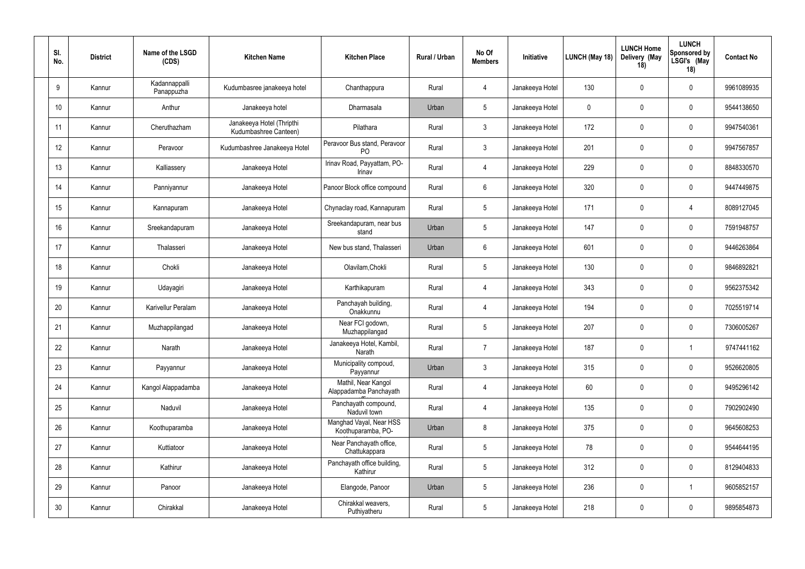| SI.<br>No. | <b>District</b> | Name of the LSGD<br>(CDS)   | <b>Kitchen Name</b>                                | <b>Kitchen Place</b>                           | Rural / Urban | No Of<br><b>Members</b> | Initiative      | <b>LUNCH (May 18)</b> | <b>LUNCH Home</b><br>Delivery (May<br>18) | <b>LUNCH</b><br><b>Sponsored by</b><br>LSGI's (May<br>18) | <b>Contact No</b> |
|------------|-----------------|-----------------------------|----------------------------------------------------|------------------------------------------------|---------------|-------------------------|-----------------|-----------------------|-------------------------------------------|-----------------------------------------------------------|-------------------|
| 9          | Kannur          | Kadannappalli<br>Panappuzha | Kudumbasree janakeeya hotel                        | Chanthappura                                   | Rural         | $\overline{4}$          | Janakeeya Hotel | 130                   | $\mathbf 0$                               | $\mathbf 0$                                               | 9961089935        |
| 10         | Kannur          | Anthur                      | Janakeeya hotel                                    | Dharmasala                                     | Urban         | $5\phantom{.0}$         | Janakeeya Hotel | 0                     | $\overline{0}$                            | $\mathbf 0$                                               | 9544138650        |
| 11         | Kannur          | Cheruthazham                | Janakeeya Hotel (Thripthi<br>Kudumbashree Canteen) | Pilathara                                      | Rural         | $\mathbf{3}$            | Janakeeya Hotel | 172                   | $\mathbf 0$                               | $\mathbf 0$                                               | 9947540361        |
| 12         | Kannur          | Peravoor                    | Kudumbashree Janakeeya Hotel                       | Peravoor Bus stand, Peravoor<br>P <sub>O</sub> | Rural         | $\mathbf{3}$            | Janakeeya Hotel | 201                   | $\mathbf 0$                               | $\mathbf 0$                                               | 9947567857        |
| 13         | Kannur          | Kalliassery                 | Janakeeya Hotel                                    | Irinav Road, Payyattam, PO-<br>Irinav          | Rural         | $\overline{4}$          | Janakeeya Hotel | 229                   | $\mathbf 0$                               | $\mathbf 0$                                               | 8848330570        |
| 14         | Kannur          | Panniyannur                 | Janakeeya Hotel                                    | Panoor Block office compound                   | Rural         | 6                       | Janakeeya Hotel | 320                   | $\mathbf 0$                               | $\mathbf 0$                                               | 9447449875        |
| 15         | Kannur          | Kannapuram                  | Janakeeya Hotel                                    | Chynaclay road, Kannapuram                     | Rural         | $5\overline{)}$         | Janakeeya Hotel | 171                   | $\mathbf 0$                               | 4                                                         | 8089127045        |
| 16         | Kannur          | Sreekandapuram              | Janakeeya Hotel                                    | Sreekandapuram, near bus<br>stand              | Urban         | $5\phantom{.0}$         | Janakeeya Hotel | 147                   | $\mathbf 0$                               | $\mathbf 0$                                               | 7591948757        |
| 17         | Kannur          | Thalasseri                  | Janakeeya Hotel                                    | New bus stand, Thalasseri                      | Urban         | 6                       | Janakeeya Hotel | 601                   | $\mathbf 0$                               | $\mathbf 0$                                               | 9446263864        |
| 18         | Kannur          | Chokli                      | Janakeeya Hotel                                    | Olavilam, Chokli                               | Rural         | $5\phantom{.0}$         | Janakeeya Hotel | 130                   | $\mathbf 0$                               | $\mathbf 0$                                               | 9846892821        |
| 19         | Kannur          | Udayagiri                   | Janakeeya Hotel                                    | Karthikapuram                                  | Rural         | $\overline{4}$          | Janakeeya Hotel | 343                   | $\mathbf 0$                               | $\mathbf 0$                                               | 9562375342        |
| 20         | Kannur          | Karivellur Peralam          | Janakeeya Hotel                                    | Panchayah building,<br>Onakkunnu               | Rural         | $\overline{4}$          | Janakeeya Hotel | 194                   | $\mathbf 0$                               | $\mathbf 0$                                               | 7025519714        |
| 21         | Kannur          | Muzhappilangad              | Janakeeya Hotel                                    | Near FCI godown,<br>Muzhappilangad             | Rural         | $5\phantom{.0}$         | Janakeeya Hotel | 207                   | $\mathbf 0$                               | $\mathbf 0$                                               | 7306005267        |
| 22         | Kannur          | Narath                      | Janakeeya Hotel                                    | Janakeeya Hotel, Kambil,<br>Narath             | Rural         | $\overline{7}$          | Janakeeya Hotel | 187                   | $\pmb{0}$                                 | -1                                                        | 9747441162        |
| 23         | Kannur          | Payyannur                   | Janakeeya Hotel                                    | Municipality compoud,<br>Payyannur             | Urban         | $\mathbf{3}$            | Janakeeya Hotel | 315                   | $\mathbf 0$                               | $\pmb{0}$                                                 | 9526620805        |
| 24         | Kannur          | Kangol Alappadamba          | Janakeeya Hotel                                    | Mathil, Near Kangol<br>Alappadamba Panchayath  | Rural         | $\overline{4}$          | Janakeeya Hotel | 60                    | $\pmb{0}$                                 | $\mathbf 0$                                               | 9495296142        |
| 25         | Kannur          | Naduvil                     | Janakeeya Hotel                                    | Panchayath compound,<br>Naduvil town           | Rural         | $\overline{4}$          | Janakeeya Hotel | 135                   | $\mathbf 0$                               | $\mathbf 0$                                               | 7902902490        |
| 26         | Kannur          | Koothuparamba               | Janakeeya Hotel                                    | Manghad Vayal, Near HSS<br>Koothuparamba, PO-  | Urban         | $\,8\,$                 | Janakeeya Hotel | 375                   | $\mathbf 0$                               | $\pmb{0}$                                                 | 9645608253        |
| 27         | Kannur          | Kuttiatoor                  | Janakeeya Hotel                                    | Near Panchayath office,<br>Chattukappara       | Rural         | $5\overline{)}$         | Janakeeya Hotel | 78                    | $\mathbf 0$                               | $\mathbf 0$                                               | 9544644195        |
| 28         | Kannur          | Kathirur                    | Janakeeya Hotel                                    | Panchayath office building,<br>Kathirur        | Rural         | $5\overline{)}$         | Janakeeya Hotel | 312                   | $\mathbf 0$                               | $\pmb{0}$                                                 | 8129404833        |
| 29         | Kannur          | Panoor                      | Janakeeya Hotel                                    | Elangode, Panoor                               | Urban         | $5\phantom{.0}$         | Janakeeya Hotel | 236                   | $\mathbf 0$                               | $\overline{1}$                                            | 9605852157        |
| 30         | Kannur          | Chirakkal                   | Janakeeya Hotel                                    | Chirakkal weavers,<br>Puthiyatheru             | Rural         | $5\phantom{.0}$         | Janakeeya Hotel | 218                   | $\boldsymbol{0}$                          | $\pmb{0}$                                                 | 9895854873        |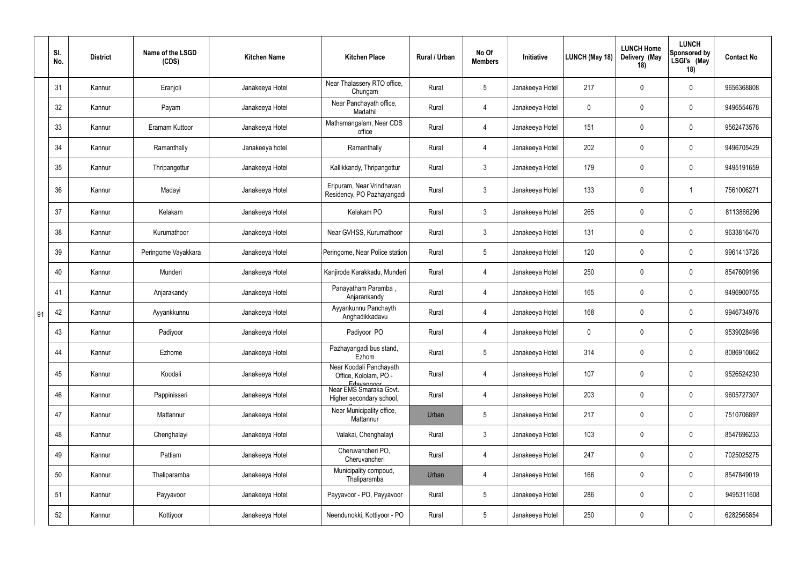|    | SI.<br>No. | <b>District</b> | Name of the LSGD<br>(CDS) | <b>Kitchen Name</b> | <b>Kitchen Place</b>                                           | Rural / Urban | No Of<br><b>Members</b> | Initiative      | LUNCH (May 18) | <b>LUNCH Home</b><br>Delivery (May<br>18) | <b>LUNCH</b><br>Sponsored by<br>LSGI's (May<br>18) | <b>Contact No</b> |
|----|------------|-----------------|---------------------------|---------------------|----------------------------------------------------------------|---------------|-------------------------|-----------------|----------------|-------------------------------------------|----------------------------------------------------|-------------------|
|    | 31         | Kannur          | Eranjoli                  | Janakeeya Hotel     | Near Thalassery RTO office,<br>Chungam                         | Rural         | $5\phantom{.0}$         | Janakeeya Hotel | 217            | $\mathbf 0$                               | $\mathbf 0$                                        | 9656368808        |
|    | 32         | Kannur          | Payam                     | Janakeeya Hotel     | Near Panchayath office,<br>Madathil                            | Rural         | $\overline{4}$          | Janakeeya Hotel | $\mathbf 0$    | $\overline{0}$                            | $\overline{0}$                                     | 9496554678        |
|    | 33         | Kannur          | Eramam Kuttoor            | Janakeeya Hotel     | Mathamangalam, Near CDS<br>office                              | Rural         | $\overline{4}$          | Janakeeya Hotel | 151            | $\overline{0}$                            | $\overline{0}$                                     | 9562473576        |
|    | 34         | Kannur          | Ramanthally               | Janakeeya hotel     | Ramanthally                                                    | Rural         | $\overline{4}$          | Janakeeya Hotel | 202            | $\overline{0}$                            | $\overline{0}$                                     | 9496705429        |
|    | 35         | Kannur          | Thripangottur             | Janakeeya Hotel     | Kallikkandy, Thripangottur                                     | Rural         | $\mathbf{3}$            | Janakeeya Hotel | 179            | $\overline{0}$                            | $\overline{0}$                                     | 9495191659        |
|    | 36         | Kannur          | Madayi                    | Janakeeya Hotel     | Eripuram, Near Vrindhavan<br>Residency, PO Pazhayangadi        | Rural         | $\mathbf{3}$            | Janakeeya Hotel | 133            | $\mathbf 0$                               | -1                                                 | 7561006271        |
|    | 37         | Kannur          | Kelakam                   | Janakeeya Hotel     | Kelakam PO                                                     | Rural         | $\mathbf{3}$            | Janakeeya Hotel | 265            | $\overline{0}$                            | $\overline{0}$                                     | 8113866296        |
|    | 38         | Kannur          | Kurumathoor               | Janakeeya Hotel     | Near GVHSS, Kurumathoor                                        | Rural         | $\mathbf{3}$            | Janakeeya Hotel | 131            | $\overline{0}$                            | $\overline{0}$                                     | 9633816470        |
|    | 39         | Kannur          | Peringome Vayakkara       | Janakeeya Hotel     | Peringome, Near Police station                                 | Rural         | $5\overline{)}$         | Janakeeya Hotel | 120            | $\mathbf 0$                               | $\overline{0}$                                     | 9961413726        |
|    | 40         | Kannur          | Munderi                   | Janakeeya Hotel     | Kanjirode Karakkadu, Munderi                                   | Rural         | $\overline{4}$          | Janakeeya Hotel | 250            | $\overline{0}$                            | $\overline{0}$                                     | 8547609196        |
|    | 41         | Kannur          | Anjarakandy               | Janakeeya Hotel     | Panayatham Paramba,<br>Anjarankandy                            | Rural         | $\overline{4}$          | Janakeeya Hotel | 165            | $\overline{0}$                            | $\mathbf 0$                                        | 9496900755        |
| 91 | 42         | Kannur          | Ayyankkunnu               | Janakeeya Hotel     | Ayyankunnu Panchayth<br>Anghadikkadavu                         | Rural         | $\overline{4}$          | Janakeeya Hotel | 168            | $\overline{0}$                            | $\mathbf 0$                                        | 9946734976        |
|    | 43         | Kannur          | Padiyoor                  | Janakeeya Hotel     | Padiyoor PO                                                    | Rural         | $\overline{4}$          | Janakeeya Hotel | $\mathbf 0$    | $\overline{0}$                            | $\overline{0}$                                     | 9539028498        |
|    | 44         | Kannur          | Ezhome                    | Janakeeya Hotel     | Pazhayangadi bus stand,<br>Ezhom                               | Rural         | 5                       | Janakeeya Hotel | 314            | $\mathbf 0$                               | $\overline{0}$                                     | 8086910862        |
|    | 45         | Kannur          | Koodali                   | Janakeeya Hotel     | Near Koodali Panchayath<br>Office, Kololam, PO -<br>Edavannoor | Rural         | $\overline{4}$          | Janakeeya Hotel | 107            | $\overline{0}$                            | $\pmb{0}$                                          | 9526524230        |
|    | 46         | Kannur          | Pappinisseri              | Janakeeya Hotel     | Near EMS Smaraka Govt.<br>Higher secondary school,             | Rural         | $\overline{4}$          | Janakeeya Hotel | 203            | $\overline{0}$                            | $\overline{0}$                                     | 9605727307        |
|    | 47         | Kannur          | Mattannur                 | Janakeeya Hotel     | Near Municipality office,<br>Mattannur                         | Urban         | $5\phantom{.0}$         | Janakeeya Hotel | 217            | $\overline{0}$                            | $\mathbf 0$                                        | 7510706897        |
|    | 48         | Kannur          | Chenghalayi               | Janakeeya Hotel     | Valakai, Chenghalayi                                           | Rural         | $\mathbf{3}$            | Janakeeya Hotel | 103            | $\overline{0}$                            | $\mathbf 0$                                        | 8547696233        |
|    | 49         | Kannur          | Pattiam                   | Janakeeya Hotel     | Cheruvancheri PO,<br>Cheruvancheri                             | Rural         | $\overline{4}$          | Janakeeya Hotel | 247            | $\overline{0}$                            | $\pmb{0}$                                          | 7025025275        |
|    | 50         | Kannur          | Thaliparamba              | Janakeeya Hotel     | Municipality compoud,<br>Thaliparamba                          | Urban         | $\overline{4}$          | Janakeeya Hotel | 166            | $\overline{0}$                            | $\mathbf 0$                                        | 8547849019        |
|    | 51         | Kannur          | Payyavoor                 | Janakeeya Hotel     | Payyavoor - PO, Payyavoor                                      | Rural         | $5\phantom{.0}$         | Janakeeya Hotel | 286            | $\overline{0}$                            | $\mathbf 0$                                        | 9495311608        |
|    | 52         | Kannur          | Kottiyoor                 | Janakeeya Hotel     | Neendunokki, Kottiyoor - PO                                    | Rural         | 5                       | Janakeeya Hotel | 250            | $\boldsymbol{0}$                          | $\pmb{0}$                                          | 6282565854        |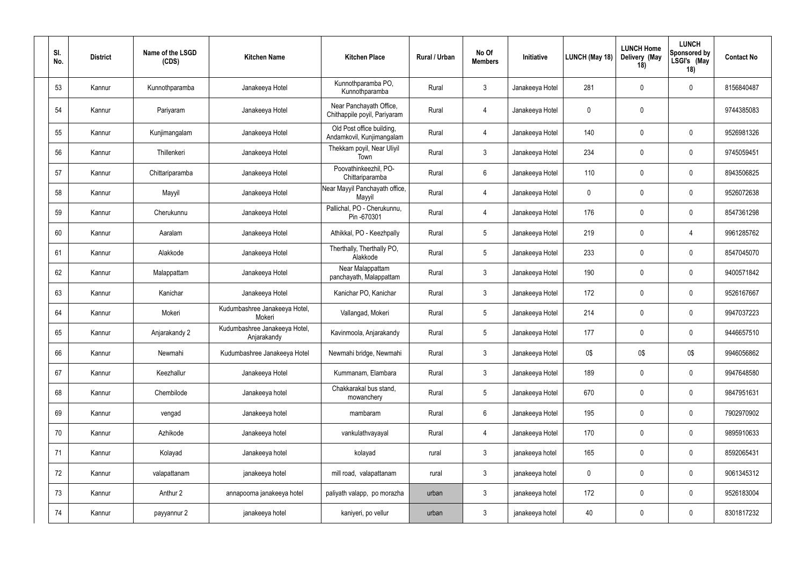| SI.<br>No. | <b>District</b> | Name of the LSGD<br>(CDS) | <b>Kitchen Name</b>                          | <b>Kitchen Place</b>                                    | Rural / Urban | No Of<br><b>Members</b> | Initiative      | LUNCH (May 18) | <b>LUNCH Home</b><br>Delivery (May<br>18) | <b>LUNCH</b><br><b>Sponsored by</b><br>LSGI's (May<br>18) | <b>Contact No</b> |
|------------|-----------------|---------------------------|----------------------------------------------|---------------------------------------------------------|---------------|-------------------------|-----------------|----------------|-------------------------------------------|-----------------------------------------------------------|-------------------|
| 53         | Kannur          | Kunnothparamba            | Janakeeya Hotel                              | Kunnothparamba PO,<br>Kunnothparamba                    | Rural         | $\mathbf{3}$            | Janakeeya Hotel | 281            | $\mathbf 0$                               | $\pmb{0}$                                                 | 8156840487        |
| 54         | Kannur          | Pariyaram                 | Janakeeya Hotel                              | Near Panchayath Office,<br>Chithappile poyil, Pariyaram | Rural         | $\overline{4}$          | Janakeeya Hotel | $\pmb{0}$      | $\mathbf 0$                               |                                                           | 9744385083        |
| 55         | Kannur          | Kunjimangalam             | Janakeeya Hotel                              | Old Post office building,<br>Andamkovil, Kunjimangalam  | Rural         | $\overline{4}$          | Janakeeya Hotel | 140            | $\mathbf{0}$                              | $\mathbf 0$                                               | 9526981326        |
| 56         | Kannur          | Thillenkeri               | Janakeeya Hotel                              | Thekkam poyil, Near Uliyil<br>Town                      | Rural         | $\mathbf{3}$            | Janakeeya Hotel | 234            | 0                                         | $\mathbf 0$                                               | 9745059451        |
| 57         | Kannur          | Chittariparamba           | Janakeeya Hotel                              | Poovathinkeezhil, PO-<br>Chittariparamba                | Rural         | $6\,$                   | Janakeeya Hotel | 110            | $\mathbf 0$                               | $\pmb{0}$                                                 | 8943506825        |
| 58         | Kannur          | Mayyil                    | Janakeeya Hotel                              | Near Mayyil Panchayath office,<br>Mayyil                | Rural         | $\overline{4}$          | Janakeeya Hotel | 0              | 0                                         | $\mathbf 0$                                               | 9526072638        |
| 59         | Kannur          | Cherukunnu                | Janakeeya Hotel                              | Pallichal, PO - Cherukunnu,<br>Pin-670301               | Rural         | $\overline{4}$          | Janakeeya Hotel | 176            | $\mathbf 0$                               | $\mathbf 0$                                               | 8547361298        |
| 60         | Kannur          | Aaralam                   | Janakeeya Hotel                              | Athikkal, PO - Keezhpally                               | Rural         | $\overline{5}$          | Janakeeya Hotel | 219            | $\mathbf 0$                               | 4                                                         | 9961285762        |
| 61         | Kannur          | Alakkode                  | Janakeeya Hotel                              | Therthally, Therthally PO,<br>Alakkode                  | Rural         | $\overline{5}$          | Janakeeya Hotel | 233            | $\mathbf 0$                               | $\mathbf 0$                                               | 8547045070        |
| 62         | Kannur          | Malappattam               | Janakeeya Hotel                              | Near Malappattam<br>panchayath, Malappattam             | Rural         | $\mathbf{3}$            | Janakeeya Hotel | 190            | 0                                         | $\mathbf 0$                                               | 9400571842        |
| 63         | Kannur          | Kanichar                  | Janakeeya Hotel                              | Kanichar PO, Kanichar                                   | Rural         | $\mathbf{3}$            | Janakeeya Hotel | 172            | $\mathbf 0$                               | $\mathbf 0$                                               | 9526167667        |
| 64         | Kannur          | Mokeri                    | Kudumbashree Janakeeya Hotel,<br>Mokeri      | Vallangad, Mokeri                                       | Rural         | $5\phantom{.0}$         | Janakeeya Hotel | 214            | 0                                         | $\mathbf 0$                                               | 9947037223        |
| 65         | Kannur          | Anjarakandy 2             | Kudumbashree Janakeeya Hotel,<br>Anjarakandy | Kavinmoola, Anjarakandy                                 | Rural         | 5                       | Janakeeya Hotel | 177            | $\mathbf 0$                               | $\mathbf 0$                                               | 9446657510        |
| 66         | Kannur          | Newmahi                   | Kudumbashree Janakeeya Hotel                 | Newmahi bridge, Newmahi                                 | Rural         | $\mathfrak{Z}$          | Janakeeya Hotel | 0\$            | 0\$                                       | 0\$                                                       | 9946056862        |
| 67         | Kannur          | Keezhallur                | Janakeeya Hotel                              | Kummanam, Elambara                                      | Rural         | $\mathfrak{Z}$          | Janakeeya Hotel | 189            | $\pmb{0}$                                 | $\pmb{0}$                                                 | 9947648580        |
| 68         | Kannur          | Chembilode                | Janakeeya hotel                              | Chakkarakal bus stand,<br>mowanchery                    | Rural         | $5\,$                   | Janakeeya Hotel | 670            | $\pmb{0}$                                 | $\pmb{0}$                                                 | 9847951631        |
| 69         | Kannur          | vengad                    | Janakeeya hotel                              | mambaram                                                | Rural         | $\,6\,$                 | Janakeeya Hotel | 195            | $\pmb{0}$                                 | $\pmb{0}$                                                 | 7902970902        |
| 70         | Kannur          | Azhikode                  | Janakeeya hotel                              | vankulathvayayal                                        | Rural         | $\overline{4}$          | Janakeeya Hotel | 170            | $\pmb{0}$                                 | $\mathbf 0$                                               | 9895910633        |
| 71         | Kannur          | Kolayad                   | Janakeeya hotel                              | kolayad                                                 | rural         | $\mathbf{3}$            | janakeeya hotel | 165            | $\pmb{0}$                                 | $\mathbf 0$                                               | 8592065431        |
| 72         | Kannur          | valapattanam              | janakeeya hotel                              | mill road, valapattanam                                 | rural         | $\mathbf{3}$            | janakeeya hotel | 0              | $\pmb{0}$                                 | $\mathbf 0$                                               | 9061345312        |
| 73         | Kannur          | Anthur 2                  | annapoorna janakeeya hotel                   | paliyath valapp, po morazha                             | urban         | $\mathbf{3}$            | janakeeya hotel | 172            | $\pmb{0}$                                 | $\pmb{0}$                                                 | 9526183004        |
| 74         | Kannur          | payyannur 2               | janakeeya hotel                              | kaniyeri, po vellur                                     | urban         | $\mathbf{3}$            | janakeeya hotel | 40             | $\pmb{0}$                                 | $\pmb{0}$                                                 | 8301817232        |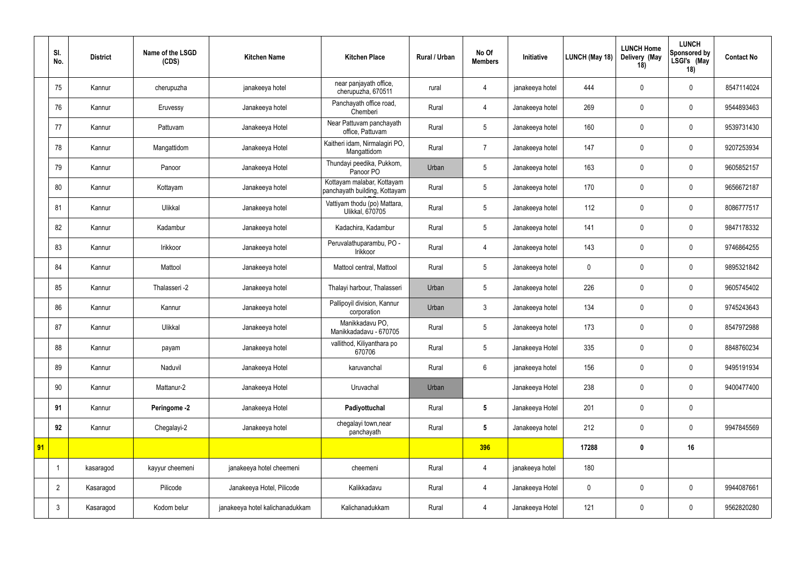|    | SI.<br>No.     | <b>District</b> | Name of the LSGD<br>(CDS) | <b>Kitchen Name</b>             | <b>Kitchen Place</b>                                        | Rural / Urban | No Of<br><b>Members</b> | Initiative      | LUNCH (May 18) | <b>LUNCH Home</b><br>Delivery (May<br>18) | <b>LUNCH</b><br>Sponsored by<br>LSGI's (May<br>18) | <b>Contact No</b> |
|----|----------------|-----------------|---------------------------|---------------------------------|-------------------------------------------------------------|---------------|-------------------------|-----------------|----------------|-------------------------------------------|----------------------------------------------------|-------------------|
|    | 75             | Kannur          | cherupuzha                | janakeeya hotel                 | near panjayath office,<br>cherupuzha, 670511                | rural         | 4                       | janakeeya hotel | 444            | $\mathbf 0$                               | $\overline{0}$                                     | 8547114024        |
|    | 76             | Kannur          | Eruvessy                  | Janakeeya hotel                 | Panchayath office road,<br>Chemberi                         | Rural         | 4                       | Janakeeya hotel | 269            | $\mathbf 0$                               | $\mathbf 0$                                        | 9544893463        |
|    | 77             | Kannur          | Pattuvam                  | Janakeeya Hotel                 | Near Pattuvam panchayath<br>office, Pattuvam                | Rural         | 5                       | Janakeeya hotel | 160            | $\mathbf 0$                               | $\overline{0}$                                     | 9539731430        |
|    | 78             | Kannur          | Mangattidom               | Janakeeya Hotel                 | Kaitheri idam, Nirmalagiri PO,<br>Mangattidom               | Rural         | 7                       | Janakeeya hotel | 147            | $\mathbf 0$                               | $\mathbf 0$                                        | 9207253934        |
|    | 79             | Kannur          | Panoor                    | Janakeeya Hotel                 | Thundayi peedika, Pukkom,<br>Panoor PO                      | Urban         | $5\phantom{.0}$         | Janakeeya hotel | 163            | $\mathbf 0$                               | $\overline{0}$                                     | 9605852157        |
|    | 80             | Kannur          | Kottayam                  | Janakeeya hotel                 | Kottayam malabar, Kottayam<br>panchayath building, Kottayam | Rural         | 5                       | Janakeeya hotel | 170            | $\mathbf 0$                               | $\mathbf 0$                                        | 9656672187        |
|    | 81             | Kannur          | Ulikkal                   | Janakeeya hotel                 | Vattiyam thodu (po) Mattara,<br><b>Ulikkal, 670705</b>      | Rural         | $5\overline{)}$         | Janakeeya hotel | 112            | $\mathbf 0$                               | $\overline{0}$                                     | 8086777517        |
|    | 82             | Kannur          | Kadambur                  | Janakeeya hotel                 | Kadachira, Kadambur                                         | Rural         | 5                       | Janakeeya hotel | 141            | $\mathbf 0$                               | $\mathbf 0$                                        | 9847178332        |
|    | 83             | Kannur          | Irikkoor                  | Janakeeya hotel                 | Peruvalathuparambu, PO -<br>Irikkoor                        | Rural         | 4                       | Janakeeya hotel | 143            | $\mathbf 0$                               | $\overline{0}$                                     | 9746864255        |
|    | 84             | Kannur          | Mattool                   | Janakeeya hotel                 | Mattool central, Mattool                                    | Rural         | $5^{\circ}$             | Janakeeya hotel | $\pmb{0}$      | $\mathbf 0$                               | $\mathbf 0$                                        | 9895321842        |
|    | 85             | Kannur          | Thalasseri -2             | Janakeeya hotel                 | Thalayi harbour, Thalasseri                                 | Urban         | 5                       | Janakeeya hotel | 226            | $\mathbf 0$                               | $\mathbf 0$                                        | 9605745402        |
|    | 86             | Kannur          | Kannur                    | Janakeeya hotel                 | Pallipoyil division, Kannur<br>corporation                  | Urban         | $\mathbf{3}$            | Janakeeya hotel | 134            | $\mathbf 0$                               | $\mathbf 0$                                        | 9745243643        |
|    | 87             | Kannur          | Ulikkal                   | Janakeeya hotel                 | Manikkadavu PO,<br>Manikkadadavu - 670705                   | Rural         | 5                       | Janakeeya hotel | 173            | $\overline{0}$                            | $\overline{0}$                                     | 8547972988        |
|    | 88             | Kannur          | payam                     | Janakeeya hotel                 | vallithod, Kiliyanthara po<br>670706                        | Rural         | 5                       | Janakeeya Hotel | 335            | $\overline{0}$                            | $\mathbf 0$                                        | 8848760234        |
|    | 89             | Kannur          | Naduvil                   | Janakeeya Hotel                 | karuvanchal                                                 | Rural         | 6                       | janakeeya hotel | 156            | $\mathbf 0$                               | $\overline{0}$                                     | 9495191934        |
|    | 90             | Kannur          | Mattanur-2                | Janakeeya Hotel                 | Uruvachal                                                   | Urban         |                         | Janakeeya Hotel | 238            | $\mathbf 0$                               | $\mathbf 0$                                        | 9400477400        |
|    | 91             | Kannur          | Peringome -2              | Janakeeya Hotel                 | Padiyottuchal                                               | Rural         | $5\phantom{.0}$         | Janakeeya Hotel | 201            | $\mathbf 0$                               | $\mathbf 0$                                        |                   |
|    | 92             | Kannur          | Chegalayi-2               | Janakeeya hotel                 | chegalayi town, near<br>panchayath                          | Rural         | $5\phantom{.0}$         | Janakeeya hotel | 212            | $\mathbf 0$                               | $\mathbf 0$                                        | 9947845569        |
| 91 |                |                 |                           |                                 |                                                             |               | 396                     |                 | 17288          | 0                                         | 16                                                 |                   |
|    |                | kasaragod       | kayyur cheemeni           | janakeeya hotel cheemeni        | cheemeni                                                    | Rural         | 4                       | janakeeya hotel | 180            |                                           |                                                    |                   |
|    | $\overline{2}$ | Kasaragod       | Pilicode                  | Janakeeya Hotel, Pilicode       | Kalikkadavu                                                 | Rural         | $\overline{4}$          | Janakeeya Hotel | $\mathbf 0$    | $\mathbf 0$                               | $\overline{0}$                                     | 9944087661        |
|    | $\mathfrak{Z}$ | Kasaragod       | Kodom belur               | janakeeya hotel kalichanadukkam | Kalichanadukkam                                             | Rural         | 4                       | Janakeeya Hotel | 121            | $\mathbf 0$                               | $\overline{0}$                                     | 9562820280        |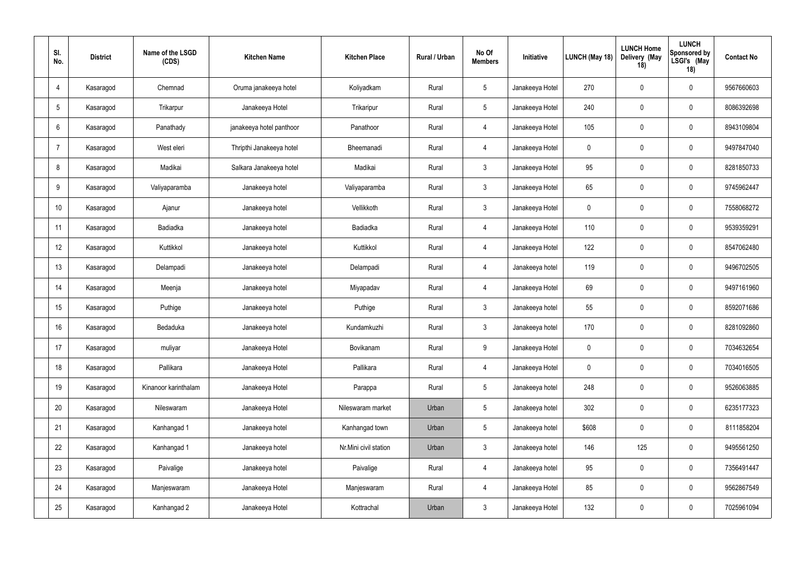| SI.<br>No.       | <b>District</b> | Name of the LSGD<br>(CDS) | <b>Kitchen Name</b>      | <b>Kitchen Place</b>  | Rural / Urban | No Of<br><b>Members</b> | Initiative      | LUNCH (May 18) | <b>LUNCH Home</b><br>Delivery (May<br>18) | <b>LUNCH</b><br>Sponsored by<br>LSGI's (May<br>18) | <b>Contact No</b> |
|------------------|-----------------|---------------------------|--------------------------|-----------------------|---------------|-------------------------|-----------------|----------------|-------------------------------------------|----------------------------------------------------|-------------------|
| 4                | Kasaragod       | Chemnad                   | Oruma janakeeya hotel    | Koliyadkam            | Rural         | $5\phantom{.0}$         | Janakeeya Hotel | 270            | 0                                         | $\overline{0}$                                     | 9567660603        |
| $5\phantom{.0}$  | Kasaragod       | Trikarpur                 | Janakeeya Hotel          | Trikaripur            | Rural         | 5 <sup>5</sup>          | Janakeeya Hotel | 240            | $\mathbf 0$                               | $\overline{0}$                                     | 8086392698        |
| 6                | Kasaragod       | Panathady                 | janakeeya hotel panthoor | Panathoor             | Rural         | 4                       | Janakeeya Hotel | 105            | 0                                         | $\overline{0}$                                     | 8943109804        |
| 7                | Kasaragod       | West eleri                | Thripthi Janakeeya hotel | Bheemanadi            | Rural         | $\overline{4}$          | Janakeeya Hotel | $\pmb{0}$      | $\mathbf 0$                               | $\overline{0}$                                     | 9497847040        |
| 8                | Kasaragod       | Madikai                   | Salkara Janakeeya hotel  | Madikai               | Rural         | $\mathbf{3}$            | Janakeeya Hotel | 95             | $\mathbf 0$                               | $\mathbf 0$                                        | 8281850733        |
| 9                | Kasaragod       | Valiyaparamba             | Janakeeya hotel          | Valiyaparamba         | Rural         | $\mathbf{3}$            | Janakeeya Hotel | 65             | $\mathbf 0$                               | $\overline{0}$                                     | 9745962447        |
| 10 <sup>°</sup>  | Kasaragod       | Ajanur                    | Janakeeya hotel          | Vellikkoth            | Rural         | $\mathbf{3}$            | Janakeeya Hotel | $\pmb{0}$      | 0                                         | $\overline{0}$                                     | 7558068272        |
| 11               | Kasaragod       | Badiadka                  | Janakeeya hotel          | Badiadka              | Rural         | 4                       | Janakeeya Hotel | 110            | $\mathbf 0$                               | $\overline{0}$                                     | 9539359291        |
| 12               | Kasaragod       | Kuttikkol                 | Janakeeya hotel          | Kuttikkol             | Rural         | 4                       | Janakeeya Hotel | 122            | $\pmb{0}$                                 | $\mathbf 0$                                        | 8547062480        |
| 13               | Kasaragod       | Delampadi                 | Janakeeya hotel          | Delampadi             | Rural         | 4                       | Janakeeya hotel | 119            | 0                                         | $\overline{0}$                                     | 9496702505        |
| 14               | Kasaragod       | Meenja                    | Janakeeya hotel          | Miyapadav             | Rural         | 4                       | Janakeeya Hotel | 69             | $\mathbf 0$                               | $\overline{0}$                                     | 9497161960        |
| 15 <sub>15</sub> | Kasaragod       | Puthige                   | Janakeeya hotel          | Puthige               | Rural         | $\mathbf{3}$            | Janakeeya hotel | 55             | 0                                         | $\overline{0}$                                     | 8592071686        |
| 16               | Kasaragod       | Bedaduka                  | Janakeeya hotel          | Kundamkuzhi           | Rural         | $\mathbf{3}$            | Janakeeya hotel | 170            | $\mathbf 0$                               | $\overline{0}$                                     | 8281092860        |
| 17               | Kasaragod       | muliyar                   | Janakeeya Hotel          | Bovikanam             | Rural         | 9                       | Janakeeya Hotel | 0              | $\mathbf 0$                               | $\overline{0}$                                     | 7034632654        |
| 18               | Kasaragod       | Pallikara                 | Janakeeya Hotel          | Pallikara             | Rural         | $\overline{4}$          | Janakeeya Hotel | $\pmb{0}$      | 0                                         | $\overline{0}$                                     | 7034016505        |
| 19               | Kasaragod       | Kinanoor karinthalam      | Janakeeya Hotel          | Parappa               | Rural         | 5 <sup>5</sup>          | Janakeeya hotel | 248            | $\mathbf 0$                               | $\mathbf 0$                                        | 9526063885        |
| 20               | Kasaragod       | Nileswaram                | Janakeeya Hotel          | Nileswaram market     | Urban         | 5 <sub>5</sub>          | Janakeeya hotel | 302            | $\pmb{0}$                                 | $\mathbf 0$                                        | 6235177323        |
| 21               | Kasaragod       | Kanhangad 1               | Janakeeya hotel          | Kanhangad town        | Urban         | $5\phantom{.0}$         | Janakeeya hotel | \$608          | $\mathbf 0$                               | $\mathbf 0$                                        | 8111858204        |
| 22               | Kasaragod       | Kanhangad 1               | Janakeeya hotel          | Nr.Mini civil station | Urban         | 3 <sup>1</sup>          | Janakeeya hotel | 146            | 125                                       | $\mathbf 0$                                        | 9495561250        |
| 23               | Kasaragod       | Paivalige                 | Janakeeya hotel          | Paivalige             | Rural         | 4                       | Janakeeya hotel | 95             | $\mathbf 0$                               | $\mathbf 0$                                        | 7356491447        |
| 24               | Kasaragod       | Manjeswaram               | Janakeeya Hotel          | Manjeswaram           | Rural         | $\overline{4}$          | Janakeeya Hotel | 85             | $\mathbf 0$                               | $\mathbf 0$                                        | 9562867549        |
| 25               | Kasaragod       | Kanhangad 2               | Janakeeya Hotel          | Kottrachal            | Urban         | $\mathbf{3}$            | Janakeeya Hotel | 132            | $\mathbf 0$                               | $\mathbf 0$                                        | 7025961094        |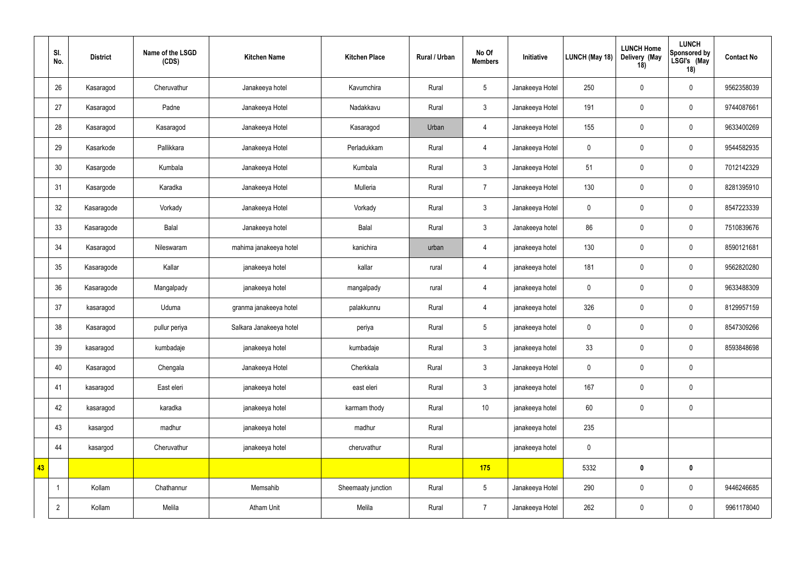|    | SI.<br>No.     | <b>District</b> | Name of the LSGD<br>(CDS) | <b>Kitchen Name</b>     | <b>Kitchen Place</b> | Rural / Urban | No Of<br><b>Members</b> | Initiative      | LUNCH (May 18) | <b>LUNCH Home</b><br>Delivery (May<br>18) | <b>LUNCH</b><br>Sponsored by<br>LSGI's (May<br>18) | <b>Contact No</b> |
|----|----------------|-----------------|---------------------------|-------------------------|----------------------|---------------|-------------------------|-----------------|----------------|-------------------------------------------|----------------------------------------------------|-------------------|
|    | 26             | Kasaragod       | Cheruvathur               | Janakeeya hotel         | Kavumchira           | Rural         | $5\phantom{.0}$         | Janakeeya Hotel | 250            | $\mathbf 0$                               | $\mathbf 0$                                        | 9562358039        |
|    | 27             | Kasaragod       | Padne                     | Janakeeya Hotel         | Nadakkavu            | Rural         | $3\phantom{a}$          | Janakeeya Hotel | 191            | $\pmb{0}$                                 | $\overline{0}$                                     | 9744087661        |
|    | 28             | Kasaragod       | Kasaragod                 | Janakeeya Hotel         | Kasaragod            | Urban         | 4                       | Janakeeya Hotel | 155            | $\mathbf 0$                               | $\mathbf 0$                                        | 9633400269        |
|    | 29             | Kasarkode       | Pallikkara                | Janakeeya Hotel         | Perladukkam          | Rural         | $\overline{4}$          | Janakeeya Hotel | $\pmb{0}$      | $\mathbf 0$                               | $\overline{0}$                                     | 9544582935        |
|    | 30             | Kasargode       | Kumbala                   | Janakeeya Hotel         | Kumbala              | Rural         | $\mathbf{3}$            | Janakeeya Hotel | 51             | $\mathbf 0$                               | $\mathbf 0$                                        | 7012142329        |
|    | 31             | Kasargode       | Karadka                   | Janakeeya Hotel         | Mulleria             | Rural         | $\overline{7}$          | Janakeeya Hotel | 130            | $\pmb{0}$                                 | $\overline{0}$                                     | 8281395910        |
|    | 32             | Kasaragode      | Vorkady                   | Janakeeya Hotel         | Vorkady              | Rural         | $\mathbf{3}$            | Janakeeya Hotel | $\mathbf 0$    | $\mathbf 0$                               | $\overline{0}$                                     | 8547223339        |
|    | 33             | Kasaragode      | Balal                     | Janakeeya hotel         | Balal                | Rural         | 3 <sup>1</sup>          | Janakeeya hotel | 86             | $\mathbf 0$                               | $\overline{0}$                                     | 7510839676        |
|    | 34             | Kasaragod       | Nileswaram                | mahima janakeeya hotel  | kanichira            | urban         | 4                       | janakeeya hotel | 130            | $\mathbf 0$                               | $\overline{0}$                                     | 8590121681        |
|    | 35             | Kasaragode      | Kallar                    | janakeeya hotel         | kallar               | rural         | 4                       | janakeeya hotel | 181            | $\pmb{0}$                                 | $\overline{0}$                                     | 9562820280        |
|    | 36             | Kasaragode      | Mangalpady                | janakeeya hotel         | mangalpady           | rural         | 4                       | janakeeya hotel | $\pmb{0}$      | $\mathbf 0$                               | $\overline{0}$                                     | 9633488309        |
|    | 37             | kasaragod       | Uduma                     | granma janakeeya hotel  | palakkunnu           | Rural         | 4                       | janakeeya hotel | 326            | $\mathbf 0$                               | $\overline{0}$                                     | 8129957159        |
|    | 38             | Kasaragod       | pullur periya             | Salkara Janakeeya hotel | periya               | Rural         | $5\phantom{.0}$         | janakeeya hotel | $\overline{0}$ | $\mathbf 0$                               | $\mathbf 0$                                        | 8547309266        |
|    | 39             | kasaragod       | kumbadaje                 | janakeeya hotel         | kumbadaje            | Rural         | $3\phantom{a}$          | janakeeya hotel | 33             | $\mathbf 0$                               | $\overline{0}$                                     | 8593848698        |
|    | 40             | Kasaragod       | Chengala                  | Janakeeya Hotel         | Cherkkala            | Rural         | $3\phantom{.0}$         | Janakeeya Hotel | $\overline{0}$ | $\mathbf 0$                               | $\overline{0}$                                     |                   |
|    | 41             | kasaragod       | East eleri                | janakeeya hotel         | east eleri           | Rural         | $3\phantom{.0}$         | janakeeya hotel | 167            | $\mathbf 0$                               | $\overline{0}$                                     |                   |
|    | 42             | kasaragod       | karadka                   | janakeeya hotel         | karmam thody         | Rural         | 10                      | janakeeya hotel | 60             | $\mathbf 0$                               | $\pmb{0}$                                          |                   |
|    | 43             | kasargod        | madhur                    | janakeeya hotel         | madhur               | Rural         |                         | janakeeya hotel | 235            |                                           |                                                    |                   |
|    | 44             | kasargod        | Cheruvathur               | janakeeya hotel         | cheruvathur          | Rural         |                         | janakeeya hotel | $\overline{0}$ |                                           |                                                    |                   |
| 43 |                |                 |                           |                         |                      |               | 175                     |                 | 5332           | $\mathbf 0$                               | $\mathbf 0$                                        |                   |
|    | $\mathbf{1}$   | Kollam          | Chathannur                | Memsahib                | Sheemaaty junction   | Rural         | $5\phantom{.0}$         | Janakeeya Hotel | 290            | $\mathbf 0$                               | $\mathbf 0$                                        | 9446246685        |
|    | $\overline{2}$ | Kollam          | Melila                    | Atham Unit              | Melila               | Rural         | 7 <sup>7</sup>          | Janakeeya Hotel | 262            | $\mathbf 0$                               | $\mathbf 0$                                        | 9961178040        |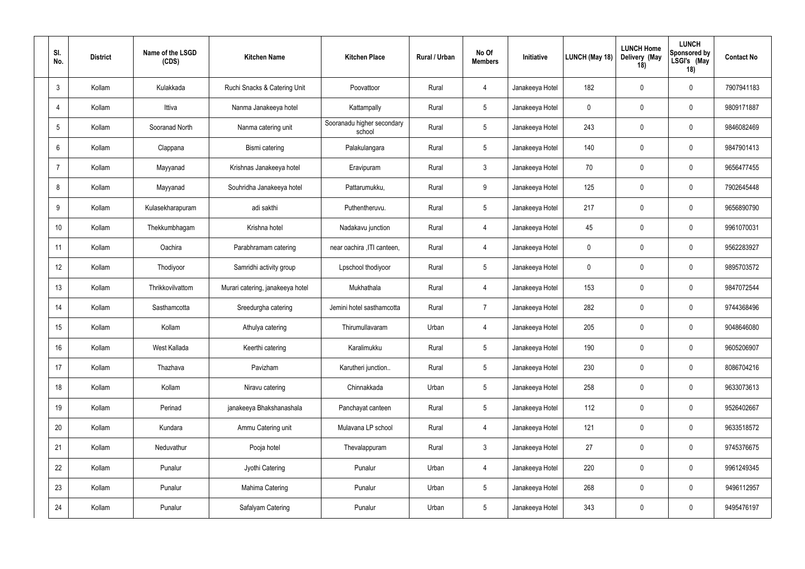| SI.<br>No.      | <b>District</b> | Name of the LSGD<br>(CDS) | <b>Kitchen Name</b>              | <b>Kitchen Place</b>                 | Rural / Urban | No Of<br><b>Members</b> | Initiative      | LUNCH (May 18) | <b>LUNCH Home</b><br>Delivery (May<br>18) | <b>LUNCH</b><br><b>Sponsored by</b><br>LSGI's (May<br>18) | <b>Contact No</b> |
|-----------------|-----------------|---------------------------|----------------------------------|--------------------------------------|---------------|-------------------------|-----------------|----------------|-------------------------------------------|-----------------------------------------------------------|-------------------|
| $\mathbf{3}$    | Kollam          | Kulakkada                 | Ruchi Snacks & Catering Unit     | Poovattoor                           | Rural         | $\overline{4}$          | Janakeeya Hotel | 182            | $\mathbf 0$                               | $\mathbf 0$                                               | 7907941183        |
| $\overline{4}$  | Kollam          | Ittiva                    | Nanma Janakeeya hotel            | Kattampally                          | Rural         | $5\phantom{.0}$         | Janakeeya Hotel | $\mathbf 0$    | $\mathbf 0$                               | $\mathbf 0$                                               | 9809171887        |
| $5\overline{)}$ | Kollam          | Sooranad North            | Nanma catering unit              | Sooranadu higher secondary<br>school | Rural         | $5\phantom{.0}$         | Janakeeya Hotel | 243            | $\mathbf 0$                               | $\mathbf 0$                                               | 9846082469        |
| 6               | Kollam          | Clappana                  | Bismi catering                   | Palakulangara                        | Rural         | $5\phantom{.0}$         | Janakeeya Hotel | 140            | $\overline{0}$                            | $\mathbf 0$                                               | 9847901413        |
| $\overline{7}$  | Kollam          | Mayyanad                  | Krishnas Janakeeya hotel         | Eravipuram                           | Rural         | $\mathbf{3}$            | Janakeeya Hotel | 70             | $\mathbf 0$                               | $\mathbf 0$                                               | 9656477455        |
| 8               | Kollam          | Mayyanad                  | Souhridha Janakeeya hotel        | Pattarumukku,                        | Rural         | 9                       | Janakeeya Hotel | 125            | $\overline{0}$                            | $\mathbf 0$                                               | 7902645448        |
| 9               | Kollam          | Kulasekharapuram          | adi sakthi                       | Puthentheruvu.                       | Rural         | $5\phantom{.0}$         | Janakeeya Hotel | 217            | $\mathbf 0$                               | $\mathbf 0$                                               | 9656890790        |
| 10              | Kollam          | Thekkumbhagam             | Krishna hotel                    | Nadakavu junction                    | Rural         | $\overline{4}$          | Janakeeya Hotel | 45             | $\mathbf 0$                               | $\mathbf 0$                                               | 9961070031        |
| 11              | Kollam          | Oachira                   | Parabhramam catering             | near oachira , ITI canteen,          | Rural         | $\overline{4}$          | Janakeeya Hotel | $\mathbf 0$    | $\mathbf 0$                               | $\mathbf 0$                                               | 9562283927        |
| 12              | Kollam          | Thodiyoor                 | Samridhi activity group          | Lpschool thodiyoor                   | Rural         | $5\phantom{.0}$         | Janakeeya Hotel | 0              | $\overline{0}$                            | $\mathbf 0$                                               | 9895703572        |
| 13              | Kollam          | Thrikkovilvattom          | Murari catering, janakeeya hotel | Mukhathala                           | Rural         | $\overline{4}$          | Janakeeya Hotel | 153            | $\mathbf 0$                               | $\mathbf 0$                                               | 9847072544        |
| 14              | Kollam          | Sasthamcotta              | Sreedurgha catering              | Jemini hotel sasthamcotta            | Rural         | $\overline{7}$          | Janakeeya Hotel | 282            | $\overline{0}$                            | $\mathbf 0$                                               | 9744368496        |
| 15              | Kollam          | Kollam                    | Athulya catering                 | Thirumullavaram                      | Urban         | $\overline{4}$          | Janakeeya Hotel | 205            | $\mathbf 0$                               | $\mathbf 0$                                               | 9048646080        |
| 16 <sup>°</sup> | Kollam          | West Kallada              | Keerthi catering                 | Karalimukku                          | Rural         | $5\phantom{.0}$         | Janakeeya Hotel | 190            | $\pmb{0}$                                 | $\pmb{0}$                                                 | 9605206907        |
| 17              | Kollam          | Thazhava                  | Pavizham                         | Karutheri junction                   | Rural         | $5\overline{)}$         | Janakeeya Hotel | 230            | $\mathbf 0$                               | $\pmb{0}$                                                 | 8086704216        |
| 18              | Kollam          | Kollam                    | Niravu catering                  | Chinnakkada                          | Urban         | $5\phantom{.0}$         | Janakeeya Hotel | 258            | $\pmb{0}$                                 | $\pmb{0}$                                                 | 9633073613        |
| 19              | Kollam          | Perinad                   | janakeeya Bhakshanashala         | Panchayat canteen                    | Rural         | $5\overline{)}$         | Janakeeya Hotel | 112            | $\mathbf 0$                               | $\pmb{0}$                                                 | 9526402667        |
| 20              | Kollam          | Kundara                   | Ammu Catering unit               | Mulavana LP school                   | Rural         | $\overline{4}$          | Janakeeya Hotel | 121            | $\mathbf 0$                               | $\pmb{0}$                                                 | 9633518572        |
| 21              | Kollam          | Neduvathur                | Pooja hotel                      | Thevalappuram                        | Rural         | $\mathbf{3}$            | Janakeeya Hotel | 27             | $\mathbf 0$                               | $\pmb{0}$                                                 | 9745376675        |
| 22              | Kollam          | Punalur                   | Jyothi Catering                  | Punalur                              | Urban         | $\overline{4}$          | Janakeeya Hotel | 220            | $\boldsymbol{0}$                          | $\pmb{0}$                                                 | 9961249345        |
| 23              | Kollam          | Punalur                   | Mahima Catering                  | Punalur                              | Urban         | $5\overline{)}$         | Janakeeya Hotel | 268            | $\mathbf 0$                               | $\mathbf 0$                                               | 9496112957        |
| 24              | Kollam          | Punalur                   | Safalyam Catering                | Punalur                              | Urban         | $5\overline{)}$         | Janakeeya Hotel | 343            | $\boldsymbol{0}$                          | $\boldsymbol{0}$                                          | 9495476197        |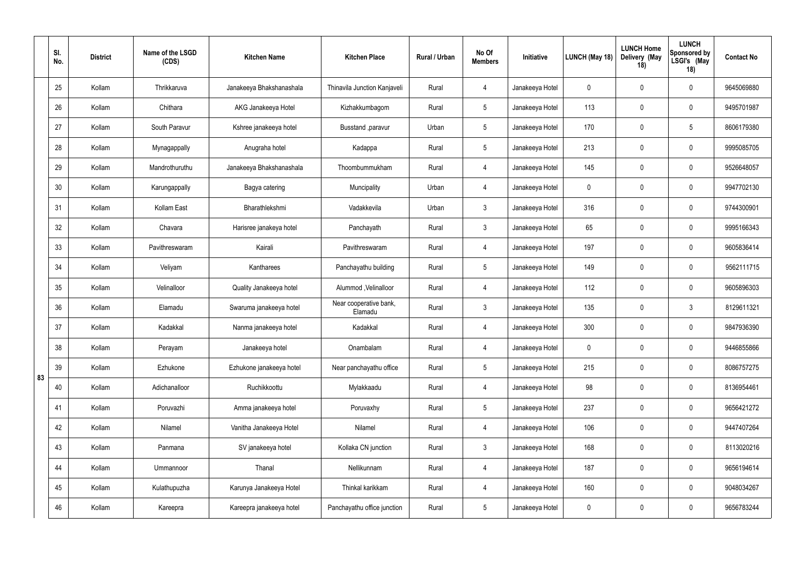|    | SI.<br>No. | <b>District</b> | Name of the LSGD<br>(CDS) | <b>Kitchen Name</b>      | <b>Kitchen Place</b>              | Rural / Urban | No Of<br><b>Members</b> | Initiative      | LUNCH (May 18) | <b>LUNCH Home</b><br>Delivery (May<br>18) | <b>LUNCH</b><br>Sponsored by<br>LSGI's (May<br>18) | <b>Contact No</b> |
|----|------------|-----------------|---------------------------|--------------------------|-----------------------------------|---------------|-------------------------|-----------------|----------------|-------------------------------------------|----------------------------------------------------|-------------------|
|    | 25         | Kollam          | Thrikkaruva               | Janakeeya Bhakshanashala | Thinavila Junction Kanjaveli      | Rural         | $\overline{4}$          | Janakeeya Hotel | $\mathbf 0$    | $\overline{0}$                            | $\overline{0}$                                     | 9645069880        |
|    | 26         | Kollam          | Chithara                  | AKG Janakeeya Hotel      | Kizhakkumbagom                    | Rural         | $5\phantom{.0}$         | Janakeeya Hotel | 113            | $\overline{0}$                            | $\overline{0}$                                     | 9495701987        |
|    | 27         | Kollam          | South Paravur             | Kshree janakeeya hotel   | Busstand , paravur                | Urban         | $5\overline{)}$         | Janakeeya Hotel | 170            | $\overline{0}$                            | $5\phantom{.0}$                                    | 8606179380        |
|    | 28         | Kollam          | Mynagappally              | Anugraha hotel           | Kadappa                           | Rural         | $5\overline{)}$         | Janakeeya Hotel | 213            | $\overline{0}$                            | $\overline{0}$                                     | 9995085705        |
|    | 29         | Kollam          | Mandrothuruthu            | Janakeeya Bhakshanashala | Thoombummukham                    | Rural         | $\overline{4}$          | Janakeeya Hotel | 145            | $\mathbf 0$                               | $\overline{0}$                                     | 9526648057        |
|    | 30         | Kollam          | Karungappally             | Bagya catering           | Muncipality                       | Urban         | $\overline{4}$          | Janakeeya Hotel | $\mathbf 0$    | $\overline{0}$                            | $\overline{0}$                                     | 9947702130        |
|    | 31         | Kollam          | Kollam East               | Bharathlekshmi           | Vadakkevila                       | Urban         | $\mathbf{3}$            | Janakeeya Hotel | 316            | $\overline{0}$                            | $\overline{0}$                                     | 9744300901        |
|    | 32         | Kollam          | Chavara                   | Harisree janakeya hotel  | Panchayath                        | Rural         | $\mathbf{3}$            | Janakeeya Hotel | 65             | $\overline{0}$                            | $\mathbf 0$                                        | 9995166343        |
|    | 33         | Kollam          | Pavithreswaram            | Kairali                  | Pavithreswaram                    | Rural         | $\overline{4}$          | Janakeeya Hotel | 197            | $\overline{0}$                            | $\overline{0}$                                     | 9605836414        |
|    | 34         | Kollam          | Veliyam                   | Kantharees               | Panchayathu building              | Rural         | $5\phantom{.0}$         | Janakeeya Hotel | 149            | $\overline{0}$                            | $\overline{0}$                                     | 9562111715        |
|    | 35         | Kollam          | Velinalloor               | Quality Janakeeya hotel  | Alummod , Velinalloor             | Rural         | $\overline{4}$          | Janakeeya Hotel | 112            | $\overline{0}$                            | $\overline{0}$                                     | 9605896303        |
|    | 36         | Kollam          | Elamadu                   | Swaruma janakeeya hotel  | Near cooperative bank,<br>Elamadu | Rural         | $\mathbf{3}$            | Janakeeya Hotel | 135            | $\overline{0}$                            | $\mathbf{3}$                                       | 8129611321        |
|    | 37         | Kollam          | Kadakkal                  | Nanma janakeeya hotel    | Kadakkal                          | Rural         | $\overline{4}$          | Janakeeya Hotel | 300            | $\overline{0}$                            | $\overline{0}$                                     | 9847936390        |
|    | 38         | Kollam          | Perayam                   | Janakeeya hotel          | Onambalam                         | Rural         | $\overline{4}$          | Janakeeya Hotel | $\mathbf 0$    | $\pmb{0}$                                 | $\mathbf 0$                                        | 9446855866        |
| 83 | 39         | Kollam          | Ezhukone                  | Ezhukone janakeeya hotel | Near panchayathu office           | Rural         | $5\phantom{.0}$         | Janakeeya Hotel | 215            | $\mathbf 0$                               | $\pmb{0}$                                          | 8086757275        |
|    | 40         | Kollam          | Adichanalloor             | Ruchikkoottu             | Mylakkaadu                        | Rural         | $\overline{4}$          | Janakeeya Hotel | 98             | $\pmb{0}$                                 | $\mathbf 0$                                        | 8136954461        |
|    | 41         | Kollam          | Poruvazhi                 | Amma janakeeya hotel     | Poruvaxhy                         | Rural         | $5\overline{)}$         | Janakeeya Hotel | 237            | $\overline{0}$                            | $\pmb{0}$                                          | 9656421272        |
|    | 42         | Kollam          | Nilamel                   | Vanitha Janakeeya Hotel  | Nilamel                           | Rural         | $\overline{4}$          | Janakeeya Hotel | 106            | $\mathbf 0$                               | $\pmb{0}$                                          | 9447407264        |
|    | 43         | Kollam          | Panmana                   | SV janakeeya hotel       | Kollaka CN junction               | Rural         | $\mathbf{3}$            | Janakeeya Hotel | 168            | $\mathbf 0$                               | $\pmb{0}$                                          | 8113020216        |
|    | 44         | Kollam          | Ummannoor                 | Thanal                   | Nellikunnam                       | Rural         | $\overline{4}$          | Janakeeya Hotel | 187            | $\mathbf 0$                               | $\pmb{0}$                                          | 9656194614        |
|    | 45         | Kollam          | Kulathupuzha              | Karunya Janakeeya Hotel  | Thinkal karikkam                  | Rural         | $\overline{4}$          | Janakeeya Hotel | 160            | $\mathbf 0$                               | $\mathbf 0$                                        | 9048034267        |
|    | 46         | Kollam          | Kareepra                  | Kareepra janakeeya hotel | Panchayathu office junction       | Rural         | $5\overline{)}$         | Janakeeya Hotel | $\pmb{0}$      | $\boldsymbol{0}$                          | $\boldsymbol{0}$                                   | 9656783244        |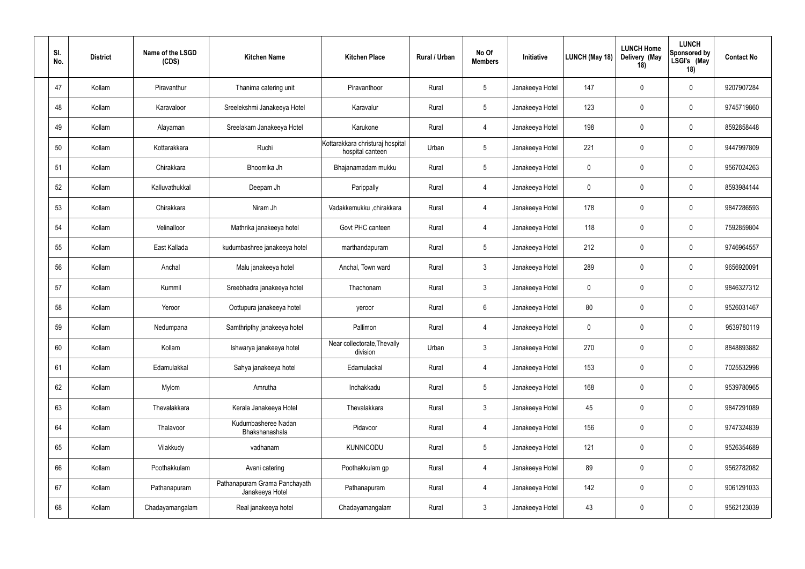| SI.<br>No. | <b>District</b> | Name of the LSGD<br>(CDS) | <b>Kitchen Name</b>                              | <b>Kitchen Place</b>                                 | Rural / Urban | No Of<br><b>Members</b> | Initiative      | LUNCH (May 18) | <b>LUNCH Home</b><br>Delivery (May<br>18) | <b>LUNCH</b><br><b>Sponsored by</b><br>LSGI's (May<br>18) | <b>Contact No</b> |
|------------|-----------------|---------------------------|--------------------------------------------------|------------------------------------------------------|---------------|-------------------------|-----------------|----------------|-------------------------------------------|-----------------------------------------------------------|-------------------|
| 47         | Kollam          | Piravanthur               | Thanima catering unit                            | Piravanthoor                                         | Rural         | $\overline{5}$          | Janakeeya Hotel | 147            | $\mathbf 0$                               | $\mathbf 0$                                               | 9207907284        |
| 48         | Kollam          | Karavaloor                | Sreelekshmi Janakeeya Hotel                      | Karavalur                                            | Rural         | $5\phantom{.0}$         | Janakeeya Hotel | 123            | $\mathbf 0$                               | $\mathbf 0$                                               | 9745719860        |
| 49         | Kollam          | Alayaman                  | Sreelakam Janakeeya Hotel                        | Karukone                                             | Rural         | $\overline{4}$          | Janakeeya Hotel | 198            | $\mathbf 0$                               | $\mathbf 0$                                               | 8592858448        |
| 50         | Kollam          | Kottarakkara              | Ruchi                                            | Kottarakkara christuraj hospital<br>hospital canteen | Urban         | $5\overline{)}$         | Janakeeya Hotel | 221            | $\mathbf 0$                               | $\mathbf 0$                                               | 9447997809        |
| 51         | Kollam          | Chirakkara                | Bhoomika Jh                                      | Bhajanamadam mukku                                   | Rural         | $5\phantom{.0}$         | Janakeeya Hotel | 0              | $\mathbf 0$                               | $\mathbf 0$                                               | 9567024263        |
| 52         | Kollam          | Kalluvathukkal            | Deepam Jh                                        | Parippally                                           | Rural         | $\overline{4}$          | Janakeeya Hotel | 0              | $\mathbf 0$                               | $\mathbf 0$                                               | 8593984144        |
| 53         | Kollam          | Chirakkara                | Niram Jh                                         | Vadakkemukku, chirakkara                             | Rural         | $\overline{4}$          | Janakeeya Hotel | 178            | $\mathbf 0$                               | $\mathbf 0$                                               | 9847286593        |
| 54         | Kollam          | Velinalloor               | Mathrika janakeeya hotel                         | Govt PHC canteen                                     | Rural         | $\overline{4}$          | Janakeeya Hotel | 118            | $\mathbf 0$                               | $\mathbf 0$                                               | 7592859804        |
| 55         | Kollam          | East Kallada              | kudumbashree janakeeya hotel                     | marthandapuram                                       | Rural         | $5\phantom{.0}$         | Janakeeya Hotel | 212            | $\mathbf 0$                               | $\mathbf 0$                                               | 9746964557        |
| 56         | Kollam          | Anchal                    | Malu janakeeya hotel                             | Anchal, Town ward                                    | Rural         | $\mathbf{3}$            | Janakeeya Hotel | 289            | $\mathbf 0$                               | $\mathbf 0$                                               | 9656920091        |
| 57         | Kollam          | Kummil                    | Sreebhadra janakeeya hotel                       | Thachonam                                            | Rural         | $\mathbf{3}$            | Janakeeya Hotel | $\mathbf 0$    | $\mathbf 0$                               | $\mathbf 0$                                               | 9846327312        |
| 58         | Kollam          | Yeroor                    | Oottupura janakeeya hotel                        | yeroor                                               | Rural         | 6                       | Janakeeya Hotel | 80             | $\mathbf 0$                               | $\mathbf 0$                                               | 9526031467        |
| 59         | Kollam          | Nedumpana                 | Samthripthy janakeeya hotel                      | Pallimon                                             | Rural         | $\overline{4}$          | Janakeeya Hotel | 0              | $\mathbf 0$                               | $\mathbf 0$                                               | 9539780119        |
| 60         | Kollam          | Kollam                    | Ishwarya janakeeya hotel                         | Near collectorate, Thevally<br>division              | Urban         | $\mathbf{3}$            | Janakeeya Hotel | 270            | $\pmb{0}$                                 | $\mathbf 0$                                               | 8848893882        |
| 61         | Kollam          | Edamulakkal               | Sahya janakeeya hotel                            | Edamulackal                                          | Rural         | $\overline{4}$          | Janakeeya Hotel | 153            | $\mathbf 0$                               | $\mathbf 0$                                               | 7025532998        |
| 62         | Kollam          | Mylom                     | Amrutha                                          | Inchakkadu                                           | Rural         | $5\phantom{.0}$         | Janakeeya Hotel | 168            | $\pmb{0}$                                 | $\pmb{0}$                                                 | 9539780965        |
| 63         | Kollam          | Thevalakkara              | Kerala Janakeeya Hotel                           | Thevalakkara                                         | Rural         | $\mathbf{3}$            | Janakeeya Hotel | 45             | $\mathbf 0$                               | $\mathbf 0$                                               | 9847291089        |
| 64         | Kollam          | Thalavoor                 | Kudumbasheree Nadan<br>Bhakshanashala            | Pidavoor                                             | Rural         | $\overline{4}$          | Janakeeya Hotel | 156            | $\pmb{0}$                                 | $\pmb{0}$                                                 | 9747324839        |
| 65         | Kollam          | Vilakkudy                 | vadhanam                                         | <b>KUNNICODU</b>                                     | Rural         | $5\phantom{.0}$         | Janakeeya Hotel | 121            | $\pmb{0}$                                 | $\mathbf 0$                                               | 9526354689        |
| 66         | Kollam          | Poothakkulam              | Avani catering                                   | Poothakkulam gp                                      | Rural         | $\overline{4}$          | Janakeeya Hotel | 89             | $\mathbf 0$                               | $\mathbf 0$                                               | 9562782082        |
| 67         | Kollam          | Pathanapuram              | Pathanapuram Grama Panchayath<br>Janakeeya Hotel | Pathanapuram                                         | Rural         | $\overline{4}$          | Janakeeya Hotel | 142            | $\mathbf 0$                               | $\mathbf 0$                                               | 9061291033        |
| 68         | Kollam          | Chadayamangalam           | Real janakeeya hotel                             | Chadayamangalam                                      | Rural         | $\mathbf{3}$            | Janakeeya Hotel | 43             | $\pmb{0}$                                 | $\pmb{0}$                                                 | 9562123039        |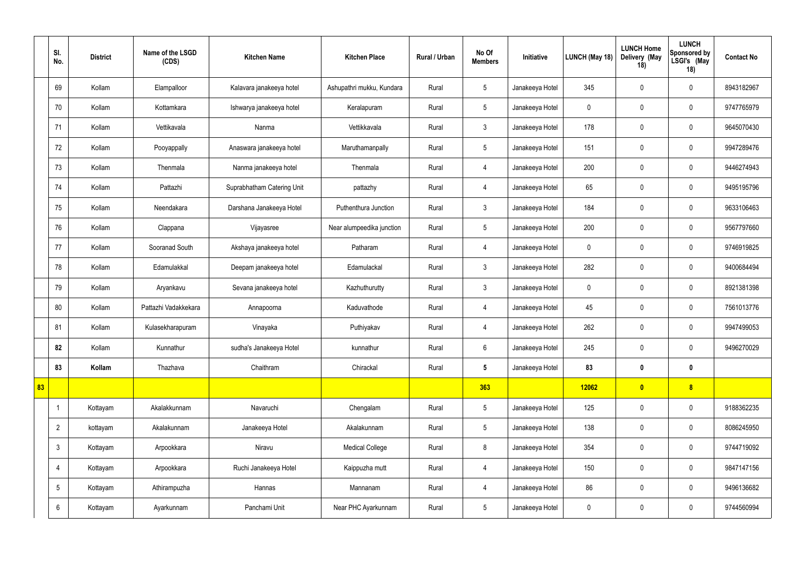|    | SI.<br>No.      | <b>District</b> | Name of the LSGD<br>(CDS) | <b>Kitchen Name</b>        | <b>Kitchen Place</b>      | Rural / Urban | No Of<br><b>Members</b> | Initiative      | LUNCH (May 18) | <b>LUNCH Home</b><br>Delivery (May<br>18) | <b>LUNCH</b><br>Sponsored by<br>LSGI's (May<br>18) | <b>Contact No</b> |
|----|-----------------|-----------------|---------------------------|----------------------------|---------------------------|---------------|-------------------------|-----------------|----------------|-------------------------------------------|----------------------------------------------------|-------------------|
|    | 69              | Kollam          | Elampalloor               | Kalavara janakeeya hotel   | Ashupathri mukku, Kundara | Rural         | $5\phantom{.0}$         | Janakeeya Hotel | 345            | $\overline{0}$                            | $\mathbf 0$                                        | 8943182967        |
|    | 70              | Kollam          | Kottamkara                | Ishwarya janakeeya hotel   | Keralapuram               | Rural         | $5\phantom{.0}$         | Janakeeya Hotel | $\mathbf 0$    | $\mathbf 0$                               | $\bm{0}$                                           | 9747765979        |
|    | 71              | Kollam          | Vettikavala               | Nanma                      | Vettikkavala              | Rural         | 3 <sup>1</sup>          | Janakeeya Hotel | 178            | $\overline{0}$                            | $\mathbf 0$                                        | 9645070430        |
|    | 72              | Kollam          | Pooyappally               | Anaswara janakeeya hotel   | Maruthamanpally           | Rural         | 5 <sup>5</sup>          | Janakeeya Hotel | 151            | $\mathbf 0$                               | $\mathbf 0$                                        | 9947289476        |
|    | 73              | Kollam          | Thenmala                  | Nanma janakeeya hotel      | Thenmala                  | Rural         | 4                       | Janakeeya Hotel | 200            | $\overline{0}$                            | $\mathbf 0$                                        | 9446274943        |
|    | 74              | Kollam          | Pattazhi                  | Suprabhatham Catering Unit | pattazhy                  | Rural         | 4                       | Janakeeya Hotel | 65             | $\mathbf 0$                               | $\bm{0}$                                           | 9495195796        |
|    | 75              | Kollam          | Neendakara                | Darshana Janakeeya Hotel   | Puthenthura Junction      | Rural         | $\mathbf{3}$            | Janakeeya Hotel | 184            | $\overline{0}$                            | $\mathbf 0$                                        | 9633106463        |
|    | 76              | Kollam          | Clappana                  | Vijayasree                 | Near alumpeedika junction | Rural         | $5\phantom{.0}$         | Janakeeya Hotel | 200            | $\mathbf 0$                               | $\mathbf 0$                                        | 9567797660        |
|    | 77              | Kollam          | Sooranad South            | Akshaya janakeeya hotel    | Patharam                  | Rural         | 4                       | Janakeeya Hotel | $\mathbf 0$    | $\mathbf 0$                               | $\mathbf 0$                                        | 9746919825        |
|    | 78              | Kollam          | Edamulakkal               | Deepam janakeeya hotel     | Edamulackal               | Rural         | $\mathfrak{Z}$          | Janakeeya Hotel | 282            | $\mathbf 0$                               | $\mathbf 0$                                        | 9400684494        |
|    | 79              | Kollam          | Aryankavu                 | Sevana janakeeya hotel     | Kazhuthurutty             | Rural         | $\mathfrak{Z}$          | Janakeeya Hotel | $\mathbf 0$    | $\mathbf 0$                               | $\mathbf 0$                                        | 8921381398        |
|    | 80              | Kollam          | Pattazhi Vadakkekara      | Annapoorna                 | Kaduvathode               | Rural         | 4                       | Janakeeya Hotel | 45             | $\overline{0}$                            | $\mathbf 0$                                        | 7561013776        |
|    | 81              | Kollam          | Kulasekharapuram          | Vinayaka                   | Puthiyakav                | Rural         | $\overline{4}$          | Janakeeya Hotel | 262            | $\overline{0}$                            | $\mathbf 0$                                        | 9947499053        |
|    | 82              | Kollam          | Kunnathur                 | sudha's Janakeeya Hotel    | kunnathur                 | Rural         | $6\overline{6}$         | Janakeeya Hotel | 245            | $\mathbf 0$                               | $\mathbf 0$                                        | 9496270029        |
|    | 83              | Kollam          | Thazhava                  | Chaithram                  | Chirackal                 | Rural         | 5 <sub>5</sub>          | Janakeeya Hotel | 83             | $\boldsymbol{0}$                          | $\boldsymbol{0}$                                   |                   |
| 83 |                 |                 |                           |                            |                           |               | 363                     |                 | 12062          | $\bullet$                                 | 8                                                  |                   |
|    | $\overline{1}$  | Kottayam        | Akalakkunnam              | Navaruchi                  | Chengalam                 | Rural         | $5\phantom{.0}$         | Janakeeya Hotel | 125            | $\mathbf 0$                               | $\pmb{0}$                                          | 9188362235        |
|    | $\overline{2}$  | kottayam        | Akalakunnam               | Janakeeya Hotel            | Akalakunnam               | Rural         | $5\phantom{.0}$         | Janakeeya Hotel | 138            | $\overline{0}$                            | $\boldsymbol{0}$                                   | 8086245950        |
|    | $\mathbf{3}$    | Kottayam        | Arpookkara                | Niravu                     | <b>Medical College</b>    | Rural         | 8                       | Janakeeya Hotel | 354            | $\mathbf 0$                               | $\mathbf 0$                                        | 9744719092        |
|    | $\overline{4}$  | Kottayam        | Arpookkara                | Ruchi Janakeeya Hotel      | Kaippuzha mutt            | Rural         | $\overline{4}$          | Janakeeya Hotel | 150            | $\overline{0}$                            | $\mathbf 0$                                        | 9847147156        |
|    | $5\overline{)}$ | Kottayam        | Athirampuzha              | Hannas                     | Mannanam                  | Rural         | $\overline{4}$          | Janakeeya Hotel | 86             | $\mathbf 0$                               | $\mathbf 0$                                        | 9496136682        |
|    | $6\overline{6}$ | Kottayam        | Ayarkunnam                | Panchami Unit              | Near PHC Ayarkunnam       | Rural         | 5 <sub>5</sub>          | Janakeeya Hotel | $\mathbf 0$    | $\overline{0}$                            | $\boldsymbol{0}$                                   | 9744560994        |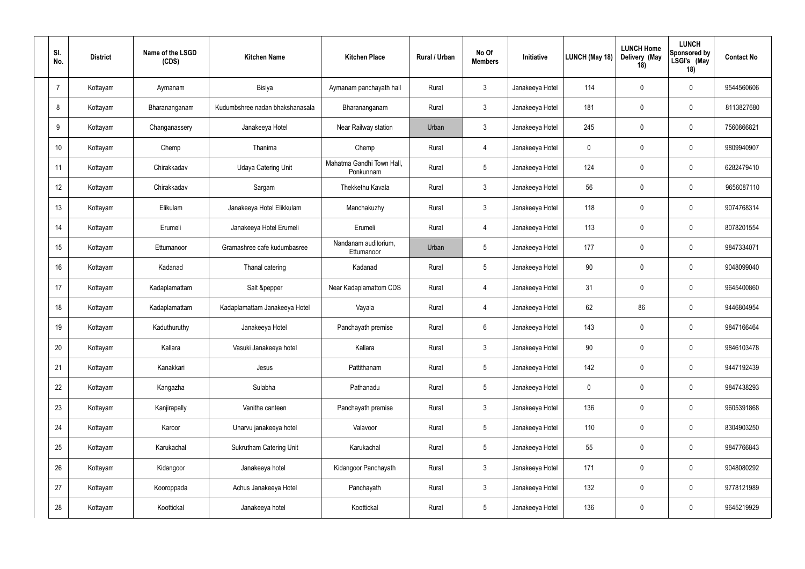| SI.<br>No.     | <b>District</b> | Name of the LSGD<br>(CDS) | <b>Kitchen Name</b>             | <b>Kitchen Place</b>                   | Rural / Urban | No Of<br><b>Members</b> | Initiative      | LUNCH (May 18) | <b>LUNCH Home</b><br>Delivery (May<br>18) | <b>LUNCH</b><br><b>Sponsored by</b><br>LSGI's (May<br>18) | <b>Contact No</b> |
|----------------|-----------------|---------------------------|---------------------------------|----------------------------------------|---------------|-------------------------|-----------------|----------------|-------------------------------------------|-----------------------------------------------------------|-------------------|
| $\overline{7}$ | Kottayam        | Aymanam                   | Bisiya                          | Aymanam panchayath hall                | Rural         | $\mathbf{3}$            | Janakeeya Hotel | 114            | $\mathbf 0$                               | $\mathbf 0$                                               | 9544560606        |
| 8              | Kottayam        | Bharananganam             | Kudumbshree nadan bhakshanasala | Bharananganam                          | Rural         | $\mathbf{3}$            | Janakeeya Hotel | 181            | $\mathbf 0$                               | $\mathbf 0$                                               | 8113827680        |
| 9              | Kottayam        | Changanassery             | Janakeeya Hotel                 | Near Railway station                   | Urban         | $\mathbf{3}$            | Janakeeya Hotel | 245            | $\mathbf 0$                               | $\mathbf 0$                                               | 7560866821        |
| 10             | Kottayam        | Chemp                     | Thanima                         | Chemp                                  | Rural         | $\overline{4}$          | Janakeeya Hotel | $\mathbf 0$    | $\mathbf 0$                               | $\mathbf 0$                                               | 9809940907        |
| 11             | Kottayam        | Chirakkadav               | <b>Udaya Catering Unit</b>      | Mahatma Gandhi Town Hall,<br>Ponkunnam | Rural         | $5\overline{)}$         | Janakeeya Hotel | 124            | $\mathbf 0$                               | $\mathbf 0$                                               | 6282479410        |
| 12             | Kottayam        | Chirakkadav               | Sargam                          | Thekkethu Kavala                       | Rural         | $\mathbf{3}$            | Janakeeya Hotel | 56             | $\mathbf 0$                               | $\mathbf 0$                                               | 9656087110        |
| 13             | Kottayam        | Elikulam                  | Janakeeya Hotel Elikkulam       | Manchakuzhy                            | Rural         | $\mathbf{3}$            | Janakeeya Hotel | 118            | $\mathbf 0$                               | $\mathbf 0$                                               | 9074768314        |
| 14             | Kottayam        | Erumeli                   | Janakeeya Hotel Erumeli         | Erumeli                                | Rural         | $\overline{4}$          | Janakeeya Hotel | 113            | $\mathbf 0$                               | $\mathbf 0$                                               | 8078201554        |
| 15             | Kottayam        | Ettumanoor                | Gramashree cafe kudumbasree     | Nandanam auditorium,<br>Ettumanoor     | Urban         | $5\phantom{.0}$         | Janakeeya Hotel | 177            | $\mathbf 0$                               | $\mathbf 0$                                               | 9847334071        |
| 16             | Kottayam        | Kadanad                   | Thanal catering                 | Kadanad                                | Rural         | $5\phantom{.0}$         | Janakeeya Hotel | 90             | $\mathbf 0$                               | $\mathbf 0$                                               | 9048099040        |
| 17             | Kottayam        | Kadaplamattam             | Salt &pepper                    | Near Kadaplamattom CDS                 | Rural         | $\overline{4}$          | Janakeeya Hotel | 31             | $\mathbf 0$                               | $\mathbf 0$                                               | 9645400860        |
| 18             | Kottayam        | Kadaplamattam             | Kadaplamattam Janakeeya Hotel   | Vayala                                 | Rural         | $\overline{4}$          | Janakeeya Hotel | 62             | 86                                        | $\mathbf 0$                                               | 9446804954        |
| 19             | Kottayam        | Kaduthuruthy              | Janakeeya Hotel                 | Panchayath premise                     | Rural         | $6\overline{6}$         | Janakeeya Hotel | 143            | $\mathbf 0$                               | $\mathbf 0$                                               | 9847166464        |
| 20             | Kottayam        | Kallara                   | Vasuki Janakeeya hotel          | Kallara                                | Rural         | $\mathbf{3}$            | Janakeeya Hotel | 90             | $\pmb{0}$                                 | $\mathbf 0$                                               | 9846103478        |
| 21             | Kottayam        | Kanakkari                 | Jesus                           | Pattithanam                            | Rural         | $5\phantom{.0}$         | Janakeeya Hotel | 142            | $\mathbf 0$                               | $\pmb{0}$                                                 | 9447192439        |
| 22             | Kottayam        | Kangazha                  | Sulabha                         | Pathanadu                              | Rural         | $5\phantom{.0}$         | Janakeeya Hotel | $\mathbf 0$    | $\pmb{0}$                                 | $\pmb{0}$                                                 | 9847438293        |
| 23             | Kottayam        | Kanjirapally              | Vanitha canteen                 | Panchayath premise                     | Rural         | $\mathbf{3}$            | Janakeeya Hotel | 136            | $\mathbf 0$                               | $\pmb{0}$                                                 | 9605391868        |
| 24             | Kottayam        | Karoor                    | Unarvu janakeeya hotel          | Valavoor                               | Rural         | $5\phantom{.0}$         | Janakeeya Hotel | 110            | $\pmb{0}$                                 | $\pmb{0}$                                                 | 8304903250        |
| 25             | Kottayam        | Karukachal                | <b>Sukrutham Catering Unit</b>  | Karukachal                             | Rural         | $5\phantom{.0}$         | Janakeeya Hotel | 55             | $\pmb{0}$                                 | $\pmb{0}$                                                 | 9847766843        |
| 26             | Kottayam        | Kidangoor                 | Janakeeya hotel                 | Kidangoor Panchayath                   | Rural         | $\mathbf{3}$            | Janakeeya Hotel | 171            | $\pmb{0}$                                 | $\pmb{0}$                                                 | 9048080292        |
| 27             | Kottayam        | Kooroppada                | Achus Janakeeya Hotel           | Panchayath                             | Rural         | $\mathbf{3}$            | Janakeeya Hotel | 132            | $\pmb{0}$                                 | $\mathbf 0$                                               | 9778121989        |
| 28             | Kottayam        | Koottickal                | Janakeeya hotel                 | Koottickal                             | Rural         | $5\phantom{.0}$         | Janakeeya Hotel | 136            | $\boldsymbol{0}$                          | $\boldsymbol{0}$                                          | 9645219929        |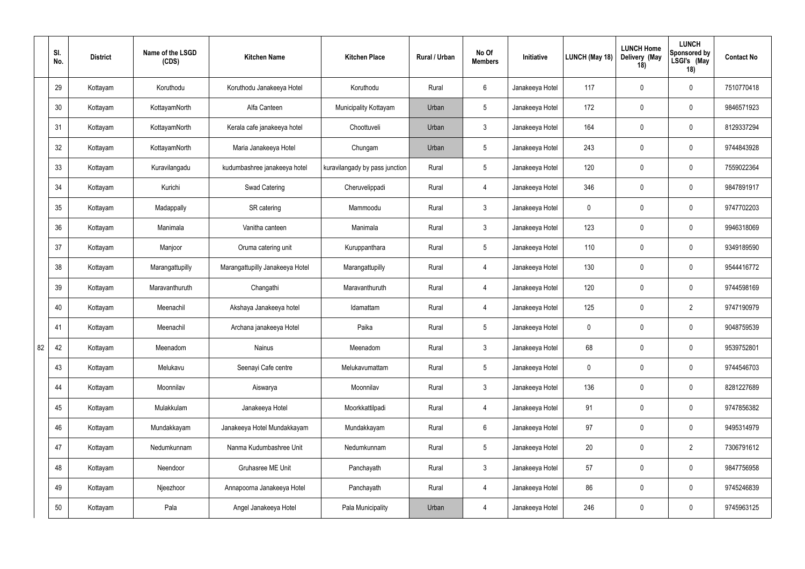|    | SI.<br>No. | <b>District</b> | Name of the LSGD<br>(CDS) | <b>Kitchen Name</b>             | <b>Kitchen Place</b>           | Rural / Urban | No Of<br><b>Members</b> | Initiative      | LUNCH (May 18) | <b>LUNCH Home</b><br>Delivery (May<br>18) | <b>LUNCH</b><br><b>Sponsored by</b><br>LSGI's (May<br>18) | <b>Contact No</b> |
|----|------------|-----------------|---------------------------|---------------------------------|--------------------------------|---------------|-------------------------|-----------------|----------------|-------------------------------------------|-----------------------------------------------------------|-------------------|
|    | 29         | Kottayam        | Koruthodu                 | Koruthodu Janakeeya Hotel       | Koruthodu                      | Rural         | 6                       | Janakeeya Hotel | 117            | $\overline{0}$                            | $\mathbf 0$                                               | 7510770418        |
|    | 30         | Kottayam        | KottayamNorth             | Alfa Canteen                    | Municipality Kottayam          | Urban         | 5                       | Janakeeya Hotel | 172            | $\overline{0}$                            | $\pmb{0}$                                                 | 9846571923        |
|    | 31         | Kottayam        | KottayamNorth             | Kerala cafe janakeeya hotel     | Choottuveli                    | Urban         | $\mathbf{3}$            | Janakeeya Hotel | 164            | $\overline{0}$                            | $\overline{0}$                                            | 8129337294        |
|    | 32         | Kottayam        | KottayamNorth             | Maria Janakeeya Hotel           | Chungam                        | Urban         | $5\phantom{.0}$         | Janakeeya Hotel | 243            | $\overline{0}$                            | $\overline{0}$                                            | 9744843928        |
|    | 33         | Kottayam        | Kuravilangadu             | kudumbashree janakeeya hotel    | kuravilangady by pass junction | Rural         | 5 <sup>5</sup>          | Janakeeya Hotel | 120            | $\overline{0}$                            | $\overline{0}$                                            | 7559022364        |
|    | 34         | Kottayam        | Kurichi                   | Swad Catering                   | Cheruvelippadi                 | Rural         | $\overline{4}$          | Janakeeya Hotel | 346            | $\overline{0}$                            | $\mathbf 0$                                               | 9847891917        |
|    | 35         | Kottayam        | Madappally                | SR catering                     | Mammoodu                       | Rural         | $\mathbf{3}$            | Janakeeya Hotel | $\mathbf 0$    | $\overline{0}$                            | $\overline{0}$                                            | 9747702203        |
|    | 36         | Kottayam        | Manimala                  | Vanitha canteen                 | Manimala                       | Rural         | $3\phantom{.0}$         | Janakeeya Hotel | 123            | $\mathbf 0$                               | $\mathbf 0$                                               | 9946318069        |
|    | 37         | Kottayam        | Manjoor                   | Oruma catering unit             | Kuruppanthara                  | Rural         | 5                       | Janakeeya Hotel | 110            | $\overline{0}$                            | $\mathbf 0$                                               | 9349189590        |
|    | 38         | Kottayam        | Marangattupilly           | Marangattupilly Janakeeya Hotel | Marangattupilly                | Rural         | $\overline{4}$          | Janakeeya Hotel | 130            | $\overline{0}$                            | $\mathbf 0$                                               | 9544416772        |
|    | 39         | Kottayam        | Maravanthuruth            | Changathi                       | Maravanthuruth                 | Rural         | $\overline{4}$          | Janakeeya Hotel | 120            | $\overline{0}$                            | $\overline{0}$                                            | 9744598169        |
|    | 40         | Kottayam        | Meenachil                 | Akshaya Janakeeya hotel         | Idamattam                      | Rural         | $\overline{4}$          | Janakeeya Hotel | 125            | $\mathbf 0$                               | $\overline{2}$                                            | 9747190979        |
|    | 41         | Kottayam        | Meenachil                 | Archana janakeeya Hotel         | Paika                          | Rural         | $5\overline{)}$         | Janakeeya Hotel | $\mathbf 0$    | $\overline{0}$                            | $\overline{0}$                                            | 9048759539        |
| 82 | 42         | Kottayam        | Meenadom                  | Nainus                          | Meenadom                       | Rural         | $3\phantom{.0}$         | Janakeeya Hotel | 68             | $\pmb{0}$                                 | $\mathbf 0$                                               | 9539752801        |
|    | 43         | Kottayam        | Melukavu                  | Seenayi Cafe centre             | Melukavumattam                 | Rural         | 5 <sup>5</sup>          | Janakeeya Hotel | $\pmb{0}$      | $\overline{0}$                            | $\pmb{0}$                                                 | 9744546703        |
|    | 44         | Kottayam        | Moonnilav                 | Aiswarya                        | Moonnilav                      | Rural         | 3 <sup>1</sup>          | Janakeeya Hotel | 136            | $\mathbf 0$                               | $\pmb{0}$                                                 | 8281227689        |
|    | 45         | Kottayam        | Mulakkulam                | Janakeeya Hotel                 | Moorkkattilpadi                | Rural         | $\overline{4}$          | Janakeeya Hotel | 91             | $\overline{0}$                            | $\mathbf 0$                                               | 9747856382        |
|    | 46         | Kottayam        | Mundakkayam               | Janakeeya Hotel Mundakkayam     | Mundakkayam                    | Rural         | $6\phantom{.0}$         | Janakeeya Hotel | 97             | $\mathbf 0$                               | $\pmb{0}$                                                 | 9495314979        |
|    | 47         | Kottayam        | Nedumkunnam               | Nanma Kudumbashree Unit         | Nedumkunnam                    | Rural         | $5\overline{)}$         | Janakeeya Hotel | 20             | $\mathbf 0$                               | $\overline{2}$                                            | 7306791612        |
|    | 48         | Kottayam        | Neendoor                  | Gruhasree ME Unit               | Panchayath                     | Rural         | 3 <sup>1</sup>          | Janakeeya Hotel | 57             | $\mathbf 0$                               | $\pmb{0}$                                                 | 9847756958        |
|    | 49         | Kottayam        | Njeezhoor                 | Annapoorna Janakeeya Hotel      | Panchayath                     | Rural         | $\overline{4}$          | Janakeeya Hotel | 86             | $\overline{0}$                            | $\pmb{0}$                                                 | 9745246839        |
|    | 50         | Kottayam        | Pala                      | Angel Janakeeya Hotel           | Pala Municipality              | Urban         | $\overline{4}$          | Janakeeya Hotel | 246            | $\boldsymbol{0}$                          | $\pmb{0}$                                                 | 9745963125        |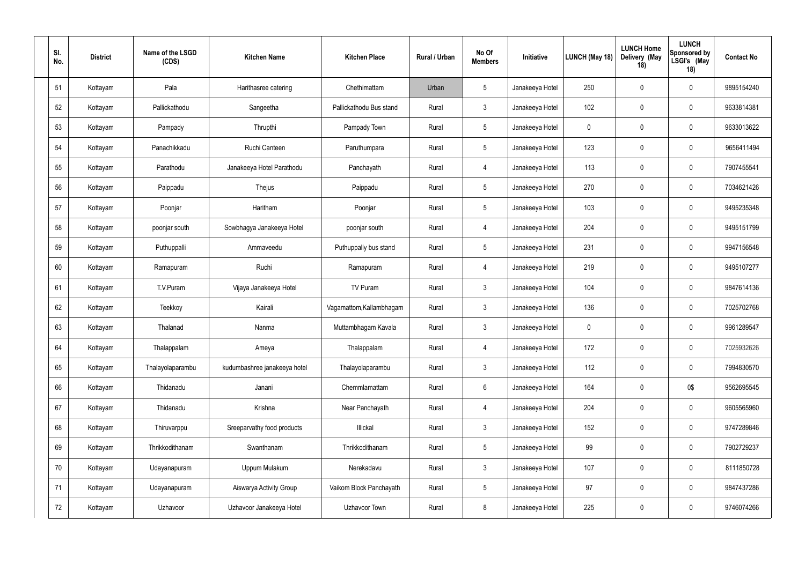| SI.<br>No. | <b>District</b> | Name of the LSGD<br>(CDS) | <b>Kitchen Name</b>          | <b>Kitchen Place</b>     | <b>Rural / Urban</b> | No Of<br><b>Members</b> | Initiative      | LUNCH (May 18) | <b>LUNCH Home</b><br>Delivery (May<br>18) | <b>LUNCH</b><br><b>Sponsored by</b><br>LSGI's (May<br>18) | <b>Contact No</b> |
|------------|-----------------|---------------------------|------------------------------|--------------------------|----------------------|-------------------------|-----------------|----------------|-------------------------------------------|-----------------------------------------------------------|-------------------|
| 51         | Kottayam        | Pala                      | Harithasree catering         | Chethimattam             | Urban                | $\overline{5}$          | Janakeeya Hotel | 250            | $\mathbf 0$                               | $\mathbf 0$                                               | 9895154240        |
| 52         | Kottayam        | Pallickathodu             | Sangeetha                    | Pallickathodu Bus stand  | Rural                | $\mathbf{3}$            | Janakeeya Hotel | 102            | $\mathbf 0$                               | $\pmb{0}$                                                 | 9633814381        |
| 53         | Kottayam        | Pampady                   | Thrupthi                     | Pampady Town             | Rural                | $5\phantom{.0}$         | Janakeeya Hotel | 0              | $\mathbf 0$                               | $\mathbf 0$                                               | 9633013622        |
| 54         | Kottayam        | Panachikkadu              | Ruchi Canteen                | Paruthumpara             | Rural                | $5\phantom{.0}$         | Janakeeya Hotel | 123            | $\mathbf 0$                               | $\mathbf 0$                                               | 9656411494        |
| 55         | Kottayam        | Parathodu                 | Janakeeya Hotel Parathodu    | Panchayath               | Rural                | $\overline{4}$          | Janakeeya Hotel | 113            | 0                                         | $\mathbf 0$                                               | 7907455541        |
| 56         | Kottayam        | Paippadu                  | Thejus                       | Paippadu                 | Rural                | $\overline{5}$          | Janakeeya Hotel | 270            | $\mathbf 0$                               | $\mathbf 0$                                               | 7034621426        |
| 57         | Kottayam        | Poonjar                   | Haritham                     | Poonjar                  | Rural                | $\overline{5}$          | Janakeeya Hotel | 103            | $\mathbf 0$                               | $\mathbf 0$                                               | 9495235348        |
| 58         | Kottayam        | poonjar south             | Sowbhagya Janakeeya Hotel    | poonjar south            | Rural                | $\overline{4}$          | Janakeeya Hotel | 204            | $\mathbf 0$                               | $\mathbf 0$                                               | 9495151799        |
| 59         | Kottayam        | Puthuppalli               | Ammaveedu                    | Puthuppally bus stand    | Rural                | $\overline{5}$          | Janakeeya Hotel | 231            | $\mathbf 0$                               | $\mathbf 0$                                               | 9947156548        |
| 60         | Kottayam        | Ramapuram                 | Ruchi                        | Ramapuram                | Rural                | $\overline{4}$          | Janakeeya Hotel | 219            | $\mathbf 0$                               | $\mathbf 0$                                               | 9495107277        |
| 61         | Kottayam        | T.V.Puram                 | Vijaya Janakeeya Hotel       | TV Puram                 | Rural                | $\mathbf{3}$            | Janakeeya Hotel | 104            | $\mathbf 0$                               | $\mathbf 0$                                               | 9847614136        |
| 62         | Kottayam        | Teekkoy                   | Kairali                      | Vagamattom, Kallambhagam | Rural                | $\mathbf{3}$            | Janakeeya Hotel | 136            | $\mathbf 0$                               | $\mathbf 0$                                               | 7025702768        |
| 63         | Kottayam        | Thalanad                  | Nanma                        | Muttambhagam Kavala      | Rural                | $\mathbf{3}$            | Janakeeya Hotel | $\mathbf 0$    | $\mathbf 0$                               | $\mathbf 0$                                               | 9961289547        |
| 64         | Kottayam        | Thalappalam               | Ameya                        | Thalappalam              | Rural                | $\overline{4}$          | Janakeeya Hotel | 172            | $\mathbf 0$                               | $\pmb{0}$                                                 | 7025932626        |
| 65         | Kottayam        | Thalayolaparambu          | kudumbashree janakeeya hotel | Thalayolaparambu         | Rural                | $\mathbf{3}$            | Janakeeya Hotel | 112            | $\mathbf 0$                               | $\pmb{0}$                                                 | 7994830570        |
| 66         | Kottayam        | Thidanadu                 | Janani                       | Chemmlamattam            | Rural                | $\,6\,$                 | Janakeeya Hotel | 164            | $\mathbf 0$                               | 0\$                                                       | 9562695545        |
| 67         | Kottayam        | Thidanadu                 | Krishna                      | Near Panchayath          | Rural                | $\overline{4}$          | Janakeeya Hotel | 204            | $\mathbf 0$                               | $\pmb{0}$                                                 | 9605565960        |
| 68         | Kottayam        | Thiruvarppu               | Sreeparvathy food products   | Illickal                 | Rural                | $\mathfrak{Z}$          | Janakeeya Hotel | 152            | $\mathbf 0$                               | $\pmb{0}$                                                 | 9747289846        |
| 69         | Kottayam        | Thrikkodithanam           | Swanthanam                   | Thrikkodithanam          | Rural                | $5\,$                   | Janakeeya Hotel | 99             | $\boldsymbol{0}$                          | $\pmb{0}$                                                 | 7902729237        |
| 70         | Kottayam        | Udayanapuram              | Uppum Mulakum                | Nerekadavu               | Rural                | $\mathfrak{Z}$          | Janakeeya Hotel | 107            | $\pmb{0}$                                 | $\pmb{0}$                                                 | 8111850728        |
| 71         | Kottayam        | Udayanapuram              | Aiswarya Activity Group      | Vaikom Block Panchayath  | Rural                | $5\phantom{.0}$         | Janakeeya Hotel | 97             | $\boldsymbol{0}$                          | $\pmb{0}$                                                 | 9847437286        |
| 72         | Kottayam        | Uzhavoor                  | Uzhavoor Janakeeya Hotel     | Uzhavoor Town            | Rural                | $8\,$                   | Janakeeya Hotel | 225            | $\boldsymbol{0}$                          | $\pmb{0}$                                                 | 9746074266        |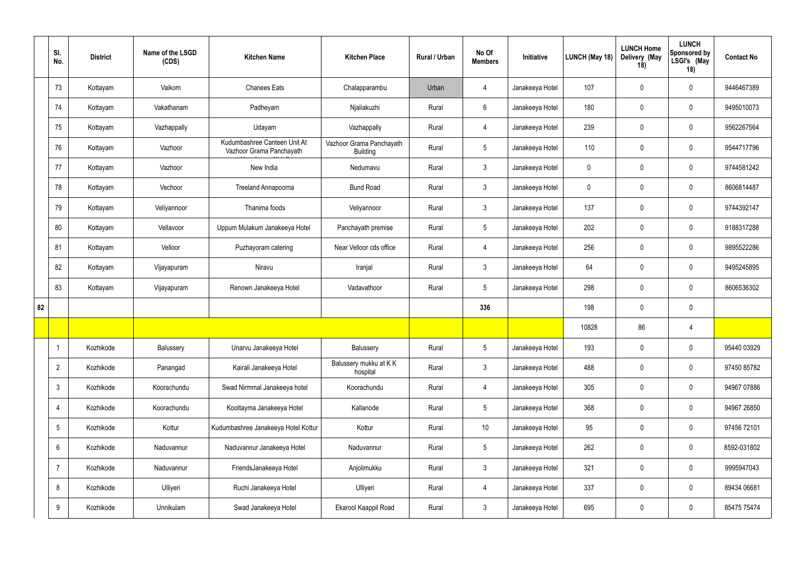|    | SI.<br>No.      | <b>District</b> | Name of the LSGD<br>(CDS) | <b>Kitchen Name</b>                                      | <b>Kitchen Place</b>                        | Rural / Urban | No Of<br><b>Members</b> | Initiative      | LUNCH (May 18) | <b>LUNCH Home</b><br>Delivery (May<br>18) | <b>LUNCH</b><br><b>Sponsored by</b><br>LSGI's (May<br>18) | <b>Contact No</b> |
|----|-----------------|-----------------|---------------------------|----------------------------------------------------------|---------------------------------------------|---------------|-------------------------|-----------------|----------------|-------------------------------------------|-----------------------------------------------------------|-------------------|
|    | 73              | Kottayam        | Vaikom                    | <b>Chanees Eats</b>                                      | Chalapparambu                               | Urban         | $\overline{4}$          | Janakeeya Hotel | 107            | $\overline{0}$                            | $\mathbf 0$                                               | 9446467389        |
|    | 74              | Kottayam        | Vakathanam                | Padheyam                                                 | Njaliakuzhi                                 | Rural         | 6                       | Janakeeya Hotel | 180            | $\overline{0}$                            | $\mathbf 0$                                               | 9495010073        |
|    | 75              | Kottayam        | Vazhappally               | Udayam                                                   | Vazhappally                                 | Rural         | $\overline{4}$          | Janakeeya Hotel | 239            | $\overline{0}$                            | $\mathbf 0$                                               | 9562267564        |
|    | 76              | Kottayam        | Vazhoor                   | Kudumbashree Canteen Unit At<br>Vazhoor Grama Panchayath | Vazhoor Grama Panchayath<br><b>Building</b> | Rural         | $5\overline{)}$         | Janakeeya Hotel | 110            | $\overline{0}$                            | $\mathbf 0$                                               | 9544717796        |
|    | 77              | Kottayam        | Vazhoor                   | New India                                                | Nedumavu                                    | Rural         | $\mathbf{3}$            | Janakeeya Hotel | $\mathbf 0$    | $\overline{0}$                            | $\mathbf 0$                                               | 9744581242        |
|    | 78              | Kottayam        | Vechoor                   | <b>Treeland Annapoorna</b>                               | <b>Bund Road</b>                            | Rural         | $\mathbf{3}$            | Janakeeya Hotel | $\mathbf 0$    | $\overline{0}$                            | $\mathbf 0$                                               | 8606814487        |
|    | 79              | Kottayam        | Veliyannoor               | Thanima foods                                            | Veliyannoor                                 | Rural         | $\mathbf{3}$            | Janakeeya Hotel | 137            | $\overline{0}$                            | $\mathbf 0$                                               | 9744392147        |
|    | 80              | Kottayam        | Vellavoor                 | Uppum Mulakum Janakeeya Hotel                            | Panchayath premise                          | Rural         | $5\phantom{.0}$         | Janakeeya Hotel | 202            | $\overline{0}$                            | $\mathbf 0$                                               | 9188317288        |
|    | 81              | Kottayam        | Velloor                   | Puzhayoram catering                                      | Near Velloor cds office                     | Rural         | $\overline{4}$          | Janakeeya Hotel | 256            | $\overline{0}$                            | $\mathbf 0$                                               | 9895522286        |
|    | 82              | Kottayam        | Vijayapuram               | Niravu                                                   | Iranjal                                     | Rural         | $\mathbf{3}$            | Janakeeya Hotel | 64             | $\overline{0}$                            | $\mathbf 0$                                               | 9495245895        |
|    | 83              | Kottayam        | Vijayapuram               | Renown Janakeeya Hotel                                   | Vadavathoor                                 | Rural         | $5\overline{)}$         | Janakeeya Hotel | 298            | $\overline{0}$                            | $\mathbf 0$                                               | 8606536302        |
| 82 |                 |                 |                           |                                                          |                                             |               | 336                     |                 | 198            | $\overline{0}$                            | $\mathbf 0$                                               |                   |
|    |                 |                 |                           |                                                          |                                             |               |                         |                 | 10828          | 86                                        | $\overline{4}$                                            |                   |
|    | -1              | Kozhikode       | Balussery                 | Unarvu Janakeeya Hotel                                   | Balussery                                   | Rural         | $5\phantom{.0}$         | Janakeeya Hotel | 193            | $\pmb{0}$                                 | $\mathbf 0$                                               | 95440 03929       |
|    | $2^{\circ}$     | Kozhikode       | Panangad                  | Kairali Janakeeya Hotel                                  | Balussery mukku at KK<br>hospital           | Rural         | 3 <sup>1</sup>          | Janakeeya Hotel | 488            | $\overline{0}$                            | $\mathbf 0$                                               | 97450 85782       |
|    | $\mathbf{3}$    | Kozhikode       | Koorachundu               | Swad Nirmmal Janakeeya hotel                             | Koorachundu                                 | Rural         | $\overline{4}$          | Janakeeya Hotel | 305            | $\pmb{0}$                                 | $\mathbf 0$                                               | 94967 07886       |
|    | $\overline{4}$  | Kozhikode       | Koorachundu               | Koottayma Janakeeya Hotel                                | Kallanode                                   | Rural         | $5\overline{)}$         | Janakeeya Hotel | 368            | $\overline{0}$                            | $\mathbf 0$                                               | 94967 26850       |
|    | 5 <sup>5</sup>  | Kozhikode       | Kottur                    | Kudumbashree Janakeeya Hotel Kottur                      | Kottur                                      | Rural         | 10                      | Janakeeya Hotel | 95             | $\pmb{0}$                                 | $\pmb{0}$                                                 | 97456 72101       |
|    | $6\overline{6}$ | Kozhikode       | Naduvannur                | Naduvannur Janakeeya Hotel                               | Naduvannur                                  | Rural         | $5\overline{)}$         | Janakeeya Hotel | 262            | $\mathbf 0$                               | $\pmb{0}$                                                 | 8592-031802       |
|    | $\overline{7}$  | Kozhikode       | Naduvannur                | FriendsJanakeeya Hotel                                   | Anjolimukku                                 | Rural         | 3 <sup>1</sup>          | Janakeeya Hotel | 321            | $\mathbf 0$                               | $\pmb{0}$                                                 | 9995947043        |
|    | 8               | Kozhikode       | Ulliyeri                  | Ruchi Janakeeya Hotel                                    | Ulliyeri                                    | Rural         | $\overline{4}$          | Janakeeya Hotel | 337            | $\mathbf 0$                               | $\overline{0}$                                            | 89434 06681       |
|    | 9               | Kozhikode       | Unnikulam                 | Swad Janakeeya Hotel                                     | Ekarool Kaappil Road                        | Rural         | $\mathbf{3}$            | Janakeeya Hotel | 695            | $\boldsymbol{0}$                          | $\boldsymbol{0}$                                          | 85475 75474       |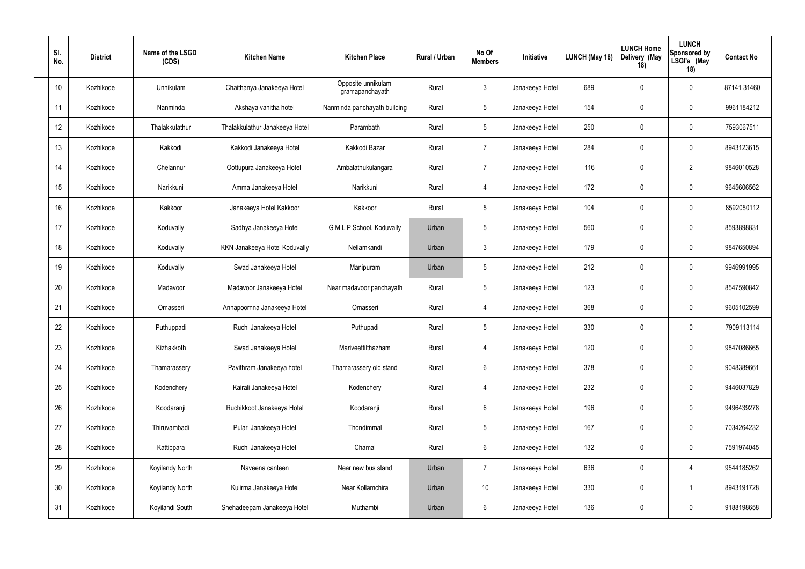| SI.<br>No. | <b>District</b> | Name of the LSGD<br>(CDS) | <b>Kitchen Name</b>            | <b>Kitchen Place</b>                  | <b>Rural / Urban</b> | No Of<br><b>Members</b> | Initiative      | LUNCH (May 18) | <b>LUNCH Home</b><br>Delivery (May<br>18) | <b>LUNCH</b><br>Sponsored by<br>LSGI's (May<br>18) | <b>Contact No</b> |
|------------|-----------------|---------------------------|--------------------------------|---------------------------------------|----------------------|-------------------------|-----------------|----------------|-------------------------------------------|----------------------------------------------------|-------------------|
| 10         | Kozhikode       | <b>Unnikulam</b>          | Chaithanya Janakeeya Hotel     | Opposite unnikulam<br>gramapanchayath | Rural                | $\mathbf{3}$            | Janakeeya Hotel | 689            | $\mathbf 0$                               | $\mathbf 0$                                        | 87141 31460       |
| 11         | Kozhikode       | Nanminda                  | Akshaya vanitha hotel          | Nanminda panchayath building          | Rural                | $5\phantom{.0}$         | Janakeeya Hotel | 154            | $\mathbf 0$                               | $\overline{0}$                                     | 9961184212        |
| 12         | Kozhikode       | Thalakkulathur            | Thalakkulathur Janakeeya Hotel | Parambath                             | Rural                | $5\phantom{.0}$         | Janakeeya Hotel | 250            | $\mathbf 0$                               | $\mathbf 0$                                        | 7593067511        |
| 13         | Kozhikode       | Kakkodi                   | Kakkodi Janakeeya Hotel        | Kakkodi Bazar                         | Rural                | $\overline{7}$          | Janakeeya Hotel | 284            | $\mathbf 0$                               | $\mathbf 0$                                        | 8943123615        |
| 14         | Kozhikode       | Chelannur                 | Oottupura Janakeeya Hotel      | Ambalathukulangara                    | Rural                | $\overline{7}$          | Janakeeya Hotel | 116            | $\mathbf 0$                               | $\overline{2}$                                     | 9846010528        |
| 15         | Kozhikode       | Narikkuni                 | Amma Janakeeya Hotel           | Narikkuni                             | Rural                | $\overline{4}$          | Janakeeya Hotel | 172            | $\mathbf 0$                               | $\mathbf 0$                                        | 9645606562        |
| 16         | Kozhikode       | Kakkoor                   | Janakeeya Hotel Kakkoor        | Kakkoor                               | Rural                | $5\phantom{.0}$         | Janakeeya Hotel | 104            | $\mathbf 0$                               | $\mathbf 0$                                        | 8592050112        |
| 17         | Kozhikode       | Koduvally                 | Sadhya Janakeeya Hotel         | G M L P School, Koduvally             | Urban                | $5\overline{)}$         | Janakeeya Hotel | 560            | $\mathbf 0$                               | $\mathbf 0$                                        | 8593898831        |
| 18         | Kozhikode       | Koduvally                 | KKN Janakeeya Hotel Koduvally  | Nellamkandi                           | Urban                | $\mathbf{3}$            | Janakeeya Hotel | 179            | $\mathbf 0$                               | $\mathbf 0$                                        | 9847650894        |
| 19         | Kozhikode       | Koduvally                 | Swad Janakeeya Hotel           | Manipuram                             | Urban                | $5\phantom{.0}$         | Janakeeya Hotel | 212            | $\mathbf 0$                               | $\mathbf 0$                                        | 9946991995        |
| 20         | Kozhikode       | Madavoor                  | Madavoor Janakeeya Hotel       | Near madavoor panchayath              | Rural                | $5\phantom{.0}$         | Janakeeya Hotel | 123            | $\mathbf 0$                               | $\mathbf 0$                                        | 8547590842        |
| 21         | Kozhikode       | Omasseri                  | Annapoornna Janakeeya Hotel    | Omasseri                              | Rural                | $\overline{4}$          | Janakeeya Hotel | 368            | $\mathbf 0$                               | $\mathbf 0$                                        | 9605102599        |
| 22         | Kozhikode       | Puthuppadi                | Ruchi Janakeeya Hotel          | Puthupadi                             | Rural                | $5\overline{)}$         | Janakeeya Hotel | 330            | $\mathbf 0$                               | $\mathbf 0$                                        | 7909113114        |
| 23         | Kozhikode       | Kizhakkoth                | Swad Janakeeya Hotel           | Mariveettilthazham                    | Rural                | $\overline{4}$          | Janakeeya Hotel | 120            | $\mathbf 0$                               | $\overline{0}$                                     | 9847086665        |
| 24         | Kozhikode       | Thamarassery              | Pavithram Janakeeya hotel      | Thamarassery old stand                | Rural                | $6\phantom{.}6$         | Janakeeya Hotel | 378            | $\mathbf 0$                               | $\mathbf 0$                                        | 9048389661        |
| 25         | Kozhikode       | Kodenchery                | Kairali Janakeeya Hotel        | Kodenchery                            | Rural                | $\overline{4}$          | Janakeeya Hotel | 232            | $\mathbf 0$                               | $\mathbf 0$                                        | 9446037829        |
| 26         | Kozhikode       | Koodaranji                | Ruchikkoot Janakeeya Hotel     | Koodaranji                            | Rural                | $6\overline{6}$         | Janakeeya Hotel | 196            | $\mathbf 0$                               | $\mathbf 0$                                        | 9496439278        |
| 27         | Kozhikode       | Thiruvambadi              | Pulari Janakeeya Hotel         | Thondimmal                            | Rural                | $5\phantom{.0}$         | Janakeeya Hotel | 167            | $\pmb{0}$                                 | $\pmb{0}$                                          | 7034264232        |
| 28         | Kozhikode       | Kattippara                | Ruchi Janakeeya Hotel          | Chamal                                | Rural                | $6\phantom{.}6$         | Janakeeya Hotel | 132            | $\pmb{0}$                                 | $\pmb{0}$                                          | 7591974045        |
| 29         | Kozhikode       | Koyilandy North           | Naveena canteen                | Near new bus stand                    | Urban                | $\overline{7}$          | Janakeeya Hotel | 636            | $\mathbf 0$                               | $\overline{4}$                                     | 9544185262        |
| 30         | Kozhikode       | <b>Koyilandy North</b>    | Kulirma Janakeeya Hotel        | Near Kollamchira                      | Urban                | 10 <sup>°</sup>         | Janakeeya Hotel | 330            | $\mathbf 0$                               | -1                                                 | 8943191728        |
| 31         | Kozhikode       | Koyilandi South           | Snehadeepam Janakeeya Hotel    | Muthambi                              | Urban                | $6\phantom{.}6$         | Janakeeya Hotel | 136            | $\mathbf 0$                               | $\mathbf 0$                                        | 9188198658        |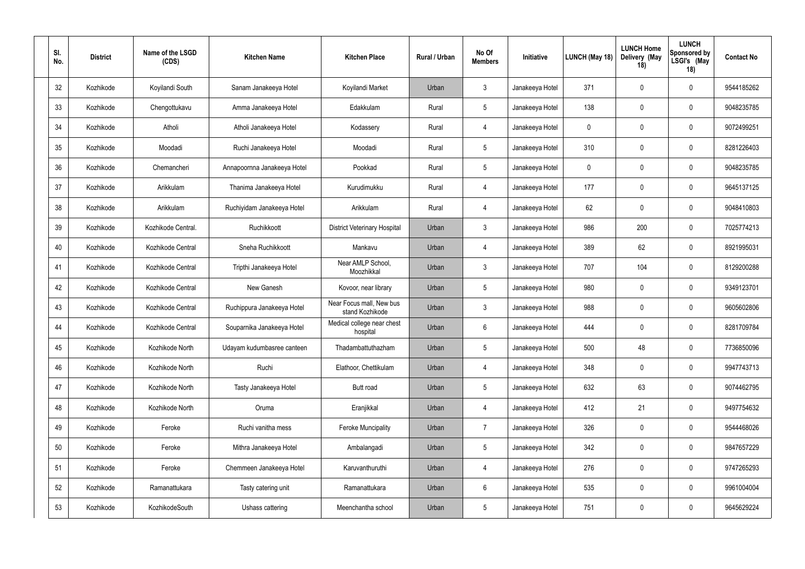| SI.<br>No. | <b>District</b> | Name of the LSGD<br>(CDS) | <b>Kitchen Name</b>         | <b>Kitchen Place</b>                        | Rural / Urban | No Of<br><b>Members</b> | Initiative      | LUNCH (May 18) | <b>LUNCH Home</b><br>Delivery (May<br>18) | <b>LUNCH</b><br><b>Sponsored by</b><br>LSGI's (May<br>18) | <b>Contact No</b> |
|------------|-----------------|---------------------------|-----------------------------|---------------------------------------------|---------------|-------------------------|-----------------|----------------|-------------------------------------------|-----------------------------------------------------------|-------------------|
| 32         | Kozhikode       | Koyilandi South           | Sanam Janakeeya Hotel       | Koyilandi Market                            | Urban         | $\mathbf{3}$            | Janakeeya Hotel | 371            | $\mathbf 0$                               | $\mathbf 0$                                               | 9544185262        |
| 33         | Kozhikode       | Chengottukavu             | Amma Janakeeya Hotel        | Edakkulam                                   | Rural         | $\overline{5}$          | Janakeeya Hotel | 138            | $\mathbf 0$                               | $\mathbf 0$                                               | 9048235785        |
| 34         | Kozhikode       | Atholi                    | Atholi Janakeeya Hotel      | Kodassery                                   | Rural         | $\overline{4}$          | Janakeeya Hotel | 0              | 0                                         | $\mathbf 0$                                               | 9072499251        |
| 35         | Kozhikode       | Moodadi                   | Ruchi Janakeeya Hotel       | Moodadi                                     | Rural         | $5\phantom{.0}$         | Janakeeya Hotel | 310            | $\mathbf 0$                               | $\mathbf 0$                                               | 8281226403        |
| 36         | Kozhikode       | Chemancheri               | Annapoornna Janakeeya Hotel | Pookkad                                     | Rural         | $5\phantom{.0}$         | Janakeeya Hotel | 0              | 0                                         | $\mathbf 0$                                               | 9048235785        |
| 37         | Kozhikode       | Arikkulam                 | Thanima Janakeeya Hotel     | Kurudimukku                                 | Rural         | $\overline{4}$          | Janakeeya Hotel | 177            | $\mathbf 0$                               | $\mathbf 0$                                               | 9645137125        |
| 38         | Kozhikode       | Arikkulam                 | Ruchiyidam Janakeeya Hotel  | Arikkulam                                   | Rural         | $\overline{4}$          | Janakeeya Hotel | 62             | $\mathbf 0$                               | $\mathbf 0$                                               | 9048410803        |
| 39         | Kozhikode       | Kozhikode Central.        | Ruchikkoott                 | <b>District Veterinary Hospital</b>         | Urban         | $\mathbf{3}$            | Janakeeya Hotel | 986            | 200                                       | $\mathbf 0$                                               | 7025774213        |
| 40         | Kozhikode       | Kozhikode Central         | Sneha Ruchikkoott           | Mankavu                                     | Urban         | $\overline{4}$          | Janakeeya Hotel | 389            | 62                                        | $\mathbf 0$                                               | 8921995031        |
| 41         | Kozhikode       | Kozhikode Central         | Tripthi Janakeeya Hotel     | Near AMLP School,<br>Moozhikkal             | Urban         | $\mathbf{3}$            | Janakeeya Hotel | 707            | 104                                       | $\mathbf 0$                                               | 8129200288        |
| 42         | Kozhikode       | Kozhikode Central         | New Ganesh                  | Kovoor, near library                        | Urban         | $5\phantom{.0}$         | Janakeeya Hotel | 980            | 0                                         | $\mathbf 0$                                               | 9349123701        |
| 43         | Kozhikode       | Kozhikode Central         | Ruchippura Janakeeya Hotel  | Near Focus mall, New bus<br>stand Kozhikode | Urban         | $\mathbf{3}$            | Janakeeya Hotel | 988            | 0                                         | $\mathbf 0$                                               | 9605602806        |
| 44         | Kozhikode       | Kozhikode Central         | Souparnika Janakeeya Hotel  | Medical college near chest<br>hospital      | Urban         | $6\phantom{1}6$         | Janakeeya Hotel | 444            | 0                                         | $\mathbf 0$                                               | 8281709784        |
| 45         | Kozhikode       | Kozhikode North           | Udayam kudumbasree canteen  | Thadambattuthazham                          | Urban         | $5\phantom{.0}$         | Janakeeya Hotel | 500            | 48                                        | $\mathbf 0$                                               | 7736850096        |
| 46         | Kozhikode       | Kozhikode North           | Ruchi                       | Elathoor, Chettikulam                       | Urban         | $\overline{4}$          | Janakeeya Hotel | 348            | $\mathbf 0$                               | $\pmb{0}$                                                 | 9947743713        |
| 47         | Kozhikode       | Kozhikode North           | Tasty Janakeeya Hotel       | Butt road                                   | Urban         | $\overline{5}$          | Janakeeya Hotel | 632            | 63                                        | $\pmb{0}$                                                 | 9074462795        |
| 48         | Kozhikode       | Kozhikode North           | Oruma                       | Eranjikkal                                  | Urban         | $\overline{4}$          | Janakeeya Hotel | 412            | 21                                        | $\pmb{0}$                                                 | 9497754632        |
| 49         | Kozhikode       | Feroke                    | Ruchi vanitha mess          | <b>Feroke Muncipality</b>                   | Urban         | $\overline{7}$          | Janakeeya Hotel | 326            | $\boldsymbol{0}$                          | $\pmb{0}$                                                 | 9544468026        |
| 50         | Kozhikode       | Feroke                    | Mithra Janakeeya Hotel      | Ambalangadi                                 | Urban         | $5\,$                   | Janakeeya Hotel | 342            | $\boldsymbol{0}$                          | $\pmb{0}$                                                 | 9847657229        |
| 51         | Kozhikode       | Feroke                    | Chemmeen Janakeeya Hotel    | Karuvanthuruthi                             | Urban         | $\overline{4}$          | Janakeeya Hotel | 276            | $\boldsymbol{0}$                          | $\pmb{0}$                                                 | 9747265293        |
| 52         | Kozhikode       | Ramanattukara             | Tasty catering unit         | Ramanattukara                               | Urban         | $6\,$                   | Janakeeya Hotel | 535            | $\mathbf 0$                               | $\pmb{0}$                                                 | 9961004004        |
| 53         | Kozhikode       | KozhikodeSouth            | Ushass cattering            | Meenchantha school                          | Urban         | $5\phantom{.0}$         | Janakeeya Hotel | 751            | $\boldsymbol{0}$                          | $\pmb{0}$                                                 | 9645629224        |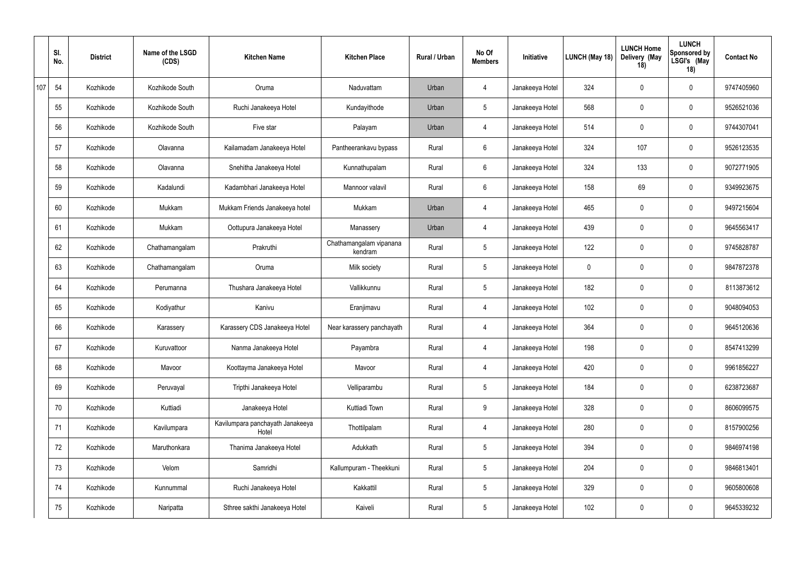|     | SI.<br>No. | <b>District</b> | Name of the LSGD<br>(CDS) | <b>Kitchen Name</b>                       | <b>Kitchen Place</b>               | Rural / Urban | No Of<br><b>Members</b> | Initiative      | LUNCH (May 18)   | <b>LUNCH Home</b><br>Delivery (May<br>18) | <b>LUNCH</b><br>Sponsored by<br>LSGI's (May<br>18) | <b>Contact No</b> |
|-----|------------|-----------------|---------------------------|-------------------------------------------|------------------------------------|---------------|-------------------------|-----------------|------------------|-------------------------------------------|----------------------------------------------------|-------------------|
| 107 | 54         | Kozhikode       | Kozhikode South           | Oruma                                     | Naduvattam                         | Urban         | $\overline{4}$          | Janakeeya Hotel | 324              | $\mathbf 0$                               | $\overline{0}$                                     | 9747405960        |
|     | 55         | Kozhikode       | Kozhikode South           | Ruchi Janakeeya Hotel                     | Kundayithode                       | Urban         | $5\phantom{.0}$         | Janakeeya Hotel | 568              | $\mathbf 0$                               | $\overline{0}$                                     | 9526521036        |
|     | 56         | Kozhikode       | Kozhikode South           | Five star                                 | Palayam                            | Urban         | $\overline{4}$          | Janakeeya Hotel | 514              | $\mathbf 0$                               | $\overline{0}$                                     | 9744307041        |
|     | 57         | Kozhikode       | Olavanna                  | Kailamadam Janakeeya Hotel                | Pantheerankavu bypass              | Rural         | 6                       | Janakeeya Hotel | 324              | 107                                       | $\overline{0}$                                     | 9526123535        |
|     | 58         | Kozhikode       | Olavanna                  | Snehitha Janakeeya Hotel                  | Kunnathupalam                      | Rural         | 6                       | Janakeeya Hotel | 324              | 133                                       | $\overline{0}$                                     | 9072771905        |
|     | 59         | Kozhikode       | Kadalundi                 | Kadambhari Janakeeya Hotel                | Mannoor valavil                    | Rural         | 6                       | Janakeeya Hotel | 158              | 69                                        | $\overline{0}$                                     | 9349923675        |
|     | 60         | Kozhikode       | Mukkam                    | Mukkam Friends Janakeeya hotel            | Mukkam                             | Urban         | $\overline{4}$          | Janakeeya Hotel | 465              | $\mathbf 0$                               | $\overline{0}$                                     | 9497215604        |
|     | 61         | Kozhikode       | Mukkam                    | Oottupura Janakeeya Hotel                 | Manassery                          | Urban         | 4                       | Janakeeya Hotel | 439              | $\mathbf 0$                               | $\mathbf 0$                                        | 9645563417        |
|     | 62         | Kozhikode       | Chathamangalam            | Prakruthi                                 | Chathamangalam vipanana<br>kendram | Rural         | $5\phantom{.0}$         | Janakeeya Hotel | 122              | $\mathbf 0$                               | $\overline{0}$                                     | 9745828787        |
|     | 63         | Kozhikode       | Chathamangalam            | Oruma                                     | Milk society                       | Rural         | $5\phantom{.0}$         | Janakeeya Hotel | $\boldsymbol{0}$ | $\mathbf 0$                               | $\overline{0}$                                     | 9847872378        |
|     | 64         | Kozhikode       | Perumanna                 | Thushara Janakeeya Hotel                  | Vallikkunnu                        | Rural         | $5\phantom{.0}$         | Janakeeya Hotel | 182              | $\mathbf 0$                               | $\overline{0}$                                     | 8113873612        |
|     | 65         | Kozhikode       | Kodiyathur                | Kanivu                                    | Eranjimavu                         | Rural         | 4                       | Janakeeya Hotel | 102              | $\mathbf 0$                               | $\overline{0}$                                     | 9048094053        |
|     | 66         | Kozhikode       | Karassery                 | Karassery CDS Janakeeya Hotel             | Near karassery panchayath          | Rural         | 4                       | Janakeeya Hotel | 364              | $\overline{0}$                            | $\overline{0}$                                     | 9645120636        |
|     | 67         | Kozhikode       | Kuruvattoor               | Nanma Janakeeya Hotel                     | Payambra                           | Rural         | $\overline{4}$          | Janakeeya Hotel | 198              | $\mathbf 0$                               | $\mathbf 0$                                        | 8547413299        |
|     | 68         | Kozhikode       | Mavoor                    | Koottayma Janakeeya Hotel                 | Mavoor                             | Rural         | $\overline{4}$          | Janakeeya Hotel | 420              | $\mathbf 0$                               | $\pmb{0}$                                          | 9961856227        |
|     | 69         | Kozhikode       | Peruvayal                 | Tripthi Janakeeya Hotel                   | Velliparambu                       | Rural         | $5\phantom{.0}$         | Janakeeya Hotel | 184              | $\mathbf 0$                               | $\pmb{0}$                                          | 6238723687        |
|     | 70         | Kozhikode       | Kuttiadi                  | Janakeeya Hotel                           | Kuttiadi Town                      | Rural         | 9                       | Janakeeya Hotel | 328              | $\mathbf 0$                               | $\pmb{0}$                                          | 8606099575        |
|     | 71         | Kozhikode       | Kavilumpara               | Kavilumpara panchayath Janakeeya<br>Hotel | Thottilpalam                       | Rural         | $\overline{4}$          | Janakeeya Hotel | 280              | $\mathbf 0$                               | $\pmb{0}$                                          | 8157900256        |
|     | 72         | Kozhikode       | Maruthonkara              | Thanima Janakeeya Hotel                   | Adukkath                           | Rural         | $5\phantom{.0}$         | Janakeeya Hotel | 394              | $\mathbf 0$                               | $\pmb{0}$                                          | 9846974198        |
|     | 73         | Kozhikode       | Velom                     | Samridhi                                  | Kallumpuram - Theekkuni            | Rural         | $5\phantom{.0}$         | Janakeeya Hotel | 204              | $\mathbf 0$                               | $\pmb{0}$                                          | 9846813401        |
|     | 74         | Kozhikode       | Kunnummal                 | Ruchi Janakeeya Hotel                     | Kakkattil                          | Rural         | $5\overline{)}$         | Janakeeya Hotel | 329              | $\bm{0}$                                  | $\overline{0}$                                     | 9605800608        |
|     | 75         | Kozhikode       | Naripatta                 | Sthree sakthi Janakeeya Hotel             | Kaiveli                            | Rural         | $5\phantom{.0}$         | Janakeeya Hotel | 102              | $\mathbf 0$                               | $\overline{0}$                                     | 9645339232        |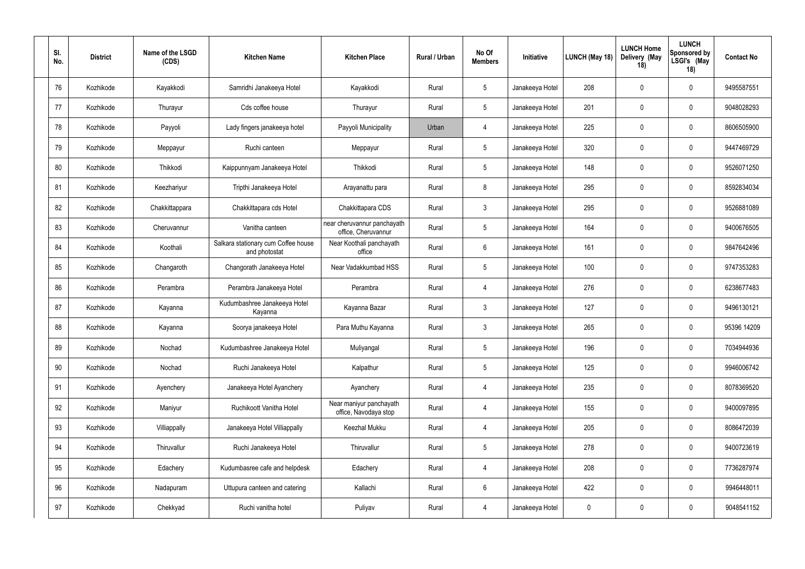| SI.<br>No. | <b>District</b> | Name of the LSGD<br>(CDS) | <b>Kitchen Name</b>                                  | <b>Kitchen Place</b>                               | <b>Rural / Urban</b> | No Of<br><b>Members</b> | Initiative      | LUNCH (May 18) | <b>LUNCH Home</b><br>Delivery (May<br>18) | <b>LUNCH</b><br><b>Sponsored by</b><br>LSGI's (May<br>18) | <b>Contact No</b> |
|------------|-----------------|---------------------------|------------------------------------------------------|----------------------------------------------------|----------------------|-------------------------|-----------------|----------------|-------------------------------------------|-----------------------------------------------------------|-------------------|
| 76         | Kozhikode       | Kayakkodi                 | Samridhi Janakeeya Hotel                             | Kayakkodi                                          | Rural                | $\overline{5}$          | Janakeeya Hotel | 208            | $\mathbf 0$                               | $\mathbf 0$                                               | 9495587551        |
| 77         | Kozhikode       | Thurayur                  | Cds coffee house                                     | Thurayur                                           | Rural                | $5\phantom{.0}$         | Janakeeya Hotel | 201            | $\mathbf 0$                               | $\mathbf 0$                                               | 9048028293        |
| 78         | Kozhikode       | Payyoli                   | Lady fingers janakeeya hotel                         | Payyoli Municipality                               | Urban                | $\overline{4}$          | Janakeeya Hotel | 225            | $\mathbf 0$                               | $\mathbf 0$                                               | 8606505900        |
| 79         | Kozhikode       | Meppayur                  | Ruchi canteen                                        | Meppayur                                           | Rural                | $5\phantom{.0}$         | Janakeeya Hotel | 320            | $\mathbf 0$                               | $\mathbf 0$                                               | 9447469729        |
| 80         | Kozhikode       | Thikkodi                  | Kaippunnyam Janakeeya Hotel                          | Thikkodi                                           | Rural                | $5\phantom{.0}$         | Janakeeya Hotel | 148            | $\mathbf 0$                               | $\mathbf 0$                                               | 9526071250        |
| 81         | Kozhikode       | Keezhariyur               | Tripthi Janakeeya Hotel                              | Arayanattu para                                    | Rural                | 8                       | Janakeeya Hotel | 295            | $\mathbf 0$                               | $\mathbf 0$                                               | 8592834034        |
| 82         | Kozhikode       | Chakkittappara            | Chakkittapara cds Hotel                              | Chakkittapara CDS                                  | Rural                | $\mathbf{3}$            | Janakeeya Hotel | 295            | $\mathbf 0$                               | $\mathbf 0$                                               | 9526881089        |
| 83         | Kozhikode       | Cheruvannur               | Vanitha canteen                                      | near cheruvannur panchayath<br>office, Cheruvannur | Rural                | $\overline{5}$          | Janakeeya Hotel | 164            | $\mathbf 0$                               | $\mathbf 0$                                               | 9400676505        |
| 84         | Kozhikode       | Koothali                  | Salkara stationary cum Coffee house<br>and photostat | Near Koothali panchayath<br>office                 | Rural                | $6\,$                   | Janakeeya Hotel | 161            | $\mathbf 0$                               | $\mathbf 0$                                               | 9847642496        |
| 85         | Kozhikode       | Changaroth                | Changorath Janakeeya Hotel                           | Near Vadakkumbad HSS                               | Rural                | $5\phantom{.0}$         | Janakeeya Hotel | 100            | $\mathbf 0$                               | $\mathbf 0$                                               | 9747353283        |
| 86         | Kozhikode       | Perambra                  | Perambra Janakeeya Hotel                             | Perambra                                           | Rural                | $\overline{4}$          | Janakeeya Hotel | 276            | $\mathbf 0$                               | $\mathbf 0$                                               | 6238677483        |
| 87         | Kozhikode       | Kayanna                   | Kudumbashree Janakeeya Hotel<br>Kayanna              | Kayanna Bazar                                      | Rural                | $\mathbf{3}$            | Janakeeya Hotel | 127            | $\mathbf 0$                               | $\mathbf 0$                                               | 9496130121        |
| 88         | Kozhikode       | Kayanna                   | Soorya janakeeya Hotel                               | Para Muthu Kayanna                                 | Rural                | $\mathbf{3}$            | Janakeeya Hotel | 265            | $\mathbf 0$                               | $\mathbf 0$                                               | 95396 14209       |
| 89         | Kozhikode       | Nochad                    | Kudumbashree Janakeeya Hotel                         | Muliyangal                                         | Rural                | $5\phantom{.0}$         | Janakeeya Hotel | 196            | $\mathbf 0$                               | $\overline{0}$                                            | 7034944936        |
| 90         | Kozhikode       | Nochad                    | Ruchi Janakeeya Hotel                                | Kalpathur                                          | Rural                | $5\phantom{.0}$         | Janakeeya Hotel | 125            | $\mathbf 0$                               | $\mathbf 0$                                               | 9946006742        |
| 91         | Kozhikode       | Ayenchery                 | Janakeeya Hotel Ayanchery                            | Ayanchery                                          | Rural                | $\overline{4}$          | Janakeeya Hotel | 235            | $\mathbf 0$                               | $\mathbf 0$                                               | 8078369520        |
| 92         | Kozhikode       | Maniyur                   | Ruchikoott Vanitha Hotel                             | Near maniyur panchayath<br>office, Navodaya stop   | Rural                | $\overline{4}$          | Janakeeya Hotel | 155            | $\overline{0}$                            | $\mathbf 0$                                               | 9400097895        |
| 93         | Kozhikode       | Villiappally              | Janakeeya Hotel Villiappally                         | Keezhal Mukku                                      | Rural                | $\overline{4}$          | Janakeeya Hotel | 205            | $\mathbf 0$                               | $\pmb{0}$                                                 | 8086472039        |
| 94         | Kozhikode       | Thiruvallur               | Ruchi Janakeeya Hotel                                | Thiruvallur                                        | Rural                | $\sqrt{5}$              | Janakeeya Hotel | 278            | $\mathbf 0$                               | $\mathbf 0$                                               | 9400723619        |
| 95         | Kozhikode       | Edachery                  | Kudumbasree cafe and helpdesk                        | Edachery                                           | Rural                | $\overline{4}$          | Janakeeya Hotel | 208            | $\mathbf 0$                               | $\overline{0}$                                            | 7736287974        |
| 96         | Kozhikode       | Nadapuram                 | Uttupura canteen and catering                        | Kallachi                                           | Rural                | $6\phantom{.}6$         | Janakeeya Hotel | 422            | $\mathbf 0$                               | $\overline{0}$                                            | 9946448011        |
| 97         | Kozhikode       | Chekkyad                  | Ruchi vanitha hotel                                  | Puliyav                                            | Rural                | $\overline{4}$          | Janakeeya Hotel | 0              | $\mathbf 0$                               | $\mathbf 0$                                               | 9048541152        |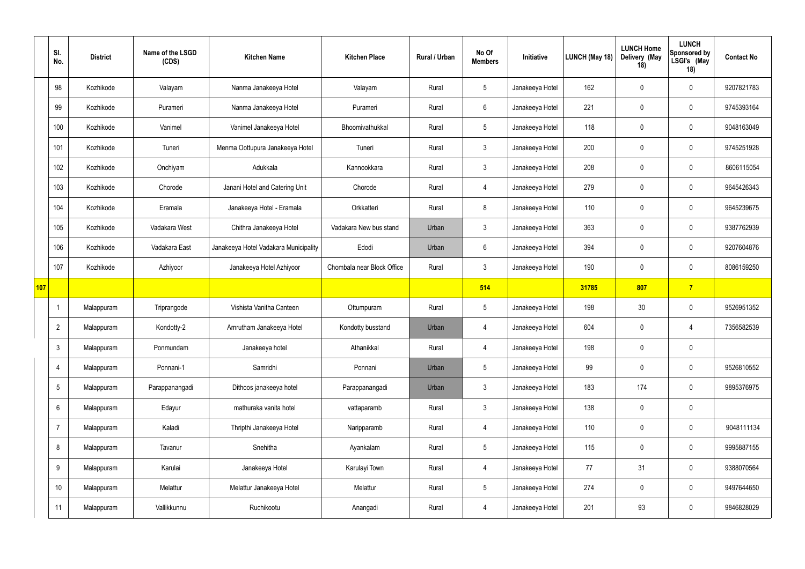|            | SI.<br>No.      | <b>District</b> | Name of the LSGD<br>(CDS) | <b>Kitchen Name</b>                   | <b>Kitchen Place</b>       | Rural / Urban | No Of<br><b>Members</b> | Initiative      | <b>LUNCH (May 18)</b> | <b>LUNCH Home</b><br>Delivery (May<br>18) | <b>LUNCH</b><br>Sponsored by<br>LSGI's (May<br>18) | <b>Contact No</b> |
|------------|-----------------|-----------------|---------------------------|---------------------------------------|----------------------------|---------------|-------------------------|-----------------|-----------------------|-------------------------------------------|----------------------------------------------------|-------------------|
|            | 98              | Kozhikode       | Valayam                   | Nanma Janakeeya Hotel                 | Valayam                    | Rural         | $5\phantom{.0}$         | Janakeeya Hotel | 162                   | $\mathbf 0$                               | $\overline{0}$                                     | 9207821783        |
|            | 99              | Kozhikode       | Purameri                  | Nanma Janakeeya Hotel                 | Purameri                   | Rural         | 6                       | Janakeeya Hotel | 221                   | $\mathbf 0$                               | $\pmb{0}$                                          | 9745393164        |
|            | 100             | Kozhikode       | Vanimel                   | Vanimel Janakeeya Hotel               | Bhoomivathukkal            | Rural         | $5\overline{)}$         | Janakeeya Hotel | 118                   | $\mathbf 0$                               | $\overline{0}$                                     | 9048163049        |
|            | 101             | Kozhikode       | Tuneri                    | Menma Oottupura Janakeeya Hotel       | Tuneri                     | Rural         | $\mathbf{3}$            | Janakeeya Hotel | 200                   | $\mathbf 0$                               | $\overline{0}$                                     | 9745251928        |
|            | 102             | Kozhikode       | Onchiyam                  | Adukkala                              | Kannookkara                | Rural         | $\mathbf{3}$            | Janakeeya Hotel | 208                   | $\mathbf 0$                               | $\overline{0}$                                     | 8606115054        |
|            | 103             | Kozhikode       | Chorode                   | Janani Hotel and Catering Unit        | Chorode                    | Rural         | $\overline{4}$          | Janakeeya Hotel | 279                   | $\mathbf 0$                               | $\overline{0}$                                     | 9645426343        |
|            | 104             | Kozhikode       | Eramala                   | Janakeeya Hotel - Eramala             | Orkkatteri                 | Rural         | 8                       | Janakeeya Hotel | 110                   | $\mathbf 0$                               | $\overline{0}$                                     | 9645239675        |
|            | 105             | Kozhikode       | Vadakara West             | Chithra Janakeeya Hotel               | Vadakara New bus stand     | Urban         | $3\phantom{.0}$         | Janakeeya Hotel | 363                   | $\mathbf 0$                               | $\mathbf 0$                                        | 9387762939        |
|            | 106             | Kozhikode       | Vadakara East             | Janakeeya Hotel Vadakara Municipality | Edodi                      | Urban         | 6                       | Janakeeya Hotel | 394                   | $\mathbf 0$                               | $\mathbf 0$                                        | 9207604876        |
|            | 107             | Kozhikode       | Azhiyoor                  | Janakeeya Hotel Azhiyoor              | Chombala near Block Office | Rural         | $3\phantom{.0}$         | Janakeeya Hotel | 190                   | $\mathbf 0$                               | $\mathbf 0$                                        | 8086159250        |
| <b>107</b> |                 |                 |                           |                                       |                            |               | 514                     |                 | 31785                 | 807                                       | $\overline{7}$                                     |                   |
|            | - 1             | Malappuram      | Triprangode               | Vishista Vanitha Canteen              | Ottumpuram                 | Rural         | $5\phantom{.0}$         | Janakeeya Hotel | 198                   | 30                                        | $\overline{0}$                                     | 9526951352        |
|            | $\overline{2}$  | Malappuram      | Kondotty-2                | Amrutham Janakeeya Hotel              | Kondotty busstand          | Urban         | $\overline{4}$          | Janakeeya Hotel | 604                   | $\mathbf 0$                               | -4                                                 | 7356582539        |
|            | $\mathbf{3}$    | Malappuram      | Ponmundam                 | Janakeeya hotel                       | Athanikkal                 | Rural         | $\overline{4}$          | Janakeeya Hotel | 198                   | $\pmb{0}$                                 | $\pmb{0}$                                          |                   |
|            | $\overline{4}$  | Malappuram      | Ponnani-1                 | Samridhi                              | Ponnani                    | Urban         | $5\overline{)}$         | Janakeeya Hotel | 99                    | $\mathbf 0$                               | $\pmb{0}$                                          | 9526810552        |
|            | $\overline{5}$  | Malappuram      | Parappanangadi            | Dithoos janakeeya hotel               | Parappanangadi             | Urban         | 3 <sup>1</sup>          | Janakeeya Hotel | 183                   | 174                                       | $\pmb{0}$                                          | 9895376975        |
|            | $6\phantom{.}6$ | Malappuram      | Edayur                    | mathuraka vanita hotel                | vattaparamb                | Rural         | $3\phantom{.0}$         | Janakeeya Hotel | 138                   | $\mathbf 0$                               | $\pmb{0}$                                          |                   |
|            | $\overline{7}$  | Malappuram      | Kaladi                    | Thripthi Janakeeya Hotel              | Naripparamb                | Rural         | $\overline{4}$          | Janakeeya Hotel | 110                   | $\mathbf 0$                               | $\pmb{0}$                                          | 9048111134        |
|            | $8\,$           | Malappuram      | Tavanur                   | Snehitha                              | Ayankalam                  | Rural         | $5\overline{)}$         | Janakeeya Hotel | 115                   | $\boldsymbol{0}$                          | $\pmb{0}$                                          | 9995887155        |
|            | 9               | Malappuram      | Karulai                   | Janakeeya Hotel                       | Karulayi Town              | Rural         | $\overline{4}$          | Janakeeya Hotel | 77                    | 31                                        | $\mathbf 0$                                        | 9388070564        |
|            | 10 <sup>°</sup> | Malappuram      | Melattur                  | Melattur Janakeeya Hotel              | Melattur                   | Rural         | $5\overline{)}$         | Janakeeya Hotel | 274                   | $\bm{0}$                                  | $\pmb{0}$                                          | 9497644650        |
|            | 11              | Malappuram      | Vallikkunnu               | Ruchikootu                            | Anangadi                   | Rural         | $\overline{4}$          | Janakeeya Hotel | 201                   | 93                                        | $\pmb{0}$                                          | 9846828029        |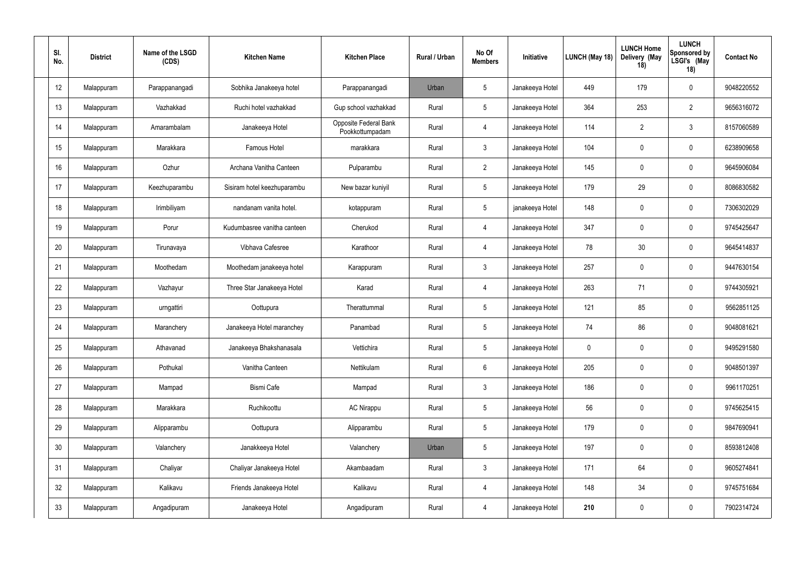| SI.<br>No. | <b>District</b> | Name of the LSGD<br>(CDS) | <b>Kitchen Name</b>         | <b>Kitchen Place</b>                     | <b>Rural / Urban</b> | No Of<br><b>Members</b> | Initiative      | LUNCH (May 18) | <b>LUNCH Home</b><br>Delivery (May<br>18) | <b>LUNCH</b><br><b>Sponsored by</b><br>LSGI's (May<br>18) | <b>Contact No</b> |
|------------|-----------------|---------------------------|-----------------------------|------------------------------------------|----------------------|-------------------------|-----------------|----------------|-------------------------------------------|-----------------------------------------------------------|-------------------|
| 12         | Malappuram      | Parappanangadi            | Sobhika Janakeeya hotel     | Parappanangadi                           | Urban                | $5\phantom{.0}$         | Janakeeya Hotel | 449            | 179                                       | $\mathbf 0$                                               | 9048220552        |
| 13         | Malappuram      | Vazhakkad                 | Ruchi hotel vazhakkad       | Gup school vazhakkad                     | Rural                | $\overline{5}$          | Janakeeya Hotel | 364            | 253                                       | $\overline{2}$                                            | 9656316072        |
| 14         | Malappuram      | Amarambalam               | Janakeeya Hotel             | Opposite Federal Bank<br>Pookkottumpadam | Rural                | $\overline{4}$          | Janakeeya Hotel | 114            | $\overline{2}$                            | $\mathbf{3}$                                              | 8157060589        |
| 15         | Malappuram      | Marakkara                 | Famous Hotel                | marakkara                                | Rural                | $\mathbf{3}$            | Janakeeya Hotel | 104            | $\mathbf 0$                               | $\mathbf 0$                                               | 6238909658        |
| 16         | Malappuram      | Ozhur                     | Archana Vanitha Canteen     | Pulparambu                               | Rural                | $\overline{2}$          | Janakeeya Hotel | 145            | -0                                        | $\mathbf 0$                                               | 9645906084        |
| 17         | Malappuram      | Keezhuparambu             | Sisiram hotel keezhuparambu | New bazar kuniyil                        | Rural                | $\overline{5}$          | Janakeeya Hotel | 179            | 29                                        | $\mathbf 0$                                               | 8086830582        |
| 18         | Malappuram      | Irimbiliyam               | nandanam vanita hotel.      | kotappuram                               | Rural                | $5\phantom{.0}$         | janakeeya Hotel | 148            | $\mathbf 0$                               | $\mathbf 0$                                               | 7306302029        |
| 19         | Malappuram      | Porur                     | Kudumbasree vanitha canteen | Cherukod                                 | Rural                | $\overline{4}$          | Janakeeya Hotel | 347            | $\mathbf 0$                               | $\mathbf 0$                                               | 9745425647        |
| 20         | Malappuram      | Tirunavaya                | Vibhava Cafesree            | Karathoor                                | Rural                | $\overline{4}$          | Janakeeya Hotel | 78             | 30                                        | $\mathbf 0$                                               | 9645414837        |
| 21         | Malappuram      | Moothedam                 | Moothedam janakeeya hotel   | Karappuram                               | Rural                | $\mathbf{3}$            | Janakeeya Hotel | 257            | $\mathbf 0$                               | $\mathbf 0$                                               | 9447630154        |
| 22         | Malappuram      | Vazhayur                  | Three Star Janakeeya Hotel  | Karad                                    | Rural                | $\overline{4}$          | Janakeeya Hotel | 263            | 71                                        | $\mathbf 0$                                               | 9744305921        |
| 23         | Malappuram      | urngattiri                | Oottupura                   | Therattummal                             | Rural                | $\overline{5}$          | Janakeeya Hotel | 121            | 85                                        | $\mathbf 0$                                               | 9562851125        |
| 24         | Malappuram      | Maranchery                | Janakeeya Hotel maranchey   | Panambad                                 | Rural                | $5\phantom{.0}$         | Janakeeya Hotel | 74             | 86                                        | $\mathbf 0$                                               | 9048081621        |
| 25         | Malappuram      | Athavanad                 | Janakeeya Bhakshanasala     | Vettichira                               | Rural                | $5\phantom{.0}$         | Janakeeya Hotel | $\mathbf 0$    | $\mathbf 0$                               | $\mathbf 0$                                               | 9495291580        |
| 26         | Malappuram      | Pothukal                  | Vanitha Canteen             | Nettikulam                               | Rural                | $\,6\,$                 | Janakeeya Hotel | 205            | $\pmb{0}$                                 | $\pmb{0}$                                                 | 9048501397        |
| 27         | Malappuram      | Mampad                    | Bismi Cafe                  | Mampad                                   | Rural                | $\mathbf{3}$            | Janakeeya Hotel | 186            | $\pmb{0}$                                 | $\pmb{0}$                                                 | 9961170251        |
| 28         | Malappuram      | Marakkara                 | Ruchikoottu                 | <b>AC Nirappu</b>                        | Rural                | $5\phantom{.0}$         | Janakeeya Hotel | 56             | $\mathbf 0$                               | $\mathbf 0$                                               | 9745625415        |
| 29         | Malappuram      | Alipparambu               | Oottupura                   | Alipparambu                              | Rural                | $\sqrt{5}$              | Janakeeya Hotel | 179            | $\pmb{0}$                                 | $\pmb{0}$                                                 | 9847690941        |
| $30\,$     | Malappuram      | Valanchery                | Janakkeeya Hotel            | Valanchery                               | Urban                | $\sqrt{5}$              | Janakeeya Hotel | 197            | $\pmb{0}$                                 | $\pmb{0}$                                                 | 8593812408        |
| 31         | Malappuram      | Chaliyar                  | Chaliyar Janakeeya Hotel    | Akambaadam                               | Rural                | $\mathbf{3}$            | Janakeeya Hotel | 171            | 64                                        | $\mathbf 0$                                               | 9605274841        |
| 32         | Malappuram      | Kalikavu                  | Friends Janakeeya Hotel     | Kalikavu                                 | Rural                | $\overline{4}$          | Janakeeya Hotel | 148            | 34                                        | $\mathbf 0$                                               | 9745751684        |
| 33         | Malappuram      | Angadipuram               | Janakeeya Hotel             | Angadipuram                              | Rural                | $\overline{4}$          | Janakeeya Hotel | 210            | $\boldsymbol{0}$                          | $\boldsymbol{0}$                                          | 7902314724        |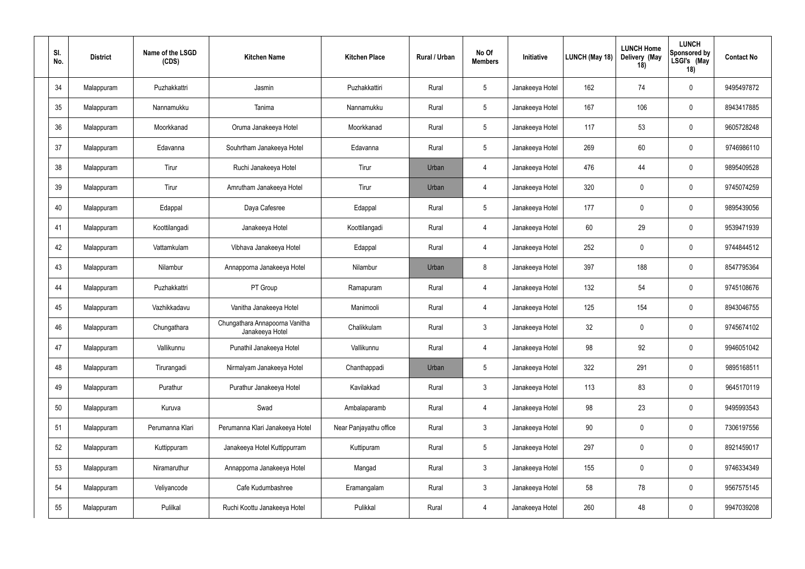| SI.<br>No. | <b>District</b> | Name of the LSGD<br>(CDS) | <b>Kitchen Name</b>                               | <b>Kitchen Place</b>   | <b>Rural / Urban</b> | No Of<br><b>Members</b> | Initiative      | LUNCH (May 18) | <b>LUNCH Home</b><br>Delivery (May<br>18) | <b>LUNCH</b><br><b>Sponsored by</b><br>LSGI's (May<br>18) | <b>Contact No</b> |
|------------|-----------------|---------------------------|---------------------------------------------------|------------------------|----------------------|-------------------------|-----------------|----------------|-------------------------------------------|-----------------------------------------------------------|-------------------|
| 34         | Malappuram      | Puzhakkattri              | Jasmin                                            | Puzhakkattiri          | Rural                | $5\phantom{.0}$         | Janakeeya Hotel | 162            | 74                                        | $\mathbf 0$                                               | 9495497872        |
| 35         | Malappuram      | Nannamukku                | Tanima                                            | Nannamukku             | Rural                | $\overline{5}$          | Janakeeya Hotel | 167            | 106                                       | $\mathbf 0$                                               | 8943417885        |
| 36         | Malappuram      | Moorkkanad                | Oruma Janakeeya Hotel                             | Moorkkanad             | Rural                | $\overline{5}$          | Janakeeya Hotel | 117            | 53                                        | $\mathbf 0$                                               | 9605728248        |
| 37         | Malappuram      | Edavanna                  | Souhrtham Janakeeya Hotel                         | Edavanna               | Rural                | $5\phantom{.0}$         | Janakeeya Hotel | 269            | 60                                        | $\mathbf 0$                                               | 9746986110        |
| 38         | Malappuram      | Tirur                     | Ruchi Janakeeya Hotel                             | Tirur                  | Urban                | $\overline{4}$          | Janakeeya Hotel | 476            | 44                                        | $\mathbf 0$                                               | 9895409528        |
| 39         | Malappuram      | Tirur                     | Amrutham Janakeeya Hotel                          | Tirur                  | Urban                | $\overline{4}$          | Janakeeya Hotel | 320            | $\mathbf 0$                               | $\mathbf 0$                                               | 9745074259        |
| 40         | Malappuram      | Edappal                   | Daya Cafesree                                     | Edappal                | Rural                | $5\phantom{.0}$         | Janakeeya Hotel | 177            | $\mathbf{0}$                              | $\mathbf 0$                                               | 9895439056        |
| 41         | Malappuram      | Koottilangadi             | Janakeeya Hotel                                   | Koottilangadi          | Rural                | $\overline{4}$          | Janakeeya Hotel | 60             | 29                                        | $\mathbf 0$                                               | 9539471939        |
| 42         | Malappuram      | Vattamkulam               | Vibhava Janakeeya Hotel                           | Edappal                | Rural                | $\overline{4}$          | Janakeeya Hotel | 252            | $\mathbf 0$                               | $\mathbf 0$                                               | 9744844512        |
| 43         | Malappuram      | Nilambur                  | Annapporna Janakeeya Hotel                        | Nilambur               | Urban                | 8                       | Janakeeya Hotel | 397            | 188                                       | $\mathbf 0$                                               | 8547795364        |
| 44         | Malappuram      | Puzhakkattri              | PT Group                                          | Ramapuram              | Rural                | $\overline{4}$          | Janakeeya Hotel | 132            | 54                                        | $\mathbf 0$                                               | 9745108676        |
| 45         | Malappuram      | Vazhikkadavu              | Vanitha Janakeeya Hotel                           | Manimooli              | Rural                | $\overline{4}$          | Janakeeya Hotel | 125            | 154                                       | $\mathbf 0$                                               | 8943046755        |
| 46         | Malappuram      | Chungathara               | Chungathara Annapoorna Vanitha<br>Janakeeya Hotel | Chalikkulam            | Rural                | $\mathbf{3}$            | Janakeeya Hotel | 32             | $\mathbf 0$                               | $\mathbf 0$                                               | 9745674102        |
| 47         | Malappuram      | Vallikunnu                | Punathil Janakeeya Hotel                          | Vallikunnu             | Rural                | $\overline{4}$          | Janakeeya Hotel | 98             | 92                                        | $\pmb{0}$                                                 | 9946051042        |
| 48         | Malappuram      | Tirurangadi               | Nirmalyam Janakeeya Hotel                         | Chanthappadi           | Urban                | $5\phantom{.0}$         | Janakeeya Hotel | 322            | 291                                       | $\pmb{0}$                                                 | 9895168511        |
| 49         | Malappuram      | Purathur                  | Purathur Janakeeya Hotel                          | Kavilakkad             | Rural                | $\mathbf{3}$            | Janakeeya Hotel | 113            | 83                                        | $\pmb{0}$                                                 | 9645170119        |
| 50         | Malappuram      | Kuruva                    | Swad                                              | Ambalaparamb           | Rural                | $\overline{4}$          | Janakeeya Hotel | 98             | 23                                        | $\pmb{0}$                                                 | 9495993543        |
| 51         | Malappuram      | Perumanna Klari           | Perumanna Klari Janakeeya Hotel                   | Near Panjayathu office | Rural                | $\mathfrak{Z}$          | Janakeeya Hotel | $90\,$         | $\mathbf 0$                               | $\pmb{0}$                                                 | 7306197556        |
| 52         | Malappuram      | Kuttippuram               | Janakeeya Hotel Kuttippurram                      | Kuttipuram             | Rural                | $5\,$                   | Janakeeya Hotel | 297            | $\boldsymbol{0}$                          | $\pmb{0}$                                                 | 8921459017        |
| 53         | Malappuram      | Niramaruthur              | Annapporna Janakeeya Hotel                        | Mangad                 | Rural                | $\mathbf{3}$            | Janakeeya Hotel | 155            | $\boldsymbol{0}$                          | $\pmb{0}$                                                 | 9746334349        |
| 54         | Malappuram      | Veliyancode               | Cafe Kudumbashree                                 | Eramangalam            | Rural                | $\mathbf{3}$            | Janakeeya Hotel | 58             | 78                                        | $\pmb{0}$                                                 | 9567575145        |
| 55         | Malappuram      | Pulilkal                  | Ruchi Koottu Janakeeya Hotel                      | Pulikkal               | Rural                | $\overline{4}$          | Janakeeya Hotel | 260            | 48                                        | $\pmb{0}$                                                 | 9947039208        |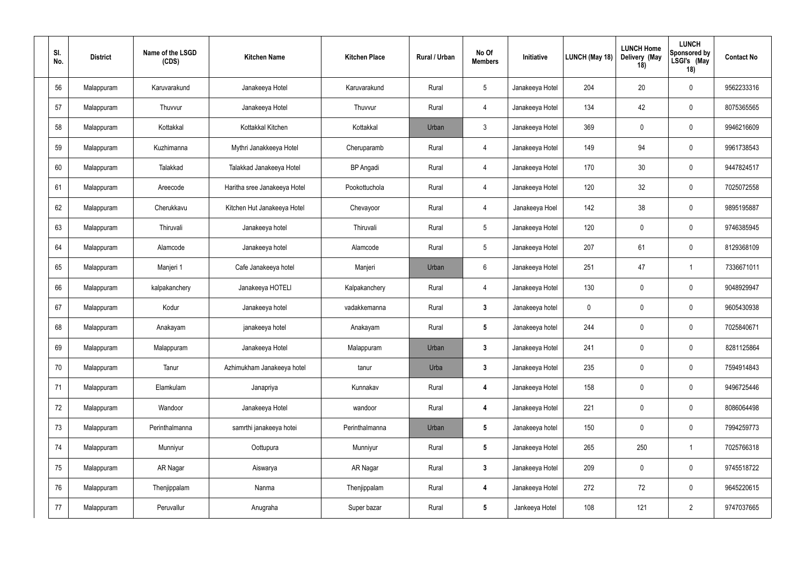| SI.<br>No. | <b>District</b> | Name of the LSGD<br>(CDS) | <b>Kitchen Name</b>          | <b>Kitchen Place</b> | <b>Rural / Urban</b> | No Of<br><b>Members</b> | Initiative      | LUNCH (May 18) | <b>LUNCH Home</b><br>Delivery (May<br>18) | <b>LUNCH</b><br><b>Sponsored by</b><br>LSGI's (May<br>18) | <b>Contact No</b> |
|------------|-----------------|---------------------------|------------------------------|----------------------|----------------------|-------------------------|-----------------|----------------|-------------------------------------------|-----------------------------------------------------------|-------------------|
| 56         | Malappuram      | Karuvarakund              | Janakeeya Hotel              | Karuvarakund         | Rural                | $\overline{5}$          | Janakeeya Hotel | 204            | 20                                        | $\mathbf 0$                                               | 9562233316        |
| 57         | Malappuram      | Thuvvur                   | Janakeeya Hotel              | Thuvvur              | Rural                | $\overline{4}$          | Janakeeya Hotel | 134            | 42                                        | $\mathbf 0$                                               | 8075365565        |
| 58         | Malappuram      | Kottakkal                 | Kottakkal Kitchen            | Kottakkal            | Urban                | $\mathbf{3}$            | Janakeeya Hotel | 369            | $\mathbf 0$                               | $\mathbf 0$                                               | 9946216609        |
| 59         | Malappuram      | Kuzhimanna                | Mythri Janakkeeya Hotel      | Cheruparamb          | Rural                | $\overline{4}$          | Janakeeya Hotel | 149            | 94                                        | $\mathbf 0$                                               | 9961738543        |
| 60         | Malappuram      | Talakkad                  | Talakkad Janakeeya Hotel     | <b>BP</b> Angadi     | Rural                | $\overline{4}$          | Janakeeya Hotel | 170            | 30                                        | $\mathbf 0$                                               | 9447824517        |
| 61         | Malappuram      | Areecode                  | Haritha sree Janakeeya Hotel | Pookottuchola        | Rural                | $\overline{4}$          | Janakeeya Hotel | 120            | 32                                        | $\mathbf 0$                                               | 7025072558        |
| 62         | Malappuram      | Cherukkavu                | Kitchen Hut Janakeeya Hotel  | Chevayoor            | Rural                | $\overline{4}$          | Janakeeya Hoel  | 142            | 38                                        | $\mathbf 0$                                               | 9895195887        |
| 63         | Malappuram      | Thiruvali                 | Janakeeya hotel              | Thiruvali            | Rural                | $\overline{5}$          | Janakeeya Hotel | 120            | $\mathbf 0$                               | $\mathbf 0$                                               | 9746385945        |
| 64         | Malappuram      | Alamcode                  | Janakeeya hotel              | Alamcode             | Rural                | $\overline{5}$          | Janakeeya Hotel | 207            | 61                                        | $\mathbf 0$                                               | 8129368109        |
| 65         | Malappuram      | Manjeri 1                 | Cafe Janakeeya hotel         | Manjeri              | Urban                | $6\phantom{.}6$         | Janakeeya Hotel | 251            | 47                                        |                                                           | 7336671011        |
| 66         | Malappuram      | kalpakanchery             | Janakeeya HOTELI             | Kalpakanchery        | Rural                | $\overline{4}$          | Janakeeya Hotel | 130            | $\mathbf 0$                               | $\mathbf 0$                                               | 9048929947        |
| 67         | Malappuram      | Kodur                     | Janakeeya hotel              | vadakkemanna         | Rural                | $\mathbf{3}$            | Janakeeya hotel | 0              | $\mathbf 0$                               | $\mathbf 0$                                               | 9605430938        |
| 68         | Malappuram      | Anakayam                  | janakeeya hotel              | Anakayam             | Rural                | $5\phantom{.0}$         | Janakeeya hotel | 244            | $\mathbf 0$                               | $\mathbf 0$                                               | 7025840671        |
| 69         | Malappuram      | Malappuram                | Janakeeya Hotel              | Malappuram           | Urban                | $\mathbf{3}$            | Janakeeya Hotel | 241            | $\pmb{0}$                                 | $\mathbf 0$                                               | 8281125864        |
| 70         | Malappuram      | Tanur                     | Azhimukham Janakeeya hotel   | tanur                | Urba                 | $3\phantom{a}$          | Janakeeya Hotel | 235            | $\pmb{0}$                                 | $\pmb{0}$                                                 | 7594914843        |
| 71         | Malappuram      | Elamkulam                 | Janapriya                    | Kunnakav             | Rural                | $\boldsymbol{4}$        | Janakeeya Hotel | 158            | $\pmb{0}$                                 | $\mathbf 0$                                               | 9496725446        |
| 72         | Malappuram      | Wandoor                   | Janakeeya Hotel              | wandoor              | Rural                | $\overline{\mathbf{4}}$ | Janakeeya Hotel | 221            | $\pmb{0}$                                 | $\mathbf 0$                                               | 8086064498        |
| 73         | Malappuram      | Perinthalmanna            | samrthi janakeeya hotei      | Perinthalmanna       | Urban                | $5\phantom{.0}$         | Janakeeya hotel | 150            | $\pmb{0}$                                 | $\pmb{0}$                                                 | 7994259773        |
| 74         | Malappuram      | Munniyur                  | Oottupura                    | Munniyur             | Rural                | $5\phantom{.0}$         | Janakeeya Hotel | 265            | 250                                       | $\overline{1}$                                            | 7025766318        |
| 75         | Malappuram      | AR Nagar                  | Aiswarya                     | AR Nagar             | Rural                | $\mathbf{3}$            | Janakeeya Hotel | 209            | $\pmb{0}$                                 | $\mathbf 0$                                               | 9745518722        |
| 76         | Malappuram      | Thenjippalam              | Nanma                        | Thenjippalam         | Rural                | $\overline{\mathbf{4}}$ | Janakeeya Hotel | 272            | 72                                        | $\mathbf 0$                                               | 9645220615        |
| 77         | Malappuram      | Peruvallur                | Anugraha                     | Super bazar          | Rural                | $5\phantom{.0}$         | Jankeeya Hotel  | 108            | 121                                       | $\overline{2}$                                            | 9747037665        |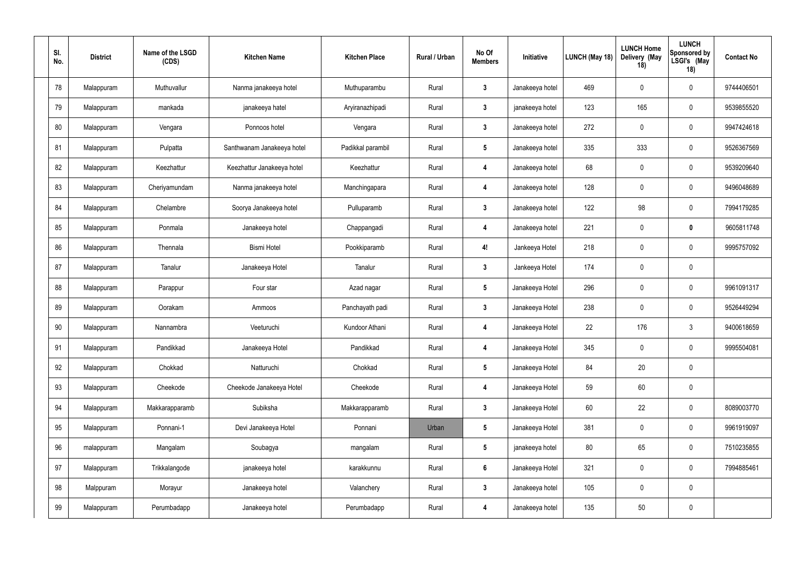| SI.<br>No. | <b>District</b> | Name of the LSGD<br>(CDS) | <b>Kitchen Name</b>        | <b>Kitchen Place</b> | <b>Rural / Urban</b> | No Of<br><b>Members</b> | Initiative      | LUNCH (May 18) | <b>LUNCH Home</b><br>Delivery (May<br>18) | <b>LUNCH</b><br><b>Sponsored by</b><br>LSGI's (May<br>18) | <b>Contact No</b> |
|------------|-----------------|---------------------------|----------------------------|----------------------|----------------------|-------------------------|-----------------|----------------|-------------------------------------------|-----------------------------------------------------------|-------------------|
| 78         | Malappuram      | Muthuvallur               | Nanma janakeeya hotel      | Muthuparambu         | Rural                | $\mathbf{3}$            | Janakeeya hotel | 469            | $\mathbf 0$                               | $\mathbf 0$                                               | 9744406501        |
| 79         | Malappuram      | mankada                   | janakeeya hatel            | Aryiranazhipadi      | Rural                | $\mathbf{3}$            | janakeeya hotel | 123            | 165                                       | $\mathbf 0$                                               | 9539855520        |
| 80         | Malappuram      | Vengara                   | Ponnoos hotel              | Vengara              | Rural                | $\boldsymbol{3}$        | Janakeeya hotel | 272            | $\mathbf 0$                               | $\mathbf 0$                                               | 9947424618        |
| 81         | Malappuram      | Pulpatta                  | Santhwanam Janakeeya hotel | Padikkal parambil    | Rural                | $5\phantom{.0}$         | Janakeeya hotel | 335            | 333                                       | $\mathbf 0$                                               | 9526367569        |
| 82         | Malappuram      | Keezhattur                | Keezhattur Janakeeya hotel | Keezhattur           | Rural                | $\overline{\mathbf{4}}$ | Janakeeya hotel | 68             | $\mathbf 0$                               | $\mathbf 0$                                               | 9539209640        |
| 83         | Malappuram      | Cheriyamundam             | Nanma janakeeya hotel      | Manchingapara        | Rural                | $\overline{4}$          | Janakeeya hotel | 128            | $\mathbf 0$                               | $\mathbf 0$                                               | 9496048689        |
| 84         | Malappuram      | Chelambre                 | Soorya Janakeeya hotel     | Pulluparamb          | Rural                | $\mathbf{3}$            | Janakeeya hotel | 122            | 98                                        | $\mathbf 0$                                               | 7994179285        |
| 85         | Malappuram      | Ponmala                   | Janakeeya hotel            | Chappangadi          | Rural                | $\boldsymbol{4}$        | Janakeeya hotel | 221            | $\mathbf 0$                               | $\mathbf 0$                                               | 9605811748        |
| 86         | Malappuram      | Thennala                  | <b>Bismi Hotel</b>         | Pookkiparamb         | Rural                | 4!                      | Jankeeya Hotel  | 218            | $\mathbf 0$                               | $\mathbf 0$                                               | 9995757092        |
| 87         | Malappuram      | Tanalur                   | Janakeeya Hotel            | Tanalur              | Rural                | $\mathbf{3}$            | Jankeeya Hotel  | 174            | $\mathbf 0$                               | $\mathbf 0$                                               |                   |
| 88         | Malappuram      | Parappur                  | Four star                  | Azad nagar           | Rural                | $5\phantom{.0}$         | Janakeeya Hotel | 296            | $\mathbf 0$                               | $\mathbf 0$                                               | 9961091317        |
| 89         | Malappuram      | Oorakam                   | Ammoos                     | Panchayath padi      | Rural                | $\boldsymbol{3}$        | Janakeeya Hotel | 238            | $\mathbf 0$                               | $\mathbf 0$                                               | 9526449294        |
| 90         | Malappuram      | Nannambra                 | Veeturuchi                 | Kundoor Athani       | Rural                | 4                       | Janakeeya Hotel | 22             | 176                                       | $\mathbf{3}$                                              | 9400618659        |
| 91         | Malappuram      | Pandikkad                 | Janakeeya Hotel            | Pandikkad            | Rural                | $\overline{\mathbf{4}}$ | Janakeeya Hotel | 345            | $\mathbf 0$                               | $\mathbf 0$                                               | 9995504081        |
| 92         | Malappuram      | Chokkad                   | Natturuchi                 | Chokkad              | Rural                | $5\phantom{.0}$         | Janakeeya Hotel | 84             | 20                                        | $\pmb{0}$                                                 |                   |
| 93         | Malappuram      | Cheekode                  | Cheekode Janakeeya Hotel   | Cheekode             | Rural                | $\overline{\mathbf{4}}$ | Janakeeya Hotel | 59             | 60                                        | $\pmb{0}$                                                 |                   |
| 94         | Malappuram      | Makkarapparamb            | Subiksha                   | Makkarapparamb       | Rural                | $\mathbf{3}$            | Janakeeya Hotel | 60             | 22                                        | $\pmb{0}$                                                 | 8089003770        |
| 95         | Malappuram      | Ponnani-1                 | Devi Janakeeya Hotel       | Ponnani              | Urban                | $5\phantom{.0}$         | Janakeeya Hotel | 381            | $\pmb{0}$                                 | $\pmb{0}$                                                 | 9961919097        |
| 96         | malappuram      | Mangalam                  | Soubagya                   | mangalam             | Rural                | $5\phantom{.0}$         | janakeeya hotel | 80             | 65                                        | $\pmb{0}$                                                 | 7510235855        |
| 97         | Malappuram      | Trikkalangode             | janakeeya hotel            | karakkunnu           | Rural                | $6\phantom{1}6$         | Janakeeya Hotel | 321            | $\pmb{0}$                                 | $\mathbf 0$                                               | 7994885461        |
| 98         | Malppuram       | Morayur                   | Janakeeya hotel            | Valanchery           | Rural                | $\mathbf{3}$            | Janakeeya hotel | 105            | $\mathbf 0$                               | $\mathbf 0$                                               |                   |
| 99         | Malappuram      | Perumbadapp               | Janakeeya hotel            | Perumbadapp          | Rural                | $\overline{\mathbf{4}}$ | Janakeeya hotel | 135            | $50\,$                                    | $\pmb{0}$                                                 |                   |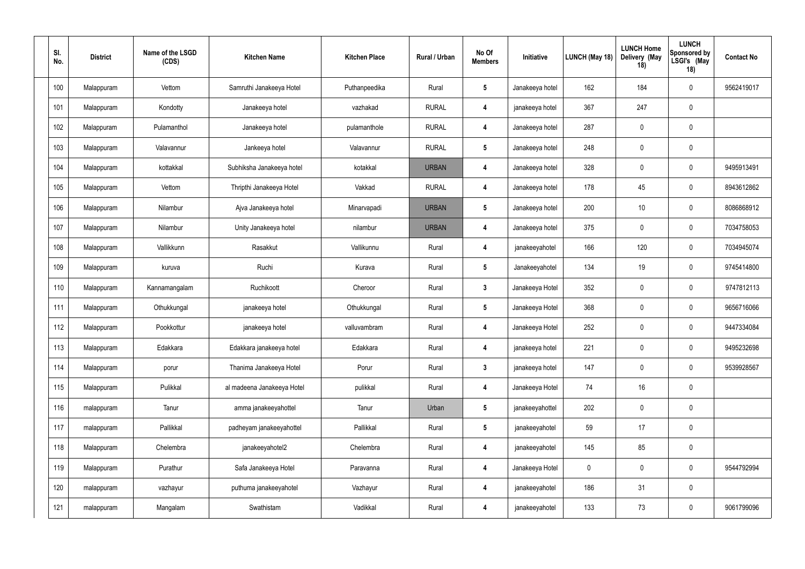| SI.<br>No. | <b>District</b> | Name of the LSGD<br>(CDS) | <b>Kitchen Name</b>        | <b>Kitchen Place</b> | <b>Rural / Urban</b> | No Of<br><b>Members</b> | Initiative      | LUNCH (May 18) | <b>LUNCH Home</b><br>Delivery (May<br>18) | <b>LUNCH</b><br><b>Sponsored by</b><br>LSGI's (May<br>18) | <b>Contact No</b> |
|------------|-----------------|---------------------------|----------------------------|----------------------|----------------------|-------------------------|-----------------|----------------|-------------------------------------------|-----------------------------------------------------------|-------------------|
| 100        | Malappuram      | Vettom                    | Samruthi Janakeeya Hotel   | Puthanpeedika        | Rural                | $5\phantom{.0}$         | Janakeeya hotel | 162            | 184                                       | $\overline{0}$                                            | 9562419017        |
| 101        | Malappuram      | Kondotty                  | Janakeeya hotel            | vazhakad             | <b>RURAL</b>         | $\boldsymbol{4}$        | janakeeya hotel | 367            | 247                                       | $\pmb{0}$                                                 |                   |
| 102        | Malappuram      | Pulamanthol               | Janakeeya hotel            | pulamanthole         | <b>RURAL</b>         | $\overline{4}$          | Janakeeya hotel | 287            | $\mathbf 0$                               | $\mathbf 0$                                               |                   |
| 103        | Malappuram      | Valavannur                | Jankeeya hotel             | Valavannur           | <b>RURAL</b>         | $5\phantom{.0}$         | Janakeeya hotel | 248            | $\mathbf 0$                               | $\mathbf 0$                                               |                   |
| 104        | Malappuram      | kottakkal                 | Subhiksha Janakeeya hotel  | kotakkal             | <b>URBAN</b>         | $\boldsymbol{4}$        | Janakeeya hotel | 328            | $\mathbf 0$                               | $\overline{0}$                                            | 9495913491        |
| 105        | Malappuram      | Vettom                    | Thripthi Janakeeya Hotel   | Vakkad               | <b>RURAL</b>         | $\overline{4}$          | Janakeeya hotel | 178            | 45                                        | $\overline{0}$                                            | 8943612862        |
| 106        | Malappuram      | Nilambur                  | Ajva Janakeeya hotel       | Minarvapadi          | <b>URBAN</b>         | $\sqrt{5}$              | Janakeeya hotel | 200            | 10                                        | $\overline{0}$                                            | 8086868912        |
| 107        | Malappuram      | Nilambur                  | Unity Janakeeya hotel      | nilambur             | <b>URBAN</b>         | $\boldsymbol{4}$        | Janakeeya hotel | 375            | $\mathbf 0$                               | $\overline{0}$                                            | 7034758053        |
| 108        | Malappuram      | Vallikkunn                | Rasakkut                   | Vallikunnu           | Rural                | -4                      | janakeeyahotel  | 166            | 120                                       | $\mathbf 0$                                               | 7034945074        |
| 109        | Malappuram      | kuruva                    | Ruchi                      | Kurava               | Rural                | $5\phantom{.0}$         | Janakeeyahotel  | 134            | 19                                        | $\overline{0}$                                            | 9745414800        |
| 110        | Malappuram      | Kannamangalam             | Ruchikoott                 | Cheroor              | Rural                | $\mathbf{3}$            | Janakeeya Hotel | 352            | $\mathbf 0$                               | $\overline{0}$                                            | 9747812113        |
| 111        | Malappuram      | Othukkungal               | janakeeya hotel            | Othukkungal          | Rural                | $5\phantom{.0}$         | Janakeeya Hotel | 368            | $\mathbf 0$                               | $\overline{0}$                                            | 9656716066        |
| 112        | Malappuram      | Pookkottur                | janakeeya hotel            | valluvambram         | Rural                | 4                       | Janakeeya Hotel | 252            | $\mathbf 0$                               | $\overline{0}$                                            | 9447334084        |
| 113        | Malappuram      | Edakkara                  | Edakkara janakeeya hotel   | Edakkara             | Rural                | $\boldsymbol{4}$        | janakeeya hotel | 221            | $\mathbf 0$                               | $\mathbf 0$                                               | 9495232698        |
| 114        | Malappuram      | porur                     | Thanima Janakeeya Hotel    | Porur                | Rural                | $\mathbf{3}$            | janakeeya hotel | 147            | $\pmb{0}$                                 | $\mathbf 0$                                               | 9539928567        |
| 115        | Malappuram      | Pulikkal                  | al madeena Janakeeya Hotel | pulikkal             | Rural                | $\boldsymbol{4}$        | Janakeeya Hotel | 74             | 16                                        | $\pmb{0}$                                                 |                   |
| 116        | malappuram      | Tanur                     | amma janakeeyahottel       | Tanur                | Urban                | $5\phantom{.0}$         | janakeeyahottel | 202            | $\mathbf 0$                               | $\pmb{0}$                                                 |                   |
| 117        | malappuram      | Pallikkal                 | padheyam janakeeyahottel   | Pallikkal            | Rural                | $5\phantom{.0}$         | janakeeyahotel  | 59             | 17                                        | $\pmb{0}$                                                 |                   |
| 118        | Malappuram      | Chelembra                 | janakeeyahotel2            | Chelembra            | Rural                | $\overline{4}$          | janakeeyahotel  | 145            | 85                                        | $\pmb{0}$                                                 |                   |
| 119        | Malappuram      | Purathur                  | Safa Janakeeya Hotel       | Paravanna            | Rural                | $\overline{\mathbf{4}}$ | Janakeeya Hotel | $\mathbf 0$    | $\pmb{0}$                                 | $\pmb{0}$                                                 | 9544792994        |
| 120        | malappuram      | vazhayur                  | puthuma janakeeyahotel     | Vazhayur             | Rural                | $\boldsymbol{4}$        | janakeeyahotel  | 186            | 31                                        | $\pmb{0}$                                                 |                   |
| 121        | malappuram      | Mangalam                  | Swathistam                 | Vadikkal             | Rural                | 4                       | janakeeyahotel  | 133            | 73                                        | $\pmb{0}$                                                 | 9061799096        |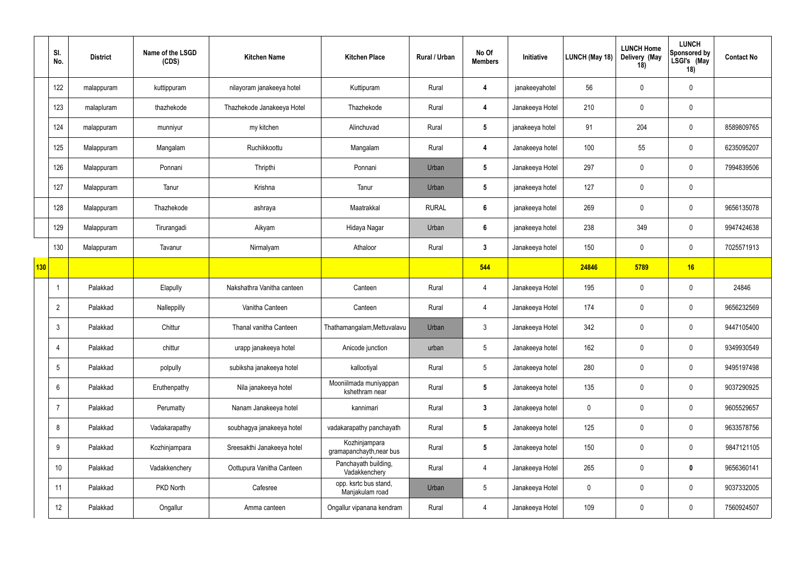|            | SI.<br>No.      | <b>District</b> | Name of the LSGD<br>(CDS) | <b>Kitchen Name</b>        | <b>Kitchen Place</b>                      | Rural / Urban | No Of<br><b>Members</b> | Initiative      | <b>LUNCH (May 18)</b> | <b>LUNCH Home</b><br>Delivery (May<br>18) | <b>LUNCH</b><br>Sponsored by<br>LSGI's (May<br>18) | <b>Contact No</b> |
|------------|-----------------|-----------------|---------------------------|----------------------------|-------------------------------------------|---------------|-------------------------|-----------------|-----------------------|-------------------------------------------|----------------------------------------------------|-------------------|
|            | 122             | malappuram      | kuttippuram               | nilayoram janakeeya hotel  | Kuttipuram                                | Rural         | 4                       | janakeeyahotel  | 56                    | $\mathbf 0$                               | $\mathbf 0$                                        |                   |
|            | 123             | malapluram      | thazhekode                | Thazhekode Janakeeya Hotel | Thazhekode                                | Rural         | 4                       | Janakeeya Hotel | 210                   | $\mathbf 0$                               | $\pmb{0}$                                          |                   |
|            | 124             | malappuram      | munniyur                  | my kitchen                 | Alinchuvad                                | Rural         | $5\phantom{.0}$         | janakeeya hotel | 91                    | 204                                       | $\overline{0}$                                     | 8589809765        |
|            | 125             | Malappuram      | Mangalam                  | Ruchikkoottu               | Mangalam                                  | Rural         | 4                       | Janakeeya hotel | 100                   | 55                                        | $\overline{0}$                                     | 6235095207        |
|            | 126             | Malappuram      | Ponnani                   | Thripthi                   | Ponnani                                   | Urban         | $5\phantom{.0}$         | Janakeeya Hotel | 297                   | $\mathbf 0$                               | $\overline{0}$                                     | 7994839506        |
|            | 127             | Malappuram      | Tanur                     | Krishna                    | Tanur                                     | Urban         | $5\phantom{.0}$         | janakeeya hotel | 127                   | $\mathbf 0$                               | $\pmb{0}$                                          |                   |
|            | 128             | Malappuram      | Thazhekode                | ashraya                    | Maatrakkal                                | <b>RURAL</b>  | 6                       | janakeeya hotel | 269                   | $\mathbf 0$                               | $\overline{0}$                                     | 9656135078        |
|            | 129             | Malappuram      | Tirurangadi               | Aikyam                     | Hidaya Nagar                              | Urban         | 6                       | janakeeya hotel | 238                   | 349                                       | $\pmb{0}$                                          | 9947424638        |
|            | 130             | Malappuram      | Tavanur                   | Nirmalyam                  | Athaloor                                  | Rural         | $\mathbf{3}$            | Janakeeya hotel | 150                   | $\mathbf 0$                               | $\mathbf 0$                                        | 7025571913        |
| <b>130</b> |                 |                 |                           |                            |                                           |               | 544                     |                 | 24846                 | 5789                                      | 16                                                 |                   |
|            |                 | Palakkad        | Elapully                  | Nakshathra Vanitha canteen | Canteen                                   | Rural         | $\overline{4}$          | Janakeeya Hotel | 195                   | $\mathbf 0$                               | $\mathbf 0$                                        | 24846             |
|            | $\overline{2}$  | Palakkad        | Nalleppilly               | Vanitha Canteen            | Canteen                                   | Rural         | 4                       | Janakeeya Hotel | 174                   | $\mathbf 0$                               | $\overline{0}$                                     | 9656232569        |
|            | $\mathbf{3}$    | Palakkad        | Chittur                   | Thanal vanitha Canteen     | Thathamangalam, Mettuvalavu               | Urban         | $\mathbf{3}$            | Janakeeya Hotel | 342                   | $\mathbf 0$                               | $\overline{0}$                                     | 9447105400        |
|            | 4               | Palakkad        | chittur                   | urapp janakeeya hotel      | Anicode junction                          | urban         | $5\phantom{.0}$         | Janakeeya hotel | 162                   | $\overline{0}$                            | $\mathbf 0$                                        | 9349930549        |
|            | $5\phantom{.0}$ | Palakkad        | polpully                  | subiksha janakeeya hotel   | kallootiyal                               | Rural         | $5\phantom{.0}$         | Janakeeya hotel | 280                   | $\mathbf 0$                               | $\pmb{0}$                                          | 9495197498        |
|            | $6^{\circ}$     | Palakkad        | Eruthenpathy              | Nila janakeeya hotel       | Mooniilmada muniyappan<br>kshethram near  | Rural         | $5\overline{)}$         | Janakeeya hotel | 135                   | $\mathbf 0$                               | $\mathbf 0$                                        | 9037290925        |
|            | $\overline{7}$  | Palakkad        | Perumatty                 | Nanam Janakeeya hotel      | kannimari                                 | Rural         | $\mathbf{3}$            | Janakeeya hotel | $\pmb{0}$             | $\mathbf 0$                               | $\mathbf 0$                                        | 9605529657        |
|            | 8               | Palakkad        | Vadakarapathy             | soubhagya janakeeya hotel  | vadakarapathy panchayath                  | Rural         | $5\phantom{.0}$         | Janakeeya hotel | 125                   | $\mathbf 0$                               | $\pmb{0}$                                          | 9633578756        |
|            | 9               | Palakkad        | Kozhinjampara             | Sreesakthi Janakeeya hotel | Kozhinjampara<br>gramapanchayth, near bus | Rural         | $5\phantom{.0}$         | Janakeeya hotel | 150                   | $\mathbf 0$                               | $\pmb{0}$                                          | 9847121105        |
|            | 10 <sup>°</sup> | Palakkad        | Vadakkenchery             | Oottupura Vanitha Canteen  | Panchayath building,<br>Vadakkenchery     | Rural         | $\overline{4}$          | Janakeeya Hotel | 265                   | $\mathbf 0$                               | $\mathbf 0$                                        | 9656360141        |
|            | 11              | Palakkad        | PKD North                 | Cafesree                   | opp. ksrtc bus stand,<br>Manjakulam road  | Urban         | $5\phantom{.0}$         | Janakeeya Hotel | $\mathbf 0$           | $\bm{0}$                                  | $\pmb{0}$                                          | 9037332005        |
|            | 12              | Palakkad        | Ongallur                  | Amma canteen               | Ongallur vipanana kendram                 | Rural         | $\overline{4}$          | Janakeeya Hotel | 109                   | $\mathbf 0$                               | $\pmb{0}$                                          | 7560924507        |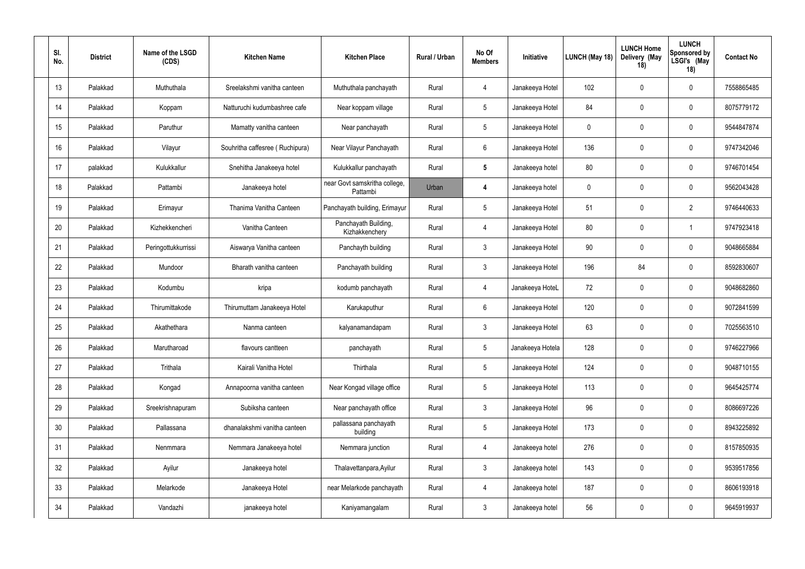| SI.<br>No. | <b>District</b> | Name of the LSGD<br>(CDS) | <b>Kitchen Name</b>             | <b>Kitchen Place</b>                      | <b>Rural / Urban</b> | No Of<br><b>Members</b> | Initiative       | LUNCH (May 18) | <b>LUNCH Home</b><br>Delivery (May<br>18) | <b>LUNCH</b><br><b>Sponsored by</b><br>LSGI's (May<br>18) | <b>Contact No</b> |
|------------|-----------------|---------------------------|---------------------------------|-------------------------------------------|----------------------|-------------------------|------------------|----------------|-------------------------------------------|-----------------------------------------------------------|-------------------|
| 13         | Palakkad        | Muthuthala                | Sreelakshmi vanitha canteen     | Muthuthala panchayath                     | Rural                | -4                      | Janakeeya Hotel  | 102            | $\mathbf 0$                               | $\mathbf 0$                                               | 7558865485        |
| 14         | Palakkad        | Koppam                    | Natturuchi kudumbashree cafe    | Near koppam village                       | Rural                | $\overline{5}$          | Janakeeya Hotel  | 84             | $\mathbf 0$                               | $\mathbf 0$                                               | 8075779172        |
| 15         | Palakkad        | Paruthur                  | Mamatty vanitha canteen         | Near panchayath                           | Rural                | $5\phantom{.0}$         | Janakeeya Hotel  | $\mathbf 0$    | -0                                        | $\mathbf 0$                                               | 9544847874        |
| 16         | Palakkad        | Vilayur                   | Souhritha caffesree (Ruchipura) | Near Vilayur Panchayath                   | Rural                | 6                       | Janakeeya Hotel  | 136            | $\mathbf 0$                               | $\mathbf 0$                                               | 9747342046        |
| 17         | palakkad        | Kulukkallur               | Snehitha Janakeeya hotel        | Kulukkallur panchayath                    | Rural                | $\sqrt{5}$              | Janakeeya hotel  | 80             | -0                                        | $\mathbf 0$                                               | 9746701454        |
| 18         | Palakkad        | Pattambi                  | Janakeeya hotel                 | near Govt samskritha college,<br>Pattambi | Urban                | $\overline{4}$          | Janakeeya hotel  | 0              | $\mathbf 0$                               | $\mathbf 0$                                               | 9562043428        |
| 19         | Palakkad        | Erimayur                  | Thanima Vanitha Canteen         | Panchayath building, Erimayur             | Rural                | $5\phantom{.0}$         | Janakeeya Hotel  | 51             | $\mathbf 0$                               | $\overline{2}$                                            | 9746440633        |
| 20         | Palakkad        | Kizhekkencheri            | Vanitha Canteen                 | Panchayath Building,<br>Kizhakkenchery    | Rural                | $\overline{4}$          | Janakeeya Hotel  | 80             | $\mathbf 0$                               |                                                           | 9747923418        |
| 21         | Palakkad        | Peringottukkurrissi       | Aiswarya Vanitha canteen        | Panchayth building                        | Rural                | $\mathbf{3}$            | Janakeeya Hotel  | 90             | $\mathbf 0$                               | $\mathbf 0$                                               | 9048665884        |
| 22         | Palakkad        | Mundoor                   | Bharath vanitha canteen         | Panchayath building                       | Rural                | $\mathbf{3}$            | Janakeeya Hotel  | 196            | 84                                        | $\mathbf 0$                                               | 8592830607        |
| 23         | Palakkad        | Kodumbu                   | kripa                           | kodumb panchayath                         | Rural                | $\overline{4}$          | Janakeeya HoteL  | 72             | $\mathbf 0$                               | $\mathbf 0$                                               | 9048682860        |
| 24         | Palakkad        | Thirumittakode            | Thirumuttam Janakeeya Hotel     | Karukaputhur                              | Rural                | $6\phantom{.}6$         | Janakeeya Hotel  | 120            | $\mathbf 0$                               | $\mathbf 0$                                               | 9072841599        |
| 25         | Palakkad        | Akathethara               | Nanma canteen                   | kalyanamandapam                           | Rural                | $\mathbf{3}$            | Janakeeya Hotel  | 63             | $\mathbf 0$                               | $\mathbf 0$                                               | 7025563510        |
| 26         | Palakkad        | Marutharoad               | flavours cantteen               | panchayath                                | Rural                | $5\phantom{.0}$         | Janakeeya Hotela | 128            | $\mathbf 0$                               | $\mathbf 0$                                               | 9746227966        |
| 27         | Palakkad        | Trithala                  | Kairali Vanitha Hotel           | Thirthala                                 | Rural                | $5\phantom{.0}$         | Janakeeya Hotel  | 124            | $\mathbf 0$                               | $\pmb{0}$                                                 | 9048710155        |
| 28         | Palakkad        | Kongad                    | Annapoorna vanitha canteen      | Near Kongad village office                | Rural                | $\overline{5}$          | Janakeeya Hotel  | 113            | $\mathbf 0$                               | $\pmb{0}$                                                 | 9645425774        |
| 29         | Palakkad        | Sreekrishnapuram          | Subiksha canteen                | Near panchayath office                    | Rural                | $\mathbf{3}$            | Janakeeya Hotel  | 96             | $\overline{0}$                            | $\mathbf 0$                                               | 8086697226        |
| $30\,$     | Palakkad        | Pallassana                | dhanalakshmi vanitha canteen    | pallassana panchayath<br>building         | Rural                | $\overline{5}$          | Janakeeya Hotel  | 173            | $\pmb{0}$                                 | $\pmb{0}$                                                 | 8943225892        |
| 31         | Palakkad        | Nenmmara                  | Nemmara Janakeeya hotel         | Nemmara junction                          | Rural                | $\overline{4}$          | Janakeeya hotel  | 276            | $\pmb{0}$                                 | $\pmb{0}$                                                 | 8157850935        |
| 32         | Palakkad        | Ayilur                    | Janakeeya hotel                 | Thalavettanpara, Ayilur                   | Rural                | $\mathbf{3}$            | Janakeeya hotel  | 143            | $\pmb{0}$                                 | $\mathbf 0$                                               | 9539517856        |
| 33         | Palakkad        | Melarkode                 | Janakeeya Hotel                 | near Melarkode panchayath                 | Rural                | $\overline{4}$          | Janakeeya hotel  | 187            | $\mathbf 0$                               | $\mathbf 0$                                               | 8606193918        |
| 34         | Palakkad        | Vandazhi                  | janakeeya hotel                 | Kaniyamangalam                            | Rural                | $\mathbf{3}$            | Janakeeya hotel  | 56             | $\mathbf 0$                               | $\boldsymbol{0}$                                          | 9645919937        |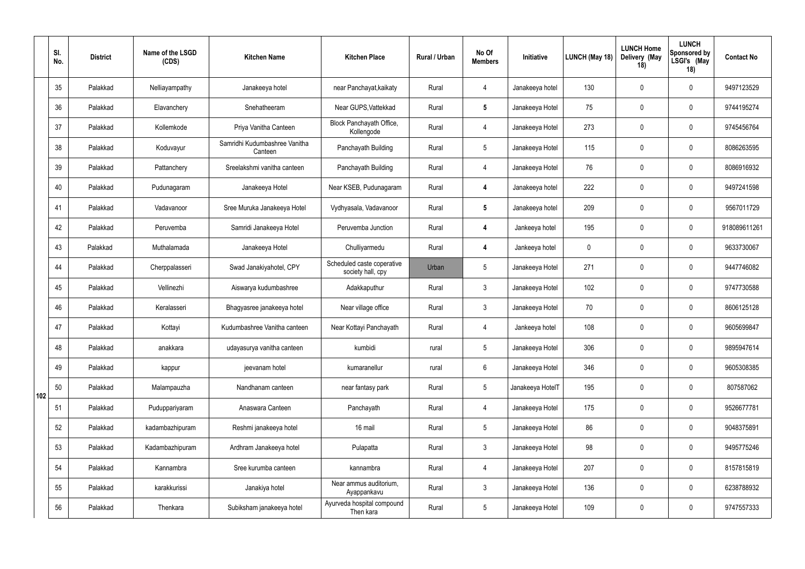|     | SI.<br>No. | <b>District</b> | Name of the LSGD<br>(CDS) | <b>Kitchen Name</b>                      | <b>Kitchen Place</b>                            | Rural / Urban | No Of<br><b>Members</b> | Initiative       | LUNCH (May 18) | <b>LUNCH Home</b><br>Delivery (May<br>18) | <b>LUNCH</b><br>Sponsored by<br>LSGI's (May<br>18) | <b>Contact No</b> |
|-----|------------|-----------------|---------------------------|------------------------------------------|-------------------------------------------------|---------------|-------------------------|------------------|----------------|-------------------------------------------|----------------------------------------------------|-------------------|
|     | 35         | Palakkad        | Nelliayampathy            | Janakeeya hotel                          | near Panchayat, kaikaty                         | Rural         | $\overline{4}$          | Janakeeya hotel  | 130            | $\overline{0}$                            | $\overline{0}$                                     | 9497123529        |
|     | 36         | Palakkad        | Elavanchery               | Snehatheeram                             | Near GUPS, Vattekkad                            | Rural         | $5\phantom{.0}$         | Janakeeya Hotel  | 75             | $\overline{0}$                            | $\overline{0}$                                     | 9744195274        |
|     | 37         | Palakkad        | Kollemkode                | Priya Vanitha Canteen                    | Block Panchayath Office,<br>Kollengode          | Rural         | $\overline{4}$          | Janakeeya Hotel  | 273            | $\overline{0}$                            | $\overline{0}$                                     | 9745456764        |
|     | 38         | Palakkad        | Koduvayur                 | Samridhi Kudumbashree Vanitha<br>Canteen | Panchayath Building                             | Rural         | $5\overline{)}$         | Janakeeya Hotel  | 115            | $\overline{0}$                            | $\overline{0}$                                     | 8086263595        |
|     | 39         | Palakkad        | Pattanchery               | Sreelakshmi vanitha canteen              | Panchayath Building                             | Rural         | $\overline{4}$          | Janakeeya Hotel  | 76             | $\overline{0}$                            | $\overline{0}$                                     | 8086916932        |
|     | 40         | Palakkad        | Pudunagaram               | Janakeeya Hotel                          | Near KSEB, Pudunagaram                          | Rural         | $\overline{4}$          | Janakeeya hotel  | 222            | $\overline{0}$                            | $\overline{0}$                                     | 9497241598        |
|     | 41         | Palakkad        | Vadavanoor                | Sree Muruka Janakeeya Hotel              | Vydhyasala, Vadavanoor                          | Rural         | $5\phantom{.0}$         | Janakeeya hotel  | 209            | $\overline{0}$                            | $\overline{0}$                                     | 9567011729        |
|     | 42         | Palakkad        | Peruvemba                 | Samridi Janakeeya Hotel                  | Peruvemba Junction                              | Rural         | $\overline{4}$          | Jankeeya hotel   | 195            | $\overline{0}$                            | $\mathbf 0$                                        | 918089611261      |
|     | 43         | Palakkad        | Muthalamada               | Janakeeya Hotel                          | Chulliyarmedu                                   | Rural         | -4                      | Jankeeya hotel   | $\mathbf 0$    | $\overline{0}$                            | $\overline{0}$                                     | 9633730067        |
|     | 44         | Palakkad        | Cherppalasseri            | Swad Janakiyahotel, CPY                  | Scheduled caste coperative<br>society hall, cpy | Urban         | 5                       | Janakeeya Hotel  | 271            | $\overline{0}$                            | $\overline{0}$                                     | 9447746082        |
|     | 45         | Palakkad        | Vellinezhi                | Aiswarya kudumbashree                    | Adakkaputhur                                    | Rural         | $\mathbf{3}$            | Janakeeya Hotel  | 102            | $\overline{0}$                            | $\overline{0}$                                     | 9747730588        |
|     | 46         | Palakkad        | Keralasseri               | Bhagyasree janakeeya hotel               | Near village office                             | Rural         | $\mathbf{3}$            | Janakeeya Hotel  | 70             | $\overline{0}$                            | $\overline{0}$                                     | 8606125128        |
|     | 47         | Palakkad        | Kottayi                   | Kudumbashree Vanitha canteen             | Near Kottayi Panchayath                         | Rural         | -4                      | Jankeeya hotel   | 108            | $\mathbf 0$                               | $\overline{0}$                                     | 9605699847        |
|     | 48         | Palakkad        | anakkara                  | udayasurya vanitha canteen               | kumbidi                                         | rural         | $5\phantom{.0}$         | Janakeeya Hotel  | 306            | $\mathbf 0$                               | $\mathbf 0$                                        | 9895947614        |
|     | 49         | Palakkad        | kappur                    | jeevanam hotel                           | kumaranellur                                    | rural         | $6\overline{6}$         | Janakeeya Hotel  | 346            | $\mathbf 0$                               | $\mathbf 0$                                        | 9605308385        |
| 102 | 50         | Palakkad        | Malampauzha               | Nandhanam canteen                        | near fantasy park                               | Rural         | $5\phantom{.0}$         | Janakeeya HotelT | 195            | $\pmb{0}$                                 | $\pmb{0}$                                          | 807587062         |
|     | 51         | Palakkad        | Puduppariyaram            | Anaswara Canteen                         | Panchayath                                      | Rural         | $\overline{4}$          | Janakeeya Hotel  | 175            | $\overline{0}$                            | $\mathbf 0$                                        | 9526677781        |
|     | 52         | Palakkad        | kadambazhipuram           | Reshmi janakeeya hotel                   | 16 mail                                         | Rural         | $5\phantom{.0}$         | Janakeeya Hotel  | 86             | $\mathbf 0$                               | $\pmb{0}$                                          | 9048375891        |
|     | 53         | Palakkad        | Kadambazhipuram           | Ardhram Janakeeya hotel                  | Pulapatta                                       | Rural         | 3                       | Janakeeya Hotel  | 98             | $\mathbf 0$                               | $\mathbf 0$                                        | 9495775246        |
|     | 54         | Palakkad        | Kannambra                 | Sree kurumba canteen                     | kannambra                                       | Rural         | $\overline{4}$          | Janakeeya Hotel  | 207            | $\mathbf 0$                               | $\pmb{0}$                                          | 8157815819        |
|     | 55         | Palakkad        | karakkurissi              | Janakiya hotel                           | Near ammus auditorium,<br>Ayappankavu           | Rural         | $\mathbf{3}$            | Janakeeya Hotel  | 136            | $\mathbf 0$                               | $\mathbf 0$                                        | 6238788932        |
|     | 56         | Palakkad        | Thenkara                  | Subiksham janakeeya hotel                | Ayurveda hospital compound<br>Then kara         | Rural         | $5\phantom{.0}$         | Janakeeya Hotel  | 109            | $\boldsymbol{0}$                          | $\boldsymbol{0}$                                   | 9747557333        |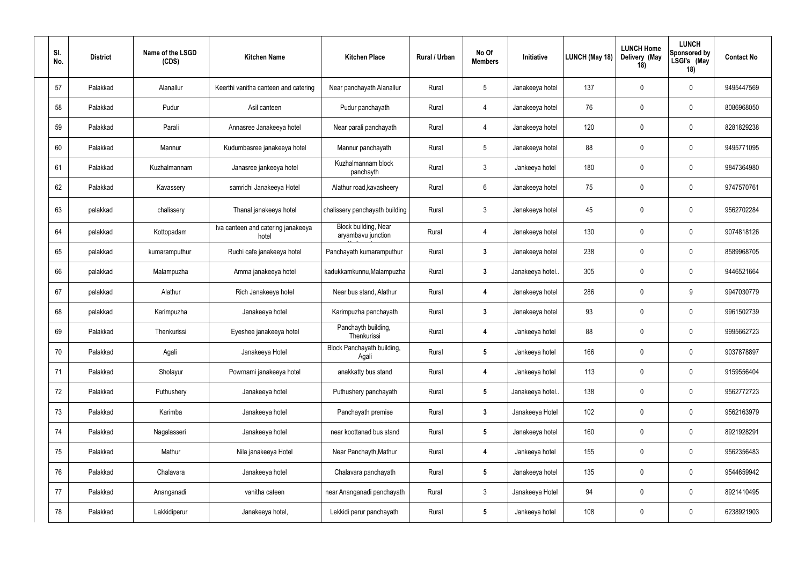| SI.<br>No. | <b>District</b> | Name of the LSGD<br>(CDS) | <b>Kitchen Name</b>                         | <b>Kitchen Place</b>                       | <b>Rural / Urban</b> | No Of<br><b>Members</b> | Initiative      | LUNCH (May 18) | <b>LUNCH Home</b><br>Delivery (May<br>18) | <b>LUNCH</b><br><b>Sponsored by</b><br>LSGI's (May<br>18) | <b>Contact No</b> |
|------------|-----------------|---------------------------|---------------------------------------------|--------------------------------------------|----------------------|-------------------------|-----------------|----------------|-------------------------------------------|-----------------------------------------------------------|-------------------|
| 57         | Palakkad        | Alanallur                 | Keerthi vanitha canteen and catering        | Near panchayath Alanallur                  | Rural                | $5\phantom{.0}$         | Janakeeya hotel | 137            | $\mathbf 0$                               | $\mathbf 0$                                               | 9495447569        |
| 58         | Palakkad        | Pudur                     | Asil canteen                                | Pudur panchayath                           | Rural                | $\overline{4}$          | Janakeeya hotel | 76             | $\mathbf 0$                               | $\mathbf 0$                                               | 8086968050        |
| 59         | Palakkad        | Parali                    | Annasree Janakeeya hotel                    | Near parali panchayath                     | Rural                | $\overline{4}$          | Janakeeya hotel | 120            | $\mathbf 0$                               | $\mathbf 0$                                               | 8281829238        |
| 60         | Palakkad        | Mannur                    | Kudumbasree janakeeya hotel                 | Mannur panchayath                          | Rural                | $5\phantom{.0}$         | Janakeeya hotel | 88             | $\mathbf 0$                               | $\mathbf 0$                                               | 9495771095        |
| 61         | Palakkad        | Kuzhalmannam              | Janasree jankeeya hotel                     | Kuzhalmannam block<br>panchayth            | Rural                | $\mathbf{3}$            | Jankeeya hotel  | 180            | $\mathbf 0$                               | $\mathbf 0$                                               | 9847364980        |
| 62         | Palakkad        | Kavassery                 | samridhi Janakeeya Hotel                    | Alathur road, kavasheery                   | Rural                | $6\phantom{.}6$         | Janakeeya hotel | 75             | $\mathbf 0$                               | $\mathbf 0$                                               | 9747570761        |
| 63         | palakkad        | chalissery                | Thanal janakeeya hotel                      | chalissery panchayath building             | Rural                | $\mathbf{3}$            | Janakeeya hotel | 45             | -0                                        | $\mathbf 0$                                               | 9562702284        |
| 64         | palakkad        | Kottopadam                | Iva canteen and catering janakeeya<br>hotel | Block building, Near<br>aryambavu junction | Rural                | $\overline{4}$          | Janakeeya hotel | 130            | $\mathbf 0$                               | $\mathbf 0$                                               | 9074818126        |
| 65         | palakkad        | kumaramputhur             | Ruchi cafe janakeeya hotel                  | Panchayath kumaramputhur                   | Rural                | $\mathbf{3}$            | Janakeeya hotel | 238            | $\mathbf 0$                               | $\mathbf 0$                                               | 8589968705        |
| 66         | palakkad        | Malampuzha                | Amma janakeeya hotel                        | kadukkamkunnu, Malampuzha                  | Rural                | $\mathbf{3}$            | Janakeeya hotel | 305            | $\mathbf 0$                               | $\mathbf 0$                                               | 9446521664        |
| 67         | palakkad        | Alathur                   | Rich Janakeeya hotel                        | Near bus stand, Alathur                    | Rural                | $\overline{4}$          | Janakeeya hotel | 286            | $\mathbf 0$                               | 9                                                         | 9947030779        |
| 68         | palakkad        | Karimpuzha                | Janakeeya hotel                             | Karimpuzha panchayath                      | Rural                | $\mathbf{3}$            | Janakeeya hotel | 93             | $\mathbf 0$                               | $\mathbf 0$                                               | 9961502739        |
| 69         | Palakkad        | Thenkurissi               | Eyeshee janakeeya hotel                     | Panchayth building,<br>Thenkurissi         | Rural                | $\overline{4}$          | Jankeeya hotel  | 88             | $\mathbf 0$                               | $\mathbf 0$                                               | 9995662723        |
| 70         | Palakkad        | Agali                     | Janakeeya Hotel                             | Block Panchayath building,<br>Agali        | Rural                | $5\phantom{.0}$         | Jankeeya hotel  | 166            | $\mathbf 0$                               | $\mathbf 0$                                               | 9037878897        |
| 71         | Palakkad        | Sholayur                  | Powrnami janakeeya hotel                    | anakkatty bus stand                        | Rural                | $\boldsymbol{4}$        | Jankeeya hotel  | 113            | $\mathbf 0$                               | $\mathbf 0$                                               | 9159556404        |
| 72         | Palakkad        | Puthushery                | Janakeeya hotel                             | Puthushery panchayath                      | Rural                | $5\phantom{.0}$         | Janakeeya hotel | 138            | $\overline{0}$                            | $\mathbf 0$                                               | 9562772723        |
| 73         | Palakkad        | Karimba                   | Janakeeya hotel                             | Panchayath premise                         | Rural                | $\mathbf{3}$            | Janakeeya Hotel | 102            | $\mathbf 0$                               | $\mathbf 0$                                               | 9562163979        |
| 74         | Palakkad        | Nagalasseri               | Janakeeya hotel                             | near koottanad bus stand                   | Rural                | $5\phantom{.0}$         | Janakeeya hotel | 160            | $\mathbf 0$                               | $\pmb{0}$                                                 | 8921928291        |
| 75         | Palakkad        | Mathur                    | Nila janakeeya Hotel                        | Near Panchayth, Mathur                     | Rural                | $\overline{\mathbf{4}}$ | Jankeeya hotel  | 155            | $\pmb{0}$                                 | $\pmb{0}$                                                 | 9562356483        |
| 76         | Palakkad        | Chalavara                 | Janakeeya hotel                             | Chalavara panchayath                       | Rural                | $5\phantom{.0}$         | Janakeeya hotel | 135            | $\mathbf 0$                               | $\pmb{0}$                                                 | 9544659942        |
| 77         | Palakkad        | Ananganadi                | vanitha cateen                              | near Ananganadi panchayath                 | Rural                | $\mathbf{3}$            | Janakeeya Hotel | 94             | $\pmb{0}$                                 | $\pmb{0}$                                                 | 8921410495        |
| 78         | Palakkad        | Lakkidiperur              | Janakeeya hotel,                            | Lekkidi perur panchayath                   | Rural                | $\sqrt{5}$              | Jankeeya hotel  | 108            | $\boldsymbol{0}$                          | $\mathbf 0$                                               | 6238921903        |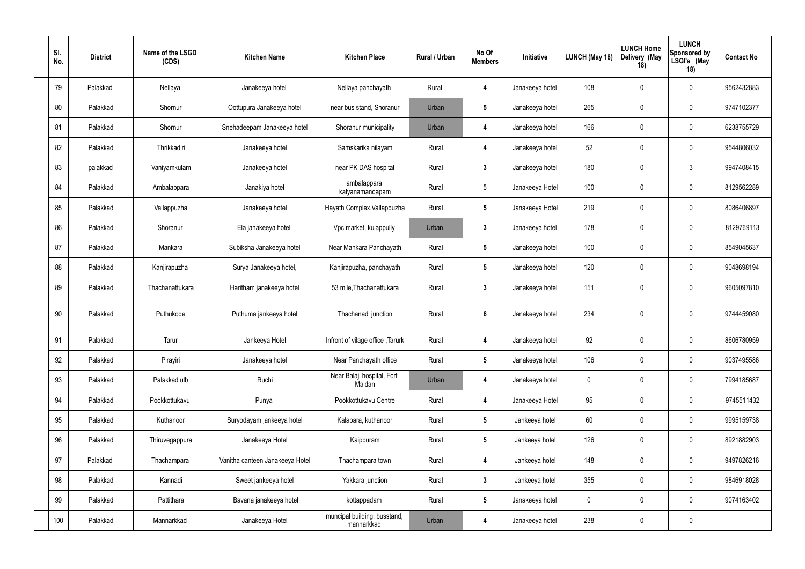| SI.<br>No. | <b>District</b> | Name of the LSGD<br>(CDS) | <b>Kitchen Name</b>             | <b>Kitchen Place</b>                       | Rural / Urban | No Of<br><b>Members</b> | Initiative      | LUNCH (May 18) | <b>LUNCH Home</b><br>Delivery (May<br>18) | <b>LUNCH</b><br>Sponsored by<br>LSGI's (May<br>18) | <b>Contact No</b> |
|------------|-----------------|---------------------------|---------------------------------|--------------------------------------------|---------------|-------------------------|-----------------|----------------|-------------------------------------------|----------------------------------------------------|-------------------|
| 79         | Palakkad        | Nellaya                   | Janakeeya hotel                 | Nellaya panchayath                         | Rural         | $\overline{4}$          | Janakeeya hotel | 108            | $\overline{0}$                            | $\mathbf 0$                                        | 9562432883        |
| 80         | Palakkad        | Shornur                   | Oottupura Janakeeya hotel       | near bus stand, Shoranur                   | Urban         | $5\phantom{.0}$         | Janakeeya hotel | 265            | $\overline{0}$                            | $\pmb{0}$                                          | 9747102377        |
| 81         | Palakkad        | Shornur                   | Snehadeepam Janakeeya hotel     | Shoranur municipality                      | Urban         | $\overline{4}$          | Janakeeya hotel | 166            | $\overline{0}$                            | $\overline{0}$                                     | 6238755729        |
| 82         | Palakkad        | Thrikkadiri               | Janakeeya hotel                 | Samskarika nilayam                         | Rural         | $\overline{4}$          | Janakeeya hotel | 52             | $\overline{0}$                            | $\overline{0}$                                     | 9544806032        |
| 83         | palakkad        | Vaniyamkulam              | Janakeeya hotel                 | near PK DAS hospital                       | Rural         | $\mathbf{3}$            | Janakeeya hotel | 180            | $\overline{0}$                            | $\mathbf{3}$                                       | 9947408415        |
| 84         | Palakkad        | Ambalappara               | Janakiya hotel                  | ambalappara<br>kalyanamandapam             | Rural         | 5                       | Janakeeya Hotel | 100            | $\mathbf 0$                               | $\overline{0}$                                     | 8129562289        |
| 85         | Palakkad        | Vallappuzha               | Janakeeya hotel                 | Hayath Complex, Vallappuzha                | Rural         | $5\phantom{.0}$         | Janakeeya Hotel | 219            | $\overline{0}$                            | $\overline{0}$                                     | 8086406897        |
| 86         | Palakkad        | Shoranur                  | Ela janakeeya hotel             | Vpc market, kulappully                     | Urban         | $\mathbf{3}$            | Janakeeya hotel | 178            | $\mathbf 0$                               | $\pmb{0}$                                          | 8129769113        |
| 87         | Palakkad        | Mankara                   | Subiksha Janakeeya hotel        | Near Mankara Panchayath                    | Rural         | 5                       | Janakeeya hotel | 100            | $\overline{0}$                            | $\mathbf 0$                                        | 8549045637        |
| 88         | Palakkad        | Kanjirapuzha              | Surya Janakeeya hotel,          | Kanjirapuzha, panchayath                   | Rural         | $5\phantom{.0}$         | Janakeeya hotel | 120            | $\overline{0}$                            | $\pmb{0}$                                          | 9048698194        |
| 89         | Palakkad        | Thachanattukara           | Haritham janakeeya hotel        | 53 mile, Thachanattukara                   | Rural         | $3\phantom{a}$          | Janakeeya hotel | 151            | $\overline{0}$                            | $\pmb{0}$                                          | 9605097810        |
| 90         | Palakkad        | Puthukode                 | Puthuma jankeeya hotel          | Thachanadi junction                        | Rural         | $6\phantom{.}6$         | Janakeeya hotel | 234            | $\mathbf 0$                               | $\mathbf 0$                                        | 9744459080        |
| 91         | Palakkad        | Tarur                     | Jankeeya Hotel                  | Infront of vilage office, Tarurk           | Rural         | $\overline{\mathbf{4}}$ | Janakeeya hotel | 92             | $\overline{0}$                            | $\mathbf 0$                                        | 8606780959        |
| 92         | Palakkad        | Pirayiri                  | Janakeeya hotel                 | Near Panchayath office                     | Rural         | $5\phantom{.0}$         | Janakeeya hotel | 106            | $\mathbf 0$                               | $\pmb{0}$                                          | 9037495586        |
| 93         | Palakkad        | Palakkad ulb              | Ruchi                           | Near Balaji hospital, Fort<br>Maidan       | Urban         | $\overline{4}$          | Janakeeya hotel | $\mathbf 0$    | $\pmb{0}$                                 | $\pmb{0}$                                          | 7994185687        |
| 94         | Palakkad        | Pookkottukavu             | Punya                           | Pookkottukavu Centre                       | Rural         | $\overline{4}$          | Janakeeya Hotel | 95             | $\overline{0}$                            | $\pmb{0}$                                          | 9745511432        |
| 95         | Palakkad        | Kuthanoor                 | Suryodayam jankeeya hotel       | Kalapara, kuthanoor                        | Rural         | $5\phantom{.0}$         | Jankeeya hotel  | 60             | $\pmb{0}$                                 | $\pmb{0}$                                          | 9995159738        |
| 96         | Palakkad        | Thiruvegappura            | Janakeeya Hotel                 | Kaippuram                                  | Rural         | $5\phantom{.0}$         | Jankeeya hotel  | 126            | $\overline{0}$                            | $\mathbf 0$                                        | 8921882903        |
| 97         | Palakkad        | Thachampara               | Vanitha canteen Janakeeya Hotel | Thachampara town                           | Rural         | $\overline{4}$          | Jankeeya hotel  | 148            | $\pmb{0}$                                 | $\pmb{0}$                                          | 9497826216        |
| 98         | Palakkad        | Kannadi                   | Sweet jankeeya hotel            | Yakkara junction                           | Rural         | $\mathbf{3}$            | Jankeeya hotel  | 355            | $\mathbf 0$                               | $\mathbf 0$                                        | 9846918028        |
| 99         | Palakkad        | Pattithara                | Bavana janakeeya hotel          | kottappadam                                | Rural         | $5\phantom{.0}$         | Janakeeya hotel | $\mathbf 0$    | $\boldsymbol{0}$                          | $\pmb{0}$                                          | 9074163402        |
| 100        | Palakkad        | Mannarkkad                | Janakeeya Hotel                 | muncipal building, busstand,<br>mannarkkad | Urban         | $\overline{\mathbf{4}}$ | Janakeeya hotel | 238            | $\boldsymbol{0}$                          | $\pmb{0}$                                          |                   |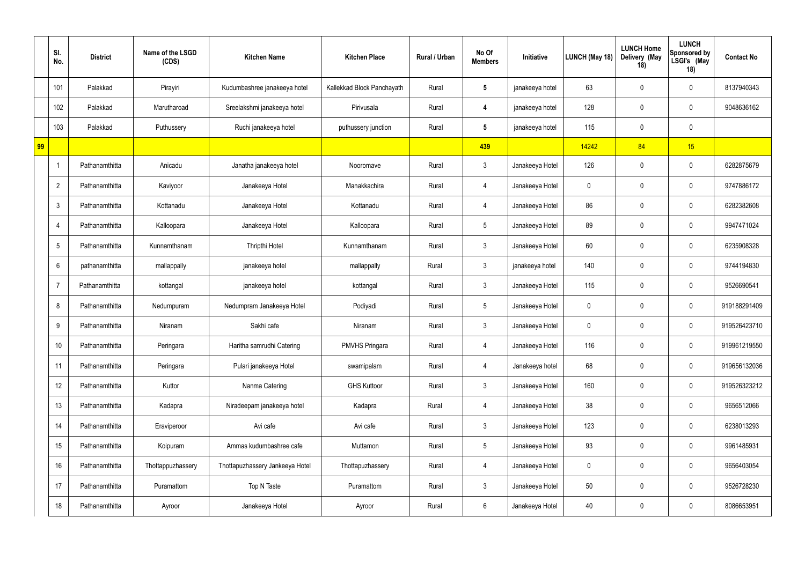|    | SI.<br>No.      | <b>District</b> | Name of the LSGD<br>(CDS) | <b>Kitchen Name</b>             | <b>Kitchen Place</b>       | Rural / Urban | No Of<br><b>Members</b> | Initiative      | <b>LUNCH (May 18)</b> | <b>LUNCH Home</b><br>Delivery (May<br>18) | <b>LUNCH</b><br>Sponsored by<br>LSGI's (May<br>18) | <b>Contact No</b> |
|----|-----------------|-----------------|---------------------------|---------------------------------|----------------------------|---------------|-------------------------|-----------------|-----------------------|-------------------------------------------|----------------------------------------------------|-------------------|
|    | 101             | Palakkad        | Pirayiri                  | Kudumbashree janakeeya hotel    | Kallekkad Block Panchayath | Rural         | 5                       | janakeeya hotel | 63                    | $\overline{0}$                            | $\mathbf 0$                                        | 8137940343        |
|    | 102             | Palakkad        | Marutharoad               | Sreelakshmi janakeeya hotel     | Pirivusala                 | Rural         | 4                       | janakeeya hotel | 128                   | $\mathbf 0$                               | $\bm{0}$                                           | 9048636162        |
|    | 103             | Palakkad        | Puthussery                | Ruchi janakeeya hotel           | puthussery junction        | Rural         | 5                       | janakeeya hotel | 115                   | $\overline{0}$                            | $\mathbf 0$                                        |                   |
| 99 |                 |                 |                           |                                 |                            |               | 439                     |                 | 14242                 | 84                                        | 15                                                 |                   |
|    |                 | Pathanamthitta  | Anicadu                   | Janatha janakeeya hotel         | Nooromave                  | Rural         | $\mathfrak{Z}$          | Janakeeya Hotel | 126                   | $\mathbf 0$                               | $\mathbf 0$                                        | 6282875679        |
|    | $\overline{2}$  | Pathanamthitta  | Kaviyoor                  | Janakeeya Hotel                 | Manakkachira               | Rural         | 4                       | Janakeeya Hotel | $\mathbf 0$           | $\overline{0}$                            | $\mathbf 0$                                        | 9747886172        |
|    | 3               | Pathanamthitta  | Kottanadu                 | Janakeeya Hotel                 | Kottanadu                  | Rural         | $\overline{4}$          | Janakeeya Hotel | 86                    | $\overline{0}$                            | $\mathbf 0$                                        | 6282382608        |
|    | $\overline{4}$  | Pathanamthitta  | Kalloopara                | Janakeeya Hotel                 | Kalloopara                 | Rural         | $5\overline{)}$         | Janakeeya Hotel | 89                    | $\overline{0}$                            | $\mathbf 0$                                        | 9947471024        |
|    | $5\overline{)}$ | Pathanamthitta  | Kunnamthanam              | <b>Thripthi Hotel</b>           | Kunnamthanam               | Rural         | $\mathfrak{Z}$          | Janakeeya Hotel | 60                    | $\overline{0}$                            | $\mathbf 0$                                        | 6235908328        |
|    | 6               | pathanamthitta  | mallappally               | janakeeya hotel                 | mallappally                | Rural         | $\mathfrak{Z}$          | janakeeya hotel | 140                   | $\overline{0}$                            | $\mathbf 0$                                        | 9744194830        |
|    | -7              | Pathanamthitta  | kottangal                 | janakeeya hotel                 | kottangal                  | Rural         | $\mathfrak{Z}$          | Janakeeya Hotel | 115                   | $\overline{0}$                            | $\mathbf 0$                                        | 9526690541        |
|    | 8               | Pathanamthitta  | Nedumpuram                | Nedumpram Janakeeya Hotel       | Podiyadi                   | Rural         | $5\overline{)}$         | Janakeeya Hotel | $\mathbf 0$           | $\overline{0}$                            | $\mathbf 0$                                        | 919188291409      |
|    | 9               | Pathanamthitta  | Niranam                   | Sakhi cafe                      | Niranam                    | Rural         | $\mathfrak{Z}$          | Janakeeya Hotel | 0                     | $\overline{0}$                            | $\mathbf 0$                                        | 919526423710      |
|    | 10              | Pathanamthitta  | Peringara                 | Haritha samrudhi Catering       | <b>PMVHS Pringara</b>      | Rural         | 4                       | Janakeeya Hotel | 116                   | $\mathbf 0$                               | $\mathbf 0$                                        | 919961219550      |
|    | 11              | Pathanamthitta  | Peringara                 | Pulari janakeeya Hotel          | swamipalam                 | Rural         | 4                       | Janakeeya hotel | 68                    | $\mathbf 0$                               | $\mathbf 0$                                        | 919656132036      |
|    | 12              | Pathanamthitta  | Kuttor                    | Nanma Catering                  | <b>GHS Kuttoor</b>         | Rural         | $\mathbf{3}$            | Janakeeya Hotel | 160                   | $\mathbf 0$                               | $\mathbf 0$                                        | 919526323212      |
|    | 13              | Pathanamthitta  | Kadapra                   | Niradeepam janakeeya hotel      | Kadapra                    | Rural         | 4                       | Janakeeya Hotel | 38                    | $\mathbf 0$                               | $\mathbf 0$                                        | 9656512066        |
|    | 14              | Pathanamthitta  | Eraviperoor               | Avi cafe                        | Avi cafe                   | Rural         | $\mathbf{3}$            | Janakeeya Hotel | 123                   | $\mathbf 0$                               | $\mathbf 0$                                        | 6238013293        |
|    | 15              | Pathanamthitta  | Koipuram                  | Ammas kudumbashree cafe         | Muttamon                   | Rural         | $5\overline{)}$         | Janakeeya Hotel | 93                    | $\mathbf 0$                               | $\mathbf 0$                                        | 9961485931        |
|    | 16              | Pathanamthitta  | Thottappuzhassery         | Thottapuzhassery Jankeeya Hotel | Thottapuzhassery           | Rural         | 4                       | Janakeeya Hotel | $\mathbf 0$           | $\mathbf 0$                               | $\mathbf 0$                                        | 9656403054        |
|    | 17              | Pathanamthitta  | Puramattom                | Top N Taste                     | Puramattom                 | Rural         | $\mathbf{3}$            | Janakeeya Hotel | 50                    | $\mathbf 0$                               | $\mathbf 0$                                        | 9526728230        |
|    | 18              | Pathanamthitta  | Ayroor                    | Janakeeya Hotel                 | Ayroor                     | Rural         | 6                       | Janakeeya Hotel | 40                    | $\overline{0}$                            | $\mathbf 0$                                        | 8086653951        |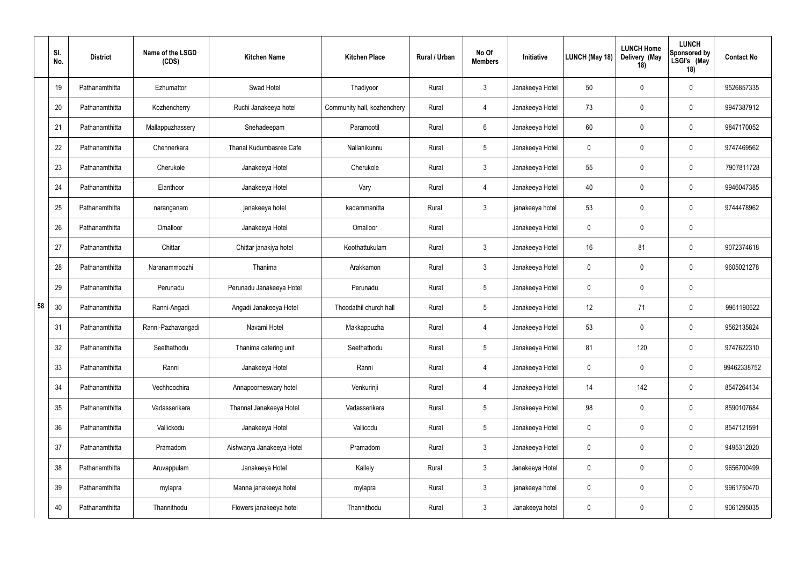|    | SI.<br>No. | <b>District</b> | Name of the LSGD<br>(CDS) | <b>Kitchen Name</b>       | <b>Kitchen Place</b>        | Rural / Urban | No Of<br><b>Members</b> | Initiative      | LUNCH (May 18) | <b>LUNCH Home</b><br>Delivery (May<br>18) | <b>LUNCH</b><br><b>Sponsored by</b><br>LSGI's (May<br>18) | <b>Contact No</b> |
|----|------------|-----------------|---------------------------|---------------------------|-----------------------------|---------------|-------------------------|-----------------|----------------|-------------------------------------------|-----------------------------------------------------------|-------------------|
|    | 19         | Pathanamthitta  | Ezhumattor                | Swad Hotel                | Thadiyoor                   | Rural         | $\mathbf{3}$            | Janakeeya Hotel | 50             | $\mathbf 0$                               | $\mathbf 0$                                               | 9526857335        |
|    | 20         | Pathanamthitta  | Kozhencherry              | Ruchi Janakeeya hotel     | Community hall, kozhenchery | Rural         | $\overline{4}$          | Janakeeya Hotel | 73             | $\mathbf 0$                               | $\mathbf 0$                                               | 9947387912        |
|    | 21         | Pathanamthitta  | Mallappuzhassery          | Snehadeepam               | Paramootil                  | Rural         | 6                       | Janakeeya Hotel | 60             | $\mathbf 0$                               | $\mathbf 0$                                               | 9847170052        |
|    | 22         | Pathanamthitta  | Chennerkara               | Thanal Kudumbasree Cafe   | Nallanikunnu                | Rural         | $5\overline{)}$         | Janakeeya Hotel | 0              | $\mathbf 0$                               | $\mathbf 0$                                               | 9747469562        |
|    | 23         | Pathanamthitta  | Cherukole                 | Janakeeya Hotel           | Cherukole                   | Rural         | $\mathbf{3}$            | Janakeeya Hotel | 55             | $\mathbf 0$                               | $\mathbf 0$                                               | 7907811728        |
|    | 24         | Pathanamthitta  | Elanthoor                 | Janakeeya Hotel           | Vary                        | Rural         | $\overline{4}$          | Janakeeya Hotel | 40             | $\mathbf 0$                               | $\mathbf 0$                                               | 9946047385        |
|    | 25         | Pathanamthitta  | naranganam                | janakeeya hotel           | kadammanitta                | Rural         | $\mathbf{3}$            | janakeeya hotel | 53             | -0                                        | $\mathbf 0$                                               | 9744478962        |
|    | 26         | Pathanamthitta  | Omalloor                  | Janakeeya Hotel           | Omalloor                    | Rural         |                         | Janakeeya Hotel | 0              | $\mathbf 0$                               | $\mathbf 0$                                               |                   |
|    | 27         | Pathanamthitta  | Chittar                   | Chittar janakiya hotel    | Koothattukulam              | Rural         | $\mathbf{3}$            | Janakeeya Hotel | 16             | 81                                        | $\mathbf 0$                                               | 9072374618        |
|    | 28         | Pathanamthitta  | Naranammoozhi             | Thanima                   | Arakkamon                   | Rural         | $\mathbf{3}$            | Janakeeya Hotel | 0              | $\mathbf 0$                               | $\mathbf 0$                                               | 9605021278        |
|    | 29         | Pathanamthitta  | Perunadu                  | Perunadu Janakeeya Hotel  | Perunadu                    | Rural         | $5\phantom{.0}$         | Janakeeya Hotel | $\mathbf 0$    | $\mathbf 0$                               | $\mathbf 0$                                               |                   |
| 58 | 30         | Pathanamthitta  | Ranni-Angadi              | Angadi Janakeeya Hotel    | Thoodathil church hall      | Rural         | $5\phantom{.0}$         | Janakeeya Hotel | 12             | 71                                        | $\mathbf 0$                                               | 9961190622        |
|    | 31         | Pathanamthitta  | Ranni-Pazhavangadi        | Navami Hotel              | Makkappuzha                 | Rural         | $\overline{4}$          | Janakeeya Hotel | 53             | $\mathbf 0$                               | $\mathbf 0$                                               | 9562135824        |
|    | 32         | Pathanamthitta  | Seethathodu               | Thanima catering unit     | Seethathodu                 | Rural         | $5\phantom{.0}$         | Janakeeya Hotel | 81             | 120                                       | $\mathbf 0$                                               | 9747622310        |
|    | 33         | Pathanamthitta  | Ranni                     | Janakeeya Hotel           | Ranni                       | Rural         | $\overline{4}$          | Janakeeya Hotel | $\pmb{0}$      | $\mathbf 0$                               | $\pmb{0}$                                                 | 99462338752       |
|    | 34         | Pathanamthitta  | Vechhoochira              | Annapoorneswary hotel     | Venkurinji                  | Rural         | $\overline{4}$          | Janakeeya Hotel | 14             | 142                                       | $\pmb{0}$                                                 | 8547264134        |
|    | 35         | Pathanamthitta  | Vadasserikara             | Thannal Janakeeya Hotel   | Vadasserikara               | Rural         | $5\phantom{.0}$         | Janakeeya Hotel | 98             | $\mathbf 0$                               | $\pmb{0}$                                                 | 8590107684        |
|    | 36         | Pathanamthitta  | Vallickodu                | Janakeeya Hotel           | Vallicodu                   | Rural         | $5\phantom{.0}$         | Janakeeya Hotel | $\mathbf 0$    | $\pmb{0}$                                 | $\pmb{0}$                                                 | 8547121591        |
|    | 37         | Pathanamthitta  | Pramadom                  | Aishwarya Janakeeya Hotel | Pramadom                    | Rural         | $\mathbf{3}$            | Janakeeya Hotel | $\mathbf 0$    | $\mathbf 0$                               | $\mathbf 0$                                               | 9495312020        |
|    | 38         | Pathanamthitta  | Aruvappulam               | Janakeeya Hotel           | Kallely                     | Rural         | $\mathbf{3}$            | Janakeeya Hotel | $\mathbf 0$    | $\mathbf 0$                               | $\boldsymbol{0}$                                          | 9656700499        |
|    | 39         | Pathanamthitta  | mylapra                   | Manna janakeeya hotel     | mylapra                     | Rural         | $\mathbf{3}$            | janakeeya hotel | $\mathbf 0$    | $\mathbf 0$                               | $\mathbf 0$                                               | 9961750470        |
|    | 40         | Pathanamthitta  | Thannithodu               | Flowers janakeeya hotel   | Thannithodu                 | Rural         | $\mathbf{3}$            | Janakeeya hotel | 0              | $\mathbf 0$                               | $\bm{0}$                                                  | 9061295035        |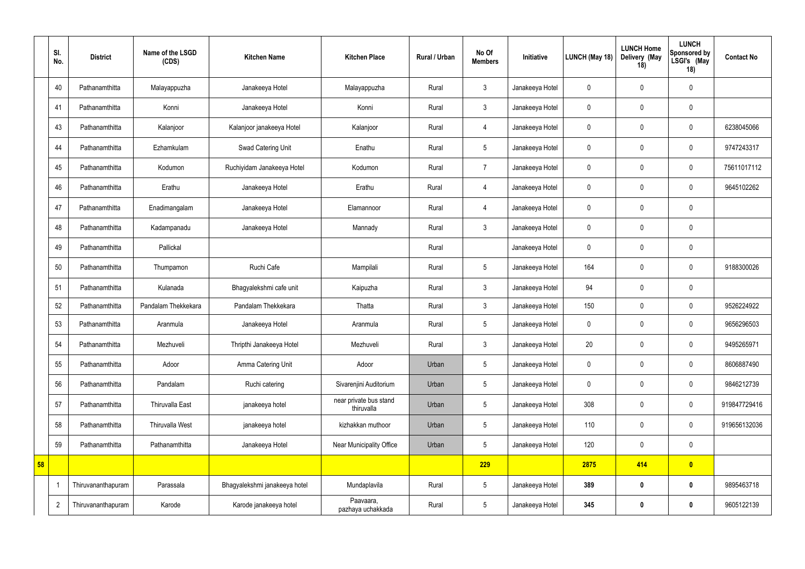|    | SI.<br>No.     | <b>District</b>    | Name of the LSGD<br>(CDS) | <b>Kitchen Name</b>           | <b>Kitchen Place</b>                 | Rural / Urban | No Of<br><b>Members</b> | Initiative      | LUNCH (May 18) | <b>LUNCH Home</b><br>Delivery (May<br>18) | <b>LUNCH</b><br>Sponsored by<br>LSGI's (May<br>18) | <b>Contact No</b> |
|----|----------------|--------------------|---------------------------|-------------------------------|--------------------------------------|---------------|-------------------------|-----------------|----------------|-------------------------------------------|----------------------------------------------------|-------------------|
|    | 40             | Pathanamthitta     | Malayappuzha              | Janakeeya Hotel               | Malayappuzha                         | Rural         | $\mathfrak{Z}$          | Janakeeya Hotel | $\mathbf 0$    | $\overline{0}$                            | $\overline{0}$                                     |                   |
|    | 41             | Pathanamthitta     | Konni                     | Janakeeya Hotel               | Konni                                | Rural         | $\mathbf{3}$            | Janakeeya Hotel | $\pmb{0}$      | $\overline{0}$                            | $\mathbf 0$                                        |                   |
|    | 43             | Pathanamthitta     | Kalanjoor                 | Kalanjoor janakeeya Hotel     | Kalanjoor                            | Rural         | $\overline{4}$          | Janakeeya Hotel | $\pmb{0}$      | $\overline{0}$                            | $\overline{0}$                                     | 6238045066        |
|    | 44             | Pathanamthitta     | Ezhamkulam                | Swad Catering Unit            | Enathu                               | Rural         | $5\phantom{.0}$         | Janakeeya Hotel | $\mathbf 0$    | $\overline{0}$                            | $\overline{0}$                                     | 9747243317        |
|    | 45             | Pathanamthitta     | Kodumon                   | Ruchiyidam Janakeeya Hotel    | Kodumon                              | Rural         | $\overline{7}$          | Janakeeya Hotel | $\mathbf 0$    | $\overline{0}$                            | $\overline{0}$                                     | 75611017112       |
|    | 46             | Pathanamthitta     | Erathu                    | Janakeeya Hotel               | Erathu                               | Rural         | $\overline{4}$          | Janakeeya Hotel | $\pmb{0}$      | $\mathbf 0$                               | $\overline{0}$                                     | 9645102262        |
|    | 47             | Pathanamthitta     | Enadimangalam             | Janakeeya Hotel               | Elamannoor                           | Rural         | $\overline{4}$          | Janakeeya Hotel | $\mathbf 0$    | $\overline{0}$                            | $\overline{0}$                                     |                   |
|    | 48             | Pathanamthitta     | Kadampanadu               | Janakeeya Hotel               | Mannady                              | Rural         | $\mathbf{3}$            | Janakeeya Hotel | 0              | $\overline{0}$                            | $\mathbf 0$                                        |                   |
|    | 49             | Pathanamthitta     | Pallickal                 |                               |                                      | Rural         |                         | Janakeeya Hotel | $\mathbf 0$    | $\overline{0}$                            | $\mathbf 0$                                        |                   |
|    | 50             | Pathanamthitta     | Thumpamon                 | Ruchi Cafe                    | Mampilali                            | Rural         | $5\phantom{.0}$         | Janakeeya Hotel | 164            | $\mathbf 0$                               | $\overline{0}$                                     | 9188300026        |
|    | 51             | Pathanamthitta     | Kulanada                  | Bhagyalekshmi cafe unit       | Kaipuzha                             | Rural         | $\mathbf{3}$            | Janakeeya Hotel | 94             | $\overline{0}$                            | $\mathbf 0$                                        |                   |
|    | 52             | Pathanamthitta     | Pandalam Thekkekara       | Pandalam Thekkekara           | Thatta                               | Rural         | $\mathbf{3}$            | Janakeeya Hotel | 150            | $\overline{0}$                            | $\overline{0}$                                     | 9526224922        |
|    | 53             | Pathanamthitta     | Aranmula                  | Janakeeya Hotel               | Aranmula                             | Rural         | 5                       | Janakeeya Hotel | 0              | $\mathbf 0$                               | $\overline{0}$                                     | 9656296503        |
|    | 54             | Pathanamthitta     | Mezhuveli                 | Thripthi Janakeeya Hotel      | Mezhuveli                            | Rural         | $\mathfrak{Z}$          | Janakeeya Hotel | $20\,$         | $\mathbf 0$                               | $\pmb{0}$                                          | 9495265971        |
|    | 55             | Pathanamthitta     | Adoor                     | Amma Catering Unit            | Adoor                                | Urban         | $5\phantom{.0}$         | Janakeeya Hotel | 0              | $\mathbf 0$                               | $\pmb{0}$                                          | 8606887490        |
|    | 56             | Pathanamthitta     | Pandalam                  | Ruchi catering                | Sivarenjini Auditorium               | Urban         | $5\phantom{.0}$         | Janakeeya Hotel | $\mathbf 0$    | $\mathbf 0$                               | $\pmb{0}$                                          | 9846212739        |
|    | 57             | Pathanamthitta     | Thiruvalla East           | janakeeya hotel               | near private bus stand<br>thiruvalla | Urban         | $5\phantom{.0}$         | Janakeeya Hotel | 308            | $\mathbf 0$                               | $\pmb{0}$                                          | 919847729416      |
|    | 58             | Pathanamthitta     | Thiruvalla West           | janakeeya hotel               | kizhakkan muthoor                    | Urban         | $5\phantom{.0}$         | Janakeeya Hotel | 110            | $\overline{0}$                            | $\pmb{0}$                                          | 919656132036      |
|    | 59             | Pathanamthitta     | Pathanamthitta            | Janakeeya Hotel               | Near Municipality Office             | Urban         | $5\phantom{.0}$         | Janakeeya Hotel | 120            | $\mathbf 0$                               | $\pmb{0}$                                          |                   |
| 58 |                |                    |                           |                               |                                      |               | 229                     |                 | 2875           | 414                                       | $\bullet$                                          |                   |
|    | $\overline{1}$ | Thiruvananthapuram | Parassala                 | Bhagyalekshmi janakeeya hotel | Mundaplavila                         | Rural         | $5\,$                   | Janakeeya Hotel | 389            | $\boldsymbol{0}$                          | $\boldsymbol{0}$                                   | 9895463718        |
|    | $\overline{2}$ | Thiruvananthapuram | Karode                    | Karode janakeeya hotel        | Paavaara,<br>pazhaya uchakkada       | Rural         | $5\overline{)}$         | Janakeeya Hotel | 345            | $\boldsymbol{0}$                          | $\boldsymbol{0}$                                   | 9605122139        |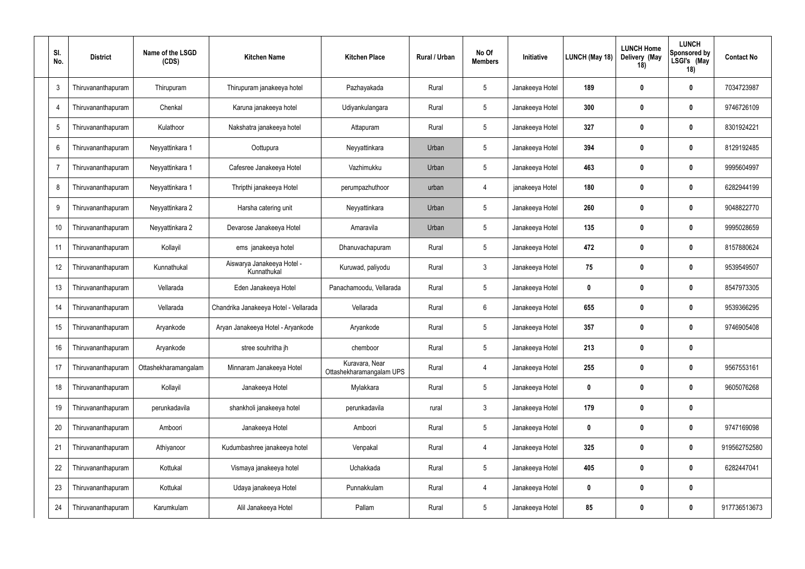| SI.<br>No.      | <b>District</b>    | Name of the LSGD<br>(CDS) | <b>Kitchen Name</b>                       | <b>Kitchen Place</b>                       | Rural / Urban | No Of<br><b>Members</b> | Initiative      | LUNCH (May 18) | <b>LUNCH Home</b><br>Delivery (May<br>18) | <b>LUNCH</b><br><b>Sponsored by</b><br>LSGI's (May<br>18) | <b>Contact No</b> |
|-----------------|--------------------|---------------------------|-------------------------------------------|--------------------------------------------|---------------|-------------------------|-----------------|----------------|-------------------------------------------|-----------------------------------------------------------|-------------------|
| $\mathbf{3}$    | Thiruvananthapuram | Thirupuram                | Thirupuram janakeeya hotel                | Pazhayakada                                | Rural         | $\overline{5}$          | Janakeeya Hotel | 189            | $\boldsymbol{0}$                          | $\mathbf 0$                                               | 7034723987        |
| 4               | Thiruvananthapuram | Chenkal                   | Karuna janakeeya hotel                    | Udiyankulangara                            | Rural         | $\overline{5}$          | Janakeeya Hotel | 300            | $\mathbf 0$                               | $\boldsymbol{0}$                                          | 9746726109        |
| $5\phantom{.0}$ | Thiruvananthapuram | Kulathoor                 | Nakshatra janakeeya hotel                 | Attapuram                                  | Rural         | $\overline{5}$          | Janakeeya Hotel | 327            | 0                                         | $\boldsymbol{0}$                                          | 8301924221        |
| 6               | Thiruvananthapuram | Neyyattinkara 1           | Oottupura                                 | Neyyattinkara                              | Urban         | $\overline{5}$          | Janakeeya Hotel | 394            | $\mathbf 0$                               | $\boldsymbol{0}$                                          | 8129192485        |
|                 | Thiruvananthapuram | Neyyattinkara 1           | Cafesree Janakeeya Hotel                  | Vazhimukku                                 | Urban         | $5\phantom{.0}$         | Janakeeya Hotel | 463            | 0                                         | $\boldsymbol{0}$                                          | 9995604997        |
| 8               | Thiruvananthapuram | Neyyattinkara 1           | Thripthi janakeeya Hotel                  | perumpazhuthoor                            | urban         | $\overline{4}$          | janakeeya Hotel | 180            | $\boldsymbol{0}$                          | $\boldsymbol{0}$                                          | 6282944199        |
| 9               | Thiruvananthapuram | Neyyattinkara 2           | Harsha catering unit                      | Neyyattinkara                              | Urban         | $5\phantom{.0}$         | Janakeeya Hotel | 260            | 0                                         | $\mathbf 0$                                               | 9048822770        |
| 10              | Thiruvananthapuram | Neyyattinkara 2           | Devarose Janakeeya Hotel                  | Amaravila                                  | Urban         | $\overline{5}$          | Janakeeya Hotel | 135            | $\boldsymbol{0}$                          | $\mathbf 0$                                               | 9995028659        |
| 11              | Thiruvananthapuram | Kollayil                  | ems janakeeya hotel                       | Dhanuvachapuram                            | Rural         | $5\phantom{.0}$         | Janakeeya Hotel | 472            | 0                                         | $\mathbf 0$                                               | 8157880624        |
| 12              | Thiruvananthapuram | Kunnathukal               | Aiswarya Janakeeya Hotel -<br>Kunnathukal | Kuruwad, paliyodu                          | Rural         | $\mathbf{3}$            | Janakeeya Hotel | 75             | $\bm{0}$                                  | $\mathbf 0$                                               | 9539549507        |
| 13              | Thiruvananthapuram | Vellarada                 | Eden Janakeeya Hotel                      | Panachamoodu, Vellarada                    | Rural         | 5                       | Janakeeya Hotel | $\mathbf 0$    | 0                                         | $\mathbf 0$                                               | 8547973305        |
| 14              | Thiruvananthapuram | Vellarada                 | Chandrika Janakeeya Hotel - Vellarada     | Vellarada                                  | Rural         | $6\phantom{.}6$         | Janakeeya Hotel | 655            | $\bm{0}$                                  | $\boldsymbol{0}$                                          | 9539366295        |
| 15              | Thiruvananthapuram | Aryankode                 | Aryan Janakeeya Hotel - Aryankode         | Aryankode                                  | Rural         | 5                       | Janakeeya Hotel | 357            | $\boldsymbol{0}$                          | $\mathbf 0$                                               | 9746905408        |
| 16              | Thiruvananthapuram | Aryankode                 | stree souhritha jh                        | chemboor                                   | Rural         | 5                       | Janakeeya Hotel | 213            | $\mathbf 0$                               | $\mathbf 0$                                               |                   |
| 17              | Thiruvananthapuram | Ottashekharamangalam      | Minnaram Janakeeya Hotel                  | Kuravara, Near<br>Ottashekharamangalam UPS | Rural         | $\overline{4}$          | Janakeeya Hotel | 255            | 0                                         | $\boldsymbol{0}$                                          | 9567553161        |
| 18              | Thiruvananthapuram | Kollayil                  | Janakeeya Hotel                           | Mylakkara                                  | Rural         | $\overline{5}$          | Janakeeya Hotel | $\mathbf 0$    | $\mathbf 0$                               | $\boldsymbol{0}$                                          | 9605076268        |
| 19              | Thiruvananthapuram | perunkadavila             | shankholi janakeeya hotel                 | perunkadavila                              | rural         | $\mathbf{3}$            | Janakeeya Hotel | 179            | 0                                         | $\mathbf 0$                                               |                   |
| 20              | Thiruvananthapuram | Amboori                   | Janakeeya Hotel                           | Amboori                                    | Rural         | $\overline{5}$          | Janakeeya Hotel | $\pmb{0}$      | $\mathbf 0$                               | $\boldsymbol{0}$                                          | 9747169098        |
| 21              | Thiruvananthapuram | Athiyanoor                | Kudumbashree janakeeya hotel              | Venpakal                                   | Rural         | $\overline{4}$          | Janakeeya Hotel | 325            | $\boldsymbol{0}$                          | $\boldsymbol{0}$                                          | 919562752580      |
| 22              | Thiruvananthapuram | Kottukal                  | Vismaya janakeeya hotel                   | Uchakkada                                  | Rural         | $\overline{5}$          | Janakeeya Hotel | 405            | $\mathbf 0$                               | $\boldsymbol{0}$                                          | 6282447041        |
| 23              | Thiruvananthapuram | Kottukal                  | Udaya janakeeya Hotel                     | Punnakkulam                                | Rural         | 4                       | Janakeeya Hotel | $\pmb{0}$      | 0                                         | $\boldsymbol{0}$                                          |                   |
| 24              | Thiruvananthapuram | Karumkulam                | Alil Janakeeya Hotel                      | Pallam                                     | Rural         | $\overline{5}$          | Janakeeya Hotel | 85             | $\boldsymbol{0}$                          | $\boldsymbol{0}$                                          | 917736513673      |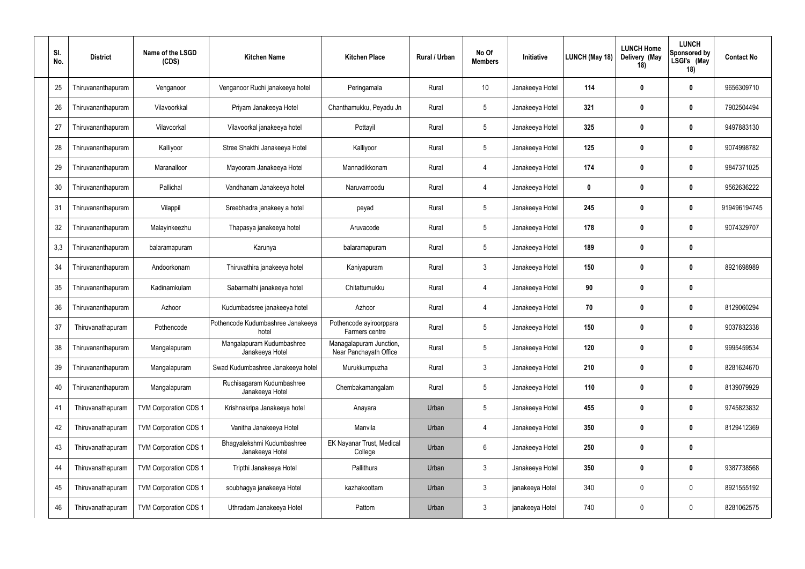| SI.<br>No. | <b>District</b>    | Name of the LSGD<br>(CDS)    | <b>Kitchen Name</b>                           | <b>Kitchen Place</b>                              | <b>Rural / Urban</b> | No Of<br><b>Members</b> | Initiative      | LUNCH (May 18) | <b>LUNCH Home</b><br>Delivery (May<br>18) | <b>LUNCH</b><br>Sponsored by<br>LSGI's (May<br>18) | <b>Contact No</b> |
|------------|--------------------|------------------------------|-----------------------------------------------|---------------------------------------------------|----------------------|-------------------------|-----------------|----------------|-------------------------------------------|----------------------------------------------------|-------------------|
| 25         | Thiruvananthapuram | Venganoor                    | Venganoor Ruchi janakeeya hotel               | Peringamala                                       | Rural                | 10                      | Janakeeya Hotel | 114            | 0                                         | $\mathbf 0$                                        | 9656309710        |
| 26         | Thiruvananthapuram | Vilavoorkkal                 | Priyam Janakeeya Hotel                        | Chanthamukku, Peyadu Jn                           | Rural                | $5\phantom{.0}$         | Janakeeya Hotel | 321            | $\mathbf 0$                               | $\mathbf 0$                                        | 7902504494        |
| 27         | Thiruvananthapuram | Vilavoorkal                  | Vilavoorkal janakeeya hotel                   | Pottayil                                          | Rural                | $5\phantom{.0}$         | Janakeeya Hotel | 325            | 0                                         | $\mathbf 0$                                        | 9497883130        |
| 28         | Thiruvananthapuram | Kalliyoor                    | Stree Shakthi Janakeeya Hotel                 | Kalliyoor                                         | Rural                | 5                       | Janakeeya Hotel | 125            | 0                                         | $\mathbf 0$                                        | 9074998782        |
| 29         | Thiruvananthapuram | Maranalloor                  | Mayooram Janakeeya Hotel                      | Mannadikkonam                                     | Rural                | $\overline{4}$          | Janakeeya Hotel | 174            | 0                                         | $\mathbf 0$                                        | 9847371025        |
| 30         | Thiruvananthapuram | Pallichal                    | Vandhanam Janakeeya hotel                     | Naruvamoodu                                       | Rural                | $\overline{4}$          | Janakeeya Hotel | $\mathbf 0$    | $\boldsymbol{0}$                          | $\mathbf 0$                                        | 9562636222        |
| 31         | Thiruvananthapuram | Vilappil                     | Sreebhadra janakeey a hotel                   | peyad                                             | Rural                | 5                       | Janakeeya Hotel | 245            | 0                                         | $\mathbf 0$                                        | 919496194745      |
| 32         | Thiruvananthapuram | Malayinkeezhu                | Thapasya janakeeya hotel                      | Aruvacode                                         | Rural                | 5                       | Janakeeya Hotel | 178            | 0                                         | $\mathbf 0$                                        | 9074329707        |
| 3,3        | Thiruvananthapuram | balaramapuram                | Karunya                                       | balaramapuram                                     | Rural                | 5                       | Janakeeya Hotel | 189            | 0                                         | $\mathbf 0$                                        |                   |
| 34         | Thiruvananthapuram | Andoorkonam                  | Thiruvathira janakeeya hotel                  | Kaniyapuram                                       | Rural                | $\mathbf{3}$            | Janakeeya Hotel | 150            | 0                                         | $\mathbf 0$                                        | 8921698989        |
| 35         | Thiruvananthapuram | Kadinamkulam                 | Sabarmathi janakeeya hotel                    | Chitattumukku                                     | Rural                | -4                      | Janakeeya Hotel | 90             | 0                                         | $\mathbf 0$                                        |                   |
| 36         | Thiruvananthapuram | Azhoor                       | Kudumbadsree janakeeya hotel                  | Azhoor                                            | Rural                | $\overline{4}$          | Janakeeya Hotel | 70             | 0                                         | $\mathbf 0$                                        | 8129060294        |
| 37         | Thiruvanathapuram  | Pothencode                   | Pothencode Kudumbashree Janakeeya<br>hotel    | Pothencode ayiroorppara<br>Farmers centre         | Rural                | 5                       | Janakeeya Hotel | 150            | $\mathbf 0$                               | $\mathbf 0$                                        | 9037832338        |
| 38         | Thiruvananthapuram | Mangalapuram                 | Mangalapuram Kudumbashree<br>Janakeeya Hotel  | Managalapuram Junction,<br>Near Panchayath Office | Rural                | 5                       | Janakeeya Hotel | 120            | $\mathbf 0$                               | $\mathbf 0$                                        | 9995459534        |
| 39         | Thiruvananthapuram | Mangalapuram                 | Swad Kudumbashree Janakeeya hotel             | Murukkumpuzha                                     | Rural                | $\mathbf{3}$            | Janakeeya Hotel | 210            | $\boldsymbol{0}$                          | $\mathbf 0$                                        | 8281624670        |
| 40         | Thiruvananthapuram | Mangalapuram                 | Ruchisagaram Kudumbashree<br>Janakeeya Hotel  | Chembakamangalam                                  | Rural                | $\overline{5}$          | Janakeeya Hotel | 110            | $\mathbf 0$                               | $\mathbf 0$                                        | 8139079929        |
| 41         | Thiruvanathapuram  | <b>TVM Corporation CDS 1</b> | Krishnakripa Janakeeya hotel                  | Anayara                                           | Urban                | $\overline{5}$          | Janakeeya Hotel | 455            | 0                                         | $\mathbf 0$                                        | 9745823832        |
| 42         | Thiruvanathapuram  | TVM Corporation CDS 1        | Vanitha Janakeeya Hotel                       | Manvila                                           | Urban                | $\overline{4}$          | Janakeeya Hotel | 350            | $\mathbf 0$                               | $\pmb{0}$                                          | 8129412369        |
| 43         | Thiruvanathapuram  | TVM Corporation CDS 1        | Bhagyalekshmi Kudumbashree<br>Janakeeya Hotel | EK Nayanar Trust, Medical<br>College              | Urban                | $6\,$                   | Janakeeya Hotel | 250            | 0                                         | $\mathbf 0$                                        |                   |
| 44         | Thiruvanathapuram  | TVM Corporation CDS 1        | Tripthi Janakeeya Hotel                       | Pallithura                                        | Urban                | $\mathbf{3}$            | Janakeeya Hotel | 350            | $\mathbf 0$                               | $\boldsymbol{0}$                                   | 9387738568        |
| 45         | Thiruvanathapuram  | TVM Corporation CDS 1        | soubhagya janakeeya Hotel                     | kazhakoottam                                      | Urban                | $\mathbf{3}$            | janakeeya Hotel | 340            | -0                                        | $\mathbf 0$                                        | 8921555192        |
| 46         | Thiruvanathapuram  | TVM Corporation CDS 1        | Uthradam Janakeeya Hotel                      | Pattom                                            | Urban                | $\mathbf{3}$            | janakeeya Hotel | 740            | 0                                         | $\bm{0}$                                           | 8281062575        |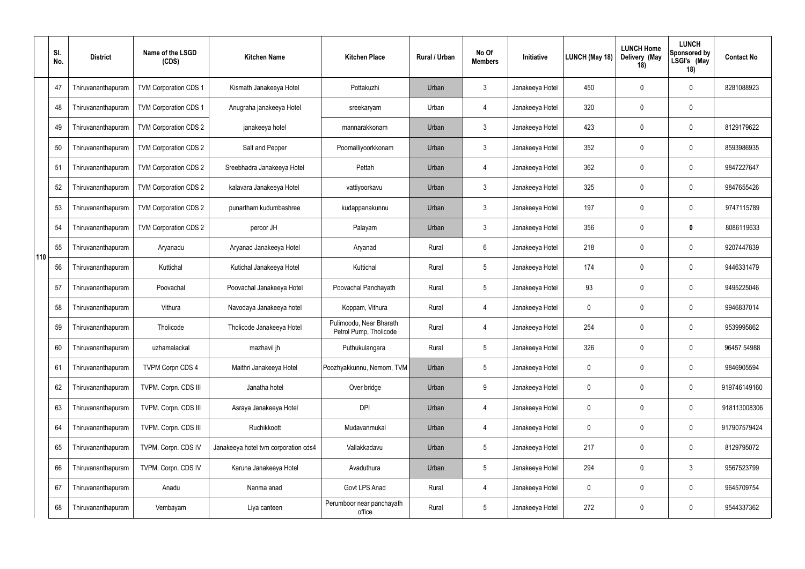|     | SI.<br>No. | <b>District</b>    | Name of the LSGD<br>(CDS)    | <b>Kitchen Name</b>                  | <b>Kitchen Place</b>                              | Rural / Urban | No Of<br><b>Members</b> | Initiative      | LUNCH (May 18) | <b>LUNCH Home</b><br>Delivery (May<br>18) | <b>LUNCH</b><br><b>Sponsored by</b><br>LSGI's (May<br>18) | <b>Contact No</b> |
|-----|------------|--------------------|------------------------------|--------------------------------------|---------------------------------------------------|---------------|-------------------------|-----------------|----------------|-------------------------------------------|-----------------------------------------------------------|-------------------|
|     | 47         | Thiruvananthapuram | <b>TVM Corporation CDS 1</b> | Kismath Janakeeya Hotel              | Pottakuzhi                                        | Urban         | $\mathbf{3}$            | Janakeeya Hotel | 450            | $\mathbf 0$                               | $\mathbf 0$                                               | 8281088923        |
|     | 48         | Thiruvananthapuram | TVM Corporation CDS 1        | Anugraha janakeeya Hotel             | sreekaryam                                        | Urban         | $\overline{4}$          | Janakeeya Hotel | 320            | $\overline{0}$                            | $\mathbf 0$                                               |                   |
|     | 49         | Thiruvananthapuram | TVM Corporation CDS 2        | janakeeya hotel                      | mannarakkonam                                     | Urban         | $\mathbf{3}$            | Janakeeya Hotel | 423            | $\mathbf 0$                               | $\mathbf 0$                                               | 8129179622        |
|     | 50         | Thiruvananthapuram | TVM Corporation CDS 2        | Salt and Pepper                      | Poomalliyoorkkonam                                | Urban         | $\mathbf{3}$            | Janakeeya Hotel | 352            | $\overline{0}$                            | $\mathbf 0$                                               | 8593986935        |
|     | 51         | Thiruvananthapuram | TVM Corporation CDS 2        | Sreebhadra Janakeeya Hotel           | Pettah                                            | Urban         | $\overline{4}$          | Janakeeya Hotel | 362            | $\mathbf 0$                               | $\mathbf 0$                                               | 9847227647        |
|     | 52         | Thiruvananthapuram | <b>TVM Corporation CDS 2</b> | kalavara Janakeeya Hotel             | vattiyoorkavu                                     | Urban         | $\mathbf{3}$            | Janakeeya Hotel | 325            | $\mathbf 0$                               | $\mathbf 0$                                               | 9847655426        |
|     | 53         | Thiruvananthapuram | TVM Corporation CDS 2        | punartham kudumbashree               | kudappanakunnu                                    | Urban         | 3                       | Janakeeya Hotel | 197            | $\mathbf 0$                               | $\mathbf 0$                                               | 9747115789        |
|     | 54         | Thiruvananthapuram | TVM Corporation CDS 2        | peroor JH                            | Palayam                                           | Urban         | $\mathfrak{Z}$          | Janakeeya Hotel | 356            | $\overline{0}$                            | $\boldsymbol{0}$                                          | 8086119633        |
| 110 | 55         | Thiruvananthapuram | Aryanadu                     | Aryanad Janakeeya Hotel              | Aryanad                                           | Rural         | $6\overline{6}$         | Janakeeya Hotel | 218            | $\mathbf 0$                               | $\mathbf 0$                                               | 9207447839        |
|     | 56         | Thiruvananthapuram | Kuttichal                    | Kutichal Janakeeya Hotel             | Kuttichal                                         | Rural         | 5                       | Janakeeya Hotel | 174            | $\overline{0}$                            | $\mathbf 0$                                               | 9446331479        |
|     | 57         | Thiruvananthapuram | Poovachal                    | Poovachal Janakeeya Hotel            | Poovachal Panchayath                              | Rural         | 5                       | Janakeeya Hotel | 93             | $\mathbf 0$                               | $\mathbf 0$                                               | 9495225046        |
|     | 58         | Thiruvananthapuram | Vithura                      | Navodaya Janakeeya hotel             | Koppam, Vithura                                   | Rural         | $\overline{4}$          | Janakeeya Hotel | $\mathbf 0$    | $\mathbf 0$                               | $\mathbf 0$                                               | 9946837014        |
|     | 59         | Thiruvananthapuram | Tholicode                    | Tholicode Janakeeya Hotel            | Pulimoodu, Near Bharath<br>Petrol Pump, Tholicode | Rural         | $\overline{4}$          | Janakeeya Hotel | 254            | $\mathbf 0$                               | $\mathbf 0$                                               | 9539995862        |
|     | 60         | Thiruvananthapuram | uzhamalackal                 | mazhavil jh                          | Puthukulangara                                    | Rural         | 5                       | Janakeeya Hotel | 326            | $\mathbf 0$                               | $\mathbf 0$                                               | 96457 54988       |
|     | 61         | Thiruvananthapuram | <b>TVPM Corpn CDS 4</b>      | Maithri Janakeeya Hotel              | Poozhyakkunnu, Nemom, TVM                         | Urban         | 5                       | Janakeeya Hotel | $\mathbf 0$    | $\mathbf 0$                               | $\mathbf 0$                                               | 9846905594        |
|     | 62         | Thiruvananthapuram | TVPM. Corpn. CDS III         | Janatha hotel                        | Over bridge                                       | Urban         | 9                       | Janakeeya Hotel | $\mathbf 0$    | $\mathbf 0$                               | $\mathbf 0$                                               | 919746149160      |
|     | 63         | Thiruvananthapuram | TVPM. Corpn. CDS III         | Asraya Janakeeya Hotel               | <b>DPI</b>                                        | Urban         | $\overline{4}$          | Janakeeya Hotel | $\mathbf 0$    | $\mathbf 0$                               | $\pmb{0}$                                                 | 918113008306      |
|     | 64         | Thiruvananthapuram | TVPM. Corpn. CDS III         | Ruchikkoott                          | Mudavanmukal                                      | Urban         | $\overline{4}$          | Janakeeya Hotel | $\mathbf 0$    | $\mathbf 0$                               | $\pmb{0}$                                                 | 917907579424      |
|     | 65         | Thiruvananthapuram | TVPM. Corpn. CDS IV          | Janakeeya hotel tvm corporation cds4 | Vallakkadavu                                      | Urban         | 5                       | Janakeeya Hotel | 217            | $\boldsymbol{0}$                          | $\mathbf 0$                                               | 8129795072        |
|     | 66         | Thiruvananthapuram | TVPM. Corpn. CDS IV          | Karuna Janakeeya Hotel               | Avaduthura                                        | Urban         | 5                       | Janakeeya Hotel | 294            | $\mathbf 0$                               | $\mathbf{3}$                                              | 9567523799        |
|     | 67         | Thiruvananthapuram | Anadu                        | Nanma anad                           | Govt LPS Anad                                     | Rural         | $\overline{4}$          | Janakeeya Hotel | $\mathbf 0$    | $\boldsymbol{0}$                          | $\mathbf 0$                                               | 9645709754        |
|     | 68         | Thiruvananthapuram | Vembayam                     | Liya canteen                         | Perumboor near panchayath<br>office               | Rural         | 5                       | Janakeeya Hotel | 272            | $\boldsymbol{0}$                          | $\boldsymbol{0}$                                          | 9544337362        |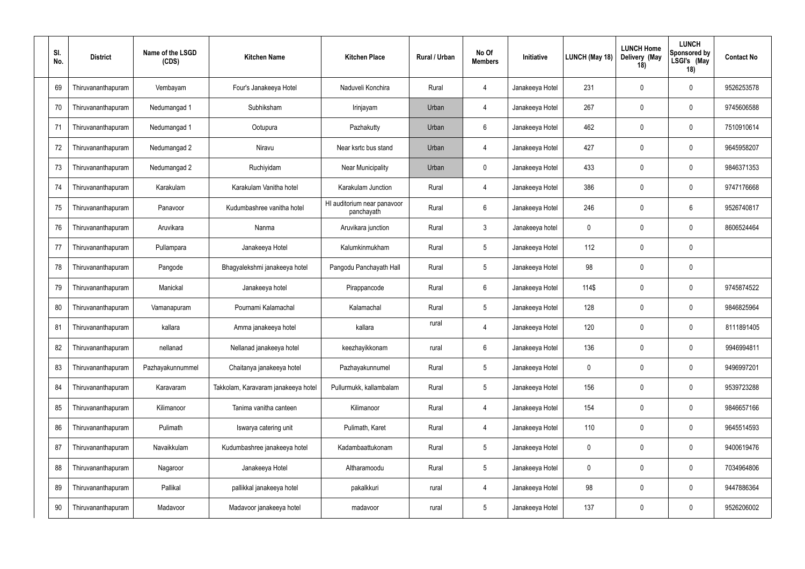| SI.<br>No. |    | <b>District</b>    | Name of the LSGD<br>(CDS) | <b>Kitchen Name</b>                 | <b>Kitchen Place</b>                      | Rural / Urban | No Of<br><b>Members</b> | Initiative      | LUNCH (May 18) | <b>LUNCH Home</b><br>Delivery (May<br>18) | <b>LUNCH</b><br><b>Sponsored by</b><br>LSGI's (May<br>18) | <b>Contact No</b> |
|------------|----|--------------------|---------------------------|-------------------------------------|-------------------------------------------|---------------|-------------------------|-----------------|----------------|-------------------------------------------|-----------------------------------------------------------|-------------------|
| 69         |    | Thiruvananthapuram | Vembayam                  | Four's Janakeeya Hotel              | Naduveli Konchira                         | Rural         | $\overline{4}$          | Janakeeya Hotel | 231            | $\mathbf{0}$                              | $\mathbf 0$                                               | 9526253578        |
| 70         |    | Thiruvananthapuram | Nedumangad 1              | Subhiksham                          | Irinjayam                                 | Urban         | $\overline{4}$          | Janakeeya Hotel | 267            | $\mathbf{0}$                              | $\mathbf 0$                                               | 9745606588        |
| 71         |    | Thiruvananthapuram | Nedumangad 1              | Ootupura                            | Pazhakutty                                | Urban         | 6                       | Janakeeya Hotel | 462            | 0                                         | $\mathbf 0$                                               | 7510910614        |
| 72         |    | Thiruvananthapuram | Nedumangad 2              | Niravu                              | Near ksrtc bus stand                      | Urban         | $\overline{4}$          | Janakeeya Hotel | 427            | $\mathbf 0$                               | $\mathbf 0$                                               | 9645958207        |
| 73         |    | Thiruvananthapuram | Nedumangad 2              | Ruchiyidam                          | <b>Near Municipality</b>                  | Urban         | $\mathbf 0$             | Janakeeya Hotel | 433            | $\mathbf{0}$                              | $\mathbf 0$                                               | 9846371353        |
| 74         |    | Thiruvananthapuram | Karakulam                 | Karakulam Vanitha hotel             | Karakulam Junction                        | Rural         | $\overline{4}$          | Janakeeya Hotel | 386            | $\mathbf{0}$                              | $\mathbf 0$                                               | 9747176668        |
| 75         |    | Thiruvananthapuram | Panavoor                  | Kudumbashree vanitha hotel          | HI auditorium near panavoor<br>panchayath | Rural         | 6                       | Janakeeya Hotel | 246            | $\Omega$                                  | 6                                                         | 9526740817        |
| 76         |    | Thiruvananthapuram | Aruvikara                 | Nanma                               | Aruvikara junction                        | Rural         | $\mathbf{3}$            | Janakeeya hotel | 0              | $\mathbf 0$                               | $\mathbf 0$                                               | 8606524464        |
| 77         |    | Thiruvananthapuram | Pullampara                | Janakeeya Hotel                     | Kalumkinmukham                            | Rural         | $5\phantom{.0}$         | Janakeeya Hotel | 112            | $\mathbf{0}$                              | $\mathbf 0$                                               |                   |
| 78         |    | Thiruvananthapuram | Pangode                   | Bhagyalekshmi janakeeya hotel       | Pangodu Panchayath Hall                   | Rural         | $5\phantom{.0}$         | Janakeeya Hotel | 98             | $\mathbf{0}$                              | $\mathbf 0$                                               |                   |
| 79         |    | Thiruvananthapuram | Manickal                  | Janakeeya hotel                     | Pirappancode                              | Rural         | 6                       | Janakeeya Hotel | 114\$          | $\mathbf{0}$                              | $\mathbf 0$                                               | 9745874522        |
| 80         |    | Thiruvananthapuram | Vamanapuram               | Pournami Kalamachal                 | Kalamachal                                | Rural         | $5\phantom{.0}$         | Janakeeya Hotel | 128            | $\mathbf 0$                               | $\mathbf 0$                                               | 9846825964        |
| 81         |    | Thiruvananthapuram | kallara                   | Amma janakeeya hotel                | kallara                                   | rural         | 4                       | Janakeeya Hotel | 120            | 0                                         | $\mathbf 0$                                               | 8111891405        |
| 82         |    | Thiruvananthapuram | nellanad                  | Nellanad janakeeya hotel            | keezhayikkonam                            | rural         | $6\,$                   | Janakeeya Hotel | 136            | $\pmb{0}$                                 | $\mathbf 0$                                               | 9946994811        |
| 83         |    | Thiruvananthapuram | Pazhayakunnummel          | Chaitanya janakeeya hotel           | Pazhayakunnumel                           | Rural         | $5\phantom{.0}$         | Janakeeya Hotel | $\mathbf 0$    | $\mathbf{0}$                              | $\mathbf 0$                                               | 9496997201        |
| 84         |    | Thiruvananthapuram | Karavaram                 | Takkolam, Karavaram janakeeya hotel | Pullurmukk, kallambalam                   | Rural         | $\sqrt{5}$              | Janakeeya Hotel | 156            | $\mathbf 0$                               | $\mathbf 0$                                               | 9539723288        |
| 85         |    | Thiruvananthapuram | Kilimanoor                | Tanima vanitha canteen              | Kilimanoor                                | Rural         | 4                       | Janakeeya Hotel | 154            | $\mathbf 0$                               | $\mathbf 0$                                               | 9846657166        |
| 86         |    | Thiruvananthapuram | Pulimath                  | Iswarya catering unit               | Pulimath, Karet                           | Rural         | $\overline{4}$          | Janakeeya Hotel | 110            | $\mathbf 0$                               | $\pmb{0}$                                                 | 9645514593        |
| 87         |    | Thiruvananthapuram | Navaikkulam               | Kudumbashree janakeeya hotel        | Kadambaattukonam                          | Rural         | $5\,$                   | Janakeeya Hotel | $\mathbf 0$    | $\mathbf 0$                               | $\boldsymbol{0}$                                          | 9400619476        |
|            | 88 | Thiruvananthapuram | Nagaroor                  | Janakeeya Hotel                     | Altharamoodu                              | Rural         | $5\,$                   | Janakeeya Hotel | $\mathbf 0$    | $\mathbf 0$                               | $\boldsymbol{0}$                                          | 7034964806        |
|            | 89 | Thiruvananthapuram | Pallikal                  | pallikkal janakeeya hotel           | pakalkkuri                                | rural         | $\overline{4}$          | Janakeeya Hotel | 98             | $\mathbf 0$                               | $\mathbf 0$                                               | 9447886364        |
| 90         |    | Thiruvananthapuram | Madavoor                  | Madavoor janakeeya hotel            | madavoor                                  | rural         | $\sqrt{5}$              | Janakeeya Hotel | 137            | $\boldsymbol{0}$                          | $\mathbf 0$                                               | 9526206002        |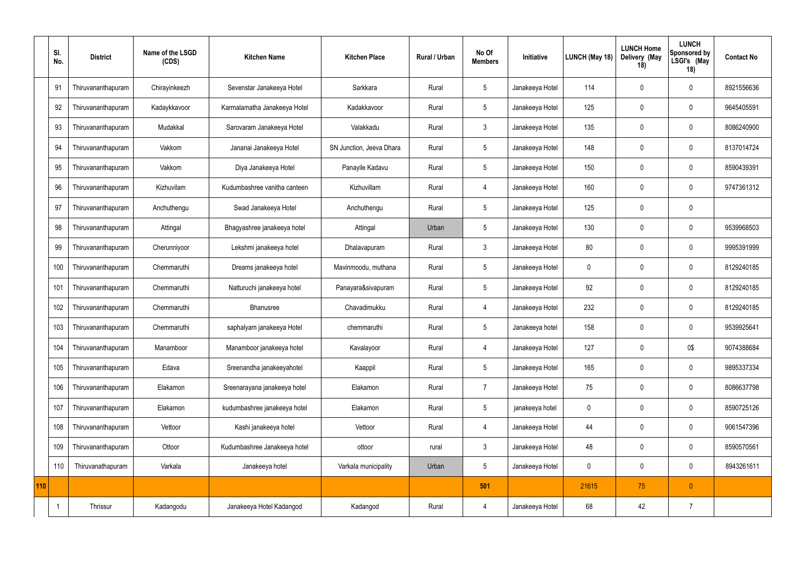| SI.<br>No.     | <b>District</b>    | Name of the LSGD<br>(CDS) | <b>Kitchen Name</b>          | <b>Kitchen Place</b>     | Rural / Urban | No Of<br><b>Members</b> | Initiative      | LUNCH (May 18) | <b>LUNCH Home</b><br>Delivery (May<br>18) | <b>LUNCH</b><br>Sponsored by<br>LSGI's (May<br>18) | <b>Contact No</b> |
|----------------|--------------------|---------------------------|------------------------------|--------------------------|---------------|-------------------------|-----------------|----------------|-------------------------------------------|----------------------------------------------------|-------------------|
| 91             | Thiruvananthapuram | Chirayinkeezh             | Sevenstar Janakeeya Hotel    | Sarkkara                 | Rural         | 5                       | Janakeeya Hotel | 114            | $\mathbf 0$                               | $\overline{0}$                                     | 8921556636        |
| 92             | Thiruvananthapuram | Kadaykkavoor              | Karmalamatha Janakeeya Hotel | Kadakkavoor              | Rural         | 5                       | Janakeeya Hotel | 125            | $\mathbf 0$                               | $\overline{0}$                                     | 9645405591        |
| 93             | Thiruvananthapuram | Mudakkal                  | Sarovaram Janakeeya Hotel    | Valakkadu                | Rural         | $\mathbf{3}$            | Janakeeya Hotel | 135            | $\overline{0}$                            | $\overline{0}$                                     | 8086240900        |
| 94             | Thiruvananthapuram | Vakkom                    | Jananai Janakeeya Hotel      | SN Junction, Jeeva Dhara | Rural         | $5\overline{)}$         | Janakeeya Hotel | 148            | $\overline{0}$                            | $\overline{0}$                                     | 8137014724        |
| 95             | Thiruvananthapuram | Vakkom                    | Diya Janakeeya Hotel         | Panayile Kadavu          | Rural         | $5\overline{)}$         | Janakeeya Hotel | 150            | $\overline{0}$                            | $\mathbf 0$                                        | 8590439391        |
| 96             | Thiruvananthapuram | Kizhuvilam                | Kudumbashree vanitha canteen | Kizhuvillam              | Rural         | $\overline{4}$          | Janakeeya Hotel | 160            | $\mathbf 0$                               | $\overline{0}$                                     | 9747361312        |
| 97             | Thiruvananthapuram | Anchuthengu               | Swad Janakeeya Hotel         | Anchuthengu              | Rural         | $5\overline{)}$         | Janakeeya Hotel | 125            | $\overline{0}$                            | $\overline{0}$                                     |                   |
| 98             | Thiruvananthapuram | Attingal                  | Bhagyashree janakeeya hotel  | Attingal                 | Urban         | $5\phantom{.0}$         | Janakeeya Hotel | 130            | $\overline{0}$                            | $\overline{0}$                                     | 9539968503        |
| 99             | Thiruvananthapuram | Cherunniyoor              | Lekshmi janakeeya hotel      | Dhalavapuram             | Rural         | $\mathbf{3}$            | Janakeeya Hotel | 80             | $\overline{0}$                            | $\overline{0}$                                     | 9995391999        |
| 100            | Thiruvananthapuram | Chemmaruthi               | Dreams janakeeya hotel       | Mavinmoodu, muthana      | Rural         | 5                       | Janakeeya Hotel | 0              | $\overline{0}$                            | $\overline{0}$                                     | 8129240185        |
| 101            | Thiruvananthapuram | Chemmaruthi               | Natturuchi janakeeya hotel   | Panayara&sivapuram       | Rural         | 5                       | Janakeeya Hotel | 92             | $\overline{0}$                            | $\overline{0}$                                     | 8129240185        |
| 102            | Thiruvananthapuram | Chemmaruthi               | Bhanusree                    | Chavadimukku             | Rural         | $\overline{4}$          | Janakeeya Hotel | 232            | $\overline{0}$                            | $\overline{0}$                                     | 8129240185        |
| 103            | Thiruvananthapuram | Chemmaruthi               | saphalyam janakeeya Hotel    | chemmaruthi              | Rural         | $5\overline{)}$         | Janakeeya hotel | 158            | $\overline{0}$                            | $\mathbf 0$                                        | 9539925641        |
| 104            | Thiruvananthapuram | Manamboor                 | Manamboor janakeeya hotel    | Kavalayoor               | Rural         | $\overline{4}$          | Janakeeya Hotel | 127            | $\mathbf 0$                               | 0\$                                                | 9074388684        |
| 105            | Thiruvananthapuram | Edava                     | Sreenandha janakeeyahotel    | Kaappil                  | Rural         | 5 <sup>5</sup>          | Janakeeya Hotel | 165            | $\mathbf 0$                               | $\mathbf 0$                                        | 9895337334        |
| 106            | Thiruvananthapuram | Elakamon                  | Sreenarayana janakeeya hotel | Elakamon                 | Rural         | $\overline{7}$          | Janakeeya Hotel | 75             | $\mathbf 0$                               | $\pmb{0}$                                          | 8086637798        |
| 107            | Thiruvananthapuram | Elakamon                  | kudumbashree janakeeya hotel | Elakamon                 | Rural         | 5                       | janakeeya hotel | 0              | $\overline{0}$                            | $\mathbf 0$                                        | 8590725126        |
| 108            | Thiruvananthapuram | Vettoor                   | Kashi janakeeya hotel        | Vettoor                  | Rural         | $\overline{4}$          | Janakeeya Hotel | 44             | $\mathbf 0$                               | $\pmb{0}$                                          | 9061547396        |
| 109            | Thiruvananthapuram | Ottoor                    | Kudumbashree Janakeeya hotel | ottoor                   | rural         | $\mathbf{3}$            | Janakeeya Hotel | 48             | $\overline{0}$                            | $\overline{0}$                                     | 8590570561        |
| 110            | Thiruvanathapuram  | Varkala                   | Janakeeya hotel              | Varkala municipality     | Urban         | 5                       | Janakeeya Hotel | 0              | $\mathbf 0$                               | $\pmb{0}$                                          | 8943261611        |
| 110            |                    |                           |                              |                          |               | 501                     |                 | 21615          | 75                                        | $\theta$                                           |                   |
| $\overline{1}$ | Thrissur           | Kadangodu                 | Janakeeya Hotel Kadangod     | Kadangod                 | Rural         | $\overline{4}$          | Janakeeya Hotel | 68             | 42                                        |                                                    |                   |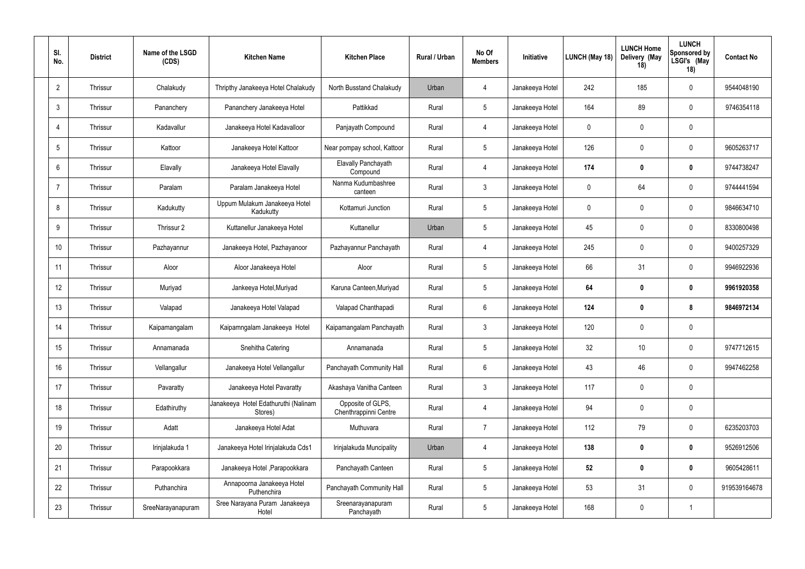| SI.<br>No.      | <b>District</b> | Name of the LSGD<br>(CDS) | <b>Kitchen Name</b>                             | <b>Kitchen Place</b>                       | <b>Rural / Urban</b> | No Of<br><b>Members</b> | Initiative      | LUNCH (May 18) | <b>LUNCH Home</b><br>Delivery (May<br>18) | <b>LUNCH</b><br><b>Sponsored by</b><br>LSGI's (May<br>18) | <b>Contact No</b> |
|-----------------|-----------------|---------------------------|-------------------------------------------------|--------------------------------------------|----------------------|-------------------------|-----------------|----------------|-------------------------------------------|-----------------------------------------------------------|-------------------|
| $\overline{2}$  | Thrissur        | Chalakudy                 | Thripthy Janakeeya Hotel Chalakudy              | North Busstand Chalakudy                   | Urban                | -4                      | Janakeeya Hotel | 242            | 185                                       | $\mathbf 0$                                               | 9544048190        |
| $\mathbf{3}$    | Thrissur        | Pananchery                | Pananchery Janakeeya Hotel                      | Pattikkad                                  | Rural                | $5\phantom{.0}$         | Janakeeya Hotel | 164            | 89                                        | $\mathbf 0$                                               | 9746354118        |
| $\overline{4}$  | Thrissur        | Kadavallur                | Janakeeya Hotel Kadavalloor                     | Panjayath Compound                         | Rural                | $\overline{4}$          | Janakeeya Hotel | $\mathbf 0$    | $\mathbf 0$                               | $\mathbf 0$                                               |                   |
| $5\overline{)}$ | Thrissur        | Kattoor                   | Janakeeya Hotel Kattoor                         | Near pompay school, Kattoor                | Rural                | $5\overline{)}$         | Janakeeya Hotel | 126            | $\mathbf 0$                               | $\mathbf 0$                                               | 9605263717        |
| $6\overline{6}$ | Thrissur        | Elavally                  | Janakeeya Hotel Elavally                        | <b>Elavally Panchayath</b><br>Compound     | Rural                | $\overline{4}$          | Janakeeya Hotel | 174            | $\boldsymbol{0}$                          | $\mathbf 0$                                               | 9744738247        |
| $\overline{7}$  | Thrissur        | Paralam                   | Paralam Janakeeya Hotel                         | Nanma Kudumbashree<br>canteen              | Rural                | $\mathbf{3}$            | Janakeeya Hotel | 0              | 64                                        | $\mathbf 0$                                               | 9744441594        |
| 8               | Thrissur        | Kadukutty                 | Uppum Mulakum Janakeeya Hotel<br>Kadukutty      | Kottamuri Junction                         | Rural                | $5\phantom{.0}$         | Janakeeya Hotel | $\mathbf 0$    | $\mathbf 0$                               | $\mathbf 0$                                               | 9846634710        |
| 9               | Thrissur        | Thrissur 2                | Kuttanellur Janakeeya Hotel                     | Kuttanellur                                | Urban                | $5\phantom{.0}$         | Janakeeya Hotel | 45             | $\mathbf 0$                               | $\mathbf 0$                                               | 8330800498        |
| 10              | Thrissur        | Pazhayannur               | Janakeeya Hotel, Pazhayanoor                    | Pazhayannur Panchayath                     | Rural                | $\overline{4}$          | Janakeeya Hotel | 245            | $\mathbf 0$                               | $\mathbf 0$                                               | 9400257329        |
| 11              | Thrissur        | Aloor                     | Aloor Janakeeya Hotel                           | Aloor                                      | Rural                | $5\phantom{.0}$         | Janakeeya Hotel | 66             | 31                                        | $\mathbf 0$                                               | 9946922936        |
| 12              | Thrissur        | Muriyad                   | Jankeeya Hotel, Muriyad                         | Karuna Canteen, Muriyad                    | Rural                | $5\phantom{.0}$         | Janakeeya Hotel | 64             | 0                                         | $\mathbf 0$                                               | 9961920358        |
| 13              | Thrissur        | Valapad                   | Janakeeya Hotel Valapad                         | Valapad Chanthapadi                        | Rural                | 6                       | Janakeeya Hotel | 124            | $\mathbf 0$                               | 8                                                         | 9846972134        |
| 14              | Thrissur        | Kaipamangalam             | Kaipamngalam Janakeeya Hotel                    | Kaipamangalam Panchayath                   | Rural                | $\mathbf{3}$            | Janakeeya Hotel | 120            | $\mathbf 0$                               | $\mathbf 0$                                               |                   |
| 15              | Thrissur        | Annamanada                | Snehitha Catering                               | Annamanada                                 | Rural                | $5\phantom{.0}$         | Janakeeya Hotel | 32             | 10 <sup>°</sup>                           | $\mathbf 0$                                               | 9747712615        |
| 16              | Thrissur        | Vellangallur              | Janakeeya Hotel Vellangallur                    | Panchayath Community Hall                  | Rural                | $6\overline{6}$         | Janakeeya Hotel | 43             | 46                                        | $\mathbf 0$                                               | 9947462258        |
| 17              | Thrissur        | Pavaratty                 | Janakeeya Hotel Pavaratty                       | Akashaya Vanitha Canteen                   | Rural                | $\mathfrak{Z}$          | Janakeeya Hotel | 117            | $\mathbf 0$                               | $\pmb{0}$                                                 |                   |
| 18              | Thrissur        | Edathiruthy               | Janakeeya Hotel Edathuruthi (Nalinam<br>Stores) | Opposite of GLPS,<br>Chenthrappinni Centre | Rural                | $\overline{4}$          | Janakeeya Hotel | 94             | $\mathbf 0$                               | $\pmb{0}$                                                 |                   |
| 19              | Thrissur        | Adatt                     | Janakeeya Hotel Adat                            | Muthuvara                                  | Rural                | $\overline{7}$          | Janakeeya Hotel | 112            | 79                                        | $\pmb{0}$                                                 | 6235203703        |
| 20              | Thrissur        | Irinjalakuda 1            | Janakeeya Hotel Irinjalakuda Cds1               | Irinjalakuda Muncipality                   | Urban                | $\overline{4}$          | Janakeeya Hotel | 138            | $\mathbf 0$                               | $\mathbf 0$                                               | 9526912506        |
| 21              | Thrissur        | Parapookkara              | Janakeeya Hotel, Parapookkara                   | Panchayath Canteen                         | Rural                | $5\phantom{.0}$         | Janakeeya Hotel | 52             | $\mathbf 0$                               | $\mathbf 0$                                               | 9605428611        |
| 22              | Thrissur        | Puthanchira               | Annapoorna Janakeeya Hotel<br>Puthenchira       | Panchayath Community Hall                  | Rural                | $5\phantom{.0}$         | Janakeeya Hotel | 53             | 31                                        | $\mathbf 0$                                               | 919539164678      |
| 23              | Thrissur        | SreeNarayanapuram         | Sree Narayana Puram Janakeeya<br>Hotel          | Sreenarayanapuram<br>Panchayath            | Rural                | $5\phantom{.0}$         | Janakeeya Hotel | 168            | $\pmb{0}$                                 | -1                                                        |                   |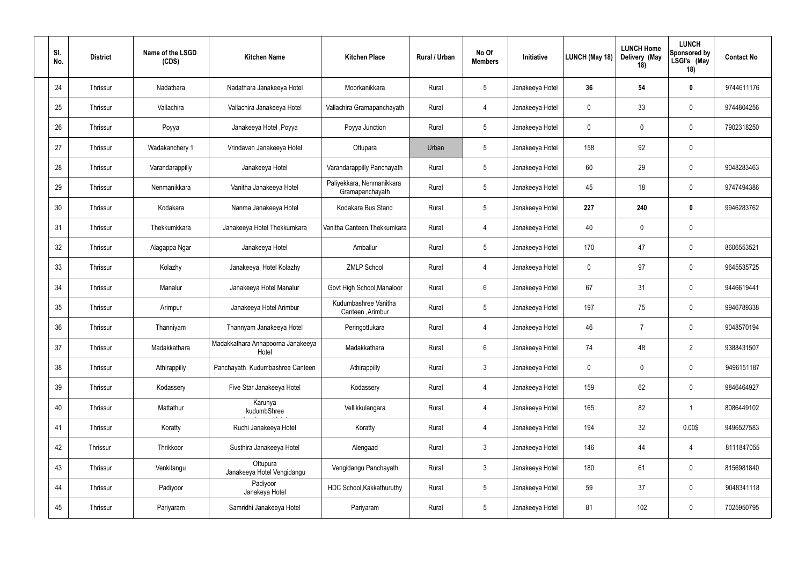| SI.<br>No. | <b>District</b> | Name of the LSGD<br>(CDS) | <b>Kitchen Name</b>                        | <b>Kitchen Place</b>                         | <b>Rural / Urban</b> | No Of<br><b>Members</b> | Initiative      | LUNCH (May 18) | <b>LUNCH Home</b><br>Delivery (May<br>18) | <b>LUNCH</b><br><b>Sponsored by</b><br>LSGI's (May<br>18) | <b>Contact No</b> |
|------------|-----------------|---------------------------|--------------------------------------------|----------------------------------------------|----------------------|-------------------------|-----------------|----------------|-------------------------------------------|-----------------------------------------------------------|-------------------|
| 24         | Thrissur        | Nadathara                 | Nadathara Janakeeya Hotel                  | Moorkanikkara                                | Rural                | $\overline{5}$          | Janakeeya Hotel | 36             | 54                                        | $\mathbf 0$                                               | 9744611176        |
| 25         | Thrissur        | Vallachira                | Vallachira Janakeeya Hotel                 | Vallachira Gramapanchayath                   | Rural                | $\overline{4}$          | Janakeeya Hotel | $\mathbf 0$    | 33                                        | $\mathbf 0$                                               | 9744804256        |
| 26         | Thrissur        | Poyya                     | Janakeeya Hotel , Poyya                    | Poyya Junction                               | Rural                | $5\phantom{.0}$         | Janakeeya Hotel | $\mathbf 0$    | -0                                        | $\mathbf 0$                                               | 7902318250        |
| 27         | Thrissur        | Wadakanchery 1            | Vrindavan Janakeeya Hotel                  | Ottupara                                     | Urban                | $5\phantom{.0}$         | Janakeeya Hotel | 158            | 92                                        | $\mathbf 0$                                               |                   |
| 28         | Thrissur        | Varandarappilly           | Janakeeya Hotel                            | Varandarappilly Panchayath                   | Rural                | $5\phantom{.0}$         | Janakeeya Hotel | 60             | 29                                        | $\mathbf 0$                                               | 9048283463        |
| 29         | Thrissur        | Nenmanikkara              | Vanitha Janakeeya Hotel                    | Paliyekkara, Nenmanikkara<br>Gramapanchayath | Rural                | $\overline{5}$          | Janakeeya Hotel | 45             | 18                                        | $\mathbf 0$                                               | 9747494386        |
| 30         | Thrissur        | Kodakara                  | Nanma Janakeeya Hotel                      | Kodakara Bus Stand                           | Rural                | $5\phantom{.0}$         | Janakeeya Hotel | 227            | 240                                       | $\mathbf 0$                                               | 9946283762        |
| 31         | Thrissur        | Thekkumkkara              | Janakeeya Hotel Thekkumkara                | Vanitha Canteen, Thekkumkara                 | Rural                | $\overline{4}$          | Janakeeya Hotel | 40             | $\mathbf 0$                               | $\mathbf 0$                                               |                   |
| 32         | Thrissur        | Alagappa Ngar             | Janakeeya Hotel                            | Amballur                                     | Rural                | $5\phantom{.0}$         | Janakeeya Hotel | 170            | 47                                        | $\mathbf 0$                                               | 8606553521        |
| 33         | Thrissur        | Kolazhy                   | Janakeeya Hotel Kolazhy                    | <b>ZMLP School</b>                           | Rural                | $\overline{4}$          | Janakeeya Hotel | $\mathbf 0$    | 97                                        | $\mathbf 0$                                               | 9645535725        |
| 34         | Thrissur        | Manalur                   | Janakeeya Hotel Manalur                    | Govt High School, Manaloor                   | Rural                | 6                       | Janakeeya Hotel | 67             | 31                                        | $\mathbf 0$                                               | 9446619441        |
| 35         | Thrissur        | Arimpur                   | Janakeeya Hotel Arimbur                    | Kudumbashree Vanitha<br>Canteen , Arimbur    | Rural                | $\overline{5}$          | Janakeeya Hotel | 197            | 75                                        | $\mathbf 0$                                               | 9946789338        |
| 36         | Thrissur        | Thanniyam                 | Thannyam Janakeeya Hotel                   | Peringottukara                               | Rural                | $\overline{4}$          | Janakeeya Hotel | 46             | $\overline{7}$                            | $\mathbf 0$                                               | 9048570194        |
| 37         | Thrissur        | Madakkathara              | Madakkathara Annapoorna Janakeeya<br>Hotel | Madakkathara                                 | Rural                | $6\phantom{.}6$         | Janakeeya Hotel | 74             | 48                                        | $\overline{2}$                                            | 9388431507        |
| 38         | Thrissur        | Athirappilly              | Panchayath Kudumbashree Canteen            | Athirappilly                                 | Rural                | $\mathbf{3}$            | Janakeeya Hotel | $\mathbf 0$    | $\mathbf 0$                               | $\mathbf 0$                                               | 9496151187        |
| 39         | Thrissur        | Kodassery                 | Five Star Janakeeya Hotel                  | Kodassery                                    | Rural                | $\overline{4}$          | Janakeeya Hotel | 159            | 62                                        | $\pmb{0}$                                                 | 9846464927        |
| 40         | Thrissur        | Mattathur                 | Karunya<br>kudumbShree                     | Vellikkulangara                              | Rural                | $\overline{4}$          | Janakeeya Hotel | 165            | 82                                        | $\overline{1}$                                            | 8086449102        |
| 41         | Thrissur        | Koratty                   | Ruchi Janakeeya Hotel                      | Koratty                                      | Rural                | $\overline{4}$          | Janakeeya Hotel | 194            | 32                                        | 0.00\$                                                    | 9496527583        |
| 42         | Thrissur        | Thrikkoor                 | Susthira Janakeeya Hotel                   | Alengaad                                     | Rural                | $\mathbf{3}$            | Janakeeya Hotel | 146            | 44                                        | $\overline{4}$                                            | 8111847055        |
| 43         | Thrissur        | Venkitangu                | Ottupura<br>Janakeeya Hotel Vengidangu     | Vengidangu Panchayath                        | Rural                | $\mathbf{3}$            | Janakeeya Hotel | 180            | 61                                        | $\mathbf 0$                                               | 8156981840        |
| 44         | Thrissur        | Padiyoor                  | Padiyoor<br>Janakeya Hotel                 | HDC School, Kakkathuruthy                    | Rural                | $5\phantom{.0}$         | Janakeeya Hotel | 59             | 37                                        | $\mathbf 0$                                               | 9048341118        |
| 45         | Thrissur        | Pariyaram                 | Samridhi Janakeeya Hotel                   | Pariyaram                                    | Rural                | $5\phantom{.0}$         | Janakeeya Hotel | 81             | 102                                       | $\pmb{0}$                                                 | 7025950795        |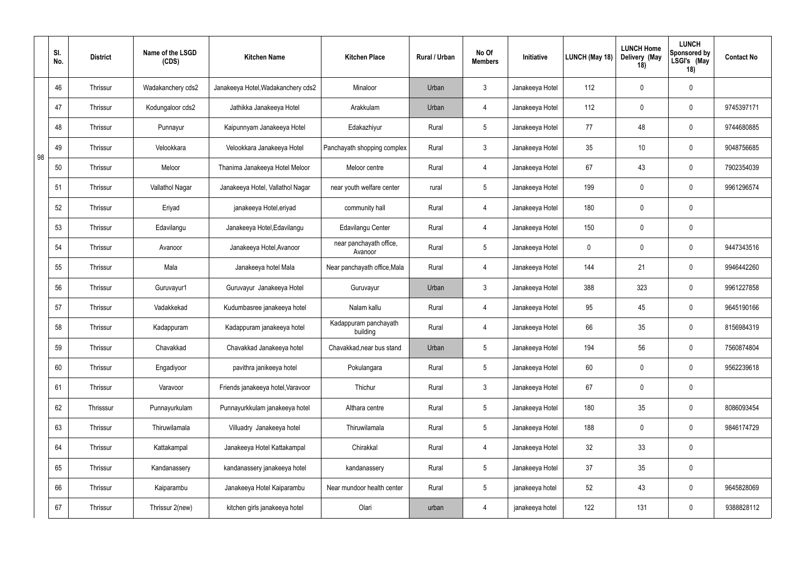|    | SI.<br>No. | <b>District</b> | Name of the LSGD<br>(CDS) | <b>Kitchen Name</b>                | <b>Kitchen Place</b>               | Rural / Urban | No Of<br><b>Members</b> | Initiative      | LUNCH (May 18) | <b>LUNCH Home</b><br>Delivery (May<br>18) | <b>LUNCH</b><br>Sponsored by<br>LSGI's (May<br>18) | <b>Contact No</b> |
|----|------------|-----------------|---------------------------|------------------------------------|------------------------------------|---------------|-------------------------|-----------------|----------------|-------------------------------------------|----------------------------------------------------|-------------------|
|    | 46         | Thrissur        | Wadakanchery cds2         | Janakeeya Hotel, Wadakanchery cds2 | Minaloor                           | Urban         | $\mathfrak{Z}$          | Janakeeya Hotel | 112            | $\overline{0}$                            | $\mathbf 0$                                        |                   |
|    | 47         | Thrissur        | Kodungaloor cds2          | Jathikka Janakeeya Hotel           | Arakkulam                          | Urban         | $\overline{4}$          | Janakeeya Hotel | 112            | $\overline{0}$                            | $\overline{0}$                                     | 9745397171        |
|    | 48         | Thrissur        | Punnayur                  | Kaipunnyam Janakeeya Hotel         | Edakazhiyur                        | Rural         | $5\phantom{.0}$         | Janakeeya Hotel | 77             | 48                                        | $\overline{0}$                                     | 9744680885        |
| 98 | 49         | Thrissur        | Velookkara                | Velookkara Janakeeya Hotel         | Panchayath shopping complex        | Rural         | $\mathbf{3}$            | Janakeeya Hotel | 35             | 10                                        | $\overline{0}$                                     | 9048756685        |
|    | 50         | Thrissur        | Meloor                    | Thanima Janakeeya Hotel Meloor     | Meloor centre                      | Rural         | $\overline{4}$          | Janakeeya Hotel | 67             | 43                                        | $\overline{0}$                                     | 7902354039        |
|    | 51         | Thrissur        | Vallathol Nagar           | Janakeeya Hotel, Vallathol Nagar   | near youth welfare center          | rural         | $5\overline{)}$         | Janakeeya Hotel | 199            | $\overline{0}$                            | $\overline{0}$                                     | 9961296574        |
|    | 52         | Thrissur        | Eriyad                    | janakeeya Hotel, eriyad            | community hall                     | Rural         | $\overline{4}$          | Janakeeya Hotel | 180            | $\overline{0}$                            | $\mathbf 0$                                        |                   |
|    | 53         | Thrissur        | Edavilangu                | Janakeeya Hotel, Edavilangu        | Edavilangu Center                  | Rural         | $\overline{4}$          | Janakeeya Hotel | 150            | $\overline{0}$                            | $\mathbf 0$                                        |                   |
|    | 54         | Thrissur        | Avanoor                   | Janakeeya Hotel, Avanoor           | near panchayath office,<br>Avanoor | Rural         | 5                       | Janakeeya Hotel | 0              | $\overline{0}$                            | $\overline{0}$                                     | 9447343516        |
|    | 55         | Thrissur        | Mala                      | Janakeeya hotel Mala               | Near panchayath office, Mala       | Rural         | $\overline{4}$          | Janakeeya Hotel | 144            | 21                                        | $\overline{0}$                                     | 9946442260        |
|    | 56         | Thrissur        | Guruvayur1                | Guruvayur Janakeeya Hotel          | Guruvayur                          | Urban         | $\mathfrak{Z}$          | Janakeeya Hotel | 388            | 323                                       | $\overline{0}$                                     | 9961227858        |
|    | 57         | Thrissur        | Vadakkekad                | Kudumbasree janakeeya hotel        | Nalam kallu                        | Rural         | $\overline{4}$          | Janakeeya Hotel | 95             | 45                                        | $\overline{0}$                                     | 9645190166        |
|    | 58         | Thrissur        | Kadappuram                | Kadappuram janakeeya hotel         | Kadappuram panchayath<br>building  | Rural         | $\overline{4}$          | Janakeeya Hotel | 66             | 35                                        | $\overline{0}$                                     | 8156984319        |
|    | 59         | Thrissur        | Chavakkad                 | Chavakkad Janakeeya hotel          | Chavakkad, near bus stand          | Urban         | $5\phantom{.0}$         | Janakeeya Hotel | 194            | 56                                        | $\mathbf 0$                                        | 7560874804        |
|    | 60         | Thrissur        | Engadiyoor                | pavithra janikeeya hotel           | Pokulangara                        | Rural         | $5\overline{)}$         | Janakeeya Hotel | 60             | $\overline{0}$                            | $\pmb{0}$                                          | 9562239618        |
|    | 61         | Thrissur        | Varavoor                  | Friends janakeeya hotel, Varavoor  | Thichur                            | Rural         | $\mathbf{3}$            | Janakeeya Hotel | 67             | $\overline{0}$                            | $\pmb{0}$                                          |                   |
|    | 62         | Thrisssur       | Punnayurkulam             | Punnayurkkulam janakeeya hotel     | Althara centre                     | Rural         | 5 <sup>5</sup>          | Janakeeya Hotel | 180            | 35                                        | $\pmb{0}$                                          | 8086093454        |
|    | 63         | Thrissur        | Thiruwilamala             | Villuadry Janakeeya hotel          | Thiruwilamala                      | Rural         | 5                       | Janakeeya Hotel | 188            | $\mathbf 0$                               | $\pmb{0}$                                          | 9846174729        |
|    | 64         | Thrissur        | Kattakampal               | Janakeeya Hotel Kattakampal        | Chirakkal                          | Rural         | $\overline{4}$          | Janakeeya Hotel | 32             | 33                                        | $\pmb{0}$                                          |                   |
|    | 65         | Thrissur        | Kandanassery              | kandanassery janakeeya hotel       | kandanassery                       | Rural         | $5\overline{)}$         | Janakeeya Hotel | 37             | $35\,$                                    | $\pmb{0}$                                          |                   |
|    | 66         | Thrissur        | Kaiparambu                | Janakeeya Hotel Kaiparambu         | Near mundoor health center         | Rural         | 5 <sup>5</sup>          | janakeeya hotel | 52             | 43                                        | $\pmb{0}$                                          | 9645828069        |
|    | 67         | Thrissur        | Thrissur 2(new)           | kitchen girls janakeeya hotel      | Olari                              | urban         | 4                       | janakeeya hotel | 122            | 131                                       | $\boldsymbol{0}$                                   | 9388828112        |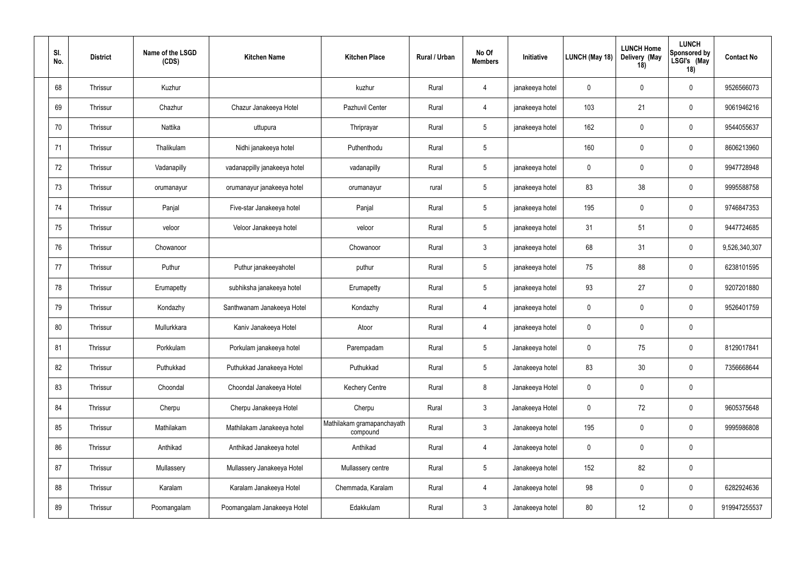| SI.<br>No. | <b>District</b> | Name of the LSGD<br>(CDS) | <b>Kitchen Name</b>          | <b>Kitchen Place</b>                   | Rural / Urban | No Of<br><b>Members</b> | Initiative      | LUNCH (May 18) | <b>LUNCH Home</b><br>Delivery (May<br>18) | <b>LUNCH</b><br><b>Sponsored by</b><br>LSGI's (May<br>18) | <b>Contact No</b> |
|------------|-----------------|---------------------------|------------------------------|----------------------------------------|---------------|-------------------------|-----------------|----------------|-------------------------------------------|-----------------------------------------------------------|-------------------|
| 68         | Thrissur        | Kuzhur                    |                              | kuzhur                                 | Rural         | $\overline{4}$          | janakeeya hotel | 0              | $\mathbf 0$                               | $\mathbf 0$                                               | 9526566073        |
| 69         | Thrissur        | Chazhur                   | Chazur Janakeeya Hotel       | Pazhuvil Center                        | Rural         | $\overline{4}$          | janakeeya hotel | 103            | 21                                        | $\mathbf 0$                                               | 9061946216        |
| 70         | Thrissur        | Nattika                   | uttupura                     | Thriprayar                             | Rural         | $5\phantom{.0}$         | janakeeya hotel | 162            | $\mathbf 0$                               | $\mathbf 0$                                               | 9544055637        |
| 71         | Thrissur        | Thalikulam                | Nidhi janakeeya hotel        | Puthenthodu                            | Rural         | $\overline{5}$          |                 | 160            | $\mathbf 0$                               | $\mathbf 0$                                               | 8606213960        |
| 72         | Thrissur        | Vadanapilly               | vadanappilly janakeeya hotel | vadanapilly                            | Rural         | $5\phantom{.0}$         | janakeeya hotel | $\mathbf 0$    | $\mathbf 0$                               | $\mathbf 0$                                               | 9947728948        |
| 73         | Thrissur        | orumanayur                | orumanayur janakeeya hotel   | orumanayur                             | rural         | $5\phantom{.0}$         | janakeeya hotel | 83             | 38                                        | $\mathbf 0$                                               | 9995588758        |
| 74         | Thrissur        | Panjal                    | Five-star Janakeeya hotel    | Panjal                                 | Rural         | $5\phantom{.0}$         | janakeeya hotel | 195            | $\mathbf 0$                               | $\mathbf 0$                                               | 9746847353        |
| 75         | Thrissur        | veloor                    | Veloor Janakeeya hotel       | veloor                                 | Rural         | $\overline{5}$          | janakeeya hotel | 31             | 51                                        | $\mathbf 0$                                               | 9447724685        |
| 76         | Thrissur        | Chowanoor                 |                              | Chowanoor                              | Rural         | $\mathbf{3}$            | janakeeya hotel | 68             | 31                                        | $\mathbf 0$                                               | 9,526,340,307     |
| 77         | Thrissur        | Puthur                    | Puthur janakeeyahotel        | puthur                                 | Rural         | $\overline{5}$          | janakeeya hotel | 75             | 88                                        | $\mathbf 0$                                               | 6238101595        |
| 78         | Thrissur        | Erumapetty                | subhiksha janakeeya hotel    | Erumapetty                             | Rural         | $5\phantom{.0}$         | janakeeya hotel | 93             | 27                                        | $\mathbf 0$                                               | 9207201880        |
| 79         | Thrissur        | Kondazhy                  | Santhwanam Janakeeya Hotel   | Kondazhy                               | Rural         | $\overline{4}$          | janakeeya hotel | 0              | $\mathbf 0$                               | $\mathbf 0$                                               | 9526401759        |
| 80         | Thrissur        | Mullurkkara               | Kaniv Janakeeya Hotel        | Atoor                                  | Rural         | $\overline{4}$          | janakeeya hotel | $\mathbf 0$    | $\mathbf 0$                               | $\mathbf 0$                                               |                   |
| 81         | Thrissur        | Porkkulam                 | Porkulam janakeeya hotel     | Parempadam                             | Rural         | $5\phantom{.0}$         | Janakeeya hotel | $\mathbf 0$    | 75                                        | $\mathbf 0$                                               | 8129017841        |
| 82         | Thrissur        | Puthukkad                 | Puthukkad Janakeeya Hotel    | Puthukkad                              | Rural         | $5\phantom{.0}$         | Janakeeya hotel | 83             | 30                                        | $\mathbf 0$                                               | 7356668644        |
| 83         | Thrissur        | Choondal                  | Choondal Janakeeya Hotel     | <b>Kechery Centre</b>                  | Rural         | $8\phantom{1}$          | Janakeeya Hotel | $\mathbf 0$    | $\mathbf 0$                               | $\mathbf 0$                                               |                   |
| 84         | Thrissur        | Cherpu                    | Cherpu Janakeeya Hotel       | Cherpu                                 | Rural         | $\mathfrak{Z}$          | Janakeeya Hotel | $\mathbf 0$    | 72                                        | $\pmb{0}$                                                 | 9605375648        |
| 85         | Thrissur        | Mathilakam                | Mathilakam Janakeeya hotel   | Mathilakam gramapanchayath<br>compound | Rural         | $\mathfrak{Z}$          | Janakeeya hotel | 195            | $\mathbf 0$                               | $\pmb{0}$                                                 | 9995986808        |
| 86         | Thrissur        | Anthikad                  | Anthikad Janakeeya hotel     | Anthikad                               | Rural         | $\overline{4}$          | Janakeeya hotel | $\mathbf 0$    | $\pmb{0}$                                 | $\pmb{0}$                                                 |                   |
| 87         | Thrissur        | Mullassery                | Mullassery Janakeeya Hotel   | Mullassery centre                      | Rural         | $\sqrt{5}$              | Janakeeya hotel | 152            | 82                                        | $\pmb{0}$                                                 |                   |
| 88         | Thrissur        | Karalam                   | Karalam Janakeeya Hotel      | Chemmada, Karalam                      | Rural         | $\overline{4}$          | Janakeeya hotel | 98             | $\mathbf 0$                               | $\mathbf 0$                                               | 6282924636        |
| 89         | Thrissur        | Poomangalam               | Poomangalam Janakeeya Hotel  | Edakkulam                              | Rural         | $\mathbf{3}$            | Janakeeya hotel | 80             | 12                                        | $\boldsymbol{0}$                                          | 919947255537      |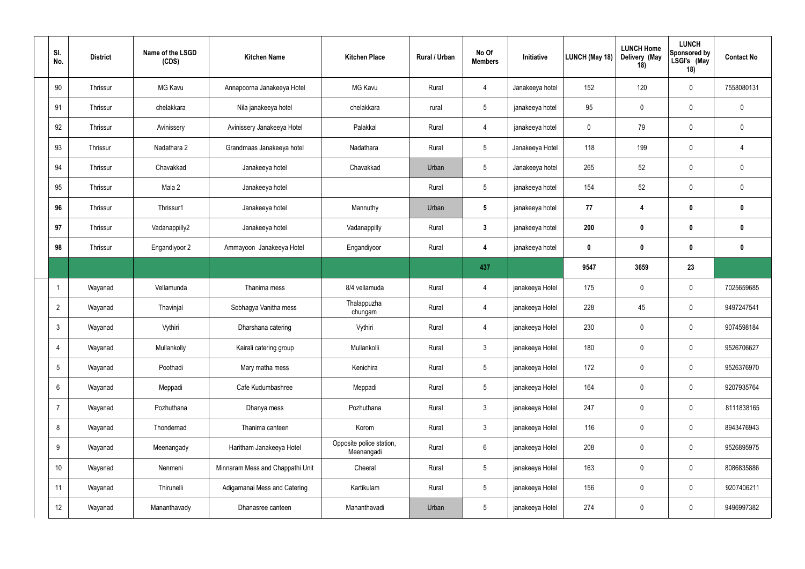| SI.<br>No.      | <b>District</b> | Name of the LSGD<br>(CDS) | <b>Kitchen Name</b>              | <b>Kitchen Place</b>                   | Rural / Urban | No Of<br><b>Members</b> | Initiative      | LUNCH (May 18)   | <b>LUNCH Home</b><br>Delivery (May<br>18) | <b>LUNCH</b><br><b>Sponsored by</b><br>LSGI's (May<br>18) | <b>Contact No</b> |
|-----------------|-----------------|---------------------------|----------------------------------|----------------------------------------|---------------|-------------------------|-----------------|------------------|-------------------------------------------|-----------------------------------------------------------|-------------------|
| 90              | Thrissur        | <b>MG Kavu</b>            | Annapoorna Janakeeya Hotel       | <b>MG Kavu</b>                         | Rural         | $\overline{4}$          | Janakeeya hotel | 152              | 120                                       | $\mathbf 0$                                               | 7558080131        |
| 91              | Thrissur        | chelakkara                | Nila janakeeya hotel             | chelakkara                             | rural         | $5\phantom{.0}$         | janakeeya hotel | 95               | $\mathbf 0$                               | $\mathbf 0$                                               | $\mathbf 0$       |
| 92              | Thrissur        | Avinissery                | Avinissery Janakeeya Hotel       | Palakkal                               | Rural         | $\overline{4}$          | janakeeya hotel | $\mathbf 0$      | 79                                        | $\mathbf 0$                                               | $\mathbf 0$       |
| 93              | Thrissur        | Nadathara 2               | Grandmaas Janakeeya hotel        | Nadathara                              | Rural         | $5\phantom{.0}$         | Janakeeya Hotel | 118              | 199                                       | $\mathbf 0$                                               | 4                 |
| 94              | Thrissur        | Chavakkad                 | Janakeeya hotel                  | Chavakkad                              | Urban         | $5\phantom{.0}$         | Janakeeya hotel | 265              | 52                                        | $\mathbf 0$                                               | $\mathbf 0$       |
| 95              | Thrissur        | Mala 2                    | Janakeeya hotel                  |                                        | Rural         | $5\phantom{.0}$         | janakeeya hotel | 154              | 52                                        | $\mathbf 0$                                               | $\mathbf 0$       |
| 96              | Thrissur        | Thrissur1                 | Janakeeya hotel                  | Mannuthy                               | Urban         | $5\phantom{.0}$         | janakeeya hotel | 77               | 4                                         | $\mathbf 0$                                               | $\bf{0}$          |
| 97              | Thrissur        | Vadanappilly2             | Janakeeya hotel                  | Vadanappilly                           | Rural         | $\mathbf{3}$            | janakeeya hotel | 200              | $\mathbf 0$                               | $\mathbf 0$                                               | $\bf{0}$          |
| 98              | Thrissur        | Engandiyoor 2             | Ammayoon Janakeeya Hotel         | Engandiyoor                            | Rural         | $\boldsymbol{4}$        | janakeeya hotel | $\boldsymbol{0}$ | $\boldsymbol{0}$                          | $\boldsymbol{0}$                                          | $\bf{0}$          |
|                 |                 |                           |                                  |                                        |               | 437                     |                 | 9547             | 3659                                      | 23                                                        |                   |
|                 | Wayanad         | Vellamunda                | Thanima mess                     | 8/4 vellamuda                          | Rural         | $\overline{4}$          | janakeeya Hotel | 175              | $\mathbf 0$                               | $\mathbf 0$                                               | 7025659685        |
| $\overline{2}$  | Wayanad         | Thavinjal                 | Sobhagya Vanitha mess            | Thalappuzha<br>chungam                 | Rural         | $\overline{4}$          | janakeeya Hotel | 228              | 45                                        | $\mathbf 0$                                               | 9497247541        |
| $\mathbf{3}$    | Wayanad         | Vythiri                   | Dharshana catering               | Vythiri                                | Rural         | $\overline{4}$          | janakeeya Hotel | 230              | $\mathbf 0$                               | $\mathbf 0$                                               | 9074598184        |
| $\overline{4}$  | Wayanad         | Mullankolly               | Kairali catering group           | Mullankolli                            | Rural         | $\mathbf{3}$            | janakeeya Hotel | 180              | $\pmb{0}$                                 | $\mathbf 0$                                               | 9526706627        |
| $5\phantom{.0}$ | Wayanad         | Poothadi                  | Mary matha mess                  | Kenichira                              | Rural         | $5\phantom{.0}$         | janakeeya Hotel | 172              | $\mathbf 0$                               | $\pmb{0}$                                                 | 9526376970        |
| $6\overline{6}$ | Wayanad         | Meppadi                   | Cafe Kudumbashree                | Meppadi                                | Rural         | $5\phantom{.0}$         | janakeeya Hotel | 164              | $\mathbf 0$                               | $\pmb{0}$                                                 | 9207935764        |
| $\overline{7}$  | Wayanad         | Pozhuthana                | Dhanya mess                      | Pozhuthana                             | Rural         | $\mathbf{3}$            | janakeeya Hotel | 247              | $\pmb{0}$                                 | $\pmb{0}$                                                 | 8111838165        |
| 8               | Wayanad         | Thondernad                | Thanima canteen                  | Korom                                  | Rural         | $\mathbf{3}$            | janakeeya Hotel | 116              | $\pmb{0}$                                 | $\pmb{0}$                                                 | 8943476943        |
| 9               | Wayanad         | Meenangady                | Haritham Janakeeya Hotel         | Opposite police station,<br>Meenangadi | Rural         | $6\phantom{.}6$         | janakeeya Hotel | 208              | $\mathbf 0$                               | $\mathbf 0$                                               | 9526895975        |
| 10              | Wayanad         | Nenmeni                   | Minnaram Mess and Chappathi Unit | Cheeral                                | Rural         | $5\overline{)}$         | janakeeya Hotel | 163              | $\mathbf 0$                               | $\mathbf 0$                                               | 8086835886        |
| 11              | Wayanad         | Thirunelli                | Adigamanai Mess and Catering     | Kartikulam                             | Rural         | $5\phantom{.0}$         | janakeeya Hotel | 156              | $\mathbf 0$                               | $\mathbf 0$                                               | 9207406211        |
| 12              | Wayanad         | Mananthavady              | Dhanasree canteen                | Mananthavadi                           | Urban         | $\overline{5}$          | janakeeya Hotel | 274              | $\boldsymbol{0}$                          | $\pmb{0}$                                                 | 9496997382        |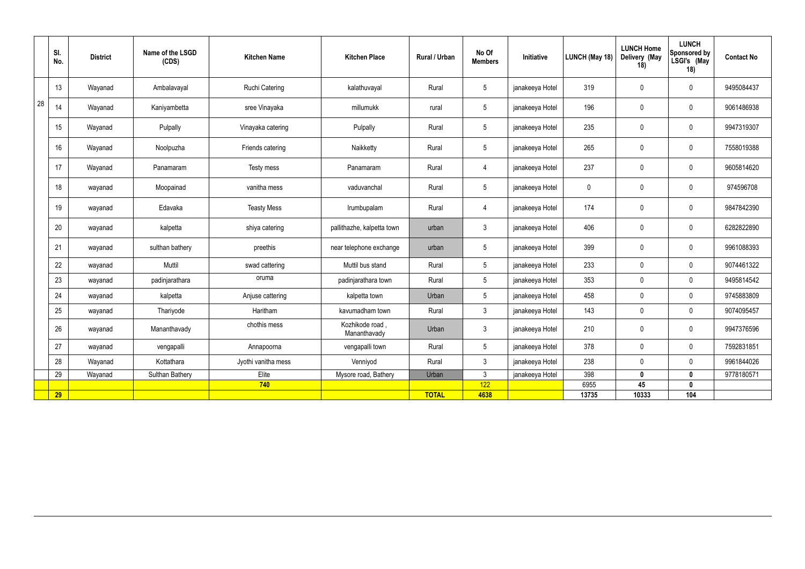|    | SI.<br>No. | <b>District</b> | Name of the LSGD<br>(CDS) | <b>Kitchen Name</b>   | <b>Kitchen Place</b>           | Rural / Urban | No Of<br><b>Members</b> | Initiative      | LUNCH (May 18) | <b>LUNCH Home</b><br>Delivery (May<br>18) | <b>LUNCH</b><br>Sponsored by<br>LSGI's (May<br>18) | <b>Contact No</b> |
|----|------------|-----------------|---------------------------|-----------------------|--------------------------------|---------------|-------------------------|-----------------|----------------|-------------------------------------------|----------------------------------------------------|-------------------|
|    | 13         | Wayanad         | Ambalavayal               | <b>Ruchi Catering</b> | kalathuvayal                   | Rural         | $5\overline{)}$         | janakeeya Hotel | 319            | $\overline{0}$                            | $\overline{0}$                                     | 9495084437        |
| 28 | 14         | Wayanad         | Kaniyambetta              | sree Vinayaka         | millumukk                      | rural         | $5\phantom{.0}$         | janakeeya Hotel | 196            | $\mathbf 0$                               | $\overline{0}$                                     | 9061486938        |
|    | 15         | Wayanad         | Pulpally                  | Vinayaka catering     | Pulpally                       | Rural         | $5\phantom{.0}$         | janakeeya Hotel | 235            | $\overline{0}$                            | $\overline{0}$                                     | 9947319307        |
|    | 16         | Wayanad         | Noolpuzha                 | Friends catering      | Naikketty                      | Rural         | $5\phantom{.0}$         | janakeeya Hotel | 265            | $\overline{0}$                            | $\mathbf 0$                                        | 7558019388        |
|    | 17         | Wayanad         | Panamaram                 | Testy mess            | Panamaram                      | Rural         | 4                       | janakeeya Hotel | 237            | $\overline{0}$                            | $\overline{0}$                                     | 9605814620        |
|    | 18         | wayanad         | Moopainad                 | vanitha mess          | vaduvanchal                    | Rural         | $5^{\circ}$             | janakeeya Hotel | 0              | $\mathbf 0$                               | $\mathbf 0$                                        | 974596708         |
|    | 19         | wayanad         | Edavaka                   | <b>Teasty Mess</b>    | Irumbupalam                    | Rural         | 4                       | janakeeya Hotel | 174            | $\mathbf 0$                               | $\mathbf 0$                                        | 9847842390        |
|    | 20         | wayanad         | kalpetta                  | shiya catering        | pallithazhe, kalpetta town     | urban         | $\mathbf{3}$            | janakeeya Hotel | 406            | $\overline{0}$                            | $\mathbf 0$                                        | 6282822890        |
|    | 21         | wayanad         | sulthan bathery           | preethis              | near telephone exchange        | urban         | $5\overline{)}$         | janakeeya Hotel | 399            | $\overline{0}$                            | $\overline{0}$                                     | 9961088393        |
|    | 22         | wayanad         | Muttil                    | swad cattering        | Muttil bus stand               | Rural         | 5                       | janakeeya Hotel | 233            | $\mathbf 0$                               | $\mathbf 0$                                        | 9074461322        |
|    | 23         | wayanad         | padinjarathara            | oruma                 | padinjarathara town            | Rural         | 5                       | janakeeya Hotel | 353            | $\mathbf 0$                               | $\mathbf 0$                                        | 9495814542        |
|    | 24         | wayanad         | kalpetta                  | Anjuse cattering      | kalpetta town                  | Urban         | $5\overline{)}$         | janakeeya Hotel | 458            | $\overline{0}$                            | $\overline{0}$                                     | 9745883809        |
|    | 25         | wayanad         | Thariyode                 | Haritham              | kavumadham town                | Rural         | $3\phantom{.0}$         | janakeeya Hotel | 143            | $\mathbf 0$                               | $\mathbf 0$                                        | 9074095457        |
|    | 26         | wayanad         | Mananthavady              | chothis mess          | Kozhikode road<br>Mananthavady | Urban         | $\mathbf{3}$            | janakeeya Hotel | 210            | $\mathbf 0$                               | $\mathbf 0$                                        | 9947376596        |
|    | 27         | wayanad         | vengapalli                | Annapoorna            | vengapalli town                | Rural         | 5 <sup>5</sup>          | janakeeya Hotel | 378            | $\overline{0}$                            | $\overline{0}$                                     | 7592831851        |
|    | 28         | Wayanad         | Kottathara                | Jyothi vanitha mess   | Venniyod                       | Rural         | 3 <sup>1</sup>          | janakeeya Hotel | 238            | $\mathbf 0$                               | $\mathbf 0$                                        | 9961844026        |
|    | 29         | Wayanad         | Sulthan Bathery           | Elite                 | Mysore road, Bathery           | Urban         | 3 <sup>1</sup>          | janakeeya Hotel | 398            | $\mathbf 0$                               | $\mathbf 0$                                        | 9778180571        |
|    |            |                 |                           | 740                   |                                |               | 122                     |                 | 6955           | 45                                        | $\mathbf 0$                                        |                   |
|    | 29         |                 |                           |                       |                                | <b>TOTAL</b>  | 4638                    |                 | 13735          | 10333                                     | 104                                                |                   |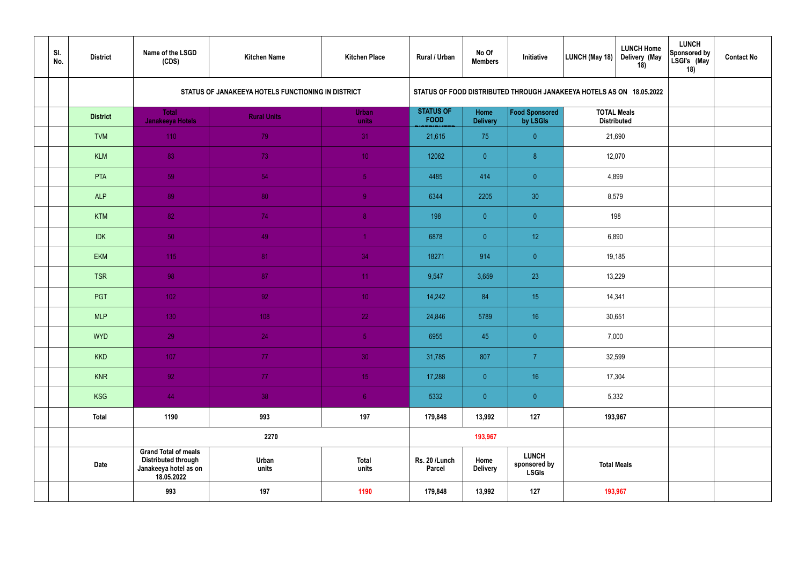| SI.<br>No. | <b>District</b> | Name of the LSGD<br>(CDS)                                                                        | <b>Kitchen Name</b>                                | <b>Kitchen Place</b>  | Rural / Urban                   | No Of<br><b>Members</b> | Initiative                                                           | LUNCH (May 18)   | <b>LUNCH Home</b><br>Delivery (May<br>18) | <b>LUNCH</b><br><b>Sponsored by</b><br>LSGI's (May<br>18) | <b>Contact No</b> |
|------------|-----------------|--------------------------------------------------------------------------------------------------|----------------------------------------------------|-----------------------|---------------------------------|-------------------------|----------------------------------------------------------------------|------------------|-------------------------------------------|-----------------------------------------------------------|-------------------|
|            |                 |                                                                                                  | STATUS OF JANAKEEYA HOTELS FUNCTIONING IN DISTRICT |                       |                                 |                         | STATUS OF FOOD DISTRIBUTED THROUGH JANAKEEYA HOTELS AS ON 18.05.2022 |                  |                                           |                                                           |                   |
|            | <b>District</b> | Total<br>Janakeeya Hotels                                                                        | <b>Rural Units</b>                                 | <b>Urban</b><br>units | <b>STATUS OF</b><br><b>FOOD</b> | Home<br><b>Delivery</b> | Food Sponsored<br>by LSGIs                                           |                  | <b>TOTAL Meals</b><br><b>Distributed</b>  |                                                           |                   |
|            | <b>TVM</b>      | 110                                                                                              | 79                                                 | 31                    | 21,615                          | 75                      | $\overline{0}$                                                       |                  | 21,690                                    |                                                           |                   |
|            | <b>KLM</b>      | 83                                                                                               | 73                                                 | 10 <sup>°</sup>       | 12062                           | $\overline{0}$          | 8 <sup>°</sup>                                                       |                  | 12,070                                    |                                                           |                   |
|            | <b>PTA</b>      | 59                                                                                               | 54                                                 | 5 <sub>1</sub>        | 4485                            | 414                     | $\bullet$                                                            | 4,899            |                                           |                                                           |                   |
|            | <b>ALP</b>      | 89                                                                                               | 80                                                 | 9 <sup>°</sup>        | 6344                            | 2205                    | 30                                                                   | 8,579            |                                           |                                                           |                   |
|            | <b>KTM</b>      | 82                                                                                               | 74                                                 | $\overline{8}$        | 198                             | $\overline{0}$          | $\overline{0}$                                                       |                  | 198                                       |                                                           |                   |
|            | <b>IDK</b>      | 50                                                                                               | 49                                                 | $\blacktriangleleft$  | 6878                            | $\overline{0}$          | 12                                                                   | 6,890            |                                           |                                                           |                   |
|            | <b>EKM</b>      | 115                                                                                              | 81                                                 | 34                    | 18271                           | 914                     | $\overline{0}$                                                       |                  |                                           |                                                           |                   |
|            | <b>TSR</b>      | 98                                                                                               | 87                                                 | 11 <sub>1</sub>       | 9,547                           | 3,659                   | 23                                                                   | 19,185<br>13,229 |                                           |                                                           |                   |
|            | PGT             | 102                                                                                              | 92                                                 | 10 <sup>°</sup>       | 14,242                          | 84                      | 15                                                                   |                  | 14,341                                    |                                                           |                   |
|            | <b>MLP</b>      | 130                                                                                              | 108                                                | 22                    | 24,846                          | 5789                    | 16                                                                   |                  | 30,651                                    |                                                           |                   |
|            | <b>WYD</b>      | 29                                                                                               | 24                                                 | 5 <sub>1</sub>        | 6955                            | 45                      | $\overline{0}$                                                       |                  | 7,000                                     |                                                           |                   |
|            | <b>KKD</b>      | 107                                                                                              | 77 <sub>1</sub>                                    | 30 <sup>°</sup>       | 31,785                          | 807                     | $\overline{7}$                                                       |                  | 32,599                                    |                                                           |                   |
|            | <b>KNR</b>      | 92 <sub>1</sub>                                                                                  | 77 <sub>1</sub>                                    | 15 <sup>°</sup>       | 17,288                          | $\overline{0}$          | 16 <sup>°</sup>                                                      |                  | 17,304                                    |                                                           |                   |
|            | KSG             | 44                                                                                               | 38                                                 | 6 <sup>1</sup>        | 5332                            | $\overline{0}$          | $\overline{0}$                                                       |                  | 5,332                                     |                                                           |                   |
|            | <b>Total</b>    | 1190                                                                                             | 993                                                | 197                   | 179,848                         | 13,992                  | 127                                                                  |                  | 193,967                                   |                                                           |                   |
|            |                 |                                                                                                  | 2270                                               |                       |                                 | 193,967                 |                                                                      |                  |                                           |                                                           |                   |
|            | <b>Date</b>     | <b>Grand Total of meals</b><br><b>Distributed through</b><br>Janakeeya hotel as on<br>18.05.2022 | Urban<br>units                                     | <b>Total</b><br>units | Rs. 20 /Lunch<br><b>Parcel</b>  | Home<br><b>Delivery</b> | <b>LUNCH</b><br>sponsored by<br><b>LSGIs</b>                         |                  | <b>Total Meals</b>                        |                                                           |                   |
|            |                 | 993                                                                                              | 197                                                | 1190                  | 179,848                         | 13,992                  | 127                                                                  |                  | 193,967                                   |                                                           |                   |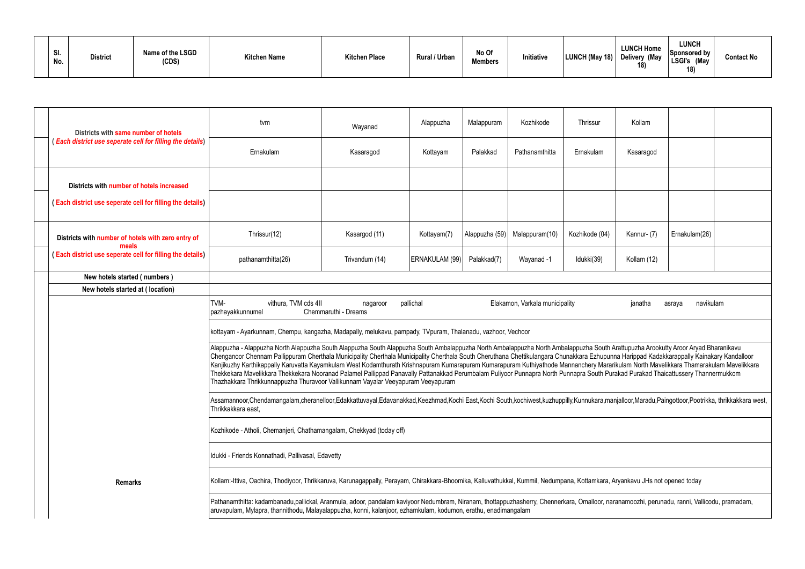| SI.<br>No. | <b>District</b> | Name of the LSGD<br>(CDS) | <b>Kitchen Name</b> | <b>Kitchen Place</b> | Rural / Urban | No Of<br><b>Members</b> | nitiative | LUNCH (May 18) | <b>LUNCH Home</b><br>Delivery (May<br>18) | <b>LUNCH</b><br>Sponsored by<br><b>LSGI's</b><br>(May<br>18) | Contact No |
|------------|-----------------|---------------------------|---------------------|----------------------|---------------|-------------------------|-----------|----------------|-------------------------------------------|--------------------------------------------------------------|------------|
|------------|-----------------|---------------------------|---------------------|----------------------|---------------|-------------------------|-----------|----------------|-------------------------------------------|--------------------------------------------------------------|------------|

| Districts with same number of hotels                            | tvm                                                                                                                                                                                                                                                                                                                                                                                                                                                                                                                                                                                                                                                                                                                                                                                                                 | Wayanad                          | Alappuzha      | Malappuram     | Kozhikode                      | Thrissur       | Kollam      |                     |  |
|-----------------------------------------------------------------|---------------------------------------------------------------------------------------------------------------------------------------------------------------------------------------------------------------------------------------------------------------------------------------------------------------------------------------------------------------------------------------------------------------------------------------------------------------------------------------------------------------------------------------------------------------------------------------------------------------------------------------------------------------------------------------------------------------------------------------------------------------------------------------------------------------------|----------------------------------|----------------|----------------|--------------------------------|----------------|-------------|---------------------|--|
| <b>Each district use seperate cell for filling the details)</b> | Ernakulam                                                                                                                                                                                                                                                                                                                                                                                                                                                                                                                                                                                                                                                                                                                                                                                                           | Kasaragod                        | Kottayam       | Palakkad       | Pathanamthitta                 | Ernakulam      | Kasaragod   |                     |  |
| Districts with number of hotels increased                       |                                                                                                                                                                                                                                                                                                                                                                                                                                                                                                                                                                                                                                                                                                                                                                                                                     |                                  |                |                |                                |                |             |                     |  |
| (Each district use seperate cell for filling the details)       |                                                                                                                                                                                                                                                                                                                                                                                                                                                                                                                                                                                                                                                                                                                                                                                                                     |                                  |                |                |                                |                |             |                     |  |
| Districts with number of hotels with zero entry of<br>meals     | Thrissur(12)                                                                                                                                                                                                                                                                                                                                                                                                                                                                                                                                                                                                                                                                                                                                                                                                        | Kasargod (11)                    | Kottayam(7)    | Alappuzha (59) | Malappuram(10)                 | Kozhikode (04) | Kannur- (7) | Ernakulam(26)       |  |
| (Each district use seperate cell for filling the details)       | pathanamthitta(26)                                                                                                                                                                                                                                                                                                                                                                                                                                                                                                                                                                                                                                                                                                                                                                                                  | Trivandum (14)                   | ERNAKULAM (99) | Palakkad(7)    | Wayanad -1                     | Idukki(39)     | Kollam (12) |                     |  |
| New hotels started (numbers)                                    |                                                                                                                                                                                                                                                                                                                                                                                                                                                                                                                                                                                                                                                                                                                                                                                                                     |                                  |                |                |                                |                |             |                     |  |
| New hotels started at (location)                                |                                                                                                                                                                                                                                                                                                                                                                                                                                                                                                                                                                                                                                                                                                                                                                                                                     |                                  |                |                |                                |                |             |                     |  |
|                                                                 | TVM-<br>vithura, TVM cds 4II<br>pazhayakkunnumel                                                                                                                                                                                                                                                                                                                                                                                                                                                                                                                                                                                                                                                                                                                                                                    | nagaroor<br>Chemmaruthi - Dreams | pallichal      |                | Elakamon, Varkala municipality |                | janatha     | navikulam<br>asraya |  |
|                                                                 | kottayam - Ayarkunnam, Chempu, kangazha, Madapally, melukavu, pampady, TVpuram, Thalanadu, vazhoor, Vechoor                                                                                                                                                                                                                                                                                                                                                                                                                                                                                                                                                                                                                                                                                                         |                                  |                |                |                                |                |             |                     |  |
|                                                                 | Alappuzha - Alappuzha North Alappuzha South Alappuzha South Alappuzha South Ambalappuzha North Ambalappuzha South Arattupuzha Arookutty Aroor Aryad Bharanikavu<br>Chenganoor Chennam Pallippuram Cherthala Municipality Cherthala Municipality Cherthala South Cheruthana Chettikulangara Chunakkara Ezhupunna Harippad Kadakkarappally Kainakary Kandalloor<br>Kanjikuzhy Karthikappally Karuvatta Kayamkulam West Kodamthurath Krishnapuram Kumarapuram Kuthiyathode Mannanchery Mararikulam North Mavelikkara Thamarakulam Mavelikkara<br>Thekkekara Mavelikkara Thekkekara Nooranad Palamel Pallippad Panavally Pattanakkad Perumbalam Puliyoor Punnapra North Punnapra South Purakad Purakad Thaicattussery Thannermukkom<br>Thazhakkara Thrikkunnappuzha Thuravoor Vallikunnam Vayalar Veeyapuram Veeyapuram |                                  |                |                |                                |                |             |                     |  |
|                                                                 | Assamannoor,Chendamangalam,cheranelloor,Edakkattuvayal,Edavanakkad,Keezhmad,Kochi East,Kochi South,kochiwest,kuzhuppilly,Kunnukara,manjalloor,Maradu,Paingottoor,Pootrikka, thrikkakkara west,<br>Thrikkakkara east,                                                                                                                                                                                                                                                                                                                                                                                                                                                                                                                                                                                                |                                  |                |                |                                |                |             |                     |  |
|                                                                 | Kozhikode - Atholi, Chemanjeri, Chathamangalam, Chekkyad (today off)                                                                                                                                                                                                                                                                                                                                                                                                                                                                                                                                                                                                                                                                                                                                                |                                  |                |                |                                |                |             |                     |  |
|                                                                 | Idukki - Friends Konnathadi, Pallivasal, Edavetty                                                                                                                                                                                                                                                                                                                                                                                                                                                                                                                                                                                                                                                                                                                                                                   |                                  |                |                |                                |                |             |                     |  |
| <b>Remarks</b>                                                  | Kollam:-Ittiva, Oachira, Thodiyoor, Thrikkaruva, Karunagappally, Perayam, Chirakkara-Bhoomika, Kalluvathukkal, Kummil, Nedumpana, Kottamkara, Aryankavu JHs not opened today                                                                                                                                                                                                                                                                                                                                                                                                                                                                                                                                                                                                                                        |                                  |                |                |                                |                |             |                     |  |
|                                                                 | Pathanamthitta: kadambanadu,pallickal, Aranmula, adoor, pandalam kaviyoor Nedumbram, Niranam, thottappuzhasherry, Chennerkara, Omalloor, naranamoozhi, perunadu, ranni, Vallicodu, pramadam,<br>aruvapulam, Mylapra, thannithodu, Malayalappuzha, konni, kalanjoor, ezhamkulam, kodumon, erathu, enadimangalam                                                                                                                                                                                                                                                                                                                                                                                                                                                                                                      |                                  |                |                |                                |                |             |                     |  |